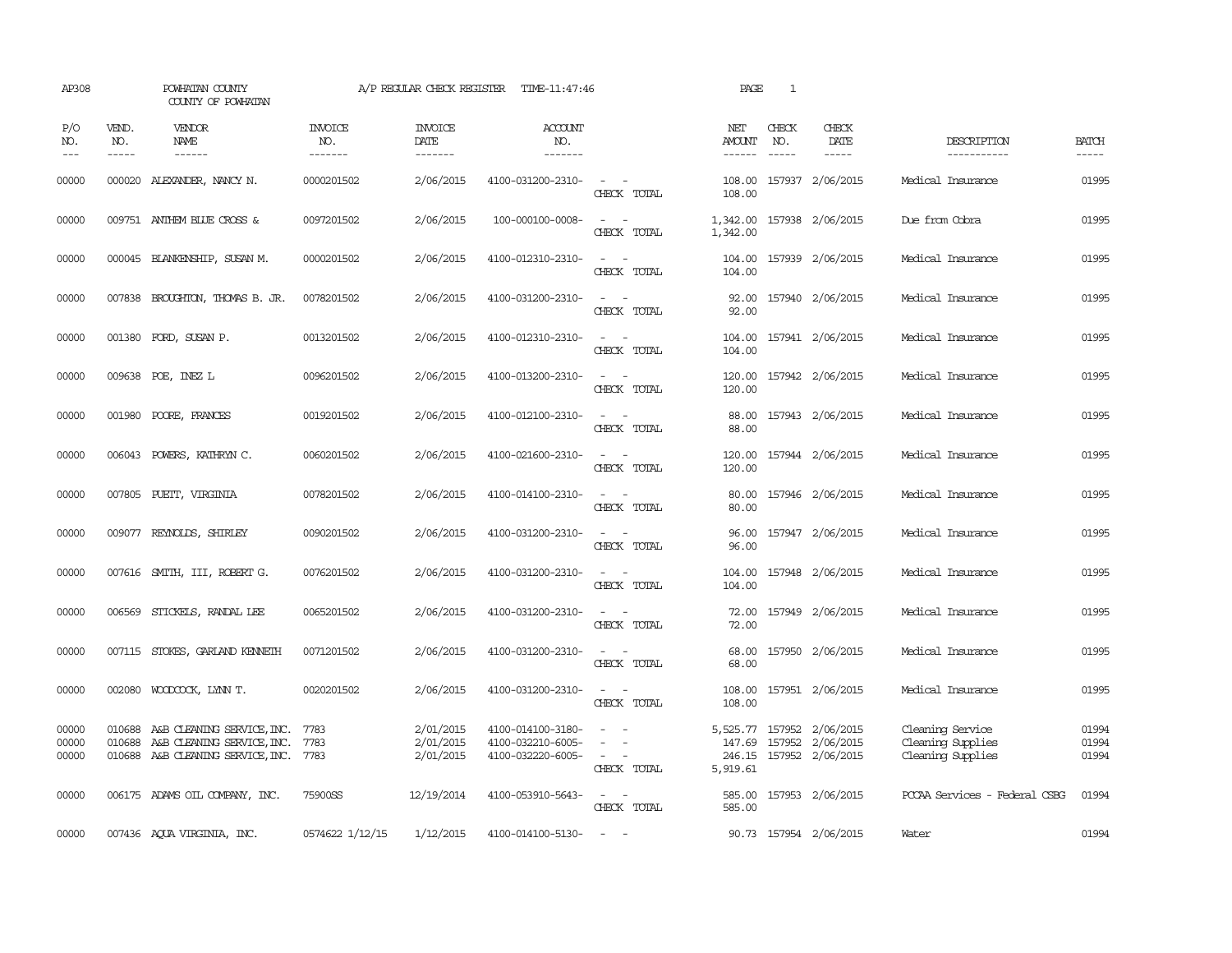| AP308                             |              | POWHATAN COUNTY<br>COUNTY OF POWHATAN  |                                  | A/P REGULAR CHECK REGISTER         | TIME-11:47:46                    |                                                                                                                             | PAGE                    | $\mathbf{1}$                  |                         |                               |                       |
|-----------------------------------|--------------|----------------------------------------|----------------------------------|------------------------------------|----------------------------------|-----------------------------------------------------------------------------------------------------------------------------|-------------------------|-------------------------------|-------------------------|-------------------------------|-----------------------|
| P/O<br>NO.<br>$\qquad \qquad - -$ | VEND.<br>NO. | <b>VENDOR</b><br><b>NAME</b><br>------ | <b>INVOICE</b><br>NO.<br>------- | <b>INVOICE</b><br>DATE<br>-------- | <b>ACCOUNT</b><br>NO.<br>------- |                                                                                                                             | NET<br>AMOUNT<br>------ | CHECK<br>NO.<br>$\frac{1}{2}$ | CHECK<br>DATE           | DESCRIPTION<br>-----------    | <b>BATCH</b><br>----- |
| 00000                             |              | 000020 ALEXANDER, NANCY N.             | 0000201502                       | 2/06/2015                          | 4100-031200-2310-                | $\sim$ $\sim$<br>CHECK TOTAL                                                                                                | 108.00<br>108.00        |                               | 157937 2/06/2015        | Medical Insurance             | 01995                 |
| 00000                             |              | 009751 ANTHEM BLUE CROSS &             | 0097201502                       | 2/06/2015                          | 100-000100-0008-                 | $\frac{1}{2} \left( \frac{1}{2} \right) \left( \frac{1}{2} \right) = \frac{1}{2} \left( \frac{1}{2} \right)$<br>CHECK TOTAL | 1,342.00<br>1,342.00    |                               | 157938 2/06/2015        | Due from Cobra                | 01995                 |
| 00000                             |              | 000045 BLANKENSHIP, SUSAN M.           | 0000201502                       | 2/06/2015                          | 4100-012310-2310-                | $\sim$<br>$\sim$<br>CHECK TOTAL                                                                                             | 104.00<br>104.00        |                               | 157939 2/06/2015        | Medical Insurance             | 01995                 |
| 00000                             |              | 007838 BROUGHTON, THOMAS B. JR.        | 0078201502                       | 2/06/2015                          | 4100-031200-2310-                | $ -$<br>CHECK TOTAL                                                                                                         | 92.00<br>92.00          |                               | 157940 2/06/2015        | Medical Insurance             | 01995                 |
| 00000                             |              | 001380 FORD, SUSAN P.                  | 0013201502                       | 2/06/2015                          | 4100-012310-2310-                | $ -$<br>CHECK TOTAL                                                                                                         | 104.00<br>104.00        |                               | 157941 2/06/2015        | Medical Insurance             | 01995                 |
| 00000                             |              | 009638 POE, INEZ L                     | 0096201502                       | 2/06/2015                          | 4100-013200-2310-                | $\sim$ $\sim$<br>CHECK TOTAL                                                                                                | 120.00<br>120.00        |                               | 157942 2/06/2015        | Medical Insurance             | 01995                 |
| 00000                             |              | 001980 POORE, FRANCES                  | 0019201502                       | 2/06/2015                          | 4100-012100-2310-                | $\equiv$<br>CHECK TOTAL                                                                                                     | 88.00<br>88.00          |                               | 157943 2/06/2015        | Medical Insurance             | 01995                 |
| 00000                             |              | 006043 POWERS, KATHRYN C.              | 0060201502                       | 2/06/2015                          | 4100-021600-2310-                | $\frac{1}{2} \left( \frac{1}{2} \right) \left( \frac{1}{2} \right) = \frac{1}{2} \left( \frac{1}{2} \right)$<br>CHECK TOTAL | 120.00<br>120.00        |                               | 157944 2/06/2015        | Medical Insurance             | 01995                 |
| 00000                             |              | 007805 PUETT, VIRGINIA                 | 0078201502                       | 2/06/2015                          | 4100-014100-2310-                | $\omega_{\rm{max}}$ and $\omega_{\rm{max}}$<br>CHECK TOTAL                                                                  | 80.00<br>80.00          |                               | 157946 2/06/2015        | Medical Insurance             | 01995                 |
| 00000                             |              | 009077 REYNOLDS, SHIRLEY               | 0090201502                       | 2/06/2015                          | 4100-031200-2310-                | $\frac{1}{2} \left( \frac{1}{2} \right) \left( \frac{1}{2} \right) = \frac{1}{2} \left( \frac{1}{2} \right)$<br>CHECK TOTAL | 96.00<br>96.00          |                               | 157947 2/06/2015        | Medical Insurance             | 01995                 |
| 00000                             |              | 007616 SMITH, III, ROBERT G.           | 0076201502                       | 2/06/2015                          | 4100-031200-2310-                | $\sim$<br>$\sim$<br>CHECK TOTAL                                                                                             | 104.00<br>104.00        |                               | 157948 2/06/2015        | Medical Insurance             | 01995                 |
| 00000                             | 006569       | STICKELS, RANDAL LEE                   | 0065201502                       | 2/06/2015                          | 4100-031200-2310-                | $\frac{1}{2} \left( \frac{1}{2} \right) \left( \frac{1}{2} \right) = \frac{1}{2} \left( \frac{1}{2} \right)$<br>CHECK TOTAL | 72.00<br>72.00          |                               | 157949 2/06/2015        | Medical Insurance             | 01995                 |
| 00000                             |              | 007115 STOKES, GARLAND KENNETH         | 0071201502                       | 2/06/2015                          | 4100-031200-2310-                | $ -$<br>CHECK TOTAL                                                                                                         | 68.00<br>68.00          |                               | 157950 2/06/2015        | Medical Insurance             | 01995                 |
| 00000                             | 002080       | WOODCOCK, LYNN T.                      | 0020201502                       | 2/06/2015                          | 4100-031200-2310-                | $\sim$<br>$\overline{\phantom{a}}$<br>CHECK TOTAL                                                                           | 108.00<br>108.00        |                               | 157951 2/06/2015        | Medical Insurance             | 01995                 |
| 00000                             | 010688       | A&B CLEANING SERVICE, INC.             | 7783                             | 2/01/2015                          | 4100-014100-3180-                |                                                                                                                             | 5,525.77                |                               | 157952 2/06/2015        | Cleaning Service              | 01994                 |
| 00000                             | 010688       | A&B CLEANING SERVICE, INC.             | 7783                             | 2/01/2015                          | 4100-032210-6005-                |                                                                                                                             | 147.69                  |                               | 157952 2/06/2015        | Cleaning Supplies             | 01994                 |
| 00000                             |              | 010688 A&B CLEANING SERVICE, INC. 7783 |                                  | 2/01/2015                          | 4100-032220-6005-                | $\sim$<br>CHECK TOTAL                                                                                                       | 5,919.61                |                               | 246.15 157952 2/06/2015 | Cleaning Supplies             | 01994                 |
| 00000                             |              | 006175 ADAMS OIL COMPANY, INC.         | 75900SS                          | 12/19/2014                         | 4100-053910-5643-                | $\sim$ $ \sim$<br>CHECK TOTAL                                                                                               | 585.00<br>585.00        |                               | 157953 2/06/2015        | PCCAA Services - Federal CSBG | 01994                 |
| 00000                             |              | 007436 AQUA VIRGINIA, INC.             | 0574622 1/12/15                  | 1/12/2015                          | 4100-014100-5130-                | $\sim$ $ \sim$                                                                                                              |                         |                               | 90.73 157954 2/06/2015  | Water                         | 01994                 |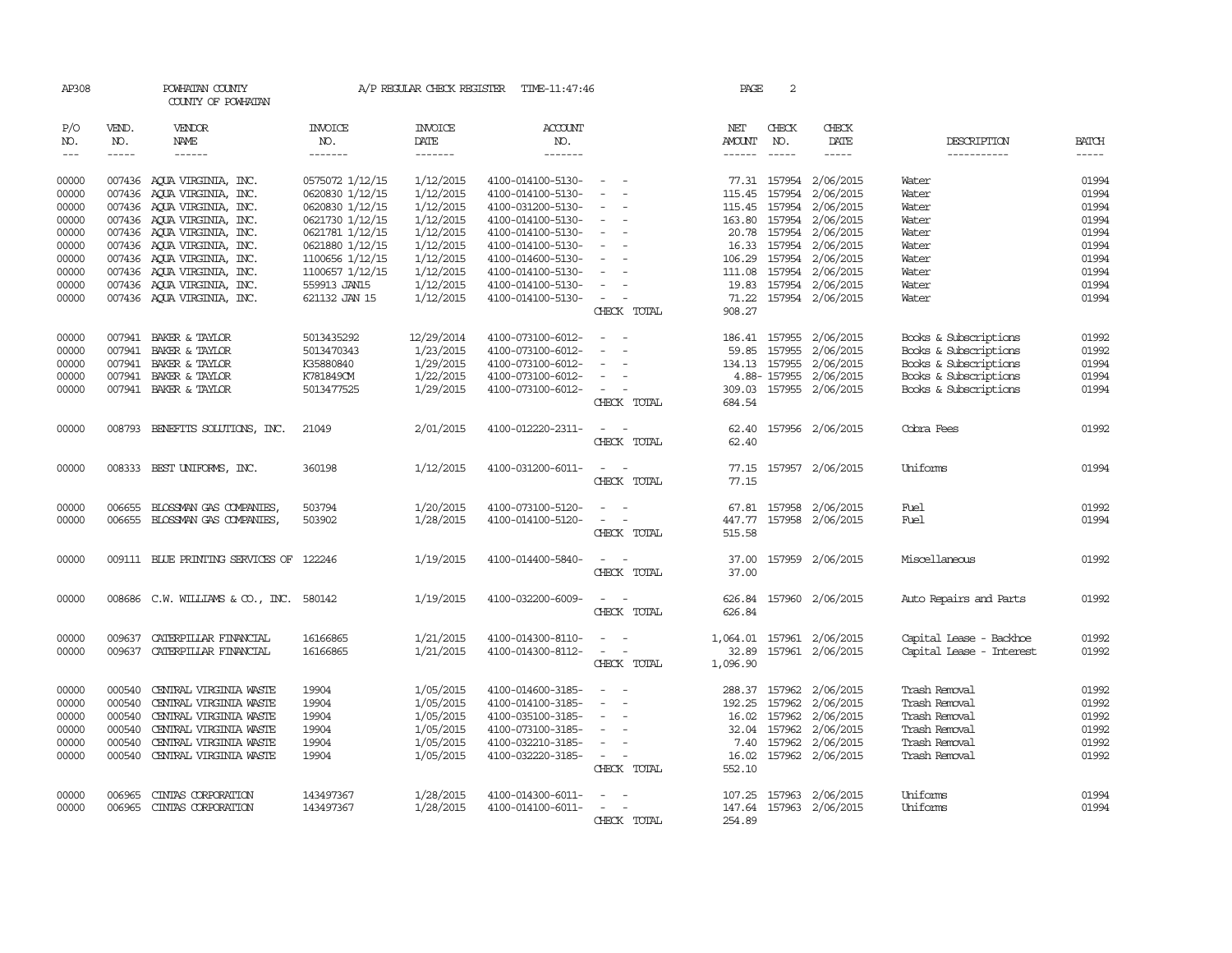| AP308          |              | POWHATAN COUNTY<br>COUNTY OF POWHATAN                    |                                    | A/P REGULAR CHECK REGISTER | TIME-11:47:46                          |                                    | PAGE          | 2            |                                     |                          |                |
|----------------|--------------|----------------------------------------------------------|------------------------------------|----------------------------|----------------------------------------|------------------------------------|---------------|--------------|-------------------------------------|--------------------------|----------------|
| P/O<br>NO.     | VEND.<br>NO. | <b>VENDOR</b><br>NAME                                    | <b>INVOICE</b><br>NO.              | <b>INVOICE</b><br>DATE     | <b>ACCOUNT</b><br>NO.                  |                                    | NET<br>AMOUNT | CHECK<br>NO. | CHECK<br>DATE                       | DESCRIPTION              | <b>BATCH</b>   |
| $---$          | $- - - - -$  | $- - - - - -$                                            | -------                            | -------                    | -------                                |                                    | $- - - - - -$ | $- - - - -$  | $- - - - -$                         | -----------              | $- - - - -$    |
| 00000<br>00000 |              | 007436 AQUA VIRGINIA, INC.<br>007436 AQUA VIRGINIA, INC. | 0575072 1/12/15<br>0620830 1/12/15 | 1/12/2015<br>1/12/2015     | 4100-014100-5130-<br>4100-014100-5130- | $\sim$<br>$\overline{\phantom{a}}$ | 115.45        | 157954       | 77.31 157954 2/06/2015<br>2/06/2015 | Water<br>Water           | 01994<br>01994 |
| 00000          |              | 007436 AQUA VIRGINIA, INC.                               | 0620830 1/12/15                    | 1/12/2015                  | 4100-031200-5130-                      |                                    | 115.45        | 157954       | 2/06/2015                           | Water                    | 01994          |
| 00000          |              | 007436 AOUA VIRGINIA, INC.                               | 0621730 1/12/15                    | 1/12/2015                  | 4100-014100-5130-                      | $\sim$<br>$\overline{\phantom{a}}$ |               |              | 163.80 157954 2/06/2015             | Water                    | 01994          |
| 00000          |              | 007436 AQUA VIRGINIA, INC.                               | 0621781 1/12/15                    | 1/12/2015                  | 4100-014100-5130-                      | $\hspace{0.1mm}-\hspace{0.1mm}$    |               |              | 20.78 157954 2/06/2015              | Water                    | 01994          |
| 00000          |              | 007436 AQUA VIRGINIA, INC.                               | 0621880 1/12/15                    | 1/12/2015                  | 4100-014100-5130-                      | $\overline{\phantom{a}}$           |               |              | 16.33 157954 2/06/2015              | Water                    | 01994          |
| 00000          |              | 007436 AQUA VIRGINIA, INC.                               | 1100656 1/12/15                    | 1/12/2015                  | 4100-014600-5130-                      | $\overline{\phantom{a}}$           |               |              | 106.29 157954 2/06/2015             | Water                    | 01994          |
| 00000          |              | 007436 AQUA VIRGINIA, INC.                               | 1100657 1/12/15                    | 1/12/2015                  | 4100-014100-5130-                      | $\sim$                             |               |              | 111.08 157954 2/06/2015             | Water                    | 01994          |
| 00000          |              | 007436 AQUA VIRGINIA, INC.                               | 559913 JAN15                       | 1/12/2015                  | 4100-014100-5130-                      | $\overline{a}$                     |               |              | 19.83 157954 2/06/2015              | Water                    | 01994          |
| 00000          |              | 007436 AQUA VIRGINIA, INC.                               | 621132 JAN 15                      | 1/12/2015                  | 4100-014100-5130-                      | $\sim$<br>$\equiv$                 |               |              | 71.22 157954 2/06/2015              | Water                    | 01994          |
|                |              |                                                          |                                    |                            |                                        | CHECK TOTAL                        | 908.27        |              |                                     |                          |                |
| 00000          |              | 007941 BAKER & TAYLOR                                    | 5013435292                         | 12/29/2014                 | 4100-073100-6012-                      | $\sim$<br>$\sim$                   | 186.41 157955 |              | 2/06/2015                           | Books & Subscriptions    | 01992          |
| 00000          |              | 007941 BAKER & TAYLOR                                    | 5013470343                         | 1/23/2015                  | 4100-073100-6012-                      | $\overline{\phantom{a}}$<br>$\sim$ |               | 59.85 157955 | 2/06/2015                           | Books & Subscriptions    | 01992          |
| 00000          | 007941       | BAKER & TAYLOR                                           | K35880840                          | 1/29/2015                  | 4100-073100-6012-                      | $\overline{\phantom{a}}$           | 134.13 157955 |              | 2/06/2015                           | Books & Subscriptions    | 01994          |
| 00000          |              | 007941 BAKER & TAYLOR                                    | K781849CM                          | 1/22/2015                  | 4100-073100-6012-                      |                                    |               | 4.88-157955  | 2/06/2015                           | Books & Subscriptions    | 01994          |
| 00000          |              | 007941 BAKER & TAYLOR                                    | 5013477525                         | 1/29/2015                  | 4100-073100-6012-                      | $\sim$                             |               |              | 309.03 157955 2/06/2015             | Books & Subscriptions    | 01994          |
|                |              |                                                          |                                    |                            |                                        | CHECK TOTAL                        | 684.54        |              |                                     |                          |                |
| 00000          |              | 008793 BENEFITS SOLUTIONS, INC.                          | 21049                              | 2/01/2015                  | 4100-012220-2311-                      |                                    | 62.40         |              | 157956 2/06/2015                    | Cobra Fees               | 01992          |
|                |              |                                                          |                                    |                            |                                        | CHECK TOTAL                        | 62.40         |              |                                     |                          |                |
|                |              |                                                          |                                    |                            |                                        |                                    |               |              |                                     |                          |                |
| 00000          |              | 008333 BEST UNIFORMS, INC.                               | 360198                             | 1/12/2015                  | 4100-031200-6011-                      | $\overline{\phantom{a}}$           |               |              | 77.15 157957 2/06/2015              | Uniforms                 | 01994          |
|                |              |                                                          |                                    |                            |                                        | CHECK TOTAL                        | 77.15         |              |                                     |                          |                |
| 00000          | 006655       | BLOSSMAN GAS COMPANIES,                                  | 503794                             | 1/20/2015                  | 4100-073100-5120-                      |                                    | 67.81         |              | 157958 2/06/2015                    | Fuel                     | 01992          |
| 00000          |              | 006655 BLOSSMAN GAS COMPANIES,                           | 503902                             | 1/28/2015                  | 4100-014100-5120-                      | $\sim$<br>$\overline{\phantom{a}}$ |               |              | 447.77 157958 2/06/2015             | Fuel                     | 01994          |
|                |              |                                                          |                                    |                            |                                        | CHECK TOTAL                        | 515.58        |              |                                     |                          |                |
|                |              |                                                          |                                    |                            |                                        |                                    |               |              |                                     |                          |                |
| 00000          |              | 009111 BLUE PRINTING SERVICES OF 122246                  |                                    | 1/19/2015                  | 4100-014400-5840-                      | $\sim$<br>$\sim$                   |               |              | 37.00 157959 2/06/2015              | Miscellaneous            | 01992          |
|                |              |                                                          |                                    |                            |                                        | CHECK TOTAL                        | 37.00         |              |                                     |                          |                |
| 00000          |              | 008686 C.W. WILLIAMS & CO., INC. 580142                  |                                    | 1/19/2015                  | 4100-032200-6009-                      | $\sim$<br>$\sim$                   |               |              | 626.84 157960 2/06/2015             | Auto Repairs and Parts   | 01992          |
|                |              |                                                          |                                    |                            |                                        | CHECK TOTAL                        | 626.84        |              |                                     |                          |                |
|                |              |                                                          |                                    |                            |                                        |                                    |               |              |                                     |                          |                |
| 00000          | 009637       | CATERPILLAR FINANCIAL                                    | 16166865                           | 1/21/2015                  | 4100-014300-8110-                      | $\sim$<br>$\overline{\phantom{a}}$ | 1,064.01      |              | 157961 2/06/2015                    | Capital Lease - Backhoe  | 01992          |
| 00000          |              | 009637 CATERPILLAR FINANCIAL                             | 16166865                           | 1/21/2015                  | 4100-014300-8112-                      | $\sim$<br>$\overline{\phantom{a}}$ | 32.89         |              | 157961 2/06/2015                    | Capital Lease - Interest | 01992          |
|                |              |                                                          |                                    |                            |                                        | CHECK TOTAL                        | 1,096.90      |              |                                     |                          |                |
| 00000          | 000540       | CENTRAL VIRGINIA WASTE                                   | 19904                              | 1/05/2015                  | 4100-014600-3185-                      | $\overline{\phantom{a}}$           | 288.37        | 157962       | 2/06/2015                           | Trash Removal            | 01992          |
| 00000          | 000540       | CENTRAL VIRGINIA WASTE                                   | 19904                              | 1/05/2015                  | 4100-014100-3185-                      |                                    | 192.25        | 157962       | 2/06/2015                           | Trash Removal            | 01992          |
| 00000          | 000540       | CENTRAL VIRGINIA WASTE                                   | 19904                              | 1/05/2015                  | 4100-035100-3185-                      |                                    |               | 16.02 157962 | 2/06/2015                           | Trash Removal            | 01992          |
| 00000          | 000540       | CENTRAL VIRGINIA WASTE                                   | 19904                              | 1/05/2015                  | 4100-073100-3185-                      | $\sim$                             |               | 32.04 157962 | 2/06/2015                           | Trash Removal            | 01992          |
| 00000          | 000540       | CENTRAL VIRGINIA WASTE                                   | 19904                              | 1/05/2015                  | 4100-032210-3185-                      | $\overline{\phantom{a}}$           | 7.40          | 157962       | 2/06/2015                           | Trash Removal            | 01992          |
| 00000          |              | 000540 CENTRAL VIRGINIA WASTE                            | 19904                              | 1/05/2015                  | 4100-032220-3185-                      | $\sim$<br>- 14                     |               |              | 16.02 157962 2/06/2015              | Trash Removal            | 01992          |
|                |              |                                                          |                                    |                            |                                        | CHECK TOTAL                        | 552.10        |              |                                     |                          |                |
| 00000          | 006965       | CINIAS CORPORATION                                       | 143497367                          | 1/28/2015                  | 4100-014300-6011-                      |                                    |               |              | 107.25 157963 2/06/2015             | Uniforms                 | 01994          |
| 00000          | 006965       | CINIAS CORPORATION                                       | 143497367                          | 1/28/2015                  | 4100-014100-6011-                      | $\overline{\phantom{a}}$           |               |              | 147.64 157963 2/06/2015             | Uniforms                 | 01994          |
|                |              |                                                          |                                    |                            |                                        | CHECK TOTAL                        | 254.89        |              |                                     |                          |                |
|                |              |                                                          |                                    |                            |                                        |                                    |               |              |                                     |                          |                |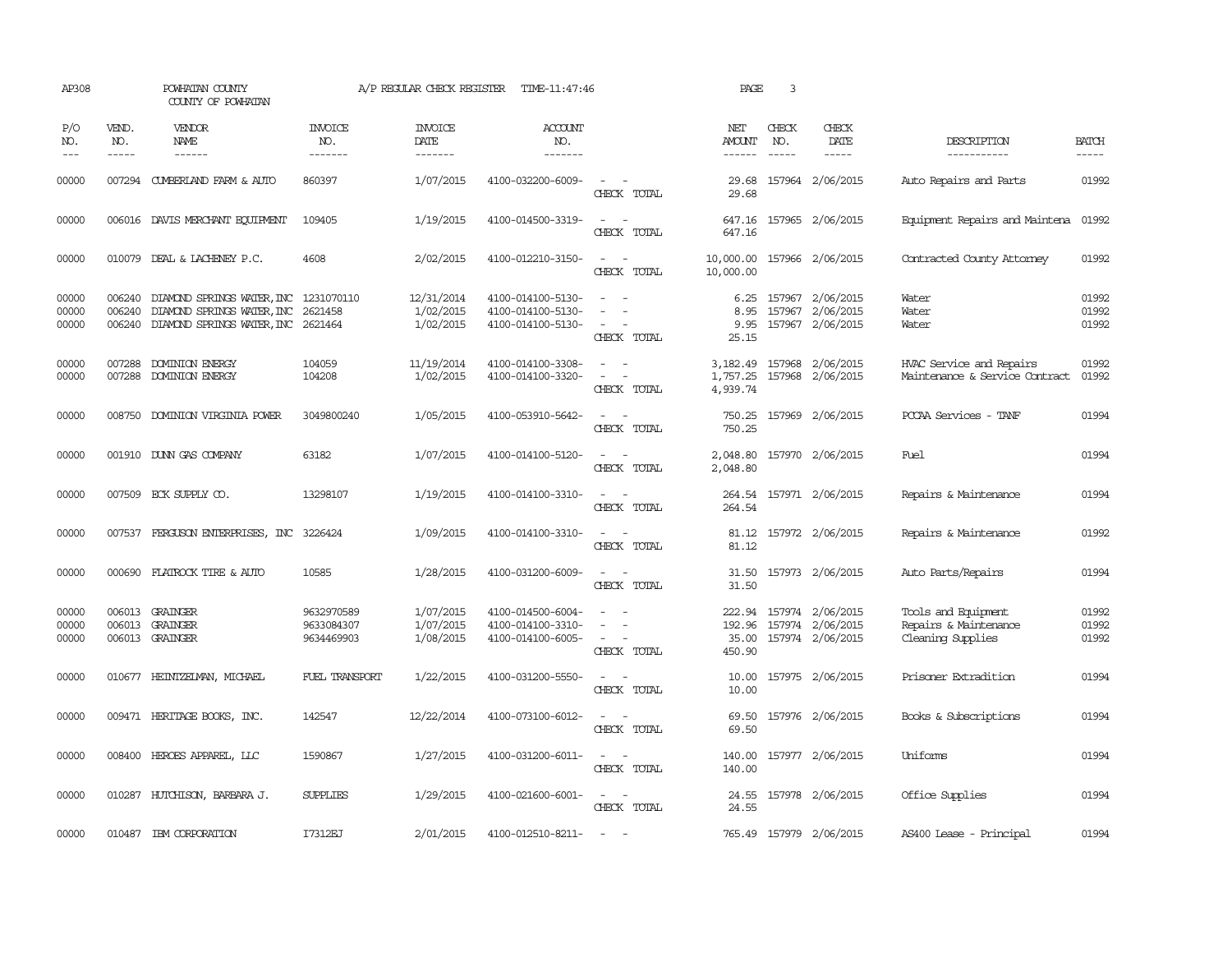| AP308                   |                             | POWHATAN COUNTY<br>COUNTY OF POWHATAN                                                             |                                        | A/P REGULAR CHECK REGISTER           | TIME-11:47:46                                               |                                                                                                                                                                                                                                             | PAGE                                | 3                           |                                                          |                                                                   |                         |
|-------------------------|-----------------------------|---------------------------------------------------------------------------------------------------|----------------------------------------|--------------------------------------|-------------------------------------------------------------|---------------------------------------------------------------------------------------------------------------------------------------------------------------------------------------------------------------------------------------------|-------------------------------------|-----------------------------|----------------------------------------------------------|-------------------------------------------------------------------|-------------------------|
| P/O<br>NO.<br>$---$     | VEND.<br>NO.<br>$- - - - -$ | VENDOR<br>NAME                                                                                    | <b>INVOICE</b><br>NO.<br>-------       | <b>INVOICE</b><br>DATE<br>-------    | <b>ACCOUNT</b><br>NO.<br>-------                            |                                                                                                                                                                                                                                             | NET<br><b>AMOUNT</b><br>------      | CHECK<br>NO.<br>$- - - - -$ | CHECK<br>DATE<br>$- - - - -$                             | DESCRIPTION<br>-----------                                        | <b>BATCH</b><br>-----   |
| 00000                   |                             | 007294 CUMBERLAND FARM & AUTO                                                                     | 860397                                 | 1/07/2015                            | 4100-032200-6009-                                           | $\sim$<br>CHECK TOTAL                                                                                                                                                                                                                       | 29.68<br>29.68                      |                             | 157964 2/06/2015                                         | Auto Repairs and Parts                                            | 01992                   |
| 00000                   |                             | 006016 DAVIS MERCHANT EQUIPMENT                                                                   | 109405                                 | 1/19/2015                            | 4100-014500-3319-                                           | $\sim$ 10 $\sim$ 10 $\sim$<br>CHECK TOTAL                                                                                                                                                                                                   | 647.16<br>647.16                    |                             | 157965 2/06/2015                                         | Equipment Repairs and Maintena 01992                              |                         |
| 00000                   |                             | 010079 DEAL & LACHENEY P.C.                                                                       | 4608                                   | 2/02/2015                            | 4100-012210-3150-                                           | CHECK TOTAL                                                                                                                                                                                                                                 | 10,000.00                           |                             | 10,000.00 157966 2/06/2015                               | Contracted County Attomey                                         | 01992                   |
| 00000<br>00000<br>00000 | 006240<br>006240<br>006240  | DIAMOND SPRINGS WATER, INC 1231070110<br>DIAMOND SPRINGS WATER, INC<br>DIAMOND SPRINGS WATER, INC | 2621458<br>2621464                     | 12/31/2014<br>1/02/2015<br>1/02/2015 | 4100-014100-5130-<br>4100-014100-5130-<br>4100-014100-5130- | $\sim$<br>$\equiv$<br>$\overline{\phantom{a}}$<br>$\overline{\phantom{a}}$<br>CHECK TOTAL                                                                                                                                                   | 6.25<br>8.95<br>9.95<br>25.15       |                             | 157967 2/06/2015<br>157967 2/06/2015<br>157967 2/06/2015 | Water<br>Water<br>Water                                           | 01992<br>01992<br>01992 |
| 00000<br>00000          | 007288                      | DOMINION ENERGY<br>007288 DOMINION ENERGY                                                         | 104059<br>104208                       | 11/19/2014<br>1/02/2015              | 4100-014100-3308-<br>4100-014100-3320-                      | $\frac{1}{2} \left( \frac{1}{2} \right) \left( \frac{1}{2} \right) = \frac{1}{2} \left( \frac{1}{2} \right)$<br>$\frac{1}{2} \left( \frac{1}{2} \right) \left( \frac{1}{2} \right) = \frac{1}{2} \left( \frac{1}{2} \right)$<br>CHECK TOTAL | 3,182.49<br>4,939.74                |                             | 157968 2/06/2015<br>1,757.25 157968 2/06/2015            | HVAC Service and Repairs<br>Maintenance & Service Contract        | 01992<br>01992          |
| 00000                   |                             | 008750 DOMINION VIRGINIA POWER                                                                    | 3049800240                             | 1/05/2015                            | 4100-053910-5642-                                           | CHECK TOTAL                                                                                                                                                                                                                                 | 750.25<br>750.25                    |                             | 157969 2/06/2015                                         | PCCAA Services - TANF                                             | 01994                   |
| 00000                   |                             | 001910 DUNN GAS COMPANY                                                                           | 63182                                  | 1/07/2015                            | 4100-014100-5120-                                           | $\sim$<br>$\overline{\phantom{a}}$<br>CHECK TOTAL                                                                                                                                                                                           | 2,048.80<br>2,048.80                |                             | 157970 2/06/2015                                         | Fuel                                                              | 01994                   |
| 00000                   |                             | 007509 ECK SUPPLY CO.                                                                             | 13298107                               | 1/19/2015                            | 4100-014100-3310-                                           | $\overline{\phantom{a}}$<br>- -<br>CHECK TOTAL                                                                                                                                                                                              | 264.54<br>264.54                    |                             | 157971 2/06/2015                                         | Repairs & Maintenance                                             | 01994                   |
| 00000                   |                             | 007537 FERGUSON ENTERPRISES, INC 3226424                                                          |                                        | 1/09/2015                            | 4100-014100-3310-                                           | $\sim$ 100 $\sim$ 100 $\sim$<br>CHECK TOTAL                                                                                                                                                                                                 | 81.12                               |                             | 81.12 157972 2/06/2015                                   | Repairs & Maintenance                                             | 01992                   |
| 00000                   | 000690                      | FLATROCK TIRE & AUTO                                                                              | 10585                                  | 1/28/2015                            | 4100-031200-6009-                                           | $\overline{\phantom{a}}$<br>CHECK TOTAL                                                                                                                                                                                                     | 31.50<br>31.50                      |                             | 157973 2/06/2015                                         | Auto Parts/Repairs                                                | 01994                   |
| 00000<br>00000<br>00000 | 006013                      | GRAINGER<br>006013 GRAINGER<br>006013 GRAINGER                                                    | 9632970589<br>9633084307<br>9634469903 | 1/07/2015<br>1/07/2015<br>1/08/2015  | 4100-014500-6004-<br>4100-014100-3310-<br>4100-014100-6005- | $\sim$<br>$\overline{\phantom{a}}$<br>$\overline{\phantom{a}}$<br>CHECK TOTAL                                                                                                                                                               | 222.94<br>192.96<br>35.00<br>450.90 |                             | 157974 2/06/2015<br>157974 2/06/2015<br>157974 2/06/2015 | Tools and Equipment<br>Repairs & Maintenance<br>Cleaning Supplies | 01992<br>01992<br>01992 |
| 00000                   |                             | 010677 HEINTZEIMAN, MICHAEL                                                                       | FUEL TRANSPORT                         | 1/22/2015                            | 4100-031200-5550-                                           | $\overline{\phantom{a}}$<br>CHECK TOTAL                                                                                                                                                                                                     | 10.00<br>10.00                      |                             | 157975 2/06/2015                                         | Prisoner Extradition                                              | 01994                   |
| 00000                   |                             | 009471 HERITAGE BOOKS, INC.                                                                       | 142547                                 | 12/22/2014                           | 4100-073100-6012-                                           | $\frac{1}{2} \left( \frac{1}{2} \right) \left( \frac{1}{2} \right) \left( \frac{1}{2} \right) \left( \frac{1}{2} \right)$<br>CHECK TOTAL                                                                                                    | 69.50<br>69.50                      |                             | 157976 2/06/2015                                         | Books & Subscriptions                                             | 01994                   |
| 00000                   |                             | 008400 HEROES APPAREL, LLC                                                                        | 1590867                                | 1/27/2015                            | 4100-031200-6011-                                           | $\sim$<br>CHECK TOTAL                                                                                                                                                                                                                       | 140.00<br>140.00                    |                             | 157977 2/06/2015                                         | Uniforms                                                          | 01994                   |
| 00000                   |                             | 010287 HUTCHISON, BARBARA J.                                                                      | <b>SUPPLIES</b>                        | 1/29/2015                            | 4100-021600-6001-                                           | $ -$<br>CHECK TOTAL                                                                                                                                                                                                                         | 24.55<br>24.55                      |                             | 157978 2/06/2015                                         | Office Supplies                                                   | 01994                   |
| 00000                   |                             | 010487 IBM CORPORATION                                                                            | I7312EJ                                | 2/01/2015                            | 4100-012510-8211-                                           | $\sim$                                                                                                                                                                                                                                      |                                     |                             | 765.49 157979 2/06/2015                                  | AS400 Lease - Principal                                           | 01994                   |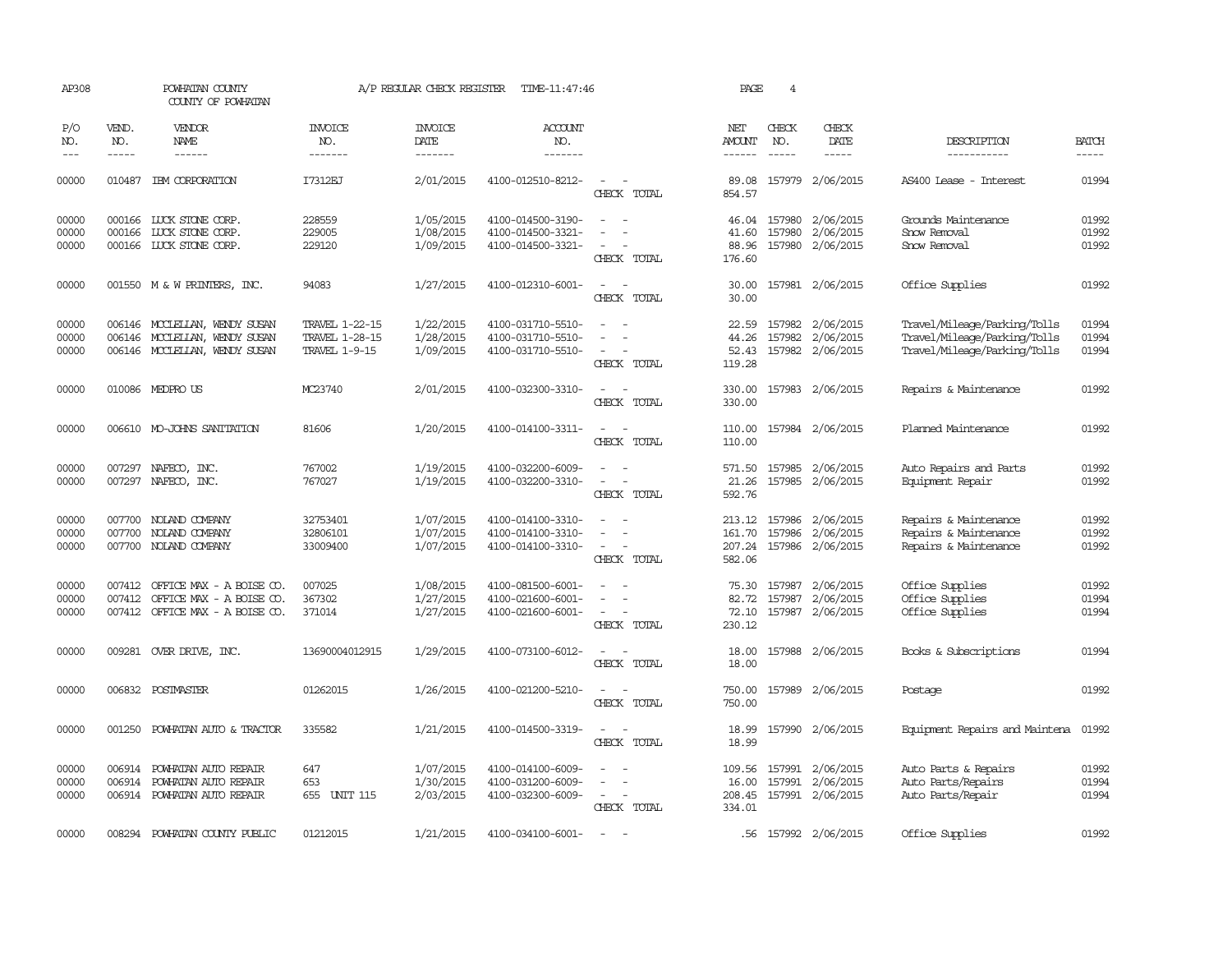| AP308                   |                               | POWHATAN COUNTY<br>COUNTY OF POWHATAN                                                           |                                                          | A/P REGULAR CHECK REGISTER          | TIME-11:47:46                                               |                                                                     | PAGE                                  | 4                             |                                                          |                                                                                              |                         |
|-------------------------|-------------------------------|-------------------------------------------------------------------------------------------------|----------------------------------------------------------|-------------------------------------|-------------------------------------------------------------|---------------------------------------------------------------------|---------------------------------------|-------------------------------|----------------------------------------------------------|----------------------------------------------------------------------------------------------|-------------------------|
| P/O<br>NO.<br>$---$     | VEND.<br>NO.<br>$\frac{1}{2}$ | VENDOR<br>NAME<br>$- - - - - -$                                                                 | INVOICE<br>NO.<br>-------                                | <b>INVOICE</b><br>DATE<br>-------   | <b>ACCOUNT</b><br>NO.<br>-------                            |                                                                     | NET<br><b>AMOUNT</b><br>$- - - - - -$ | CHECK<br>NO.<br>$\frac{1}{2}$ | CHECK<br>DATE<br>-----                                   | DESCRIPTION<br>-----------                                                                   | <b>BATCH</b><br>-----   |
| 00000                   | 010487                        | IBM CORPORATION                                                                                 | I7312EJ                                                  | 2/01/2015                           | 4100-012510-8212-                                           | $\sim$<br>$\overline{\phantom{a}}$<br>CHECK TOTAL                   | 89.08<br>854.57                       |                               | 157979 2/06/2015                                         | AS400 Lease - Interest                                                                       | 01994                   |
| 00000<br>00000<br>00000 | 000166                        | 000166 LUCK STONE CORP.<br>LUCK STONE CORP.<br>000166 LUCK STONE CORP.                          | 228559<br>229005<br>229120                               | 1/05/2015<br>1/08/2015<br>1/09/2015 | 4100-014500-3190-<br>4100-014500-3321-<br>4100-014500-3321- | $\sim$<br>$\sim$<br>CHECK TOTAL                                     | 46.04<br>41.60<br>88.96<br>176.60     | 157980                        | 157980 2/06/2015<br>2/06/2015<br>157980 2/06/2015        | Grounds Maintenance<br>Snow Removal<br>Snow Removal                                          | 01992<br>01992<br>01992 |
| 00000                   |                               | 001550 M & W PRINTERS, INC.                                                                     | 94083                                                    | 1/27/2015                           | 4100-012310-6001-                                           | CHECK TOTAL                                                         | 30.00<br>30.00                        |                               | 157981 2/06/2015                                         | Office Supplies                                                                              | 01992                   |
| 00000<br>00000<br>00000 |                               | 006146 MCCLELLAN, WENDY SUSAN<br>006146 MCCLELLAN, WENDY SUSAN<br>006146 MCCLELLAN, WENDY SUSAN | TRAVEL 1-22-15<br>TRAVEL 1-28-15<br><b>TRAVEL 1-9-15</b> | 1/22/2015<br>1/28/2015<br>1/09/2015 | 4100-031710-5510-<br>4100-031710-5510-<br>4100-031710-5510- | $\sim$<br>CHECK TOTAL                                               | 22.59<br>44.26<br>52.43<br>119.28     |                               | 157982 2/06/2015<br>157982 2/06/2015<br>157982 2/06/2015 | Travel/Mileage/Parking/Tolls<br>Travel/Mileage/Parking/Tolls<br>Travel/Mileage/Parking/Tolls | 01994<br>01994<br>01994 |
| 00000                   |                               | 010086 MEDPROUS                                                                                 | MC23740                                                  | 2/01/2015                           | 4100-032300-3310-                                           | $\overline{a}$<br>CHECK TOTAL                                       | 330.00<br>330.00                      |                               | 157983 2/06/2015                                         | Repairs & Maintenance                                                                        | 01992                   |
| 00000                   |                               | 006610 MO-JOHNS SANITATION                                                                      | 81606                                                    | 1/20/2015                           | 4100-014100-3311-                                           | $\overline{\phantom{a}}$<br>CHECK TOTAL                             | 110.00<br>110.00                      |                               | 157984 2/06/2015                                         | Planned Maintenance                                                                          | 01992                   |
| 00000<br>00000          |                               | 007297 NAFECO, INC.<br>007297 NAFECO, INC.                                                      | 767002<br>767027                                         | 1/19/2015<br>1/19/2015              | 4100-032200-6009-<br>4100-032200-3310-                      | $\sim$<br>$\overline{\phantom{a}}$<br>CHECK TOTAL                   | 571.50<br>21.26<br>592.76             |                               | 157985 2/06/2015<br>157985 2/06/2015                     | Auto Repairs and Parts<br>Equipment Repair                                                   | 01992<br>01992          |
| 00000<br>00000<br>00000 |                               | 007700 NOLAND COMPANY<br>007700 NOLAND COMPANY<br>007700 NOLAND COMPANY                         | 32753401<br>32806101<br>33009400                         | 1/07/2015<br>1/07/2015<br>1/07/2015 | 4100-014100-3310-<br>4100-014100-3310-<br>4100-014100-3310- | $\sim$<br>$\overline{\phantom{a}}$<br>$\sim$<br>CHECK TOTAL         | 213.12<br>161.70<br>207.24<br>582.06  | 157986<br>157986              | 157986 2/06/2015<br>2/06/2015<br>2/06/2015               | Repairs & Maintenance<br>Repairs & Maintenance<br>Repairs & Maintenance                      | 01992<br>01992<br>01992 |
| 00000<br>00000<br>00000 | 007412                        | 007412 OFFICE MAX - A BOISE CO.<br>OFFICE MAX - A BOISE CO.<br>007412 OFFICE MAX - A BOISE CO.  | 007025<br>367302<br>371014                               | 1/08/2015<br>1/27/2015<br>1/27/2015 | 4100-081500-6001-<br>4100-021600-6001-<br>4100-021600-6001- | $\overline{\phantom{a}}$<br>$\overline{\phantom{a}}$<br>CHECK TOTAL | 75.30<br>82.72<br>72.10<br>230.12     | 157987<br>157987              | 2/06/2015<br>2/06/2015<br>157987 2/06/2015               | Office Supplies<br>Office Supplies<br>Office Supplies                                        | 01992<br>01994<br>01994 |
| 00000                   |                               | 009281 OVER DRIVE, INC.                                                                         | 13690004012915                                           | 1/29/2015                           | 4100-073100-6012-                                           | CHECK TOTAL                                                         | 18.00<br>18.00                        |                               | 157988 2/06/2015                                         | Books & Subscriptions                                                                        | 01994                   |
| 00000                   |                               | 006832 POSTMASTER                                                                               | 01262015                                                 | 1/26/2015                           | 4100-021200-5210-                                           | CHECK TOTAL                                                         | 750.00<br>750.00                      |                               | 157989 2/06/2015                                         | Postage                                                                                      | 01992                   |
| 00000                   | 001250                        | POWHATAN AUTO & TRACTOR                                                                         | 335582                                                   | 1/21/2015                           | 4100-014500-3319-                                           | CHECK TOTAL                                                         | 18.99<br>18.99                        |                               | 157990 2/06/2015                                         | Equipment Repairs and Maintena                                                               | 01992                   |
| 00000<br>00000<br>00000 | 006914                        | 006914 POWHATAN AUTO REPAIR<br>POWHATAN AUTO REPAIR<br>006914 POWHATAN AUTO REPAIR              | 647<br>653<br>655<br>UNIT 115                            | 1/07/2015<br>1/30/2015<br>2/03/2015 | 4100-014100-6009-<br>4100-031200-6009-<br>4100-032300-6009- | $\sim$<br>CHECK TOTAL                                               | 109.56<br>16.00<br>208.45<br>334.01   | 157991                        | 157991 2/06/2015<br>2/06/2015<br>157991 2/06/2015        | Auto Parts & Repairs<br>Auto Parts/Repairs<br>Auto Parts/Repair                              | 01992<br>01994<br>01994 |
| 00000                   |                               | 008294 POWHATAN COUNTY PUBLIC                                                                   | 01212015                                                 | 1/21/2015                           | 4100-034100-6001-                                           | $\sim$                                                              |                                       |                               | .56 157992 2/06/2015                                     | Office Supplies                                                                              | 01992                   |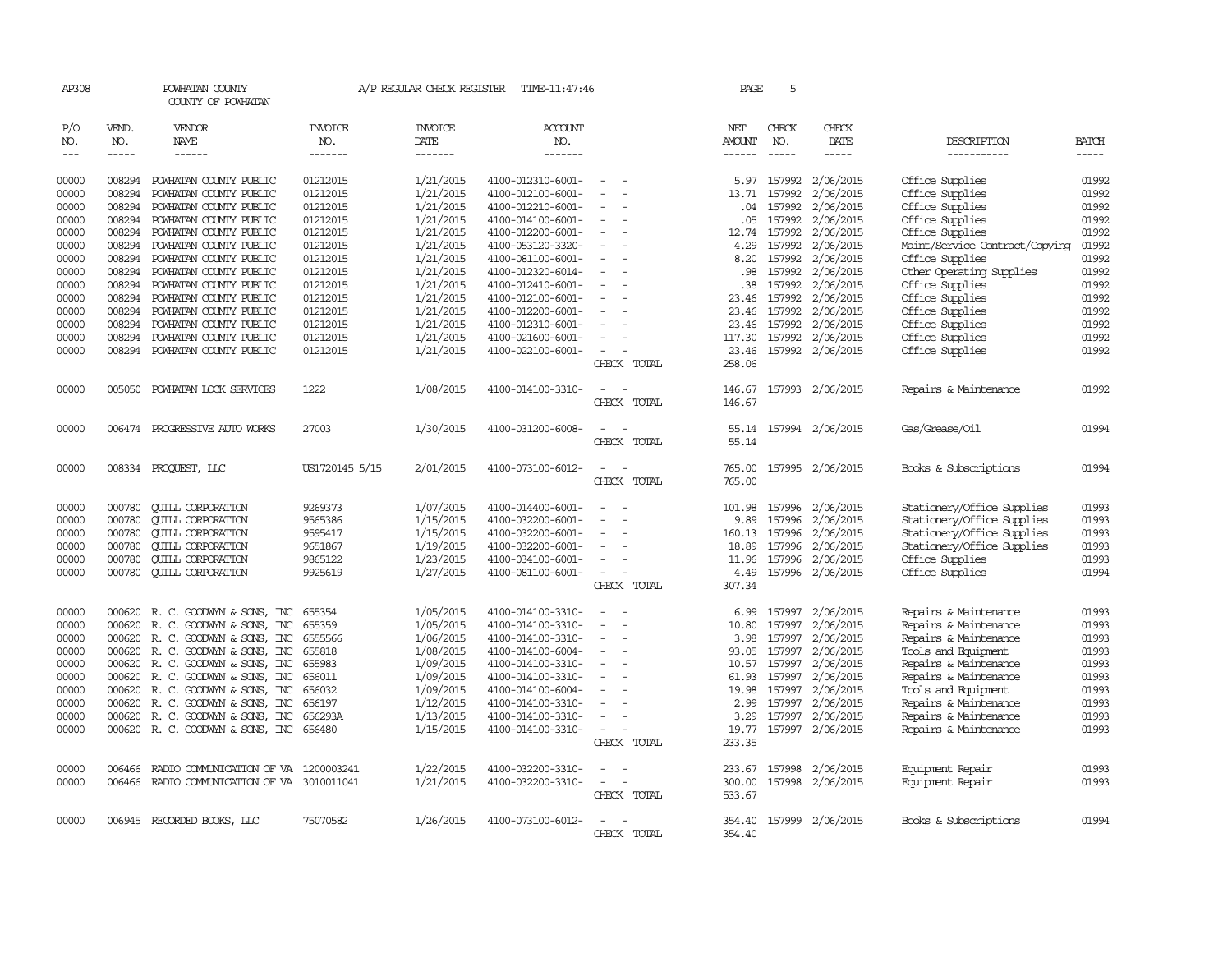| AP308               |                       | POWHATAN COUNTY<br>COUNTY OF POWHATAN            |                                  | A/P REGULAR CHECK REGISTER        | TIME-11:47:46             |                          | PAGE                                  | 5                           |                         |                                    |                       |
|---------------------|-----------------------|--------------------------------------------------|----------------------------------|-----------------------------------|---------------------------|--------------------------|---------------------------------------|-----------------------------|-------------------------|------------------------------------|-----------------------|
| P/O<br>NO.<br>$---$ | VEND.<br>NO.<br>----- | VENDOR<br>NAME<br>$- - - - - -$                  | <b>INVOICE</b><br>NO.<br>------- | <b>INVOICE</b><br>DATE<br>------- | ACCOUNT<br>NO.<br>------- |                          | NET<br><b>AMOUNT</b><br>$- - - - - -$ | CHECK<br>NO.<br>$- - - - -$ | CHECK<br>DATE<br>-----  | DESCRIPTION<br>-----------         | <b>BATCH</b><br>----- |
| 00000               | 008294                |                                                  | 01212015                         | 1/21/2015                         | 4100-012310-6001-         |                          |                                       | 157992                      |                         |                                    | 01992                 |
| 00000               | 008294                | POWHATAN COUNTY PUBLIC<br>POWHATAN COUNTY PUBLIC | 01212015                         | 1/21/2015                         | 4100-012100-6001-         |                          | 5.97<br>13.71                         | 157992                      | 2/06/2015<br>2/06/2015  | Office Supplies<br>Office Supplies | 01992                 |
|                     | 008294                |                                                  | 01212015                         |                                   | 4100-012210-6001-         | $\overline{\phantom{a}}$ | .04                                   | 157992                      | 2/06/2015               |                                    | 01992                 |
| 00000<br>00000      | 008294                | POWHATAN COUNTY PUBLIC<br>POWHATAN COUNTY PUBLIC | 01212015                         | 1/21/2015<br>1/21/2015            | 4100-014100-6001-         |                          | .05                                   | 157992                      | 2/06/2015               | Office Supplies<br>Office Supplies | 01992                 |
| 00000               | 008294                | POWHATAN COUNTY PUBLIC                           | 01212015                         | 1/21/2015                         | 4100-012200-6001-         | $\overline{\phantom{a}}$ | 12.74                                 | 157992                      | 2/06/2015               | Office Supplies                    | 01992                 |
| 00000               | 008294                | POWHATAN COUNTY PUBLIC                           | 01212015                         | 1/21/2015                         | 4100-053120-3320-         |                          | 4.29                                  | 157992                      | 2/06/2015               | Maint/Service Contract/Copying     | 01992                 |
| 00000               | 008294                | POWHATAN COUNTY PUBLIC                           | 01212015                         | 1/21/2015                         | 4100-081100-6001-         | $\overline{\phantom{a}}$ | 8.20                                  | 157992                      | 2/06/2015               | Office Supplies                    | 01992                 |
| 00000               | 008294                | POWHATAN COUNTY PUBLIC                           | 01212015                         | 1/21/2015                         | 4100-012320-6014-         |                          | .98                                   | 157992                      | 2/06/2015               | Other Operating Supplies           | 01992                 |
| 00000               | 008294                | POWHATAN COUNTY PUBLIC                           | 01212015                         | 1/21/2015                         | 4100-012410-6001-         |                          | .38                                   | 157992                      | 2/06/2015               | Office Supplies                    | 01992                 |
| 00000               | 008294                | POWHATAN COUNTY PUBLIC                           | 01212015                         | 1/21/2015                         | 4100-012100-6001-         |                          | 23.46                                 | 157992                      | 2/06/2015               | Office Supplies                    | 01992                 |
| 00000               | 008294                | POWHATAN COUNTY PUBLIC                           | 01212015                         | 1/21/2015                         | 4100-012200-6001-         |                          | 23.46                                 | 157992                      | 2/06/2015               | Office Supplies                    | 01992                 |
| 00000               | 008294                | POWHATAN COUNTY PUBLIC                           | 01212015                         | 1/21/2015                         | 4100-012310-6001-         |                          | 23.46                                 | 157992                      | 2/06/2015               | Office Supplies                    | 01992                 |
| 00000               | 008294                | POWHATAN COUNTY PUBLIC                           | 01212015                         | 1/21/2015                         | 4100-021600-6001-         |                          | 117.30                                | 157992                      | 2/06/2015               | Office Supplies                    | 01992                 |
| 00000               | 008294                | POWHATAN COUNTY PUBLIC                           | 01212015                         | 1/21/2015                         | 4100-022100-6001-         | $\overline{\phantom{a}}$ | 23.46                                 |                             | 157992 2/06/2015        | Office Supplies                    | 01992                 |
|                     |                       |                                                  |                                  |                                   |                           | CHECK TOTAL              | 258.06                                |                             |                         |                                    |                       |
| 00000               |                       | 005050 POWHATAN LOCK SERVICES                    | 1222                             | 1/08/2015                         | 4100-014100-3310-         |                          | 146.67                                |                             | 157993 2/06/2015        | Repairs & Maintenance              | 01992                 |
|                     |                       |                                                  |                                  |                                   |                           | CHECK TOTAL              | 146.67                                |                             |                         |                                    |                       |
| 00000               |                       | 006474 PROGRESSIVE AUIO WORKS                    | 27003                            | 1/30/2015                         | 4100-031200-6008-         |                          | 55.14                                 |                             | 157994 2/06/2015        | Gas/Grease/Oil                     | 01994                 |
|                     |                       |                                                  |                                  |                                   |                           | CHECK TOTAL              | 55.14                                 |                             |                         |                                    |                       |
| 00000               |                       | 008334 PROQUEST, LLC                             | US1720145 5/15                   | 2/01/2015                         | 4100-073100-6012-         |                          | 765.00                                |                             | 157995 2/06/2015        | Books & Subscriptions              | 01994                 |
|                     |                       |                                                  |                                  |                                   |                           | CHECK TOTAL              | 765.00                                |                             |                         |                                    |                       |
| 00000               | 000780                | <b>CUILL CORPORATION</b>                         | 9269373                          | 1/07/2015                         | 4100-014400-6001-         |                          | 101.98                                |                             | 157996 2/06/2015        | Stationery/Office Supplies         | 01993                 |
| 00000               | 000780                | <b>CUILL CORPORATION</b>                         | 9565386                          | 1/15/2015                         | 4100-032200-6001-         |                          | 9.89                                  | 157996                      | 2/06/2015               | Stationery/Office Supplies         | 01993                 |
| 00000               | 000780                | <b>CUILL CORPORATION</b>                         | 9595417                          | 1/15/2015                         | 4100-032200-6001-         |                          | 160.13                                | 157996                      | 2/06/2015               | Stationery/Office Supplies         | 01993                 |
| 00000               | 000780                | <b>QUILL CORPORATION</b>                         | 9651867                          | 1/19/2015                         | 4100-032200-6001-         |                          | 18.89                                 | 157996                      | 2/06/2015               | Stationery/Office Supplies         | 01993                 |
| 00000               | 000780                | <b>CUILL CORPORATION</b>                         | 9865122                          | 1/23/2015                         | 4100-034100-6001-         |                          | 11.96                                 | 157996                      | 2/06/2015               | Office Supplies                    | 01993                 |
| 00000               | 000780                | <b>CUILL CORPORATION</b>                         | 9925619                          | 1/27/2015                         | 4100-081100-6001-         | $\overline{\phantom{a}}$ | 4.49                                  |                             | 157996 2/06/2015        | Office Supplies                    | 01994                 |
|                     |                       |                                                  |                                  |                                   |                           | CHECK TOTAL              | 307.34                                |                             |                         |                                    |                       |
| 00000               | 000620                | R. C. GOODWYN & SONS, INC                        | 655354                           | 1/05/2015                         | 4100-014100-3310-         |                          | 6.99                                  | 157997                      | 2/06/2015               | Repairs & Maintenance              | 01993                 |
| 00000               | 000620                | R. C. GOODWYN & SONS, INC                        | 655359                           | 1/05/2015                         | 4100-014100-3310-         | $\overline{\phantom{a}}$ | 10.80                                 | 157997                      | 2/06/2015               | Repairs & Maintenance              | 01993                 |
| 00000               | 000620                | R. C. GOODWYN & SONS, INC                        | 6555566                          | 1/06/2015                         | 4100-014100-3310-         |                          | 3.98                                  | 157997                      | 2/06/2015               | Repairs & Maintenance              | 01993                 |
| 00000               |                       | 000620 R. C. GOODWYN & SONS, INC                 | 655818                           | 1/08/2015                         | 4100-014100-6004-         |                          | 93.05                                 | 157997                      | 2/06/2015               | Tools and Equipment                | 01993                 |
| 00000               |                       | 000620 R. C. GOODWYN & SONS, INC                 | 655983                           | 1/09/2015                         | 4100-014100-3310-         |                          | 10.57                                 | 157997                      | 2/06/2015               | Repairs & Maintenance              | 01993                 |
| 00000               | 000620                | R. C. GOODWYN & SONS, INC                        | 656011                           | 1/09/2015                         | 4100-014100-3310-         |                          | 61.93                                 | 157997                      | 2/06/2015               | Repairs & Maintenance              | 01993                 |
| 00000               |                       | 000620 R.C. GOODWYN & SONS, INC                  | 656032                           | 1/09/2015                         | 4100-014100-6004-         |                          | 19.98                                 | 157997                      | 2/06/2015               | Tools and Equipment                | 01993                 |
| 00000               |                       | 000620 R.C. GOODWYN & SONS, INC                  | 656197                           | 1/12/2015                         | 4100-014100-3310-         |                          | 2.99                                  | 157997                      | 2/06/2015               | Repairs & Maintenance              | 01993                 |
| 00000               |                       | 000620 R. C. GOODWYN & SONS, INC                 | 656293A                          | 1/13/2015                         | 4100-014100-3310-         |                          | 3.29                                  | 157997                      | 2/06/2015               | Repairs & Maintenance              | 01993                 |
| 00000               |                       | 000620 R. C. GOODWYN & SONS, INC 656480          |                                  | 1/15/2015                         | 4100-014100-3310-         | $\sim$                   | 19.77                                 | 157997                      | 2/06/2015               | Repairs & Maintenance              | 01993                 |
|                     |                       |                                                  |                                  |                                   |                           | CHECK TOTAL              | 233.35                                |                             |                         |                                    |                       |
| 00000               | 006466                | RADIO COMUNICATION OF VA                         | 1200003241                       | 1/22/2015                         | 4100-032200-3310-         |                          | 233.67                                | 157998                      | 2/06/2015               | Equipment Repair                   | 01993                 |
| 00000               |                       | 006466 RADIO COMMUNICATION OF VA 3010011041      |                                  | 1/21/2015                         | 4100-032200-3310-         | $\equiv$                 | 300.00                                |                             | 157998 2/06/2015        | Equipment Repair                   | 01993                 |
|                     |                       |                                                  |                                  |                                   |                           | CHECK TOTAL              | 533.67                                |                             |                         |                                    |                       |
| 00000               |                       | 006945 RECORDED BOOKS, LLC                       | 75070582                         | 1/26/2015                         | 4100-073100-6012-         |                          |                                       |                             | 354.40 157999 2/06/2015 | Books & Subscriptions              | 01994                 |
|                     |                       |                                                  |                                  |                                   |                           | CHECK TOTAL              | 354.40                                |                             |                         |                                    |                       |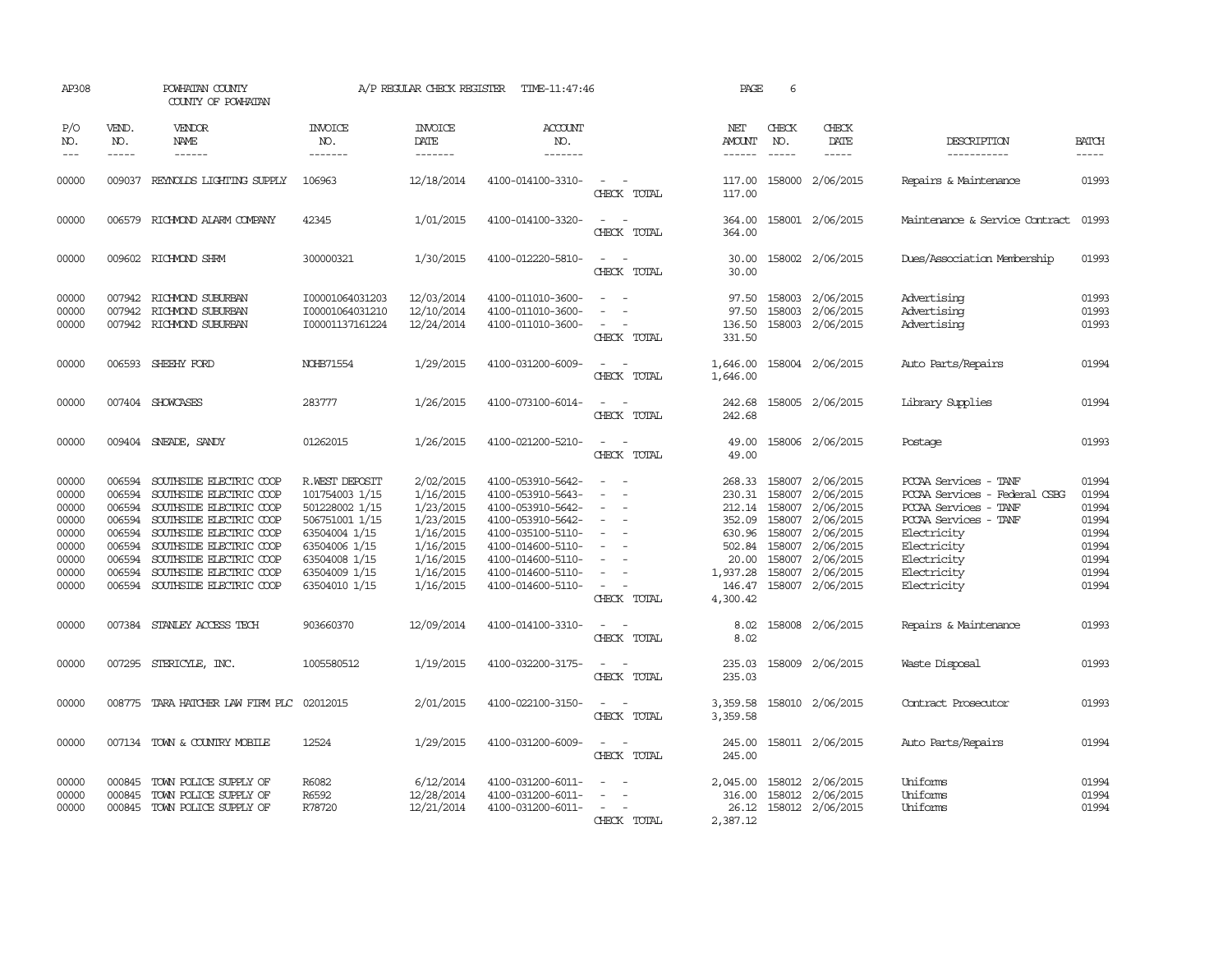| AP308                                                                         |                                                                              | POWHATAN COUNTY<br>COUNTY OF POWHATAN                                                                                                                                                                                                                  |                                                                                                                                                           | A/P REGULAR CHECK REGISTER                                                                                        | TIME-11:47:46                                                                                                                                                                             |                         | PAGE                                                                                                | 6                                                                  |                                                                                                                                 |                                                                                                                                                                                          |                                                                               |
|-------------------------------------------------------------------------------|------------------------------------------------------------------------------|--------------------------------------------------------------------------------------------------------------------------------------------------------------------------------------------------------------------------------------------------------|-----------------------------------------------------------------------------------------------------------------------------------------------------------|-------------------------------------------------------------------------------------------------------------------|-------------------------------------------------------------------------------------------------------------------------------------------------------------------------------------------|-------------------------|-----------------------------------------------------------------------------------------------------|--------------------------------------------------------------------|---------------------------------------------------------------------------------------------------------------------------------|------------------------------------------------------------------------------------------------------------------------------------------------------------------------------------------|-------------------------------------------------------------------------------|
| P/O<br>NO.<br>$---$                                                           | VEND.<br>NO.<br>$- - - - -$                                                  | VENDOR<br>NAME<br>$- - - - - -$                                                                                                                                                                                                                        | INVOICE<br>NO.<br>-------                                                                                                                                 | <b>INVOICE</b><br>DATE<br>-------                                                                                 | <b>ACCOUNT</b><br>NO.<br>-------                                                                                                                                                          |                         | NET<br><b>AMOUNT</b><br>------                                                                      | CHECK<br>NO.<br>$\frac{1}{2}$                                      | CHECK<br>DATE<br>$\frac{1}{2}$                                                                                                  | DESCRIPTION<br>-----------                                                                                                                                                               | <b>BATCH</b><br>-----                                                         |
| 00000                                                                         | 009037                                                                       | REYNOLDS LIGHTING SUPPLY                                                                                                                                                                                                                               | 106963                                                                                                                                                    | 12/18/2014                                                                                                        | 4100-014100-3310-                                                                                                                                                                         | CHRCK TOTAL             | 117.00<br>117.00                                                                                    | 158000                                                             | 2/06/2015                                                                                                                       | Repairs & Maintenance                                                                                                                                                                    | 01993                                                                         |
| 00000                                                                         | 006579                                                                       | RICHMOND ALARM COMPANY                                                                                                                                                                                                                                 | 42345                                                                                                                                                     | 1/01/2015                                                                                                         | 4100-014100-3320-                                                                                                                                                                         | $\sim$<br>CHECK TOTAL   | 364.00<br>364.00                                                                                    |                                                                    | 158001 2/06/2015                                                                                                                | Maintenance & Service Contract                                                                                                                                                           | 01993                                                                         |
| 00000                                                                         |                                                                              | 009602 RICHMOND SHRM                                                                                                                                                                                                                                   | 300000321                                                                                                                                                 | 1/30/2015                                                                                                         | 4100-012220-5810-                                                                                                                                                                         | $\equiv$<br>CHECK TOTAL | 30.00<br>30.00                                                                                      |                                                                    | 158002 2/06/2015                                                                                                                | Dues/Association Membership                                                                                                                                                              | 01993                                                                         |
| 00000<br>00000<br>00000                                                       | 007942                                                                       | 007942 RICHMOND SUBURBAN<br>RICHMOND SUBURBAN<br>007942 RICHMOND SUBURBAN                                                                                                                                                                              | I00001064031203<br>I00001064031210<br>100001137161224                                                                                                     | 12/03/2014<br>12/10/2014<br>12/24/2014                                                                            | 4100-011010-3600-<br>4100-011010-3600-<br>4100-011010-3600-                                                                                                                               | $\sim$<br>CHECK TOTAL   | 97.50<br>97.50<br>136.50<br>331.50                                                                  |                                                                    | 158003 2/06/2015<br>158003 2/06/2015<br>158003 2/06/2015                                                                        | Advertising<br>Advertising<br>Advertising                                                                                                                                                | 01993<br>01993<br>01993                                                       |
| 00000                                                                         |                                                                              | 006593 SHEEHY FORD                                                                                                                                                                                                                                     | <b>NOHB71554</b>                                                                                                                                          | 1/29/2015                                                                                                         | 4100-031200-6009-                                                                                                                                                                         | CHECK TOTAL             | 1,646.00<br>1,646.00                                                                                |                                                                    | 158004 2/06/2015                                                                                                                | Auto Parts/Repairs                                                                                                                                                                       | 01994                                                                         |
| 00000                                                                         |                                                                              | 007404 SHOWCASES                                                                                                                                                                                                                                       | 283777                                                                                                                                                    | 1/26/2015                                                                                                         | 4100-073100-6014-                                                                                                                                                                         | CHECK TOTAL             | 242.68<br>242.68                                                                                    |                                                                    | 158005 2/06/2015                                                                                                                | Library Supplies                                                                                                                                                                         | 01994                                                                         |
| 00000                                                                         |                                                                              | 009404 SNEADE, SANDY                                                                                                                                                                                                                                   | 01262015                                                                                                                                                  | 1/26/2015                                                                                                         | 4100-021200-5210-                                                                                                                                                                         | CHECK TOTAL             | 49.00<br>49.00                                                                                      |                                                                    | 158006 2/06/2015                                                                                                                | Postage                                                                                                                                                                                  | 01993                                                                         |
| 00000<br>00000<br>00000<br>00000<br>00000<br>00000<br>00000<br>00000<br>00000 | 006594<br>006594<br>006594<br>006594<br>006594<br>006594<br>006594<br>006594 | SOUTHSIDE ELECTRIC COOP<br>SOUTHSIDE ELECTRIC COOP<br>SOUTHSIDE ELECTRIC COOP<br>SOUTHSIDE ELECTRIC COOP<br>SOUTHSIDE ELECTRIC COOP<br>SOUTHSIDE ELECTRIC COOP<br>SOUTHSIDE ELECTRIC COOP<br>SOUTHSIDE ELECTRIC COOP<br>006594 SOUTHSIDE ELECTRIC COOP | R.WEST DEPOSIT<br>101754003 1/15<br>501228002 1/15<br>506751001 1/15<br>63504004 1/15<br>63504006 1/15<br>63504008 1/15<br>63504009 1/15<br>63504010 1/15 | 2/02/2015<br>1/16/2015<br>1/23/2015<br>1/23/2015<br>1/16/2015<br>1/16/2015<br>1/16/2015<br>1/16/2015<br>1/16/2015 | 4100-053910-5642-<br>4100-053910-5643-<br>4100-053910-5642-<br>4100-053910-5642-<br>4100-035100-5110-<br>4100-014600-5110-<br>4100-014600-5110-<br>4100-014600-5110-<br>4100-014600-5110- | CHECK TOTAL             | 268.33<br>230.31<br>212.14<br>352.09<br>630.96<br>502.84<br>20.00<br>1,937.28<br>146.47<br>4,300.42 | 158007<br>158007<br>158007<br>158007<br>158007<br>158007<br>158007 | 2/06/2015<br>2/06/2015<br>2/06/2015<br>2/06/2015<br>2/06/2015<br>2/06/2015<br>158007 2/06/2015<br>2/06/2015<br>158007 2/06/2015 | PCCAA Services - TANF<br>PCCAA Services - Federal CSBG<br>PCCAA Services<br>$-$ TANF<br>PCCAA Services - TANF<br>Electricity<br>Electricity<br>Electricity<br>Electricity<br>Electricity | 01994<br>01994<br>01994<br>01994<br>01994<br>01994<br>01994<br>01994<br>01994 |
| 00000                                                                         |                                                                              | 007384 STANLEY ACCESS TECH                                                                                                                                                                                                                             | 903660370                                                                                                                                                 | 12/09/2014                                                                                                        | 4100-014100-3310-                                                                                                                                                                         | CHECK TOTAL             | 8.02<br>8.02                                                                                        |                                                                    | 158008 2/06/2015                                                                                                                | Repairs & Maintenance                                                                                                                                                                    | 01993                                                                         |
| 00000                                                                         | 007295                                                                       | STERICYLE, INC.                                                                                                                                                                                                                                        | 1005580512                                                                                                                                                | 1/19/2015                                                                                                         | 4100-032200-3175-                                                                                                                                                                         | CHECK TOTAL             | 235.03<br>235.03                                                                                    |                                                                    | 158009 2/06/2015                                                                                                                | Waste Disposal                                                                                                                                                                           | 01993                                                                         |
| 00000                                                                         | 008775                                                                       | TARA HATCHER LAW FIRM PLC                                                                                                                                                                                                                              | 02012015                                                                                                                                                  | 2/01/2015                                                                                                         | 4100-022100-3150-                                                                                                                                                                         | CHECK TOTAL             | 3,359.58<br>3,359.58                                                                                |                                                                    | 158010 2/06/2015                                                                                                                | Contract Prosecutor                                                                                                                                                                      | 01993                                                                         |
| 00000                                                                         |                                                                              | 007134 TOWN & COUNTRY MOBILE                                                                                                                                                                                                                           | 12524                                                                                                                                                     | 1/29/2015                                                                                                         | 4100-031200-6009-                                                                                                                                                                         | CHECK TOTAL             | 245.00<br>245.00                                                                                    |                                                                    | 158011 2/06/2015                                                                                                                | Auto Parts/Repairs                                                                                                                                                                       | 01994                                                                         |
| 00000<br>00000<br>00000                                                       | 000845<br>000845                                                             | TOWN POLICE SUPPLY OF<br>TOWN POLICE SUPPLY OF<br>000845 TOWN POLICE SUPPLY OF                                                                                                                                                                         | R6082<br>R6592<br>R78720                                                                                                                                  | 6/12/2014<br>12/28/2014<br>12/21/2014                                                                             | 4100-031200-6011-<br>4100-031200-6011-<br>4100-031200-6011-                                                                                                                               | CHECK TOTAL             | 2,045.00<br>316.00<br>26.12<br>2,387.12                                                             |                                                                    | 158012 2/06/2015<br>158012 2/06/2015<br>158012 2/06/2015                                                                        | Uniforms<br>Uniforms<br>Uniforms                                                                                                                                                         | 01994<br>01994<br>01994                                                       |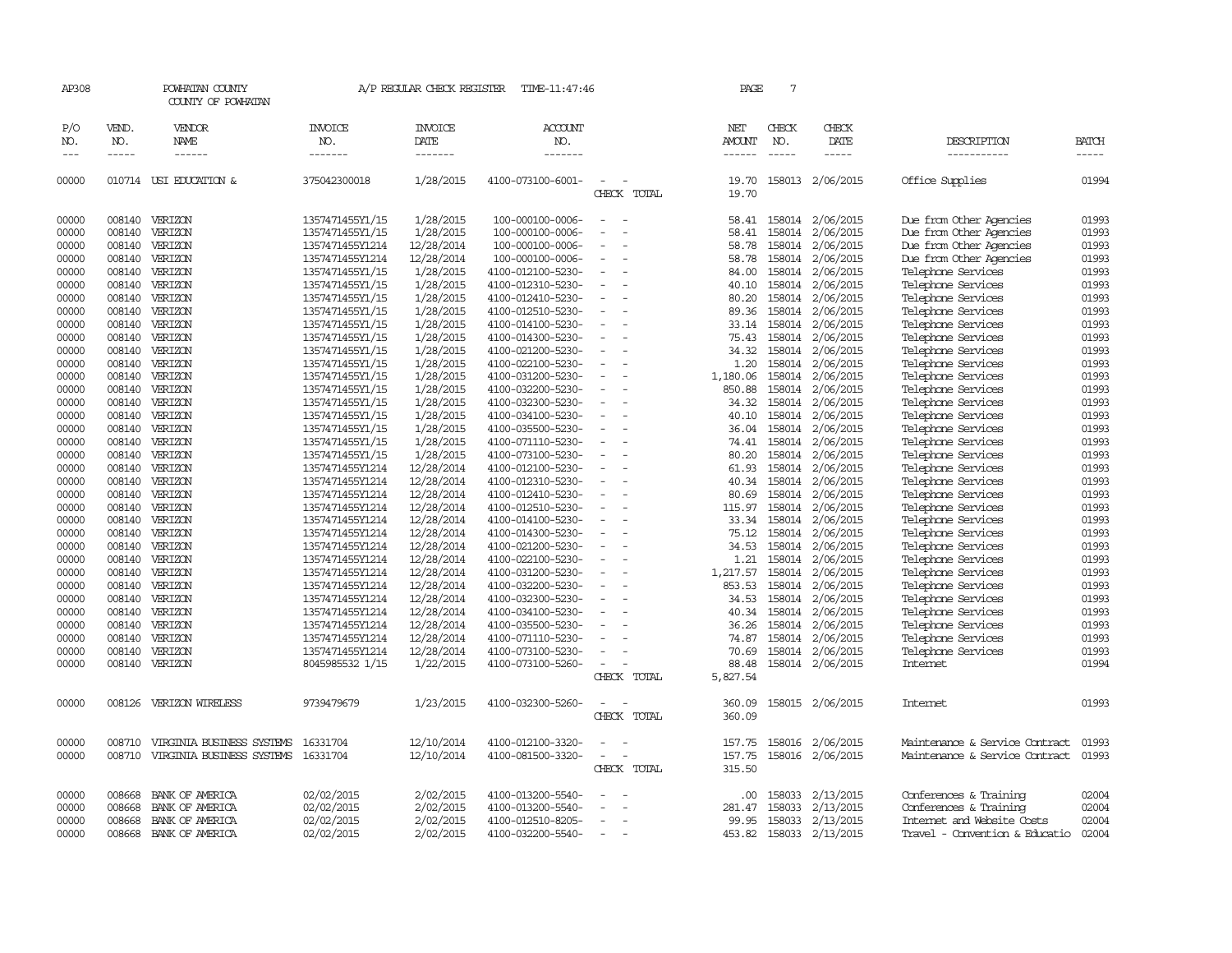| AP308               |                             | POWHATAN COUNTY<br>COUNTY OF POWHATAN |                                  | A/P REGULAR CHECK REGISTER        | TIME-11:47:46                    |                                         | PAGE                    | $7\phantom{.0}$             |                        |                                |                             |
|---------------------|-----------------------------|---------------------------------------|----------------------------------|-----------------------------------|----------------------------------|-----------------------------------------|-------------------------|-----------------------------|------------------------|--------------------------------|-----------------------------|
| P/O<br>NO.<br>$---$ | VEND.<br>NO.<br>$- - - - -$ | VENDOR<br>NAME<br>------              | <b>INVOICE</b><br>NO.<br>------- | <b>INVOICE</b><br>DATE<br>------- | <b>ACCOUNT</b><br>NO.<br>------- |                                         | NET<br>AMOUNT<br>------ | CHECK<br>NO.<br>$- - - - -$ | CHECK<br>DATE<br>----- | DESCRIPTION<br>-----------     | <b>BATCH</b><br>$- - - - -$ |
| 00000               |                             | 010714 USI EDUCATION &                | 375042300018                     | 1/28/2015                         | 4100-073100-6001-                | CHECK TOTAL                             | 19.70<br>19.70          |                             | 158013 2/06/2015       | Office Supplies                | 01994                       |
| 00000               | 008140                      | VERIZON                               | 1357471455Y1/15                  | 1/28/2015                         | 100-000100-0006-                 |                                         | 58.41                   | 158014                      | 2/06/2015              | Due from Other Agencies        | 01993                       |
| 00000               | 008140                      | VERIZON                               | 1357471455Y1/15                  | 1/28/2015                         | 100-000100-0006-                 | $\sim$<br>$\overline{\phantom{a}}$      | 58.41                   | 158014                      | 2/06/2015              | Due from Other Agencies        | 01993                       |
| 00000               | 008140                      | VERIZON                               | 1357471455Y1214                  | 12/28/2014                        | 100-000100-0006-                 |                                         | 58.78                   | 158014                      | 2/06/2015              | Due from Other Agencies        | 01993                       |
| 00000               | 008140                      | VERIZON                               | 1357471455Y1214                  | 12/28/2014                        | 100-000100-0006-                 |                                         | 58.78                   | 158014                      | 2/06/2015              | Due from Other Agencies        | 01993                       |
| 00000               | 008140                      | VERIZON                               | 1357471455Y1/15                  | 1/28/2015                         | 4100-012100-5230-                |                                         | 84.00                   | 158014                      | 2/06/2015              | Telephone Services             | 01993                       |
| 00000               | 008140                      | VERIZON                               | 1357471455Y1/15                  | 1/28/2015                         | 4100-012310-5230-                |                                         | 40.10                   | 158014                      | 2/06/2015              | Telephone Services             | 01993                       |
| 00000               | 008140                      | VERIZON                               | 1357471455Y1/15                  | 1/28/2015                         | 4100-012410-5230-                |                                         | 80.20                   | 158014                      | 2/06/2015              | Telephone Services             | 01993                       |
| 00000               | 008140                      | VERIZON                               | 1357471455Y1/15                  | 1/28/2015                         | 4100-012510-5230-                |                                         | 89.36                   | 158014                      | 2/06/2015              | Telephone Services             | 01993                       |
| 00000               | 008140                      | VERIZON                               | 1357471455Y1/15                  | 1/28/2015                         | 4100-014100-5230-                |                                         | 33.14                   | 158014                      | 2/06/2015              | Telephone Services             | 01993                       |
| 00000               | 008140                      | VERIZON                               | 1357471455Y1/15                  | 1/28/2015                         | 4100-014300-5230-                |                                         | 75.43                   | 158014                      | 2/06/2015              | Telephone Services             | 01993                       |
| 00000               | 008140                      | VERIZON                               | 1357471455Y1/15                  | 1/28/2015                         | 4100-021200-5230-                |                                         | 34.32                   | 158014                      | 2/06/2015              | Telephone Services             | 01993                       |
| 00000               | 008140                      | VERIZON                               | 1357471455Y1/15                  | 1/28/2015                         | 4100-022100-5230-                |                                         | 1.20                    | 158014                      | 2/06/2015              | Telephone Services             | 01993                       |
| 00000               | 008140                      | VERIZON                               | 1357471455Y1/15                  | 1/28/2015                         | 4100-031200-5230-                | $\overline{\phantom{a}}$<br>$\sim$      | 1,180.06                | 158014                      | 2/06/2015              | Telephone Services             | 01993                       |
| 00000               | 008140                      | VERIZON                               | 1357471455Y1/15                  |                                   | 4100-032200-5230-                |                                         | 850.88                  | 158014                      |                        | Telephone Services             | 01993                       |
|                     |                             |                                       |                                  | 1/28/2015                         |                                  |                                         |                         |                             | 2/06/2015              |                                |                             |
| 00000               | 008140                      | VERIZON                               | 1357471455Y1/15                  | 1/28/2015                         | 4100-032300-5230-                |                                         | 34.32                   | 158014                      | 2/06/2015              | Telephone Services             | 01993                       |
| 00000               | 008140                      | VERIZON                               | 1357471455Y1/15                  | 1/28/2015                         | 4100-034100-5230-                | $\sim$                                  | 40.10                   | 158014                      | 2/06/2015              | Telephone Services             | 01993                       |
| 00000               | 008140                      | VERIZON                               | 1357471455Y1/15                  | 1/28/2015                         | 4100-035500-5230-                |                                         | 36.04                   | 158014                      | 2/06/2015              | Telephone Services             | 01993                       |
| 00000               | 008140                      | VERIZON                               | 1357471455Y1/15                  | 1/28/2015                         | 4100-071110-5230-                |                                         | 74.41                   | 158014                      | 2/06/2015              | Telephone Services             | 01993                       |
| 00000               | 008140                      | VERIZON                               | 1357471455Y1/15                  | 1/28/2015                         | 4100-073100-5230-                |                                         | 80.20                   | 158014                      | 2/06/2015              | Telephone Services             | 01993                       |
| 00000               | 008140                      | VERIZON                               | 1357471455Y1214                  | 12/28/2014                        | 4100-012100-5230-                | $\overline{\phantom{a}}$                | 61.93                   | 158014                      | 2/06/2015              | Telephone Services             | 01993                       |
| 00000               | 008140                      | VERIZON                               | 1357471455Y1214                  | 12/28/2014                        | 4100-012310-5230-                | $\overline{a}$                          | 40.34                   | 158014                      | 2/06/2015              | Telephone Services             | 01993                       |
| 00000               | 008140                      | VERIZON                               | 1357471455Y1214                  | 12/28/2014                        | 4100-012410-5230-                |                                         | 80.69                   | 158014                      | 2/06/2015              | Telephone Services             | 01993                       |
| 00000               | 008140                      | VERIZON                               | 1357471455Y1214                  | 12/28/2014                        | 4100-012510-5230-                |                                         | 115.97                  | 158014                      | 2/06/2015              | Telephone Services             | 01993                       |
| 00000               | 008140                      | VERIZON                               | 1357471455Y1214                  | 12/28/2014                        | 4100-014100-5230-                | $\overline{\phantom{a}}$                | 33.34                   | 158014                      | 2/06/2015              | Telephone Services             | 01993                       |
| 00000               | 008140                      | VERIZON                               | 1357471455Y1214                  | 12/28/2014                        | 4100-014300-5230-                |                                         | 75.12                   | 158014                      | 2/06/2015              | Telephone Services             | 01993                       |
| 00000               | 008140                      | VERIZON                               | 1357471455Y1214                  | 12/28/2014                        | 4100-021200-5230-                |                                         | 34.53                   | 158014                      | 2/06/2015              | Telephone Services             | 01993                       |
| 00000               | 008140                      | VERIZON                               | 1357471455Y1214                  | 12/28/2014                        | 4100-022100-5230-                |                                         | 1.21                    | 158014                      | 2/06/2015              | Telephone Services             | 01993                       |
| 00000               | 008140                      | VERIZON                               | 1357471455Y1214                  | 12/28/2014                        | 4100-031200-5230-                | $\sim$                                  | 1,217.57                | 158014                      | 2/06/2015              | Telephone Services             | 01993                       |
| 00000               | 008140                      | VERIZON                               | 1357471455Y1214                  | 12/28/2014                        | 4100-032200-5230-                |                                         | 853.53                  | 158014                      | 2/06/2015              | Telephone Services             | 01993                       |
| 00000               | 008140                      | VERIZON                               | 1357471455Y1214                  | 12/28/2014                        | 4100-032300-5230-                |                                         | 34.53                   | 158014                      | 2/06/2015              | Telephone Services             | 01993                       |
| 00000               | 008140                      | VERIZON                               | 1357471455Y1214                  | 12/28/2014                        | 4100-034100-5230-                |                                         | 40.34                   | 158014                      | 2/06/2015              | Telephone Services             | 01993                       |
| 00000               | 008140                      | VERIZON                               | 1357471455Y1214                  | 12/28/2014                        | 4100-035500-5230-                |                                         | 36.26                   | 158014                      | 2/06/2015              | Telephone Services             | 01993                       |
| 00000               | 008140                      | VERIZON                               | 1357471455Y1214                  | 12/28/2014                        | 4100-071110-5230-                |                                         | 74.87                   | 158014                      | 2/06/2015              | Telephone Services             | 01993                       |
| 00000               | 008140                      | VERIZON                               | 1357471455Y1214                  | 12/28/2014                        | 4100-073100-5230-                |                                         | 70.69                   | 158014                      | 2/06/2015              | Telephone Services             | 01993                       |
| 00000               |                             | 008140 VERIZON                        | 8045985532 1/15                  | 1/22/2015                         | 4100-073100-5260-                | $\overline{\phantom{a}}$                | 88.48                   |                             | 158014 2/06/2015       | <b>Internet</b>                | 01994                       |
|                     |                             |                                       |                                  |                                   |                                  | CHECK TOTAL                             | 5,827.54                |                             |                        |                                |                             |
| 00000               |                             | 008126 VERIZON WIRELESS               | 9739479679                       | 1/23/2015                         | 4100-032300-5260-                | $\overline{\phantom{a}}$<br>CHECK TOTAL | 360.09<br>360.09        |                             | 158015 2/06/2015       | Internet                       | 01993                       |
| 00000               | 008710                      | VIRGINIA BUSINESS SYSTEMS             | 16331704                         | 12/10/2014                        | 4100-012100-3320-                |                                         | 157.75                  | 158016                      | 2/06/2015              | Maintenance & Service Contract | 01993                       |
| 00000               | 008710                      | VIRGINIA BUSINESS SYSTEMS             | 16331704                         | 12/10/2014                        | 4100-081500-3320-                | $\sim$                                  | 157.75                  |                             | 158016 2/06/2015       | Maintenance & Service Contract | 01993                       |
|                     |                             |                                       |                                  |                                   |                                  | CHECK TOTAL                             | 315.50                  |                             |                        |                                |                             |
| 00000               | 008668                      | BANK OF AMERICA                       | 02/02/2015                       | 2/02/2015                         | 4100-013200-5540-                |                                         | .00                     | 158033                      | 2/13/2015              | Conferences & Training         | 02004                       |
| 00000               | 008668                      | BANK OF AMERICA                       | 02/02/2015                       | 2/02/2015                         | 4100-013200-5540-                |                                         | 281.47                  | 158033                      | 2/13/2015              | Conferences & Training         | 02004                       |
| 00000               | 008668                      | BANK OF AMERICA                       | 02/02/2015                       | 2/02/2015                         | 4100-012510-8205-                |                                         | 99.95                   | 158033                      | 2/13/2015              | Internet and Website Costs     | 02004                       |
| 00000               | 008668                      | BANK OF AMERICA                       | 02/02/2015                       | 2/02/2015                         | 4100-032200-5540-                | $\overline{\phantom{a}}$                | 453.82                  | 158033                      | 2/13/2015              | Travel - Convention & Educatio | 02004                       |
|                     |                             |                                       |                                  |                                   |                                  |                                         |                         |                             |                        |                                |                             |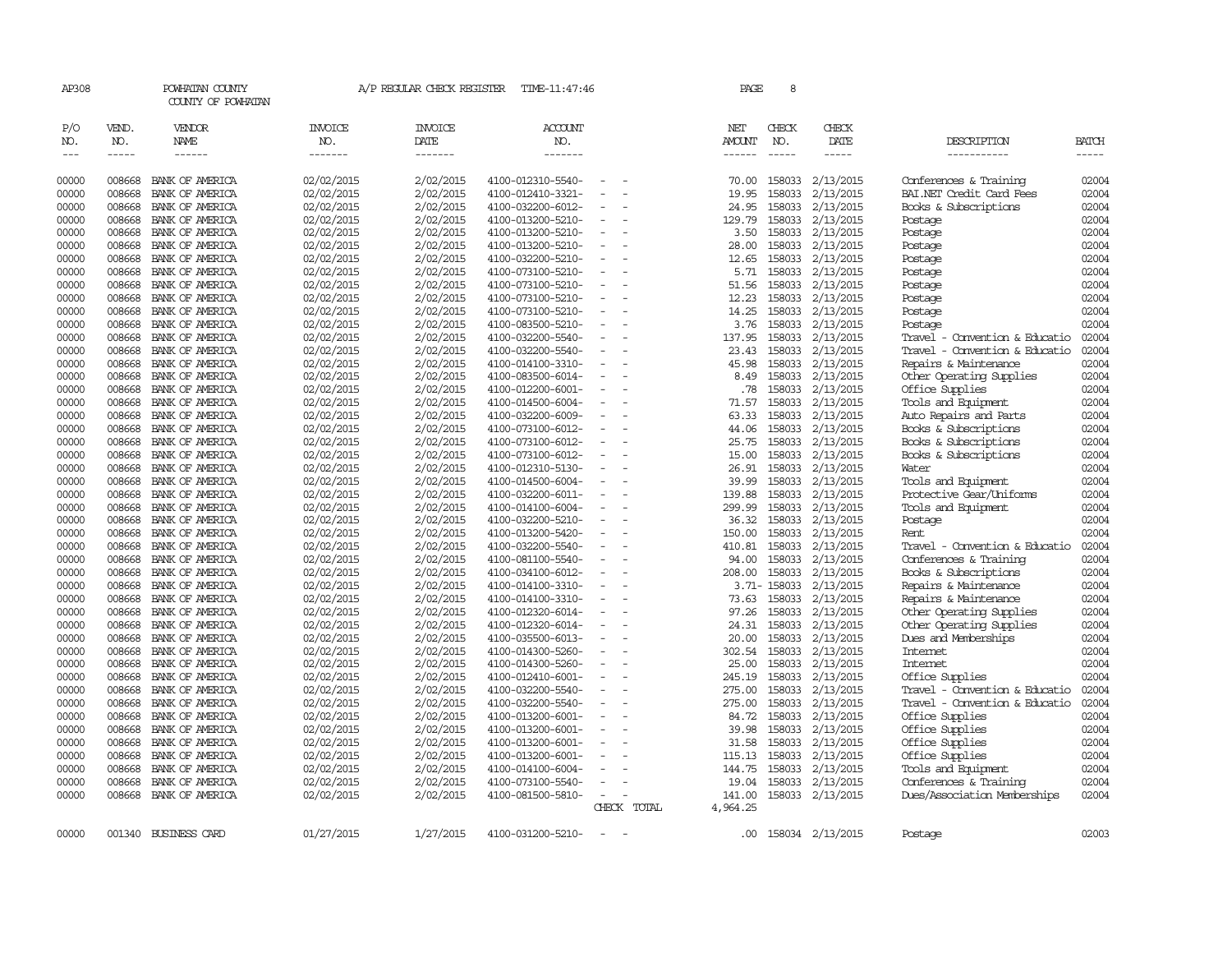| AP308               |                             | POWHATAN COUNTY<br>COUNTY OF POWHATAN |                                  | A/P REGULAR CHECK REGISTER        | TIME-11:47:46                          |                          |             | PAGE                           | 8                           |                               |                                |                             |
|---------------------|-----------------------------|---------------------------------------|----------------------------------|-----------------------------------|----------------------------------------|--------------------------|-------------|--------------------------------|-----------------------------|-------------------------------|--------------------------------|-----------------------------|
| P/O<br>NO.<br>$---$ | VEND.<br>NO.<br>$- - - - -$ | VENDOR<br>NAME<br>$- - - - - -$       | <b>INVOICE</b><br>NO.<br>------- | <b>INVOICE</b><br>DATE<br>------- | <b>ACCOUNT</b><br>NO.<br>-------       |                          |             | NET<br>AMOUNT<br>$- - - - - -$ | CHECK<br>NO.<br>$- - - - -$ | CHECK<br>DATE<br>$- - - - -$  | DESCRIPTION<br>-----------     | <b>BATCH</b><br>$- - - - -$ |
| 00000               | 008668                      | BANK OF AMERICA                       | 02/02/2015                       | 2/02/2015                         | 4100-012310-5540-                      |                          |             | 70.00                          | 158033                      | 2/13/2015                     | Conferences & Training         | 02004                       |
| 00000               | 008668                      | BANK OF AMERICA                       | 02/02/2015                       | 2/02/2015                         | 4100-012410-3321-                      |                          |             | 19.95                          | 158033                      | 2/13/2015                     | BAI.NET Credit Card Fees       | 02004                       |
| 00000               | 008668                      | BANK OF AMERICA                       | 02/02/2015                       | 2/02/2015                         | 4100-032200-6012-                      | $\equiv$                 |             | 24.95                          | 158033                      | 2/13/2015                     | Books & Subscriptions          | 02004                       |
| 00000               | 008668                      | BANK OF AMERICA                       | 02/02/2015                       | 2/02/2015                         | 4100-013200-5210-                      |                          |             | 129.79                         | 158033                      | 2/13/2015                     | Postage                        | 02004                       |
| 00000               | 008668                      | BANK OF AMERICA                       | 02/02/2015                       | 2/02/2015                         | 4100-013200-5210-                      |                          |             | 3.50                           | 158033                      | 2/13/2015                     | Postage                        | 02004                       |
| 00000               | 008668                      | BANK OF AMERICA                       | 02/02/2015                       | 2/02/2015                         | 4100-013200-5210-                      |                          |             | 28.00                          |                             | 158033 2/13/2015              | Postage                        | 02004                       |
| 00000               | 008668                      | BANK OF AMERICA                       | 02/02/2015                       | 2/02/2015                         | 4100-032200-5210-                      | $\equiv$                 |             | 12.65                          | 158033                      | 2/13/2015                     | Postage                        | 02004                       |
| 00000               | 008668                      | BANK OF AMERICA                       | 02/02/2015                       | 2/02/2015                         | 4100-073100-5210-                      |                          |             | 5.71                           | 158033                      | 2/13/2015                     | Postage                        | 02004                       |
| 00000               | 008668                      | BANK OF AMERICA                       | 02/02/2015                       | 2/02/2015                         | 4100-073100-5210-                      |                          |             | 51.56                          |                             | 158033 2/13/2015              | Postage                        | 02004                       |
| 00000               | 008668                      | BANK OF AMERICA                       | 02/02/2015                       | 2/02/2015                         | 4100-073100-5210-                      | $\equiv$                 |             | 12.23                          |                             | 158033 2/13/2015              | Postage                        | 02004                       |
| 00000               | 008668                      | BANK OF AMERICA                       | 02/02/2015                       | 2/02/2015                         | 4100-073100-5210-                      |                          |             | 14.25                          | 158033                      | 2/13/2015                     | Postage                        | 02004                       |
| 00000               | 008668                      | BANK OF AMERICA                       | 02/02/2015                       | 2/02/2015                         | 4100-083500-5210-                      |                          |             | 3.76                           | 158033                      | 2/13/2015                     | Postage                        | 02004                       |
| 00000               | 008668                      | BANK OF AMERICA                       | 02/02/2015                       | 2/02/2015                         | 4100-032200-5540-                      |                          |             | 137.95                         | 158033                      | 2/13/2015                     | Travel - Convention & Educatio | 02004                       |
| 00000               | 008668                      | BANK OF AMERICA                       | 02/02/2015                       | 2/02/2015                         | 4100-032200-5540-                      | $\overline{\phantom{a}}$ |             | 23.43                          | 158033                      | 2/13/2015                     | Travel - Convention & Educatio | 02004                       |
| 00000               | 008668                      | BANK OF AMERICA                       | 02/02/2015                       | 2/02/2015                         | 4100-014100-3310-                      |                          |             | 45.98                          | 158033                      | 2/13/2015                     | Repairs & Maintenance          | 02004                       |
| 00000               | 008668                      | BANK OF AMERICA                       | 02/02/2015                       | 2/02/2015                         | 4100-083500-6014-                      |                          |             | 8.49                           | 158033                      | 2/13/2015                     | Other Operating Supplies       | 02004                       |
| 00000               | 008668                      | BANK OF AMERICA                       | 02/02/2015                       | 2/02/2015                         | 4100-012200-6001-                      | $\overline{\phantom{a}}$ |             | .78                            | 158033                      | 2/13/2015                     | Office Supplies                | 02004                       |
| 00000               | 008668                      | BANK OF AMERICA                       | 02/02/2015                       | 2/02/2015                         | 4100-014500-6004-                      |                          |             | 71.57                          | 158033                      | 2/13/2015                     | Tools and Equipment            | 02004                       |
| 00000               | 008668                      | BANK OF AMERICA                       | 02/02/2015                       | 2/02/2015                         | 4100-032200-6009-                      |                          |             | 63.33                          | 158033                      | 2/13/2015                     | Auto Repairs and Parts         | 02004                       |
| 00000               | 008668                      | BANK OF AMERICA                       | 02/02/2015                       | 2/02/2015                         | 4100-073100-6012-                      |                          |             | 44.06                          |                             | 158033 2/13/2015              | Books & Subscriptions          | 02004                       |
| 00000               | 008668                      | BANK OF AMERICA                       | 02/02/2015                       | 2/02/2015                         | 4100-073100-6012-                      |                          |             | 25.75                          | 158033                      | 2/13/2015                     | Books & Subscriptions          | 02004                       |
| 00000               | 008668                      | BANK OF AMERICA                       | 02/02/2015                       | 2/02/2015                         | 4100-073100-6012-                      |                          |             | 15.00                          | 158033                      | 2/13/2015                     | Books & Subscriptions          | 02004                       |
| 00000<br>00000      | 008668<br>008668            | BANK OF AMERICA<br>BANK OF AMERICA    | 02/02/2015                       | 2/02/2015<br>2/02/2015            | 4100-012310-5130-<br>4100-014500-6004- | $\equiv$                 |             | 26.91<br>39.99                 | 158033                      | 2/13/2015<br>158033 2/13/2015 | Water<br>Tools and Equipment   | 02004<br>02004              |
| 00000               | 008668                      | BANK OF AMERICA                       | 02/02/2015<br>02/02/2015         | 2/02/2015                         | 4100-032200-6011-                      |                          |             | 139.88                         | 158033                      | 2/13/2015                     | Protective Gear/Uniforms       | 02004                       |
| 00000               | 008668                      | BANK OF AMERICA                       | 02/02/2015                       | 2/02/2015                         | 4100-014100-6004-                      |                          |             | 299.99                         |                             | 158033 2/13/2015              | Tools and Equipment            | 02004                       |
| 00000               | 008668                      | BANK OF AMERICA                       | 02/02/2015                       | 2/02/2015                         | 4100-032200-5210-                      | $\equiv$                 |             | 36.32                          |                             | 158033 2/13/2015              | Postage                        | 02004                       |
| 00000               | 008668                      | BANK OF AMERICA                       | 02/02/2015                       | 2/02/2015                         | 4100-013200-5420-                      |                          |             | 150.00                         | 158033                      | 2/13/2015                     | Rent                           | 02004                       |
| 00000               | 008668                      | BANK OF AMERICA                       | 02/02/2015                       | 2/02/2015                         | 4100-032200-5540-                      | $\equiv$                 |             | 410.81                         | 158033                      | 2/13/2015                     | Travel - Convention & Educatio | 02004                       |
| 00000               | 008668                      | BANK OF AMERICA                       | 02/02/2015                       | 2/02/2015                         | 4100-081100-5540-                      |                          |             | 94.00                          |                             | 158033 2/13/2015              | Conferences & Training         | 02004                       |
| 00000               | 008668                      | BANK OF AMERICA                       | 02/02/2015                       | 2/02/2015                         | 4100-034100-6012-                      | $\equiv$                 |             | 208.00                         |                             | 158033 2/13/2015              | Books & Subscriptions          | 02004                       |
| 00000               | 008668                      | BANK OF AMERICA                       | 02/02/2015                       | 2/02/2015                         | 4100-014100-3310-                      |                          |             |                                | 3.71-158033                 | 2/13/2015                     | Repairs & Maintenance          | 02004                       |
| 00000               | 008668                      | BANK OF AMERICA                       | 02/02/2015                       | 2/02/2015                         | 4100-014100-3310-                      |                          |             | 73.63                          | 158033                      | 2/13/2015                     | Repairs & Maintenance          | 02004                       |
| 00000               | 008668                      | BANK OF AMERICA                       | 02/02/2015                       | 2/02/2015                         | 4100-012320-6014-                      |                          |             | 97.26                          | 158033                      | 2/13/2015                     | Other Operating Supplies       | 02004                       |
| 00000               | 008668                      | BANK OF AMERICA                       | 02/02/2015                       | 2/02/2015                         | 4100-012320-6014-                      |                          |             | 24.31                          | 158033                      | 2/13/2015                     | Other Operating Supplies       | 02004                       |
| 00000               | 008668                      | BANK OF AMERICA                       | 02/02/2015                       | 2/02/2015                         | 4100-035500-6013-                      | $\equiv$                 |             | 20.00                          | 158033                      | 2/13/2015                     | Dues and Memberships           | 02004                       |
| 00000               | 008668                      | BANK OF AMERICA                       | 02/02/2015                       | 2/02/2015                         | 4100-014300-5260-                      |                          |             | 302.54                         | 158033                      | 2/13/2015                     | Internet                       | 02004                       |
| 00000               | 008668                      | BANK OF AMERICA                       | 02/02/2015                       | 2/02/2015                         | 4100-014300-5260-                      | $\equiv$                 |             | 25.00                          | 158033                      | 2/13/2015                     | Internet                       | 02004                       |
| 00000               | 008668                      | BANK OF AMERICA                       | 02/02/2015                       | 2/02/2015                         | 4100-012410-6001-                      |                          |             | 245.19                         | 158033                      | 2/13/2015                     | Office Supplies                | 02004                       |
| 00000               | 008668                      | BANK OF AMERICA                       | 02/02/2015                       | 2/02/2015                         | 4100-032200-5540-                      |                          |             | 275.00                         |                             | 158033 2/13/2015              | Travel - Convention & Educatio | 02004                       |
| 00000               | 008668                      | BANK OF AMERICA                       | 02/02/2015                       | 2/02/2015                         | 4100-032200-5540-                      |                          |             | 275.00                         | 158033                      | 2/13/2015                     | Travel - Convention & Educatio | 02004                       |
| 00000               | 008668                      | BANK OF AMERICA                       | 02/02/2015                       | 2/02/2015                         | 4100-013200-6001-                      |                          |             | 84.72                          | 158033                      | 2/13/2015                     | Office Supplies                | 02004                       |
| 00000               | 008668                      | BANK OF AMERICA                       | 02/02/2015                       | 2/02/2015                         | 4100-013200-6001-                      | $\equiv$                 |             | 39.98                          | 158033                      | 2/13/2015                     | Office Supplies                | 02004                       |
| 00000               | 008668                      | BANK OF AMERICA                       | 02/02/2015                       | 2/02/2015                         | 4100-013200-6001-                      |                          |             | 31.58                          | 158033                      | 2/13/2015                     | Office Supplies                | 02004                       |
| 00000               | 008668                      | BANK OF AMERICA                       | 02/02/2015                       | 2/02/2015                         | 4100-013200-6001-                      | $\equiv$                 |             | 115.13                         |                             | 158033 2/13/2015              | Office Supplies                | 02004                       |
| 00000               | 008668                      | BANK OF AMERICA                       | 02/02/2015                       | 2/02/2015                         | 4100-014100-6004-                      |                          |             | 144.75                         | 158033                      | 2/13/2015                     | Tools and Equipment            | 02004                       |
| 00000               | 008668                      | BANK OF AMERICA                       | 02/02/2015                       | 2/02/2015                         | 4100-073100-5540-                      |                          |             | 19.04                          | 158033                      | 2/13/2015                     | Conferences & Training         | 02004                       |
| 00000               | 008668                      | BANK OF AMERICA                       | 02/02/2015                       | 2/02/2015                         | 4100-081500-5810-                      | $\equiv$                 |             | 141.00                         |                             | 158033 2/13/2015              | Dues/Association Memberships   | 02004                       |
|                     |                             |                                       |                                  |                                   |                                        |                          | CHECK TOTAL | 4,964.25                       |                             |                               |                                |                             |
| 00000               | 001340                      | <b>BUSINESS CARD</b>                  | 01/27/2015                       | 1/27/2015                         | 4100-031200-5210-                      | $\equiv$                 |             | .00                            |                             | 158034 2/13/2015              | Postage                        | 02003                       |
|                     |                             |                                       |                                  |                                   |                                        |                          |             |                                |                             |                               |                                |                             |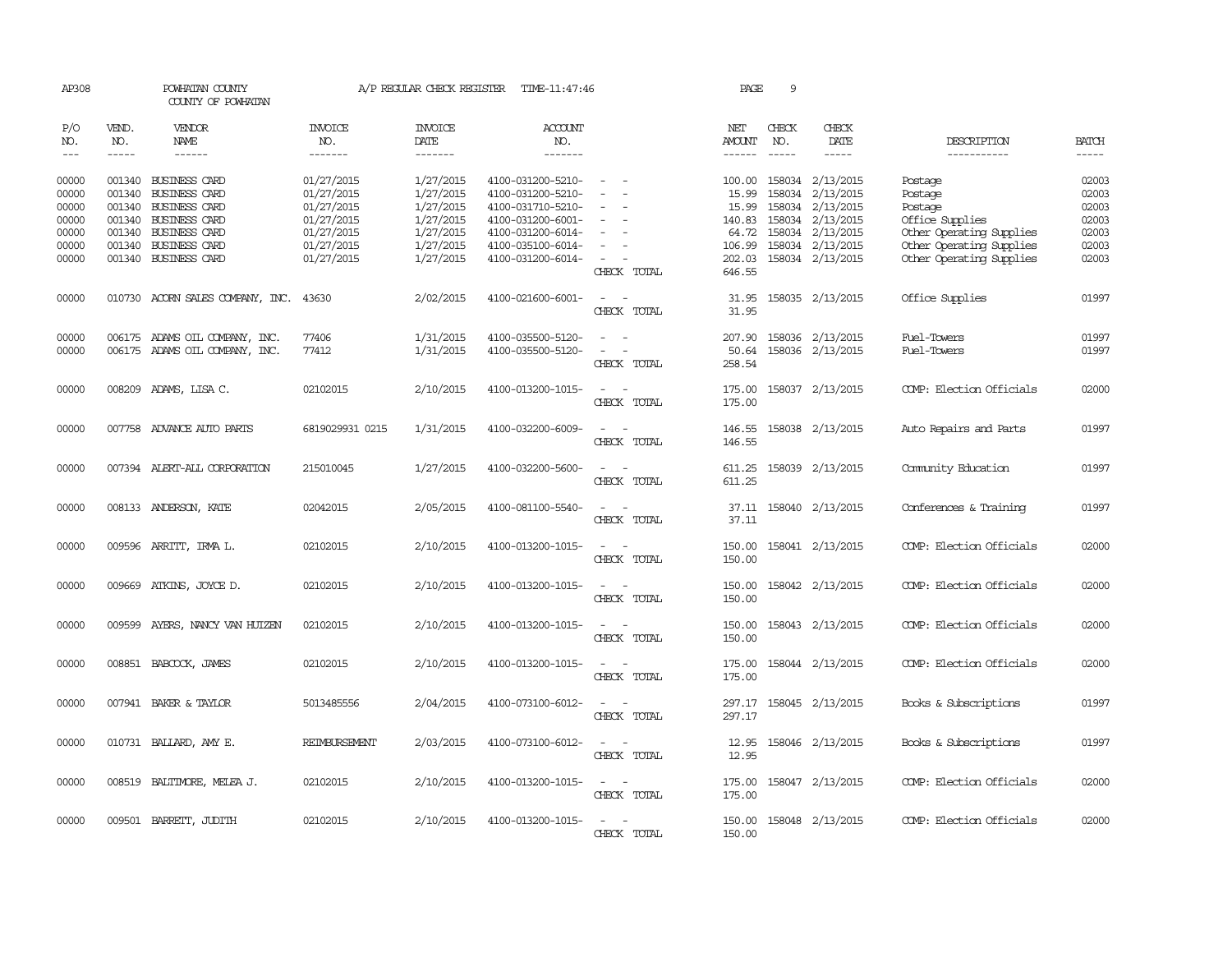| AP308          |               | POWHATAN COUNTY<br>COUNTY OF POWHATAN        |                          | A/P REGULAR CHECK REGISTER | TIME-11:47:46                          |                                                     | PAGE             | 9             |                               |                          |                |
|----------------|---------------|----------------------------------------------|--------------------------|----------------------------|----------------------------------------|-----------------------------------------------------|------------------|---------------|-------------------------------|--------------------------|----------------|
| P/O<br>NO.     | VEND.<br>NO.  | <b>VENDOR</b><br>NAME                        | INVOICE<br>NO.           | <b>INVOICE</b><br>DATE     | ACCOUNT<br>NO.                         |                                                     | NET<br>AMOUNT    | CHECK<br>NO.  | CHECK<br>DATE                 | DESCRIPTION              | <b>BATCH</b>   |
| $\frac{1}{2}$  | $\frac{1}{2}$ | $- - - - - -$                                | -------                  | -------                    | -------                                |                                                     |                  | $\frac{1}{2}$ | -----                         | -----------              | $- - - - -$    |
| 00000<br>00000 | 001340        | 001340 BUSINESS CARD<br><b>BUSINESS CARD</b> | 01/27/2015<br>01/27/2015 | 1/27/2015<br>1/27/2015     | 4100-031200-5210-<br>4100-031200-5210- | $\sim$                                              | 100.00<br>15.99  | 158034        | 158034 2/13/2015<br>2/13/2015 | Postage<br>Postage       | 02003<br>02003 |
| 00000          |               | 001340 BUSINESS CARD                         | 01/27/2015               | 1/27/2015                  | 4100-031710-5210-                      |                                                     | 15.99            | 158034        | 2/13/2015                     | Postage                  | 02003          |
| 00000          |               | 001340 BUSINESS CARD                         | 01/27/2015               | 1/27/2015                  | 4100-031200-6001-                      |                                                     | 140.83           | 158034        | 2/13/2015                     | Office Supplies          | 02003          |
| 00000          |               | 001340 BUSINESS CARD                         | 01/27/2015               | 1/27/2015                  | 4100-031200-6014-                      |                                                     | 64.72            |               | 158034 2/13/2015              | Other Operating Supplies | 02003          |
| 00000          |               | 001340 BUSINESS CARD                         | 01/27/2015               | 1/27/2015                  | 4100-035100-6014-                      | $\overline{\phantom{a}}$                            | 106.99           | 158034        | 2/13/2015                     | Other Operating Supplies | 02003          |
| 00000          |               | 001340 BUSINESS CARD                         | 01/27/2015               | 1/27/2015                  | 4100-031200-6014-                      | $\sim$                                              | 202.03           |               | 158034 2/13/2015              | Other Operating Supplies | 02003          |
|                |               |                                              |                          |                            |                                        | CHECK TOTAL                                         | 646.55           |               |                               |                          |                |
| 00000          |               | 010730 ACORN SALES COMPANY, INC.             | 43630                    | 2/02/2015                  | 4100-021600-6001-                      | $\sim$<br>$\sim$<br>CHECK TOTAL                     | 31.95<br>31.95   |               | 158035 2/13/2015              | Office Supplies          | 01997          |
| 00000          |               | 006175 ADAMS OIL COMPANY, INC.               | 77406                    | 1/31/2015                  | 4100-035500-5120-                      |                                                     | 207.90           |               | 158036 2/13/2015              | <b>Fuel-Towers</b>       | 01997          |
| 00000          |               | 006175 ADAMS OIL COMPANY, INC.               | 77412                    | 1/31/2015                  | 4100-035500-5120-                      |                                                     | 50.64            |               | 158036 2/13/2015              | <b>Fuel-Towers</b>       | 01997          |
|                |               |                                              |                          |                            |                                        | CHECK TOTAL                                         | 258.54           |               |                               |                          |                |
| 00000          |               | 008209 ADAMS, LISA C.                        | 02102015                 | 2/10/2015                  | 4100-013200-1015-                      | $\sim$                                              | 175.00           |               | 158037 2/13/2015              | COMP: Election Officials | 02000          |
|                |               |                                              |                          |                            |                                        | CHECK TOTAL                                         | 175.00           |               |                               |                          |                |
| 00000          | 007758        | ADVANCE AUTO PARTS                           | 6819029931 0215          | 1/31/2015                  | 4100-032200-6009-                      |                                                     | 146.55           |               | 158038 2/13/2015              | Auto Repairs and Parts   | 01997          |
|                |               |                                              |                          |                            |                                        | CHECK TOTAL                                         | 146.55           |               |                               |                          |                |
| 00000          |               | 007394 ALERT-ALL CORPORATION                 | 215010045                | 1/27/2015                  | 4100-032200-5600-                      | CHECK TOTAL                                         | 611.25<br>611.25 |               | 158039 2/13/2015              | Comunity Education       | 01997          |
| 00000          |               | 008133 ANDERSON, KATE                        | 02042015                 | 2/05/2015                  | 4100-081100-5540-                      | $\equiv$<br>$\overline{\phantom{a}}$<br>CHECK TOTAL | 37.11<br>37.11   |               | 158040 2/13/2015              | Conferences & Training   | 01997          |
| 00000          |               | 009596 ARRITT, IRMA L.                       | 02102015                 | 2/10/2015                  | 4100-013200-1015-                      | CHECK TOTAL                                         | 150.00<br>150.00 |               | 158041 2/13/2015              | COMP: Election Officials | 02000          |
| 00000          |               | 009669 ATKINS, JOYCE D.                      | 02102015                 | 2/10/2015                  | 4100-013200-1015-                      | $\sim$ $\sim$<br>CHECK TOTAL                        | 150.00<br>150.00 |               | 158042 2/13/2015              | COMP: Election Officials | 02000          |
| 00000          | 009599        | AYERS, NANCY VAN HUIZEN                      | 02102015                 | 2/10/2015                  | 4100-013200-1015-                      | $\sim$ $\sim$<br>CHECK TOTAL                        | 150.00<br>150.00 |               | 158043 2/13/2015              | COMP: Election Officials | 02000          |
| 00000          |               | 008851 BABCOCK, JAMES                        | 02102015                 | 2/10/2015                  | 4100-013200-1015-                      | $\sim$<br>CHECK TOTAL                               | 175.00<br>175.00 |               | 158044 2/13/2015              | COMP: Election Officials | 02000          |
| 00000          |               | 007941 BAKER & TAYLOR                        | 5013485556               | 2/04/2015                  | 4100-073100-6012-                      | $\sim$<br>$\overline{\phantom{a}}$<br>CHECK TOTAL   | 297.17<br>297.17 |               | 158045 2/13/2015              | Books & Subscriptions    | 01997          |
| 00000          |               | 010731 BALLARD, AMY E.                       | REIMBURSEMENT            | 2/03/2015                  | 4100-073100-6012-                      | CHECK TOTAL                                         | 12.95<br>12.95   |               | 158046 2/13/2015              | Books & Subscriptions    | 01997          |
| 00000          |               | 008519 BALTIMORE, MELEA J.                   | 02102015                 | 2/10/2015                  | 4100-013200-1015-                      | $\sim$ $ \sim$<br>CHECK TOTAL                       | 175.00<br>175.00 |               | 158047 2/13/2015              | COMP: Election Officials | 02000          |
| 00000          |               | 009501 BARRETT, JUDITH                       | 02102015                 | 2/10/2015                  | 4100-013200-1015-                      | $\overline{\phantom{a}}$<br>CHECK TOTAL             | 150.00<br>150.00 |               | 158048 2/13/2015              | COMP: Election Officials | 02000          |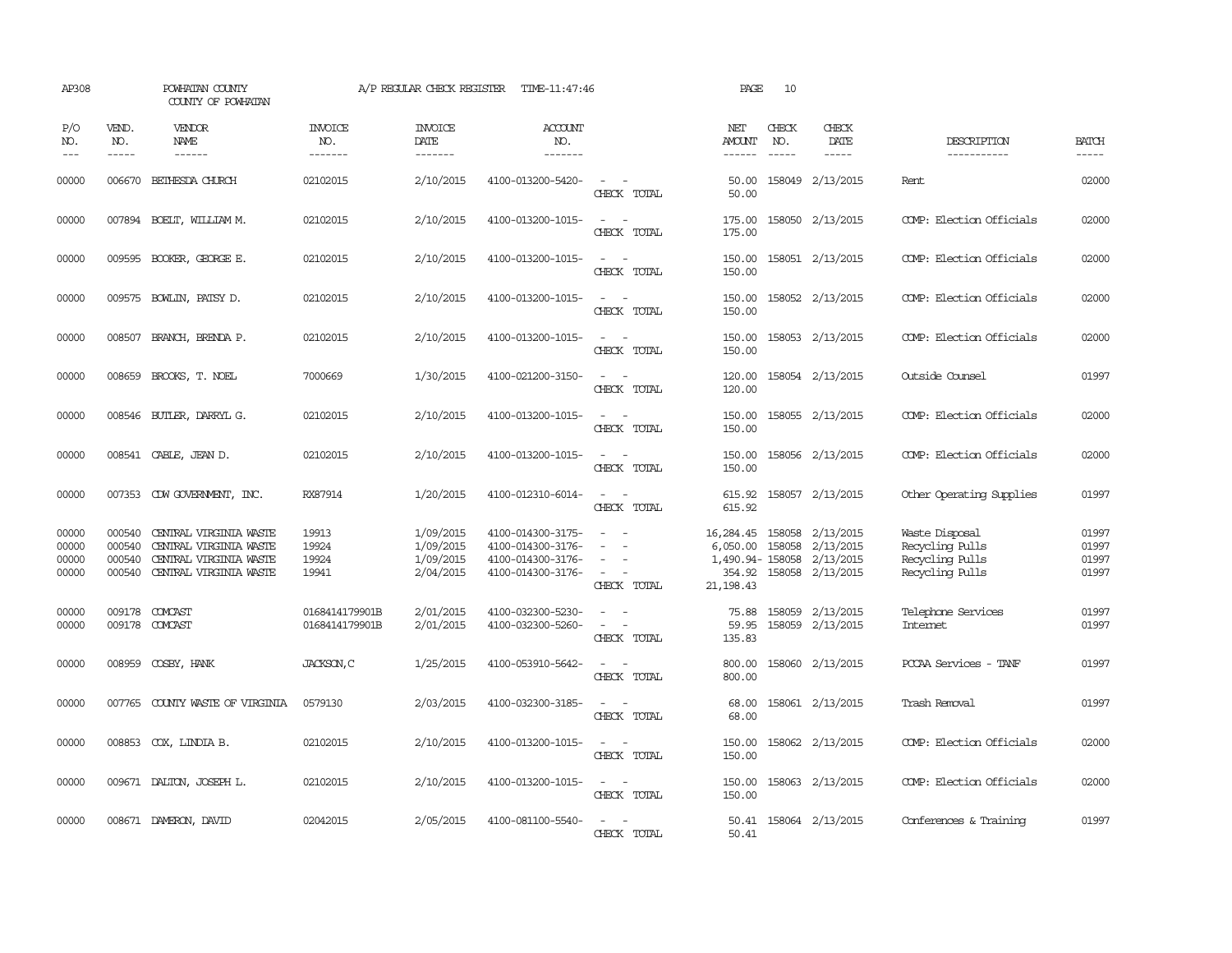| AP308                            |                                      | POWHATAN COUNTY<br>COUNTY OF POWHATAN                                                                |                                  | A/P REGULAR CHECK REGISTER                       | TIME-11:47:46                                                                    |                                                                                                 | PAGE                                                   | 10                            |                                                                |                                                                         |                                  |
|----------------------------------|--------------------------------------|------------------------------------------------------------------------------------------------------|----------------------------------|--------------------------------------------------|----------------------------------------------------------------------------------|-------------------------------------------------------------------------------------------------|--------------------------------------------------------|-------------------------------|----------------------------------------------------------------|-------------------------------------------------------------------------|----------------------------------|
| P/O<br>NO.<br>$---$              | VEND.<br>NO.<br>$- - - - -$          | VENDOR<br>NAME<br>$- - - - - -$                                                                      | <b>INVOICE</b><br>NO.<br>------- | <b>INVOICE</b><br>DATE<br>-------                | <b>ACCOUNT</b><br>NO.<br>-------                                                 |                                                                                                 | NET<br><b>AMOUNT</b><br>$- - - - - -$                  | CHECK<br>NO.<br>$\frac{1}{2}$ | CHECK<br>DATE<br>$- - - - -$                                   | DESCRIPTION<br>-----------                                              | <b>BATCH</b><br>-----            |
| 00000                            |                                      | 006670 BETHESDA CHURCH                                                                               | 02102015                         | 2/10/2015                                        | 4100-013200-5420-                                                                | $\overline{\phantom{a}}$<br>CHECK TOTAL                                                         | 50.00<br>50.00                                         |                               | 158049 2/13/2015                                               | Rent                                                                    | 02000                            |
| 00000                            |                                      | 007894 BOELT, WILLIAM M.                                                                             | 02102015                         | 2/10/2015                                        | 4100-013200-1015-                                                                | $\sim$<br>$\sim$<br>CHECK TOTAL                                                                 | 175.00<br>175.00                                       |                               | 158050 2/13/2015                                               | COMP: Election Officials                                                | 02000                            |
| 00000                            |                                      | 009595 BOOKER, GEORGE E.                                                                             | 02102015                         | 2/10/2015                                        | 4100-013200-1015-                                                                | $\sim$<br>$\sim$<br>CHECK TOTAL                                                                 | 150.00<br>150.00                                       |                               | 158051 2/13/2015                                               | COMP: Election Officials                                                | 02000                            |
| 00000                            |                                      | 009575 BOWLIN, PATSY D.                                                                              | 02102015                         | 2/10/2015                                        | 4100-013200-1015-                                                                | $\equiv$<br>$\sim$<br>CHECK TOTAL                                                               | 150.00<br>150.00                                       |                               | 158052 2/13/2015                                               | COMP: Election Officials                                                | 02000                            |
| 00000                            |                                      | 008507 BRANCH, BRENDA P.                                                                             | 02102015                         | 2/10/2015                                        | 4100-013200-1015-                                                                | $\overline{\phantom{a}}$<br>$\sim$<br>CHECK TOTAL                                               | 150.00<br>150.00                                       |                               | 158053 2/13/2015                                               | COMP: Election Officials                                                | 02000                            |
| 00000                            | 008659                               | BROOKS, T. NOEL                                                                                      | 7000669                          | 1/30/2015                                        | 4100-021200-3150-                                                                | $\overline{\phantom{a}}$<br>$\sim$<br>CHECK TOTAL                                               | 120.00<br>120.00                                       |                               | 158054 2/13/2015                                               | Outside Counsel                                                         | 01997                            |
| 00000                            |                                      | 008546 BUTLER, DARRYL G.                                                                             | 02102015                         | 2/10/2015                                        | 4100-013200-1015-                                                                | $\equiv$<br>CHECK TOTAL                                                                         | 150.00<br>150.00                                       |                               | 158055 2/13/2015                                               | COMP: Election Officials                                                | 02000                            |
| 00000                            |                                      | 008541 CABLE, JEAN D.                                                                                | 02102015                         | 2/10/2015                                        | 4100-013200-1015-                                                                | $\sim$<br>$\sim$<br>CHECK TOTAL                                                                 | 150.00<br>150.00                                       |                               | 158056 2/13/2015                                               | COMP: Election Officials                                                | 02000                            |
| 00000                            |                                      | 007353 CDW GOVERNMENT, INC.                                                                          | RX87914                          | 1/20/2015                                        | 4100-012310-6014-                                                                | $\overline{\phantom{a}}$<br>$\overline{\phantom{a}}$<br>CHECK TOTAL                             | 615.92<br>615.92                                       |                               | 158057 2/13/2015                                               | Other Operating Supplies                                                | 01997                            |
| 00000<br>00000<br>00000<br>00000 | 000540<br>000540<br>000540<br>000540 | CENTRAL VIRGINIA WASTE<br>CENTRAL VIRGINIA WASTE<br>CENTRAL VIRGINIA WASTE<br>CENTRAL VIRGINIA WASTE | 19913<br>19924<br>19924<br>19941 | 1/09/2015<br>1/09/2015<br>1/09/2015<br>2/04/2015 | 4100-014300-3175-<br>4100-014300-3176-<br>4100-014300-3176-<br>4100-014300-3176- | $\overline{\phantom{a}}$<br>$\overline{\phantom{a}}$<br>$\overline{\phantom{a}}$<br>CHECK TOTAL | 16,284.45<br>6,050.00<br>1,490.94-158058<br>21, 198.43 | 158058<br>158058              | 2/13/2015<br>2/13/2015<br>2/13/2015<br>354.92 158058 2/13/2015 | Waste Disposal<br>Recycling Pulls<br>Recycling Pulls<br>Recycling Pulls | 01997<br>01997<br>01997<br>01997 |
| 00000<br>00000                   | 009178                               | COMCAST<br>009178 COMCAST                                                                            | 0168414179901B<br>0168414179901B | 2/01/2015<br>2/01/2015                           | 4100-032300-5230-<br>4100-032300-5260-                                           | $\sim$<br>$\sim$<br>CHECK TOTAL                                                                 | 75.88<br>59.95<br>135.83                               | 158059                        | 2/13/2015<br>158059 2/13/2015                                  | Telephone Services<br><b>Intemet</b>                                    | 01997<br>01997                   |
| 00000                            |                                      | 008959 COSBY, HANK                                                                                   | JACKSON, C                       | 1/25/2015                                        | 4100-053910-5642-                                                                | CHECK TOTAL                                                                                     | 800.00<br>800.00                                       |                               | 158060 2/13/2015                                               | PCCAA Services - TANF                                                   | 01997                            |
| 00000                            | 007765                               | COUNTY WASTE OF VIRGINIA                                                                             | 0579130                          | 2/03/2015                                        | 4100-032300-3185-                                                                | $\overline{\phantom{a}}$<br>$\overline{\phantom{a}}$<br>CHECK TOTAL                             | 68.00<br>68.00                                         |                               | 158061 2/13/2015                                               | Trash Removal                                                           | 01997                            |
| 00000                            |                                      | 008853 COX, LINDIA B.                                                                                | 02102015                         | 2/10/2015                                        | 4100-013200-1015-                                                                | $\sim$<br>$\sim$<br>CHECK TOTAL                                                                 | 150.00<br>150.00                                       |                               | 158062 2/13/2015                                               | COMP: Election Officials                                                | 02000                            |
| 00000                            |                                      | 009671 DALTON, JOSEPH L.                                                                             | 02102015                         | 2/10/2015                                        | 4100-013200-1015-                                                                | $\sim$ $\sim$<br>CHECK TOTAL                                                                    | 150.00<br>150.00                                       |                               | 158063 2/13/2015                                               | COMP: Election Officials                                                | 02000                            |
| 00000                            |                                      | 008671 DAMERON, DAVID                                                                                | 02042015                         | 2/05/2015                                        | 4100-081100-5540-                                                                | $\overline{\phantom{a}}$<br>CHECK TOTAL                                                         | 50.41<br>50.41                                         |                               | 158064 2/13/2015                                               | Conferences & Training                                                  | 01997                            |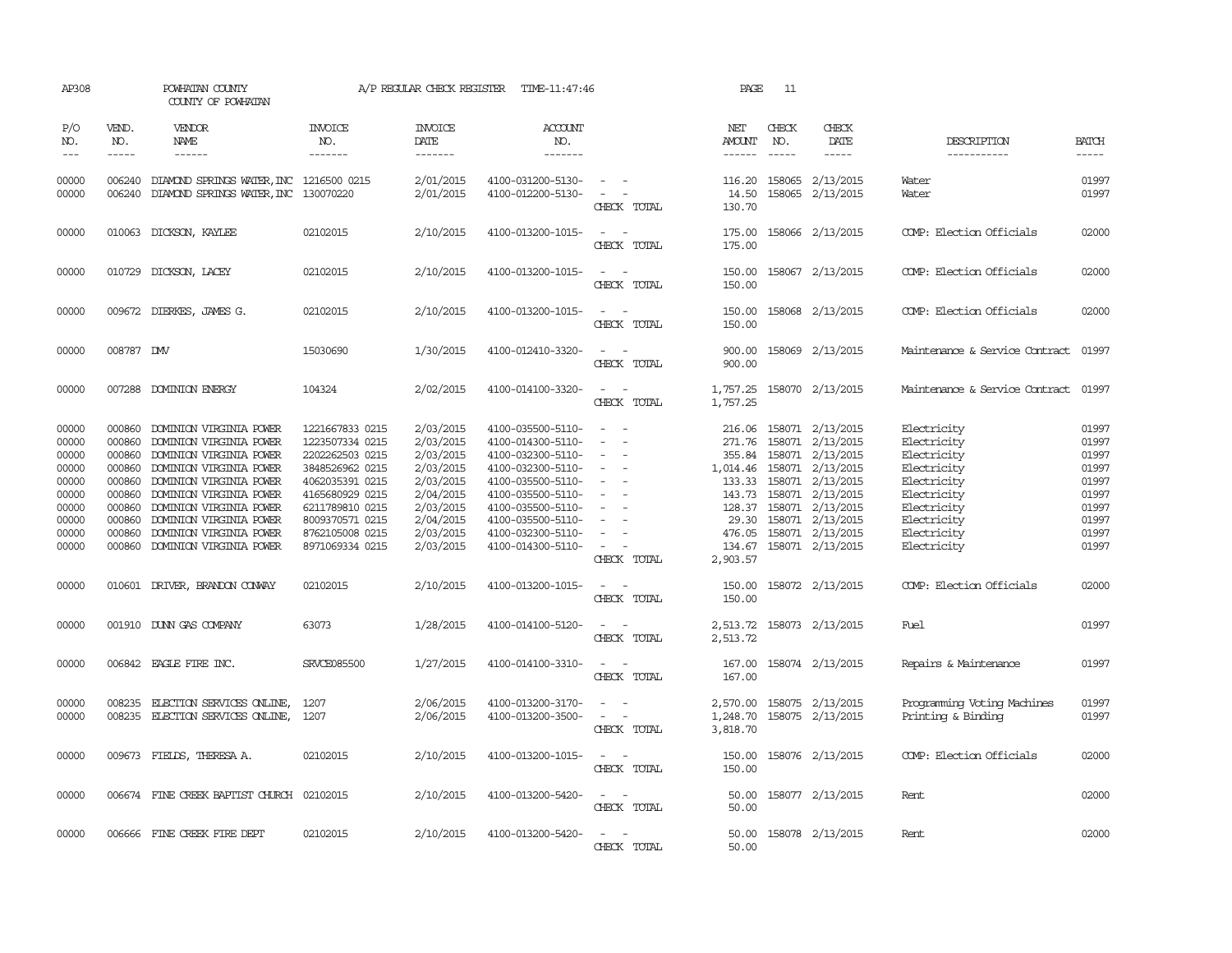| AP308                                                                                  |                                                                                        | POWHATAN COUNTY<br>COUNTY OF POWHATAN                                                                                                                                                                                                                                             |                                                                                                                                                                                            | A/P REGULAR CHECK REGISTER                                                                                                     | TIME-11:47:46                                                                                                                                                                                                  |                                                                                                                                                                                                 | PAGE                             | 11                                                                                                                                                                                                                                                                                                                                                                                                           |                                                                                                                                                                                                                                                               |                                                                                                                                                    |                                                                                        |
|----------------------------------------------------------------------------------------|----------------------------------------------------------------------------------------|-----------------------------------------------------------------------------------------------------------------------------------------------------------------------------------------------------------------------------------------------------------------------------------|--------------------------------------------------------------------------------------------------------------------------------------------------------------------------------------------|--------------------------------------------------------------------------------------------------------------------------------|----------------------------------------------------------------------------------------------------------------------------------------------------------------------------------------------------------------|-------------------------------------------------------------------------------------------------------------------------------------------------------------------------------------------------|----------------------------------|--------------------------------------------------------------------------------------------------------------------------------------------------------------------------------------------------------------------------------------------------------------------------------------------------------------------------------------------------------------------------------------------------------------|---------------------------------------------------------------------------------------------------------------------------------------------------------------------------------------------------------------------------------------------------------------|----------------------------------------------------------------------------------------------------------------------------------------------------|----------------------------------------------------------------------------------------|
| P/O<br>NO.<br>$---$                                                                    | VEND.<br>NO.                                                                           | <b>VENDOR</b><br>NAME<br>$- - - - - -$                                                                                                                                                                                                                                            | <b>INVOICE</b><br>NO.<br>-------                                                                                                                                                           | <b>INVOICE</b><br>DATE<br>$- - - - - - -$                                                                                      | ACCOUNT<br>NO.<br>$- - - - - - -$                                                                                                                                                                              |                                                                                                                                                                                                 | NET<br>AMOUNT<br>------          | CHECK<br>NO.<br>$\frac{1}{2} \frac{1}{2} \frac{1}{2} \frac{1}{2} \frac{1}{2} \frac{1}{2} \frac{1}{2} \frac{1}{2} \frac{1}{2} \frac{1}{2} \frac{1}{2} \frac{1}{2} \frac{1}{2} \frac{1}{2} \frac{1}{2} \frac{1}{2} \frac{1}{2} \frac{1}{2} \frac{1}{2} \frac{1}{2} \frac{1}{2} \frac{1}{2} \frac{1}{2} \frac{1}{2} \frac{1}{2} \frac{1}{2} \frac{1}{2} \frac{1}{2} \frac{1}{2} \frac{1}{2} \frac{1}{2} \frac{$ | CHECK<br>DATE<br>$- - - - -$                                                                                                                                                                                                                                  | DESCRIPTION<br>-----------                                                                                                                         | <b>BATCH</b><br>-----                                                                  |
| 00000<br>00000                                                                         | 006240                                                                                 | 006240 DIAMOND SPRINGS WATER, INC 1216500 0215<br>DIAMOND SPRINGS WATER, INC                                                                                                                                                                                                      | 130070220                                                                                                                                                                                  | 2/01/2015<br>2/01/2015                                                                                                         | 4100-031200-5130-<br>4100-012200-5130-                                                                                                                                                                         | $\sim$ $-$<br>$\sim$ $ -$<br>CHECK TOTAL                                                                                                                                                        | 14.50<br>130.70                  | 158065                                                                                                                                                                                                                                                                                                                                                                                                       | 116.20 158065 2/13/2015<br>2/13/2015                                                                                                                                                                                                                          | Water<br>Water                                                                                                                                     | 01997<br>01997                                                                         |
| 00000                                                                                  |                                                                                        | 010063 DICKSON, KAYLEE                                                                                                                                                                                                                                                            | 02102015                                                                                                                                                                                   | 2/10/2015                                                                                                                      | 4100-013200-1015-                                                                                                                                                                                              | $\sim$ $ \sim$<br>CHECK TOTAL                                                                                                                                                                   | 175.00<br>175.00                 |                                                                                                                                                                                                                                                                                                                                                                                                              | 158066 2/13/2015                                                                                                                                                                                                                                              | COMP: Election Officials                                                                                                                           | 02000                                                                                  |
| 00000                                                                                  |                                                                                        | 010729 DICKSON, LACEY                                                                                                                                                                                                                                                             | 02102015                                                                                                                                                                                   | 2/10/2015                                                                                                                      | 4100-013200-1015-                                                                                                                                                                                              | CHECK TOTAL                                                                                                                                                                                     | 150.00<br>150.00                 |                                                                                                                                                                                                                                                                                                                                                                                                              | 158067 2/13/2015                                                                                                                                                                                                                                              | COMP: Election Officials                                                                                                                           | 02000                                                                                  |
| 00000                                                                                  |                                                                                        | 009672 DIERKES, JAMES G.                                                                                                                                                                                                                                                          | 02102015                                                                                                                                                                                   | 2/10/2015                                                                                                                      | 4100-013200-1015-                                                                                                                                                                                              | CHECK TOTAL                                                                                                                                                                                     | 150.00<br>150.00                 |                                                                                                                                                                                                                                                                                                                                                                                                              | 158068 2/13/2015                                                                                                                                                                                                                                              | COMP: Election Officials                                                                                                                           | 02000                                                                                  |
| 00000                                                                                  | 008787 DMV                                                                             |                                                                                                                                                                                                                                                                                   | 15030690                                                                                                                                                                                   | 1/30/2015                                                                                                                      | 4100-012410-3320-                                                                                                                                                                                              | $ -$<br>CHECK TOTAL                                                                                                                                                                             | 900.00<br>900.00                 |                                                                                                                                                                                                                                                                                                                                                                                                              | 158069 2/13/2015                                                                                                                                                                                                                                              | Maintenance & Service Contract 01997                                                                                                               |                                                                                        |
| 00000                                                                                  |                                                                                        | 007288 DOMINION ENERGY                                                                                                                                                                                                                                                            | 104324                                                                                                                                                                                     | 2/02/2015                                                                                                                      | 4100-014100-3320-                                                                                                                                                                                              | CHECK TOTAL                                                                                                                                                                                     | 1,757.25<br>1,757.25             |                                                                                                                                                                                                                                                                                                                                                                                                              | 158070 2/13/2015                                                                                                                                                                                                                                              | Maintenance & Service Contract                                                                                                                     | 01997                                                                                  |
| 00000<br>00000<br>00000<br>00000<br>00000<br>00000<br>00000<br>00000<br>00000<br>00000 | 000860<br>000860<br>000860<br>000860<br>000860<br>000860<br>000860<br>000860<br>000860 | DOMINION VIRGINIA POWER<br>DOMINION VIRGINIA POWER<br>DOMINION VIRGINIA POWER<br>DOMINION VIRGINIA POWER<br>DOMINION VIRGINIA POWER<br>DOMINION VIRGINIA POWER<br>DOMINION VIRGINIA POWER<br>DOMINION VIRGINIA POWER<br>DOMINION VIRGINIA POWER<br>000860 DOMINION VIRGINIA POWER | 1221667833 0215<br>1223507334 0215<br>2202262503 0215<br>3848526962 0215<br>4062035391 0215<br>4165680929 0215<br>6211789810 0215<br>8009370571 0215<br>8762105008 0215<br>8971069334 0215 | 2/03/2015<br>2/03/2015<br>2/03/2015<br>2/03/2015<br>2/03/2015<br>2/04/2015<br>2/03/2015<br>2/04/2015<br>2/03/2015<br>2/03/2015 | 4100-035500-5110-<br>4100-014300-5110-<br>4100-032300-5110-<br>4100-032300-5110-<br>4100-035500-5110-<br>4100-035500-5110-<br>4100-035500-5110-<br>4100-035500-5110-<br>4100-032300-5110-<br>4100-014300-5110- | $\sim$<br>$\sim$<br>$\sim$<br>$\sim$<br>$\overline{\phantom{a}}$<br>$\overline{\phantom{a}}$<br>$\overline{\phantom{a}}$<br>$\overline{\phantom{a}}$<br>$\overline{\phantom{a}}$<br>CHECK TOTAL | 271.76<br>133.33<br>2,903.57     |                                                                                                                                                                                                                                                                                                                                                                                                              | 216.06 158071 2/13/2015<br>158071 2/13/2015<br>355.84 158071 2/13/2015<br>1,014.46 158071 2/13/2015<br>158071 2/13/2015<br>143.73 158071 2/13/2015<br>128.37 158071 2/13/2015<br>29.30 158071 2/13/2015<br>476.05 158071 2/13/2015<br>134.67 158071 2/13/2015 | Electricity<br>Electricity<br>Electricity<br>Electricity<br>Electricity<br>Electricity<br>Electricity<br>Electricity<br>Electricity<br>Electricity | 01997<br>01997<br>01997<br>01997<br>01997<br>01997<br>01997<br>01997<br>01997<br>01997 |
| 00000                                                                                  |                                                                                        | 010601 DRIVER, BRANDON CONVAY                                                                                                                                                                                                                                                     | 02102015                                                                                                                                                                                   | 2/10/2015                                                                                                                      | 4100-013200-1015-                                                                                                                                                                                              | $\sim$<br>CHECK TOTAL                                                                                                                                                                           | 150.00<br>150.00                 |                                                                                                                                                                                                                                                                                                                                                                                                              | 158072 2/13/2015                                                                                                                                                                                                                                              | COMP: Election Officials                                                                                                                           | 02000                                                                                  |
| 00000                                                                                  |                                                                                        | 001910 DUNN GAS COMPANY                                                                                                                                                                                                                                                           | 63073                                                                                                                                                                                      | 1/28/2015                                                                                                                      | 4100-014100-5120-                                                                                                                                                                                              | $\sim$<br>CHECK TOTAL                                                                                                                                                                           | 2,513.72<br>2,513.72             |                                                                                                                                                                                                                                                                                                                                                                                                              | 158073 2/13/2015                                                                                                                                                                                                                                              | Fuel                                                                                                                                               | 01997                                                                                  |
| 00000                                                                                  |                                                                                        | 006842 EAGLE FIRE INC.                                                                                                                                                                                                                                                            | <b>SRVCE085500</b>                                                                                                                                                                         | 1/27/2015                                                                                                                      | 4100-014100-3310-                                                                                                                                                                                              | $\omega_{\rm{max}}$ and<br>CHECK TOTAL                                                                                                                                                          | 167.00<br>167.00                 |                                                                                                                                                                                                                                                                                                                                                                                                              | 158074 2/13/2015                                                                                                                                                                                                                                              | Repairs & Maintenance                                                                                                                              | 01997                                                                                  |
| 00000<br>00000                                                                         | 008235<br>008235                                                                       | ELECTION SERVICES ONLINE,<br>ELECTION SERVICES ONLINE,                                                                                                                                                                                                                            | 1207<br>1207                                                                                                                                                                               | 2/06/2015<br>2/06/2015                                                                                                         | 4100-013200-3170-<br>4100-013200-3500-                                                                                                                                                                         | $\overline{\phantom{a}}$<br>CHECK TOTAL                                                                                                                                                         | 2,570.00<br>1,248.70<br>3,818.70 |                                                                                                                                                                                                                                                                                                                                                                                                              | 158075 2/13/2015<br>158075 2/13/2015                                                                                                                                                                                                                          | Programming Voting Machines<br>Printing & Binding                                                                                                  | 01997<br>01997                                                                         |
| 00000                                                                                  |                                                                                        | 009673 FIELDS, THERESA A.                                                                                                                                                                                                                                                         | 02102015                                                                                                                                                                                   | 2/10/2015                                                                                                                      | 4100-013200-1015-                                                                                                                                                                                              | $\sim$<br>CHECK TOTAL                                                                                                                                                                           | 150.00<br>150.00                 |                                                                                                                                                                                                                                                                                                                                                                                                              | 158076 2/13/2015                                                                                                                                                                                                                                              | COMP: Election Officials                                                                                                                           | 02000                                                                                  |
| 00000                                                                                  |                                                                                        | 006674 FINE CREEK BAPTIST CHURCH 02102015                                                                                                                                                                                                                                         |                                                                                                                                                                                            | 2/10/2015                                                                                                                      | 4100-013200-5420-                                                                                                                                                                                              | CHECK TOTAL                                                                                                                                                                                     | 50.00<br>50.00                   |                                                                                                                                                                                                                                                                                                                                                                                                              | 158077 2/13/2015                                                                                                                                                                                                                                              | Rent                                                                                                                                               | 02000                                                                                  |
| 00000                                                                                  |                                                                                        | 006666 FINE CREEK FIRE DEPT                                                                                                                                                                                                                                                       | 02102015                                                                                                                                                                                   | 2/10/2015                                                                                                                      | 4100-013200-5420-                                                                                                                                                                                              | $\sim$<br>CHECK TOTAL                                                                                                                                                                           | 50.00<br>50.00                   |                                                                                                                                                                                                                                                                                                                                                                                                              | 158078 2/13/2015                                                                                                                                                                                                                                              | Rent                                                                                                                                               | 02000                                                                                  |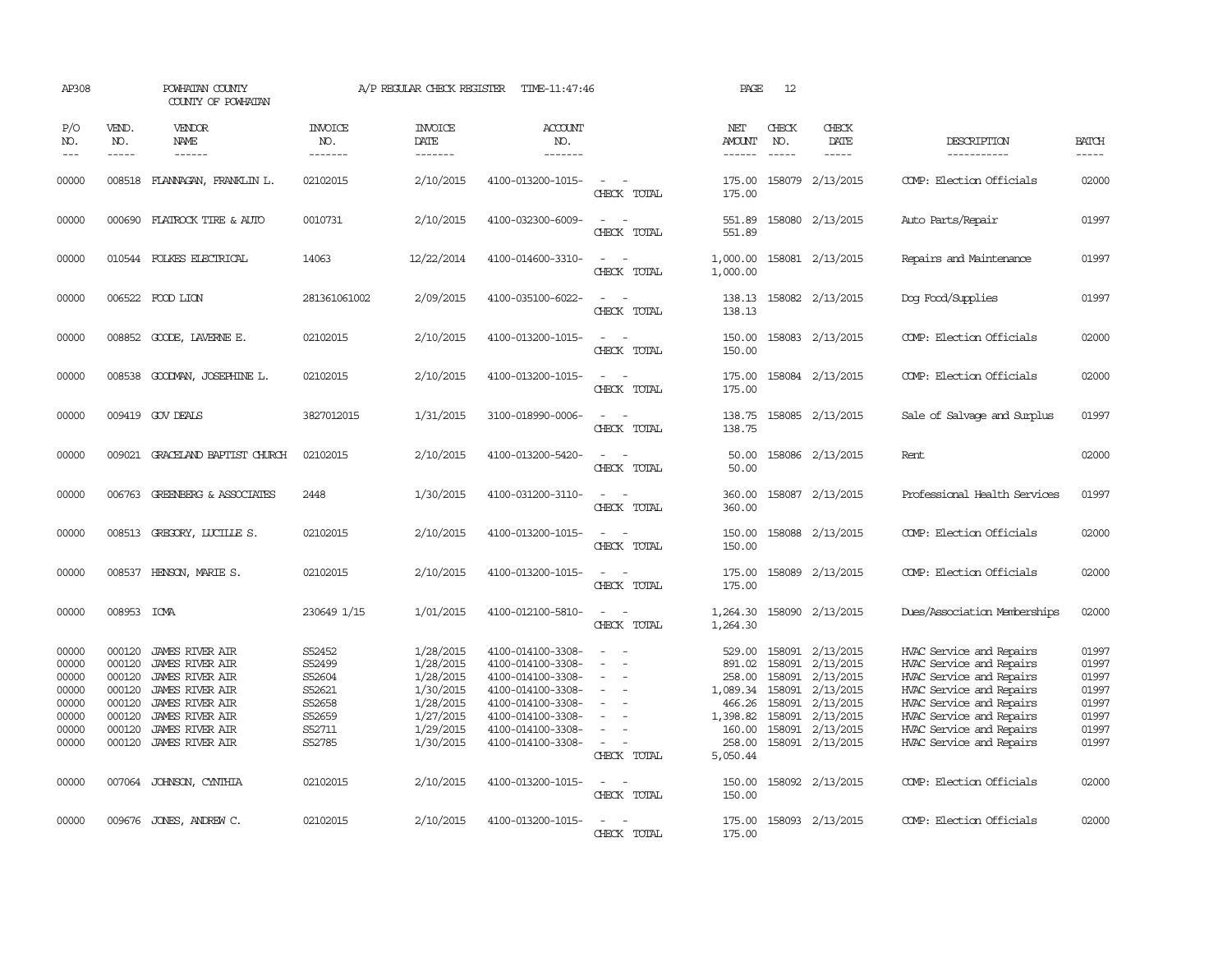| AP308                                                                |                                                                              | POWHATAN COUNTY<br>COUNTY OF POWHATAN                                                                                                                                                                 |                                                                              | A/P REGULAR CHECK REGISTER                                                                           | TIME-11:47:46                                                                                                                                                        |                                                                                                                                 | PAGE                                                                                         | 12                                                       |                                                                                                                    |                                                                                                                                                                                                                              |                                                                      |
|----------------------------------------------------------------------|------------------------------------------------------------------------------|-------------------------------------------------------------------------------------------------------------------------------------------------------------------------------------------------------|------------------------------------------------------------------------------|------------------------------------------------------------------------------------------------------|----------------------------------------------------------------------------------------------------------------------------------------------------------------------|---------------------------------------------------------------------------------------------------------------------------------|----------------------------------------------------------------------------------------------|----------------------------------------------------------|--------------------------------------------------------------------------------------------------------------------|------------------------------------------------------------------------------------------------------------------------------------------------------------------------------------------------------------------------------|----------------------------------------------------------------------|
| P/O<br>NO.<br>$\frac{1}{2}$                                          | VEND.<br>NO.<br>$- - - - -$                                                  | VENDOR<br>NAME<br>------                                                                                                                                                                              | <b>INVOICE</b><br>NO.<br>-------                                             | <b>INVOICE</b><br>DATE<br>-------                                                                    | <b>ACCOUNT</b><br>NO.<br>-------                                                                                                                                     |                                                                                                                                 | NET<br>AMOUNT<br>------                                                                      | CHECK<br>NO.<br>$- - - - -$                              | CHECK<br>DATE<br>$- - - - -$                                                                                       | DESCRIPTION<br>-----------                                                                                                                                                                                                   | <b>BATCH</b><br>-----                                                |
| 00000                                                                |                                                                              | 008518 FLANAGAN, FRANKLIN L.                                                                                                                                                                          | 02102015                                                                     | 2/10/2015                                                                                            | 4100-013200-1015-                                                                                                                                                    | $\overline{\phantom{a}}$<br>CHECK TOTAL                                                                                         | 175.00<br>175.00                                                                             |                                                          | 158079 2/13/2015                                                                                                   | COMP: Election Officials                                                                                                                                                                                                     | 02000                                                                |
| 00000                                                                |                                                                              | 000690 FLATROCK TIRE & AUTO                                                                                                                                                                           | 0010731                                                                      | 2/10/2015                                                                                            | 4100-032300-6009-                                                                                                                                                    | $\sim$<br>CHECK TOTAL                                                                                                           | 551.89<br>551.89                                                                             |                                                          | 158080 2/13/2015                                                                                                   | Auto Parts/Repair                                                                                                                                                                                                            | 01997                                                                |
| 00000                                                                |                                                                              | 010544 FOLKES ELECTRICAL                                                                                                                                                                              | 14063                                                                        | 12/22/2014                                                                                           | 4100-014600-3310-                                                                                                                                                    | $\sim$ 100 $\mu$<br>$\sim$<br>CHECK TOTAL                                                                                       | 1,000.00<br>1,000.00                                                                         |                                                          | 158081 2/13/2015                                                                                                   | Repairs and Maintenance                                                                                                                                                                                                      | 01997                                                                |
| 00000                                                                |                                                                              | 006522 FOOD LION                                                                                                                                                                                      | 281361061002                                                                 | 2/09/2015                                                                                            | 4100-035100-6022-                                                                                                                                                    | $\equiv$<br>$\sim$<br>CHECK TOTAL                                                                                               | 138.13<br>138.13                                                                             |                                                          | 158082 2/13/2015                                                                                                   | Dog Food/Supplies                                                                                                                                                                                                            | 01997                                                                |
| 00000                                                                |                                                                              | 008852 GOODE, LAVERNE E.                                                                                                                                                                              | 02102015                                                                     | 2/10/2015                                                                                            | 4100-013200-1015-                                                                                                                                                    | $\overline{\phantom{a}}$<br>$\overline{\phantom{a}}$<br>CHECK TOTAL                                                             | 150.00<br>150.00                                                                             |                                                          | 158083 2/13/2015                                                                                                   | COMP: Election Officials                                                                                                                                                                                                     | 02000                                                                |
| 00000                                                                | 008538                                                                       | GOODMAN, JOSEPHINE L.                                                                                                                                                                                 | 02102015                                                                     | 2/10/2015                                                                                            | 4100-013200-1015-                                                                                                                                                    | $\equiv$<br>CHECK TOTAL                                                                                                         | 175.00<br>175.00                                                                             |                                                          | 158084 2/13/2015                                                                                                   | COMP: Election Officials                                                                                                                                                                                                     | 02000                                                                |
| 00000                                                                |                                                                              | 009419 GOV DEALS                                                                                                                                                                                      | 3827012015                                                                   | 1/31/2015                                                                                            | 3100-018990-0006-                                                                                                                                                    | $\equiv$<br>CHECK TOTAL                                                                                                         | 138.75<br>138.75                                                                             |                                                          | 158085 2/13/2015                                                                                                   | Sale of Salvage and Surplus                                                                                                                                                                                                  | 01997                                                                |
| 00000                                                                |                                                                              | 009021 GRACELAND BAPTIST CHURCH                                                                                                                                                                       | 02102015                                                                     | 2/10/2015                                                                                            | 4100-013200-5420-                                                                                                                                                    | CHECK TOTAL                                                                                                                     | 50.00<br>50.00                                                                               |                                                          | 158086 2/13/2015                                                                                                   | Rent                                                                                                                                                                                                                         | 02000                                                                |
| 00000                                                                |                                                                              | 006763 GREENBERG & ASSOCIATES                                                                                                                                                                         | 2448                                                                         | 1/30/2015                                                                                            | 4100-031200-3110-                                                                                                                                                    | $\sim$<br>CHECK TOTAL                                                                                                           | 360.00<br>360.00                                                                             |                                                          | 158087 2/13/2015                                                                                                   | Professional Health Services                                                                                                                                                                                                 | 01997                                                                |
| 00000                                                                |                                                                              | 008513 GREGORY, LUCILLE S.                                                                                                                                                                            | 02102015                                                                     | 2/10/2015                                                                                            | 4100-013200-1015-                                                                                                                                                    | CHECK TOTAL                                                                                                                     | 150.00<br>150.00                                                                             |                                                          | 158088 2/13/2015                                                                                                   | COMP: Election Officials                                                                                                                                                                                                     | 02000                                                                |
| 00000                                                                | 008537                                                                       | HENSON, MARIE S.                                                                                                                                                                                      | 02102015                                                                     | 2/10/2015                                                                                            | 4100-013200-1015-                                                                                                                                                    | CHECK TOTAL                                                                                                                     | 175.00<br>175.00                                                                             |                                                          | 158089 2/13/2015                                                                                                   | COMP: Election Officials                                                                                                                                                                                                     | 02000                                                                |
| 00000                                                                | 008953 ICMA                                                                  |                                                                                                                                                                                                       | 230649 1/15                                                                  | 1/01/2015                                                                                            | 4100-012100-5810-                                                                                                                                                    | $\equiv$<br>CHECK TOTAL                                                                                                         | 1,264.30<br>1,264.30                                                                         | 158090                                                   | 2/13/2015                                                                                                          | Dues/Association Memberships                                                                                                                                                                                                 | 02000                                                                |
| 00000<br>00000<br>00000<br>00000<br>00000<br>00000<br>00000<br>00000 | 000120<br>000120<br>000120<br>000120<br>000120<br>000120<br>000120<br>000120 | <b>JAMES RIVER AIR</b><br><b>JAMES RIVER AIR</b><br><b>JAMES RIVER AIR</b><br>JAMES RIVER AIR<br><b>JAMES RIVER AIR</b><br><b>JAMES RIVER AIR</b><br><b>JAMES RIVER AIR</b><br><b>JAMES RIVER AIR</b> | S52452<br>S52499<br>S52604<br>S52621<br>S52658<br>S52659<br>S52711<br>S52785 | 1/28/2015<br>1/28/2015<br>1/28/2015<br>1/30/2015<br>1/28/2015<br>1/27/2015<br>1/29/2015<br>1/30/2015 | 4100-014100-3308-<br>4100-014100-3308-<br>4100-014100-3308-<br>4100-014100-3308-<br>4100-014100-3308-<br>4100-014100-3308-<br>4100-014100-3308-<br>4100-014100-3308- | $\overline{\phantom{a}}$<br>$\equiv$<br>$\sim$<br>$\sim$<br>$\overline{\phantom{a}}$<br>$\overline{\phantom{a}}$<br>CHECK TOTAL | 529.00<br>891.02<br>258.00<br>1,089.34<br>466.26<br>1,398.82<br>160.00<br>258.00<br>5,050.44 | 158091<br>158091<br>158091<br>158091<br>158091<br>158091 | 2/13/2015<br>2/13/2015<br>2/13/2015<br>158091 2/13/2015<br>2/13/2015<br>2/13/2015<br>2/13/2015<br>158091 2/13/2015 | HVAC Service and Repairs<br>HVAC Service and Repairs<br>HVAC Service and Repairs<br>HVAC Service and Repairs<br>HVAC Service and Repairs<br>HVAC Service and Repairs<br>HVAC Service and Repairs<br>HVAC Service and Repairs | 01997<br>01997<br>01997<br>01997<br>01997<br>01997<br>01997<br>01997 |
| 00000                                                                |                                                                              | 007064 JOHNSON, CYNTHIA                                                                                                                                                                               | 02102015                                                                     | 2/10/2015                                                                                            | 4100-013200-1015-                                                                                                                                                    | $\sim$ $ \sim$<br>CHECK TOTAL                                                                                                   | 150.00<br>150.00                                                                             |                                                          | 158092 2/13/2015                                                                                                   | COMP: Election Officials                                                                                                                                                                                                     | 02000                                                                |
| 00000                                                                |                                                                              | 009676 JONES, ANDREW C.                                                                                                                                                                               | 02102015                                                                     | 2/10/2015                                                                                            | 4100-013200-1015-                                                                                                                                                    | $\overline{\phantom{a}}$<br>CHECK TOTAL                                                                                         | 175.00<br>175.00                                                                             |                                                          | 158093 2/13/2015                                                                                                   | COMP: Election Officials                                                                                                                                                                                                     | 02000                                                                |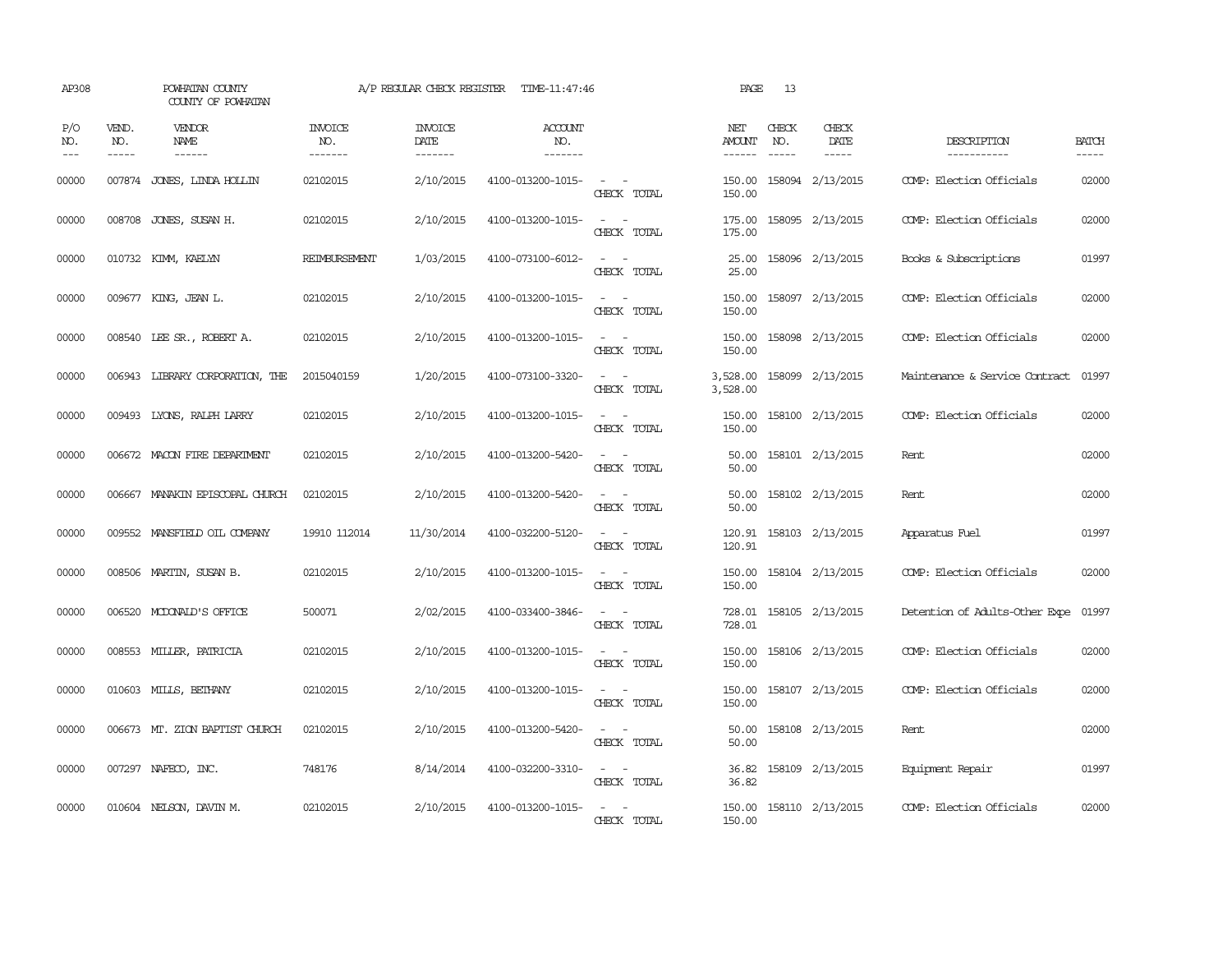| AP308               |                               | POWHATAN COUNTY<br>COUNTY OF POWHATAN  |                           | A/P REGULAR CHECK REGISTER        | TIME-11:47:46                    |                                                                                                                             | PAGE                     | 13           |                              |                                |                             |
|---------------------|-------------------------------|----------------------------------------|---------------------------|-----------------------------------|----------------------------------|-----------------------------------------------------------------------------------------------------------------------------|--------------------------|--------------|------------------------------|--------------------------------|-----------------------------|
| P/O<br>NO.<br>$---$ | VEND.<br>NO.<br>$\frac{1}{2}$ | VENDOR<br><b>NAME</b><br>$- - - - - -$ | INVOICE<br>NO.<br>------- | <b>INVOICE</b><br>DATE<br>------- | <b>ACCOUNT</b><br>NO.<br>------- |                                                                                                                             | NET<br>AMOUNT<br>------- | CHECK<br>NO. | CHECK<br>DATE<br>$- - - - -$ | DESCRIPTION<br>-----------     | <b>BATCH</b><br>$- - - - -$ |
| 00000               |                               | 007874 JONES, LINDA HOLLIN             | 02102015                  | 2/10/2015                         | 4100-013200-1015-                | $\overline{\phantom{a}}$<br>CHECK TOTAL                                                                                     | 150.00<br>150.00         |              | 158094 2/13/2015             | COMP: Election Officials       | 02000                       |
| 00000               |                               | 008708 JONES, SUSAN H.                 | 02102015                  | 2/10/2015                         | 4100-013200-1015-                | $\sim$ 100 $\sim$<br>CHECK TOTAL                                                                                            | 175.00<br>175.00         |              | 158095 2/13/2015             | COMP: Election Officials       | 02000                       |
| 00000               |                               | 010732 KIMM, KAELYN                    | <b>REIMBURSEMENT</b>      | 1/03/2015                         | 4100-073100-6012-                | $\omega_{\rm{max}}$ and $\omega_{\rm{max}}$<br>CHECK TOTAL                                                                  | 25.00<br>25.00           |              | 158096 2/13/2015             | Books & Subscriptions          | 01997                       |
| 00000               |                               | 009677 KING, JEAN L.                   | 02102015                  | 2/10/2015                         | 4100-013200-1015-                | $\frac{1}{2} \left( \frac{1}{2} \right) \left( \frac{1}{2} \right) = \frac{1}{2} \left( \frac{1}{2} \right)$<br>CHECK TOTAL | 150.00<br>150.00         |              | 158097 2/13/2015             | COMP: Election Officials       | 02000                       |
| 00000               |                               | 008540 LEE SR., ROBERT A.              | 02102015                  | 2/10/2015                         | 4100-013200-1015-                | $\sim$ $\sim$<br>CHECK TOTAL                                                                                                | 150.00<br>150.00         |              | 158098 2/13/2015             | COMP: Election Officials       | 02000                       |
| 00000               |                               | 006943 LIBRARY CORPORATION, THE        | 2015040159                | 1/20/2015                         | 4100-073100-3320-                | $\overline{\phantom{a}}$<br>$\sim$<br>CHECK TOTAL                                                                           | 3,528.00<br>3,528.00     |              | 158099 2/13/2015             | Maintenance & Service Contract | 01997                       |
| 00000               |                               | 009493 LYONS, RALPH LARRY              | 02102015                  | 2/10/2015                         | 4100-013200-1015-                | $\sim$ $\sim$<br>CHECK TOTAL                                                                                                | 150.00<br>150.00         |              | 158100 2/13/2015             | COMP: Election Officials       | 02000                       |
| 00000               |                               | 006672 MACON FIRE DEPARIMENT           | 02102015                  | 2/10/2015                         | 4100-013200-5420-                | $\sim$ $\sim$<br>CHECK TOTAL                                                                                                | 50.00<br>50.00           |              | 158101 2/13/2015             | Rent.                          | 02000                       |
| 00000               |                               | 006667 MANAKIN EPISCOPAL CHURCH        | 02102015                  | 2/10/2015                         | 4100-013200-5420-                | $\sim$ 100 $\sim$<br>CHECK TOTAL                                                                                            | 50.00<br>50.00           |              | 158102 2/13/2015             | Rent                           | 02000                       |
| 00000               |                               | 009552 MANSFIELD OIL COMPANY           | 19910 112014              | 11/30/2014                        | 4100-032200-5120-                | $\sim$ $\sim$<br>CHECK TOTAL                                                                                                | 120.91<br>120.91         |              | 158103 2/13/2015             | Apparatus Fuel                 | 01997                       |
| 00000               |                               | 008506 MARTIN, SUSAN B.                | 02102015                  | 2/10/2015                         | 4100-013200-1015-                | $\sim$<br>CHECK TOTAL                                                                                                       | 150.00<br>150.00         |              | 158104 2/13/2015             | COMP: Election Officials       | 02000                       |
| 00000               |                               | 006520 MCDONALD'S OFFICE               | 500071                    | 2/02/2015                         | 4100-033400-3846-                | $\overline{\phantom{a}}$<br>$\sim$<br>CHECK TOTAL                                                                           | 728.01<br>728.01         |              | 158105 2/13/2015             | Detention of Adults-Other Expe | 01997                       |
| 00000               |                               | 008553 MILLER, PATRICIA                | 02102015                  | 2/10/2015                         | 4100-013200-1015-                | $\sim$ 100 $\sim$<br>CHECK TOTAL                                                                                            | 150.00<br>150.00         |              | 158106 2/13/2015             | COMP: Election Officials       | 02000                       |
| 00000               |                               | 010603 MILLS, BETHANY                  | 02102015                  | 2/10/2015                         | 4100-013200-1015-                | $\sim$ $-$<br>$\sim$<br>CHECK TOTAL                                                                                         | 150.00<br>150.00         |              | 158107 2/13/2015             | COMP: Election Officials       | 02000                       |
| 00000               |                               | 006673 MT. ZION BAPTIST CHURCH         | 02102015                  | 2/10/2015                         | 4100-013200-5420-                | $\frac{1}{2} \left( \frac{1}{2} \right) \left( \frac{1}{2} \right) = \frac{1}{2} \left( \frac{1}{2} \right)$<br>CHECK TOTAL | 50.00<br>50.00           |              | 158108 2/13/2015             | Rent                           | 02000                       |
| 00000               |                               | 007297 NAFECO, INC.                    | 748176                    | 8/14/2014                         | 4100-032200-3310-                | $\sim$ $\sim$<br>CHECK TOTAL                                                                                                | 36.82<br>36.82           |              | 158109 2/13/2015             | Equipment Repair               | 01997                       |
| 00000               |                               | 010604 NELSON, DAVIN M.                | 02102015                  | 2/10/2015                         | 4100-013200-1015-                | $\sim$<br>CHECK TOTAL                                                                                                       | 150.00<br>150.00         |              | 158110 2/13/2015             | COMP: Election Officials       | 02000                       |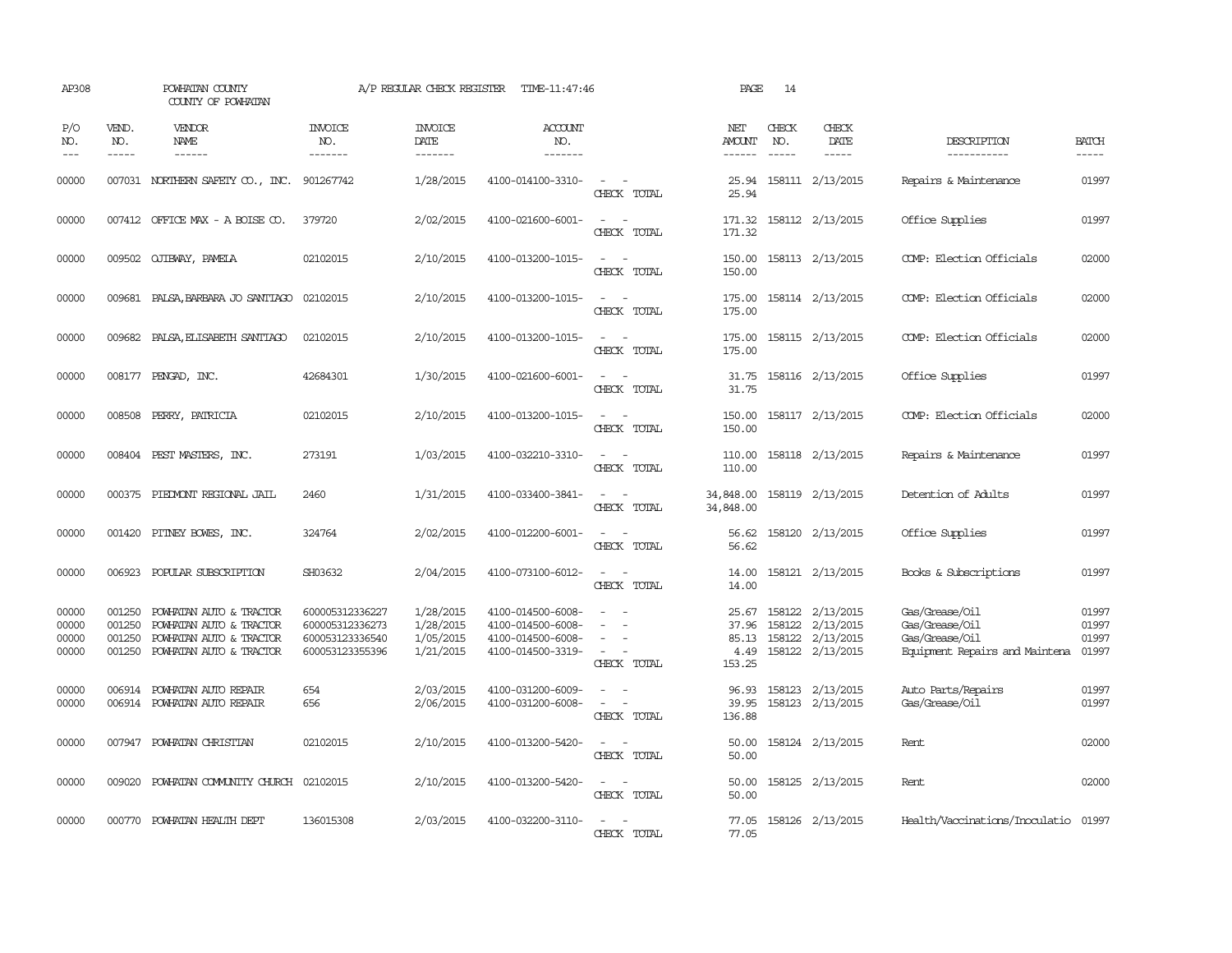| AP308                            |                                                                                                                                                                                                                                                                                                                                                                                                                                                                                                     | POWHATAN COUNTY<br>COUNTY OF POWHATAN                                                                                                                                                                                                                                                                                                                                                                                                                                     |                                                                          | A/P REGULAR CHECK REGISTER                       | TIME-11:47:46                                                                    |                                                                                                                             | PAGE                                      | 14                            |                                                                              |                                                                                      |                                  |
|----------------------------------|-----------------------------------------------------------------------------------------------------------------------------------------------------------------------------------------------------------------------------------------------------------------------------------------------------------------------------------------------------------------------------------------------------------------------------------------------------------------------------------------------------|---------------------------------------------------------------------------------------------------------------------------------------------------------------------------------------------------------------------------------------------------------------------------------------------------------------------------------------------------------------------------------------------------------------------------------------------------------------------------|--------------------------------------------------------------------------|--------------------------------------------------|----------------------------------------------------------------------------------|-----------------------------------------------------------------------------------------------------------------------------|-------------------------------------------|-------------------------------|------------------------------------------------------------------------------|--------------------------------------------------------------------------------------|----------------------------------|
| P/O<br>NO.<br>$---$              | VEND.<br>NO.<br>$\begin{tabular}{ccccc} \multicolumn{2}{c}{} & \multicolumn{2}{c}{} & \multicolumn{2}{c}{} & \multicolumn{2}{c}{} & \multicolumn{2}{c}{} & \multicolumn{2}{c}{} & \multicolumn{2}{c}{} & \multicolumn{2}{c}{} & \multicolumn{2}{c}{} & \multicolumn{2}{c}{} & \multicolumn{2}{c}{} & \multicolumn{2}{c}{} & \multicolumn{2}{c}{} & \multicolumn{2}{c}{} & \multicolumn{2}{c}{} & \multicolumn{2}{c}{} & \multicolumn{2}{c}{} & \multicolumn{2}{c}{} & \multicolumn{2}{c}{} & \mult$ | VENDOR<br>NAME<br>$\begin{tabular}{ccccc} \multicolumn{2}{c }{\multicolumn{2}{c }{\multicolumn{2}{c }{\multicolumn{2}{c}}{\hspace{-2.2cm}}}} \multicolumn{2}{c }{\multicolumn{2}{c }{\hspace{-2.2cm}}\hline} \multicolumn{2}{c }{\hspace{-2.2cm}}\hline \multicolumn{2}{c }{\hspace{-2.2cm}}\hline \multicolumn{2}{c }{\hspace{-2.2cm}}\hline \multicolumn{2}{c }{\hspace{-2.2cm}}\hline \multicolumn{2}{c }{\hspace{-2.2cm}}\hline \multicolumn{2}{c }{\hspace{-2.2cm}}$ | INVOICE<br>NO.<br>-------                                                | <b>INVOICE</b><br>DATE<br>-------                | ACCOUNT<br>NO.<br>-------                                                        |                                                                                                                             | NET<br>AMOUNT                             | CHECK<br>NO.<br>$\frac{1}{2}$ | CHECK<br>DATE<br>$- - - - -$                                                 | DESCRIPTION<br>-----------                                                           | <b>BATCH</b><br>-----            |
| 00000                            |                                                                                                                                                                                                                                                                                                                                                                                                                                                                                                     | 007031 NORTHERN SAFETY CO., INC. 901267742                                                                                                                                                                                                                                                                                                                                                                                                                                |                                                                          | 1/28/2015                                        | 4100-014100-3310-                                                                | $\frac{1}{2} \left( \frac{1}{2} \right) \left( \frac{1}{2} \right) = \frac{1}{2} \left( \frac{1}{2} \right)$<br>CHECK TOTAL | 25.94<br>25.94                            |                               | 158111 2/13/2015                                                             | Repairs & Maintenance                                                                | 01997                            |
| 00000                            |                                                                                                                                                                                                                                                                                                                                                                                                                                                                                                     | 007412 OFFICE MAX - A BOISE CO.                                                                                                                                                                                                                                                                                                                                                                                                                                           | 379720                                                                   | 2/02/2015                                        | 4100-021600-6001-                                                                | $\sim$<br>$\equiv$<br>CHECK TOTAL                                                                                           | 171.32<br>171.32                          |                               | 158112 2/13/2015                                                             | Office Supplies                                                                      | 01997                            |
| 00000                            |                                                                                                                                                                                                                                                                                                                                                                                                                                                                                                     | 009502 QJIBWAY, PAMELA                                                                                                                                                                                                                                                                                                                                                                                                                                                    | 02102015                                                                 | 2/10/2015                                        | 4100-013200-1015-                                                                | $\sim$ $\sim$<br>CHECK TOTAL                                                                                                | 150.00<br>150.00                          |                               | 158113 2/13/2015                                                             | COMP: Election Officials                                                             | 02000                            |
| 00000                            |                                                                                                                                                                                                                                                                                                                                                                                                                                                                                                     | 009681 PALSA, BARBARA JO SANTIAGO                                                                                                                                                                                                                                                                                                                                                                                                                                         | 02102015                                                                 | 2/10/2015                                        | 4100-013200-1015-                                                                | $\sim$ $\sim$<br>CHECK TOTAL                                                                                                | 175.00<br>175.00                          |                               | 158114 2/13/2015                                                             | COMP: Election Officials                                                             | 02000                            |
| 00000                            | 009682                                                                                                                                                                                                                                                                                                                                                                                                                                                                                              | PALSA, ELISABETH SANTIAGO                                                                                                                                                                                                                                                                                                                                                                                                                                                 | 02102015                                                                 | 2/10/2015                                        | 4100-013200-1015-                                                                | CHECK TOTAL                                                                                                                 | 175.00<br>175.00                          |                               | 158115 2/13/2015                                                             | COMP: Election Officials                                                             | 02000                            |
| 00000                            |                                                                                                                                                                                                                                                                                                                                                                                                                                                                                                     | 008177 PENGAD, INC.                                                                                                                                                                                                                                                                                                                                                                                                                                                       | 42684301                                                                 | 1/30/2015                                        | 4100-021600-6001-                                                                | $\sim$<br>CHECK TOTAL                                                                                                       | 31.75<br>31.75                            |                               | 158116 2/13/2015                                                             | Office Supplies                                                                      | 01997                            |
| 00000                            |                                                                                                                                                                                                                                                                                                                                                                                                                                                                                                     | 008508 PERRY, PATRICIA                                                                                                                                                                                                                                                                                                                                                                                                                                                    | 02102015                                                                 | 2/10/2015                                        | 4100-013200-1015-                                                                | $\frac{1}{2} \left( \frac{1}{2} \right) \left( \frac{1}{2} \right) = \frac{1}{2} \left( \frac{1}{2} \right)$<br>CHECK TOTAL | 150.00<br>150.00                          |                               | 158117 2/13/2015                                                             | COMP: Election Officials                                                             | 02000                            |
| 00000                            |                                                                                                                                                                                                                                                                                                                                                                                                                                                                                                     | 008404 PEST MASTERS, INC.                                                                                                                                                                                                                                                                                                                                                                                                                                                 | 273191                                                                   | 1/03/2015                                        | 4100-032210-3310-                                                                | CHECK TOTAL                                                                                                                 | 110.00<br>110.00                          |                               | 158118 2/13/2015                                                             | Repairs & Maintenance                                                                | 01997                            |
| 00000                            |                                                                                                                                                                                                                                                                                                                                                                                                                                                                                                     | 000375 PIEDMONT REGIONAL JAIL                                                                                                                                                                                                                                                                                                                                                                                                                                             | 2460                                                                     | 1/31/2015                                        | 4100-033400-3841-                                                                | $\sim$ $ \sim$<br>CHECK TOTAL                                                                                               | 34,848.00<br>34,848.00                    |                               | 158119 2/13/2015                                                             | Detention of Adults                                                                  | 01997                            |
| 00000                            |                                                                                                                                                                                                                                                                                                                                                                                                                                                                                                     | 001420 PITNEY BOWES, INC.                                                                                                                                                                                                                                                                                                                                                                                                                                                 | 324764                                                                   | 2/02/2015                                        | 4100-012200-6001-                                                                | $\sim$<br>CHECK TOTAL                                                                                                       | 56.62<br>56.62                            |                               | 158120 2/13/2015                                                             | Office Supplies                                                                      | 01997                            |
| 00000                            | 006923                                                                                                                                                                                                                                                                                                                                                                                                                                                                                              | POPULAR SUBSCRIPTION                                                                                                                                                                                                                                                                                                                                                                                                                                                      | SH03632                                                                  | 2/04/2015                                        | 4100-073100-6012-                                                                | CHECK TOTAL                                                                                                                 | 14.00<br>14.00                            |                               | 158121 2/13/2015                                                             | Books & Subscriptions                                                                | 01997                            |
| 00000<br>00000<br>00000<br>00000 | 001250<br>001250<br>001250<br>001250                                                                                                                                                                                                                                                                                                                                                                                                                                                                | POWHATAN AUTO & TRACTOR<br>POWHATAN AUTO & TRACTOR<br>POWHATAN AUTO & TRACTOR<br>POWHATAN AUTO & TRACTOR                                                                                                                                                                                                                                                                                                                                                                  | 600005312336227<br>600005312336273<br>600053123336540<br>600053123355396 | 1/28/2015<br>1/28/2015<br>1/05/2015<br>1/21/2015 | 4100-014500-6008-<br>4100-014500-6008-<br>4100-014500-6008-<br>4100-014500-3319- | $\overline{\phantom{a}}$<br>CHECK TOTAL                                                                                     | 25.67<br>37.96<br>85.13<br>4.49<br>153.25 |                               | 158122 2/13/2015<br>158122 2/13/2015<br>158122 2/13/2015<br>158122 2/13/2015 | Gas/Grease/Oil<br>Gas/Grease/Oil<br>Gas/Grease/Oil<br>Equipment Repairs and Maintena | 01997<br>01997<br>01997<br>01997 |
| 00000<br>00000                   | 006914                                                                                                                                                                                                                                                                                                                                                                                                                                                                                              | POWHATAN AUTO REPAIR<br>006914 POWHATAN AUTO REPAIR                                                                                                                                                                                                                                                                                                                                                                                                                       | 654<br>656                                                               | 2/03/2015<br>2/06/2015                           | 4100-031200-6009-<br>4100-031200-6008-                                           | $\equiv$<br>CHECK TOTAL                                                                                                     | 96.93<br>39.95<br>136.88                  |                               | 158123 2/13/2015<br>158123 2/13/2015                                         | Auto Parts/Repairs<br>Gas/Grease/Oil                                                 | 01997<br>01997                   |
| 00000                            |                                                                                                                                                                                                                                                                                                                                                                                                                                                                                                     | 007947 POWHATAN CHRISTIAN                                                                                                                                                                                                                                                                                                                                                                                                                                                 | 02102015                                                                 | 2/10/2015                                        | 4100-013200-5420-                                                                | $ -$<br>CHECK TOTAL                                                                                                         | 50.00<br>50.00                            |                               | 158124 2/13/2015                                                             | Rent                                                                                 | 02000                            |
| 00000                            |                                                                                                                                                                                                                                                                                                                                                                                                                                                                                                     | 009020 POWHATAN COMMUNITY CHURCH 02102015                                                                                                                                                                                                                                                                                                                                                                                                                                 |                                                                          | 2/10/2015                                        | 4100-013200-5420-                                                                | CHECK TOTAL                                                                                                                 | 50.00<br>50.00                            |                               | 158125 2/13/2015                                                             | Rent                                                                                 | 02000                            |
| 00000                            |                                                                                                                                                                                                                                                                                                                                                                                                                                                                                                     | 000770 POWHATAN HEALTH DEPT                                                                                                                                                                                                                                                                                                                                                                                                                                               | 136015308                                                                | 2/03/2015                                        | 4100-032200-3110-                                                                | CHECK TOTAL                                                                                                                 | 77.05<br>77.05                            |                               | 158126 2/13/2015                                                             | Health/Vaccinations/Inoculatio 01997                                                 |                                  |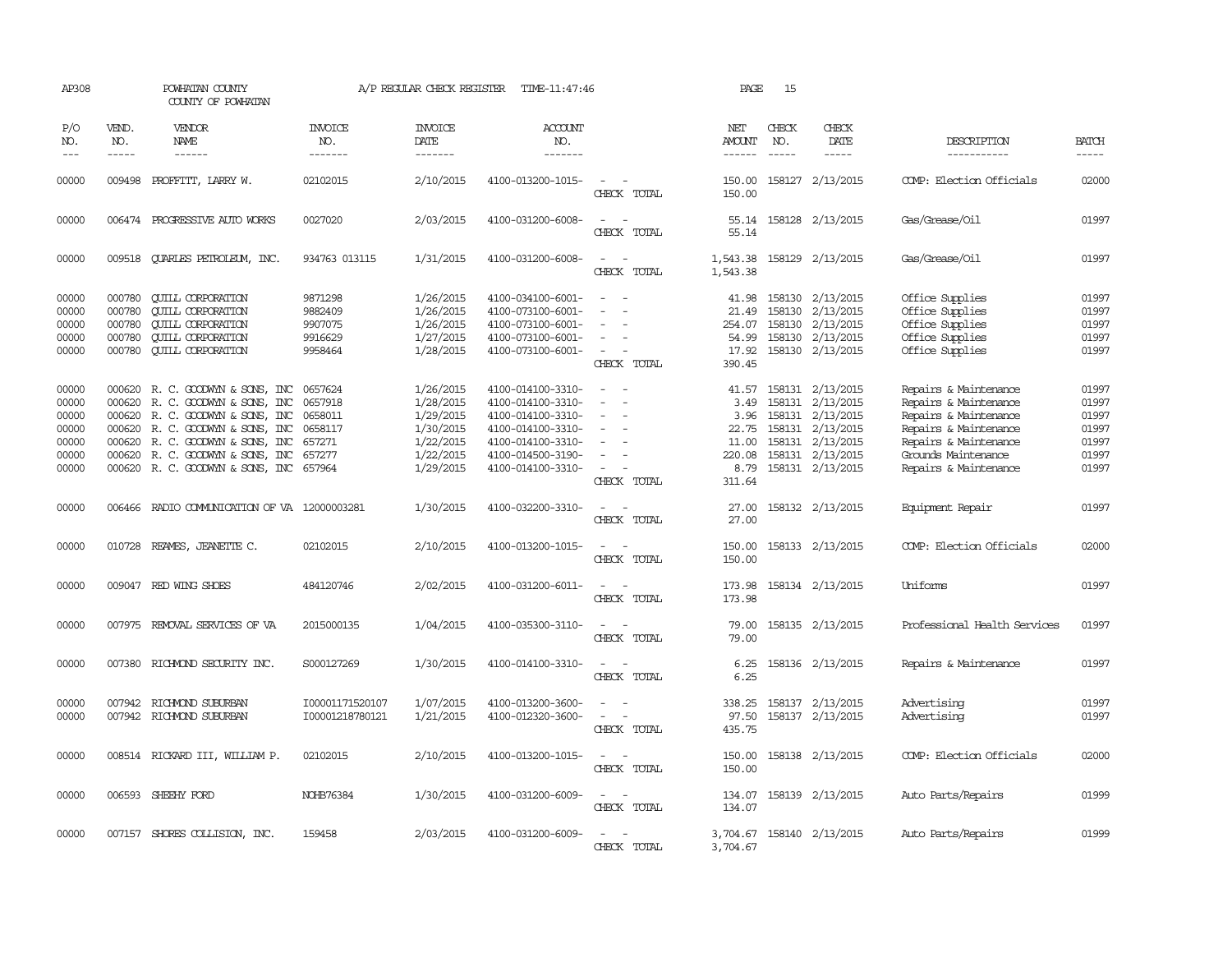| AP308               |                             | POWHATAN COUNTY<br>COUNTY OF POWHATAN        |                                  | A/P REGULAR CHECK REGISTER                | TIME-11:47:46                    |                                 | PAGE                                  | 15                            |                              |                              |                             |
|---------------------|-----------------------------|----------------------------------------------|----------------------------------|-------------------------------------------|----------------------------------|---------------------------------|---------------------------------------|-------------------------------|------------------------------|------------------------------|-----------------------------|
| P/O<br>NO.<br>$---$ | VEND.<br>NO.<br>$- - - - -$ | <b>VENDOR</b><br>NAME<br>$- - - - - -$       | <b>INVOICE</b><br>NO.<br>------- | <b>INVOICE</b><br>DATE<br>$- - - - - - -$ | <b>ACCOUNT</b><br>NO.<br>------- |                                 | NET<br><b>AMOUNT</b><br>$- - - - - -$ | CHECK<br>NO.<br>$\frac{1}{2}$ | CHECK<br>DATE<br>$- - - - -$ | DESCRIPTION<br>-----------   | <b>BATCH</b><br>$- - - - -$ |
|                     |                             |                                              |                                  |                                           |                                  |                                 |                                       |                               |                              |                              |                             |
| 00000               |                             | 009498 PROFFITT, LARRY W.                    | 02102015                         | 2/10/2015                                 | 4100-013200-1015-                | $\overline{a}$<br>CHECK TOTAL   | 150.00                                |                               | 150.00 158127 2/13/2015      | COMP: Election Officials     | 02000                       |
| 00000               |                             | 006474 PROGRESSIVE AUIO WORKS                | 0027020                          | 2/03/2015                                 | 4100-031200-6008-                | $\sim$<br>$\sim$<br>CHECK TOTAL | 55.14<br>55.14                        |                               | 158128 2/13/2015             | Gas/Grease/Oil               | 01997                       |
| 00000               | 009518                      | <b>OUARLES PETROLEUM, INC.</b>               | 934763 013115                    | 1/31/2015                                 | 4100-031200-6008-                | $\sim$<br>$\sim$<br>CHECK TOTAL | 1,543.38<br>1,543.38                  |                               | 158129 2/13/2015             | Gas/Grease/Oil               | 01997                       |
| 00000               | 000780                      | <b>CUILL CORPORATION</b>                     | 9871298                          | 1/26/2015                                 | 4100-034100-6001-                |                                 | 41.98                                 |                               | 158130 2/13/2015             | Office Supplies              | 01997                       |
| 00000               | 000780                      | <b>CUILL CORPORATION</b>                     | 9882409                          | 1/26/2015                                 | 4100-073100-6001-                |                                 | 21.49                                 |                               | 158130 2/13/2015             | Office Supplies              | 01997                       |
| 00000               | 000780                      | <b>CUILL CORPORATION</b>                     | 9907075                          | 1/26/2015                                 | 4100-073100-6001-                |                                 | 254.07                                |                               | 158130 2/13/2015             | Office Supplies              | 01997                       |
| 00000               | 000780                      | <b>CUILL CORPORATION</b>                     | 9916629                          | 1/27/2015                                 | 4100-073100-6001-                |                                 | 54.99                                 |                               | 158130 2/13/2015             | Office Supplies              | 01997                       |
| 00000               | 000780                      | <b>CUILL CORPORATION</b>                     | 9958464                          | 1/28/2015                                 | 4100-073100-6001-                | $\sim$                          | 17.92                                 |                               | 158130 2/13/2015             | Office Supplies              | 01997                       |
|                     |                             |                                              |                                  |                                           |                                  | CHECK TOTAL                     | 390.45                                |                               |                              |                              |                             |
| 00000               | 000620                      | R. C. GOODWYN & SONS, INC                    | 0657624                          | 1/26/2015                                 | 4100-014100-3310-                |                                 | 41.57                                 |                               | 158131 2/13/2015             | Repairs & Maintenance        | 01997                       |
| 00000               | 000620                      | R. C. GOODWYN & SONS, INC                    | 0657918                          | 1/28/2015                                 | 4100-014100-3310-                |                                 | 3.49                                  |                               | 158131 2/13/2015             | Repairs & Maintenance        | 01997                       |
| 00000               | 000620                      | R. C. GOODWYN & SONS, INC                    | 0658011                          | 1/29/2015                                 | 4100-014100-3310-                | $\equiv$                        | 3.96                                  |                               | 158131 2/13/2015             | Repairs & Maintenance        | 01997                       |
| 00000               | 000620                      | R. C. GOODWYN & SONS, INC                    | 0658117                          | 1/30/2015                                 | 4100-014100-3310-                |                                 | 22.75                                 |                               | 158131 2/13/2015             | Repairs & Maintenance        | 01997                       |
| 00000               | 000620                      | R. C. GOODWYN & SONS, INC                    | 657271                           | 1/22/2015                                 | 4100-014100-3310-                |                                 | 11.00                                 |                               | 158131 2/13/2015             | Repairs & Maintenance        | 01997                       |
| 00000               | 000620                      | R. C. GOODWYN & SONS, INC                    | 657277                           | 1/22/2015                                 | 4100-014500-3190-                |                                 | 220.08                                |                               | 158131 2/13/2015             | Grounds Maintenance          | 01997                       |
| 00000               |                             | 000620 R. C. GOODWIN & SONS, INC 657964      |                                  | 1/29/2015                                 | 4100-014100-3310-                | $\sim$                          |                                       |                               | 8.79 158131 2/13/2015        | Repairs & Maintenance        | 01997                       |
|                     |                             |                                              |                                  |                                           |                                  | CHECK TOTAL                     | 311.64                                |                               |                              |                              |                             |
| 00000               |                             | 006466 RADIO COMMUNICATION OF VA 12000003281 |                                  | 1/30/2015                                 | 4100-032200-3310-                | $\sim$<br>$\sim$<br>CHECK TOTAL | 27.00<br>27.00                        |                               | 158132 2/13/2015             | Equipment Repair             | 01997                       |
| 00000               |                             | 010728 REAMES, JEANETTE C.                   | 02102015                         | 2/10/2015                                 | 4100-013200-1015-                | $\sim$<br>$\sim$                | 150.00                                |                               | 158133 2/13/2015             | COMP: Election Officials     | 02000                       |
|                     |                             |                                              |                                  |                                           |                                  | CHECK TOTAL                     | 150.00                                |                               |                              |                              |                             |
| 00000               |                             | 009047 RED WING SHOES                        | 484120746                        | 2/02/2015                                 | 4100-031200-6011-                |                                 | 173.98                                |                               | 158134 2/13/2015             | <b>Uniforms</b>              | 01997                       |
|                     |                             |                                              |                                  |                                           |                                  | CHECK TOTAL                     | 173.98                                |                               |                              |                              |                             |
|                     |                             |                                              | 2015000135                       |                                           |                                  | $\sim$                          | 79.00                                 |                               |                              | Professional Health Services | 01997                       |
| 00000               |                             | 007975 REMOVAL SERVICES OF VA                |                                  | 1/04/2015                                 | 4100-035300-3110-                | CHECK TOTAL                     | 79.00                                 |                               | 158135 2/13/2015             |                              |                             |
|                     |                             |                                              |                                  |                                           |                                  |                                 |                                       |                               |                              |                              |                             |
| 00000               |                             | 007380 RICHMOND SECURITY INC.                | S000127269                       | 1/30/2015                                 | 4100-014100-3310-                | $\equiv$                        | 6.25                                  |                               | 158136 2/13/2015             | Repairs & Maintenance        | 01997                       |
|                     |                             |                                              |                                  |                                           |                                  | CHECK TOTAL                     | 6.25                                  |                               |                              |                              |                             |
| 00000               |                             | 007942 RICHMOND SUBURBAN                     | 100001171520107                  | 1/07/2015                                 | 4100-013200-3600-                |                                 | 338.25                                |                               | 158137 2/13/2015             | Advertising                  | 01997                       |
| 00000               |                             | 007942 RICHMOND SUBURBAN                     | 100001218780121                  | 1/21/2015                                 | 4100-012320-3600-                | $\equiv$                        | 97.50                                 |                               | 158137 2/13/2015             | Advertising                  | 01997                       |
|                     |                             |                                              |                                  |                                           |                                  | CHECK TOTAL                     | 435.75                                |                               |                              |                              |                             |
| 00000               |                             |                                              | 02102015                         | 2/10/2015                                 | 4100-013200-1015-                |                                 |                                       |                               |                              | COMP: Election Officials     | 02000                       |
|                     |                             | 008514 RICKARD III, WILLIAM P.               |                                  |                                           |                                  | CHECK TOTAL                     | 150.00<br>150.00                      |                               | 158138 2/13/2015             |                              |                             |
|                     |                             |                                              |                                  |                                           |                                  |                                 |                                       |                               |                              |                              |                             |
| 00000               |                             | 006593 SHEEHY FORD                           | NOHB76384                        | 1/30/2015                                 | 4100-031200-6009-                |                                 | 134.07                                |                               | 158139 2/13/2015             | Auto Parts/Repairs           | 01999                       |
|                     |                             |                                              |                                  |                                           |                                  | CHECK TOTAL                     | 134.07                                |                               |                              |                              |                             |
|                     |                             |                                              |                                  |                                           |                                  |                                 |                                       |                               |                              |                              |                             |
| 00000               |                             | 007157 SHORES COLLISION, INC.                | 159458                           | 2/03/2015                                 | 4100-031200-6009-                |                                 |                                       |                               | 3,704.67 158140 2/13/2015    | Auto Parts/Repairs           | 01999                       |
|                     |                             |                                              |                                  |                                           |                                  | CHECK TOTAL                     | 3,704.67                              |                               |                              |                              |                             |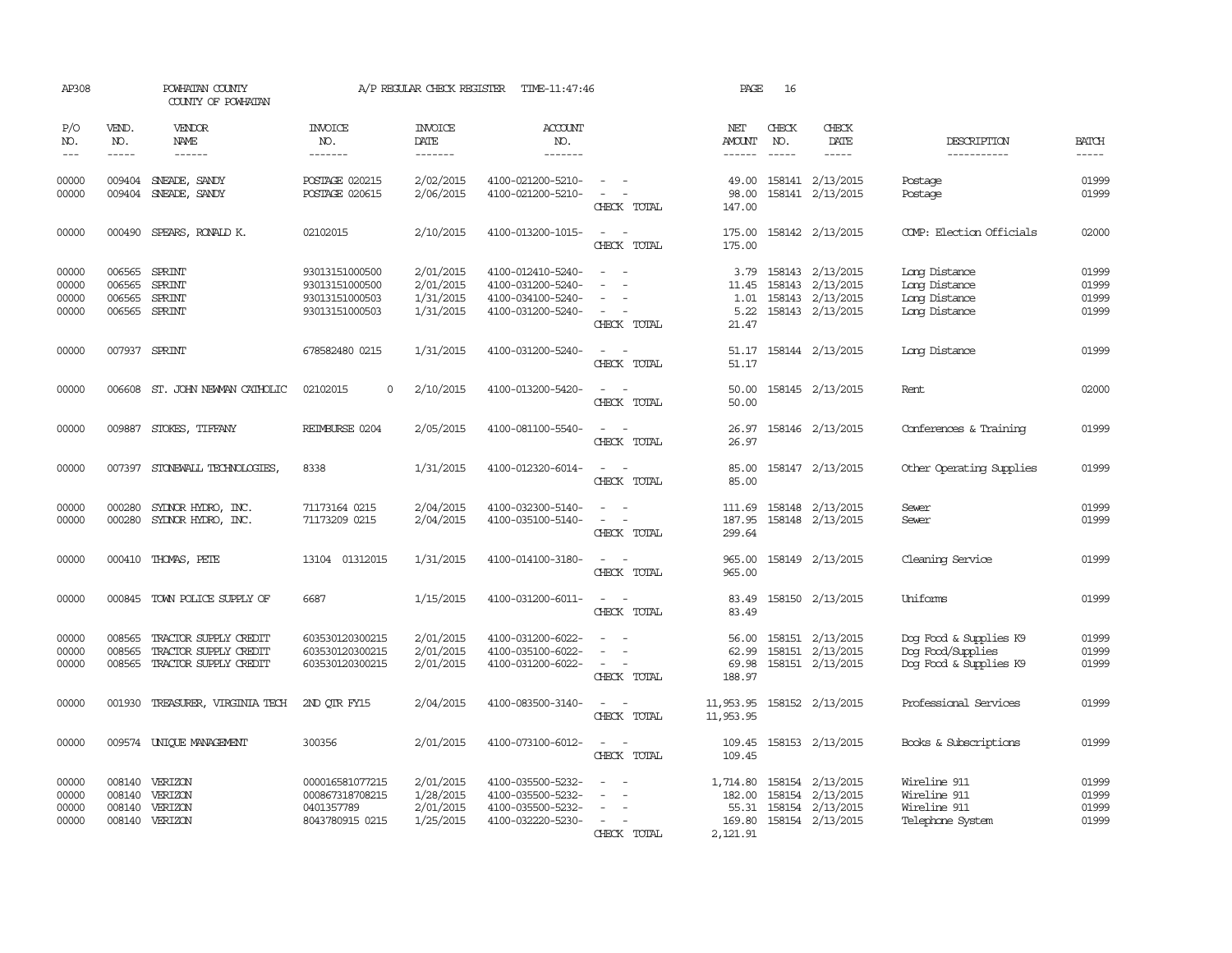| AP308                            |                                             | POWHATAN COUNTY<br>COUNTY OF POWHATAN                                          |                                                                      | A/P REGULAR CHECK REGISTER                       | TIME-11:47:46                                                                    |                                                                                                                             | PAGE                                     | 16                            |                                                                                    |                                                                       |                                  |
|----------------------------------|---------------------------------------------|--------------------------------------------------------------------------------|----------------------------------------------------------------------|--------------------------------------------------|----------------------------------------------------------------------------------|-----------------------------------------------------------------------------------------------------------------------------|------------------------------------------|-------------------------------|------------------------------------------------------------------------------------|-----------------------------------------------------------------------|----------------------------------|
| P/O<br>NO.<br>$---$              | VEND.<br>NO.<br>$- - - - -$                 | <b>VENDOR</b><br>NAME<br>$- - - - - -$                                         | <b>INVOICE</b><br>NO.<br>-------                                     | <b>INVOICE</b><br>DATE<br>-------                | ACCOUNT<br>NO.<br>$- - - - - - -$                                                |                                                                                                                             | NET<br>AMOUNT<br>------                  | CHECK<br>NO.<br>$\frac{1}{2}$ | CHECK<br>DATE<br>$- - - - -$                                                       | DESCRIPTION<br>-----------                                            | <b>BATCH</b><br>-----            |
| 00000<br>00000                   | 009404                                      | SNEADE, SANDY<br>009404 SNEADE, SANDY                                          | POSTAGE 020215<br>POSTAGE 020615                                     | 2/02/2015<br>2/06/2015                           | 4100-021200-5210-<br>4100-021200-5210-                                           | $\sim$<br>$\sim$<br>CHECK TOTAL                                                                                             | 49.00<br>98.00<br>147.00                 |                               | 158141 2/13/2015<br>158141 2/13/2015                                               | Postage<br>Postage                                                    | 01999<br>01999                   |
| 00000                            | 000490                                      | SPEARS, RONALD K.                                                              | 02102015                                                             | 2/10/2015                                        | 4100-013200-1015-                                                                | $\sim$<br>CHECK TOTAL                                                                                                       | 175.00<br>175.00                         |                               | 158142 2/13/2015                                                                   | COMP: Election Officials                                              | 02000                            |
| 00000<br>00000<br>00000<br>00000 | 006565<br>006565<br>006565<br>006565 SPRINT | SPRINT<br><b>SPRINT</b><br>SPRINT                                              | 93013151000500<br>93013151000500<br>93013151000503<br>93013151000503 | 2/01/2015<br>2/01/2015<br>1/31/2015<br>1/31/2015 | 4100-012410-5240-<br>4100-031200-5240-<br>4100-034100-5240-<br>4100-031200-5240- | $\equiv$<br>CHECK TOTAL                                                                                                     | 3.79<br>11.45<br>1.01<br>5.22<br>21.47   |                               | 158143 2/13/2015<br>158143 2/13/2015<br>158143 2/13/2015<br>158143 2/13/2015       | Long Distance<br>Long Distance<br>Long Distance<br>Long Distance      | 01999<br>01999<br>01999<br>01999 |
| 00000                            |                                             | 007937 SPRINT                                                                  | 678582480 0215                                                       | 1/31/2015                                        | 4100-031200-5240-                                                                | $\frac{1}{2} \left( \frac{1}{2} \right) \left( \frac{1}{2} \right) = \frac{1}{2} \left( \frac{1}{2} \right)$<br>CHECK TOTAL | 51.17<br>51.17                           |                               | 158144 2/13/2015                                                                   | Long Distance                                                         | 01999                            |
| 00000                            |                                             | 006608 ST. JOHN NEWMAN CATHOLIC                                                | 02102015<br>$\Omega$                                                 | 2/10/2015                                        | 4100-013200-5420-                                                                | CHECK TOTAL                                                                                                                 | 50.00<br>50.00                           |                               | 158145 2/13/2015                                                                   | Rent                                                                  | 02000                            |
| 00000                            |                                             | 009887 STOKES, TIFFANY                                                         | REIMBURSE 0204                                                       | 2/05/2015                                        | 4100-081100-5540-                                                                | CHECK TOTAL                                                                                                                 | 26.97<br>26.97                           |                               | 158146 2/13/2015                                                                   | Conferences & Training                                                | 01999                            |
| 00000                            | 007397                                      | STONEWALL TECHNOLOGIES                                                         | 8338                                                                 | 1/31/2015                                        | 4100-012320-6014-                                                                | $\overline{\phantom{a}}$<br>CHECK TOTAL                                                                                     | 85.00<br>85.00                           |                               | 158147 2/13/2015                                                                   | Other Operating Supplies                                              | 01999                            |
| 00000<br>00000                   | 000280                                      | SYDNOR HYDRO, INC.<br>000280 SYDNOR HYDRO, INC.                                | 71173164 0215<br>71173209 0215                                       | 2/04/2015<br>2/04/2015                           | 4100-032300-5140-<br>4100-035100-5140-                                           | $\sim$ $\sim$<br>$\sim$<br>CHECK TOTAL                                                                                      | 111.69<br>187.95<br>299.64               |                               | 158148 2/13/2015<br>158148 2/13/2015                                               | Sewer<br>Sewer                                                        | 01999<br>01999                   |
| 00000                            |                                             | 000410 THOMAS, PETE                                                            | 13104 01312015                                                       | 1/31/2015                                        | 4100-014100-3180-                                                                | $\sim$<br>CHECK TOTAL                                                                                                       | 965.00<br>965.00                         |                               | 158149 2/13/2015                                                                   | Cleaning Service                                                      | 01999                            |
| 00000                            |                                             | 000845 TOWN POLICE SUPPLY OF                                                   | 6687                                                                 | 1/15/2015                                        | 4100-031200-6011-                                                                | $\overline{\phantom{a}}$<br>CHECK TOTAL                                                                                     | 83.49<br>83.49                           |                               | 158150 2/13/2015                                                                   | Uniforms                                                              | 01999                            |
| 00000<br>00000<br>00000          | 008565<br>008565                            | TRACTOR SUPPLY CREDIT<br>TRACTOR SUPPLY CREDIT<br>008565 TRACTOR SUPPLY CREDIT | 603530120300215<br>603530120300215<br>603530120300215                | 2/01/2015<br>2/01/2015<br>2/01/2015              | 4100-031200-6022-<br>4100-035100-6022-<br>4100-031200-6022-                      | $\sim$<br>$\sim$ 10 $\sim$<br>CHECK TOTAL                                                                                   | 56.00<br>62.99<br>69.98<br>188.97        |                               | 158151 2/13/2015<br>158151 2/13/2015<br>158151 2/13/2015                           | Dog Food & Supplies K9<br>Dog Food/Supplies<br>Dog Food & Supplies K9 | 01999<br>01999<br>01999          |
| 00000                            |                                             | 001930 TREASURER, VIRGINIA TECH                                                | 2ND OTR FY15                                                         | 2/04/2015                                        | 4100-083500-3140-                                                                | $\overline{\phantom{a}}$<br>$\sim$<br>CHECK TOTAL                                                                           | 11,953.95<br>11,953.95                   |                               | 158152 2/13/2015                                                                   | Professional Services                                                 | 01999                            |
| 00000                            |                                             | 009574 UNIOUE MANAGEMENT                                                       | 300356                                                               | 2/01/2015                                        | 4100-073100-6012-                                                                | $\equiv$<br>CHECK TOTAL                                                                                                     | 109.45<br>109.45                         |                               | 158153 2/13/2015                                                                   | Books & Subscriptions                                                 | 01999                            |
| 00000<br>00000<br>00000<br>00000 | 008140<br>008140                            | 008140 VERIZON<br>VERIZON<br>VERIZON<br>008140 VERIZON                         | 000016581077215<br>000867318708215<br>0401357789<br>8043780915 0215  | 2/01/2015<br>1/28/2015<br>2/01/2015<br>1/25/2015 | 4100-035500-5232-<br>4100-035500-5232-<br>4100-035500-5232-<br>4100-032220-5230- | $\overline{\phantom{a}}$<br>CHECK TOTAL                                                                                     | 1,714.80<br>182.00<br>169.80<br>2,121.91 |                               | 158154 2/13/2015<br>158154 2/13/2015<br>55.31 158154 2/13/2015<br>158154 2/13/2015 | Wireline 911<br>Wireline 911<br>Wireline 911<br>Telephone System      | 01999<br>01999<br>01999<br>01999 |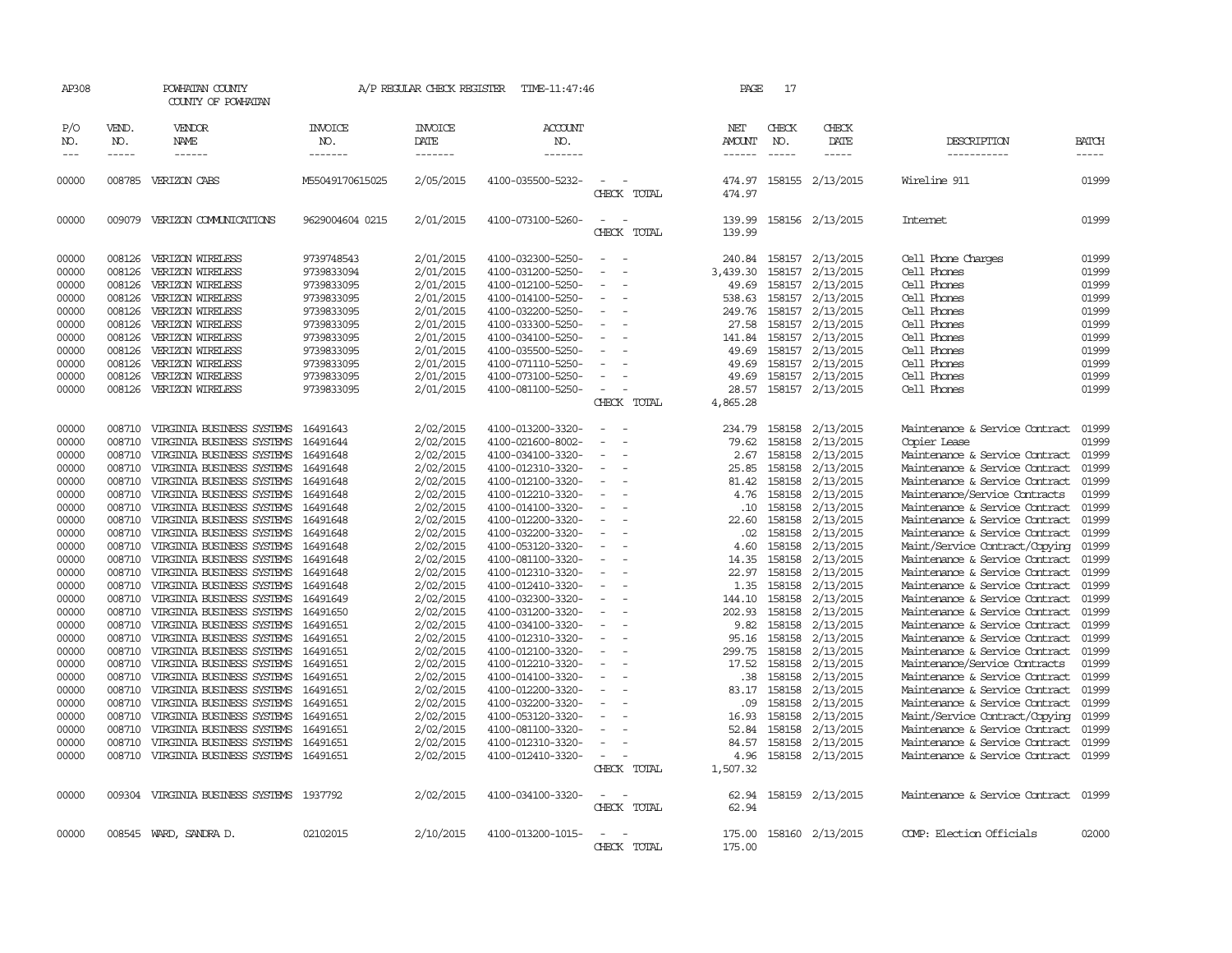| AP308         |              | POWHATAN COUNTY<br>COUNTY OF POWHATAN    |                       | A/P REGULAR CHECK REGISTER | TIME-11:47:46         |                          | PAGE             | 17           |                  |                                |                             |
|---------------|--------------|------------------------------------------|-----------------------|----------------------------|-----------------------|--------------------------|------------------|--------------|------------------|--------------------------------|-----------------------------|
| P/O<br>NO.    | VEND.<br>NO. | VENDOR<br>NAME                           | <b>INVOICE</b><br>NO. | <b>INVOICE</b><br>DATE     | <b>ACCOUNT</b><br>NO. |                          | NET<br>AMOUNT    | CHECK<br>NO. | CHECK<br>DATE    | DESCRIPTION                    | <b>BATCH</b><br>$- - - - -$ |
| $\frac{1}{2}$ | $- - - - -$  | ------                                   | -------               | -------                    | -------               |                          | -------          | $- - - - -$  | $- - - - - -$    | -----------                    |                             |
| 00000         |              | 008785 VERIZON CABS                      | M55049170615025       | 2/05/2015                  | 4100-035500-5232-     | CHECK TOTAL              | 474.97<br>474.97 |              | 158155 2/13/2015 | Wireline 911                   | 01999                       |
| 00000         |              | 009079 VERIZON COMUNICATIONS             | 9629004604 0215       | 2/01/2015                  | 4100-073100-5260-     | CHECK TOTAL              | 139.99<br>139.99 |              | 158156 2/13/2015 | <b>Internet</b>                | 01999                       |
| 00000         | 008126       | VERIZON WIRELESS                         | 9739748543            | 2/01/2015                  | 4100-032300-5250-     |                          | 240.84           | 158157       | 2/13/2015        | Cell Phone Charges             | 01999                       |
| 00000         | 008126       | VERIZON WIRELESS                         | 9739833094            | 2/01/2015                  | 4100-031200-5250-     |                          | 3,439.30         | 158157       | 2/13/2015        | Cell Phones                    | 01999                       |
| 00000         | 008126       | VERIZON WIRELESS                         | 9739833095            | 2/01/2015                  | 4100-012100-5250-     |                          | 49.69            |              | 158157 2/13/2015 | Cell Phones                    | 01999                       |
| 00000         | 008126       | VERIZON WIRELESS                         | 9739833095            | 2/01/2015                  | 4100-014100-5250-     |                          | 538.63           | 158157       | 2/13/2015        | Cell Phones                    | 01999                       |
| 00000         | 008126       | VERIZON WIRELESS                         | 9739833095            | 2/01/2015                  | 4100-032200-5250-     |                          | 249.76           |              | 158157 2/13/2015 | Cell Phones                    | 01999                       |
| 00000         | 008126       | VERIZON WIRELESS                         | 9739833095            | 2/01/2015                  | 4100-033300-5250-     | $\equiv$                 | 27.58            |              | 158157 2/13/2015 | Cell Phones                    | 01999                       |
| 00000         | 008126       | VERIZON WIRELESS                         | 9739833095            | 2/01/2015                  | 4100-034100-5250-     |                          | 141.84           | 158157       | 2/13/2015        | Cell Phones                    | 01999                       |
| 00000         | 008126       | VERIZON WIRELESS                         | 9739833095            | 2/01/2015                  | 4100-035500-5250-     | $\sim$                   | 49.69            | 158157       | 2/13/2015        | Cell Phones                    | 01999                       |
| 00000         | 008126       | VERIZON WIRELESS                         | 9739833095            | 2/01/2015                  | 4100-071110-5250-     |                          | 49.69            |              | 158157 2/13/2015 | Cell Phones                    | 01999                       |
| 00000         | 008126       | VERIZON WIRELESS                         | 9739833095            | 2/01/2015                  | 4100-073100-5250-     | $\equiv$                 | 49.69            |              | 158157 2/13/2015 | Cell Phones                    | 01999                       |
| 00000         | 008126       | VERIZON WIRELESS                         | 9739833095            | 2/01/2015                  | 4100-081100-5250-     | $\overline{\phantom{a}}$ | 28.57            | 158157       | 2/13/2015        | Cell Phones                    | 01999                       |
|               |              |                                          |                       |                            |                       | CHECK TOTAL              | 4,865.28         |              |                  |                                |                             |
| 00000         | 008710       | VIRGINIA BUSINESS SYSTEMS                | 16491643              | 2/02/2015                  | 4100-013200-3320-     | $\equiv$                 | 234.79           |              | 158158 2/13/2015 | Maintenance & Service Contract | 01999                       |
| 00000         | 008710       | VIRGINIA BUSINESS SYSTEMS                | 16491644              | 2/02/2015                  | 4100-021600-8002-     |                          | 79.62            | 158158       | 2/13/2015        | Copier Lease                   | 01999                       |
| 00000         | 008710       | VIRGINIA BUSINESS SYSTEMS                | 16491648              | 2/02/2015                  | 4100-034100-3320-     |                          | 2.67             | 158158       | 2/13/2015        | Maintenance & Service Contract | 01999                       |
| 00000         | 008710       | VIRGINIA BUSINESS SYSTEMS                | 16491648              | 2/02/2015                  | 4100-012310-3320-     | $\equiv$                 | 25.85            | 158158       | 2/13/2015        | Maintenance & Service Contract | 01999                       |
| 00000         | 008710       | VIRGINIA BUSINESS SYSTEMS                | 16491648              | 2/02/2015                  | 4100-012100-3320-     |                          | 81.42            | 158158       | 2/13/2015        | Maintenance & Service Contract | 01999                       |
| 00000         | 008710       | VIRGINIA BUSINESS SYSTEMS                | 16491648              | 2/02/2015                  | 4100-012210-3320-     | $\overline{\phantom{a}}$ | 4.76             | 158158       | 2/13/2015        | Maintenance/Service Contracts  | 01999                       |
| 00000         | 008710       | VIRGINIA BUSINESS SYSTEMS                | 16491648              | 2/02/2015                  | 4100-014100-3320-     |                          | .10              | 158158       | 2/13/2015        | Maintenance & Service Contract | 01999                       |
| 00000         | 008710       | VIRGINIA BUSINESS SYSTEMS                | 16491648              | 2/02/2015                  | 4100-012200-3320-     |                          | 22.60            | 158158       | 2/13/2015        | Maintenance & Service Contract | 01999                       |
| 00000         | 008710       | VIRGINIA BUSINESS SYSTEMS                | 16491648              | 2/02/2015                  | 4100-032200-3320-     |                          | .02              | 158158       | 2/13/2015        | Maintenance & Service Contract | 01999                       |
| 00000         | 008710       | VIRGINIA BUSINESS SYSTEMS                | 16491648              | 2/02/2015                  | 4100-053120-3320-     |                          | 4.60             | 158158       | 2/13/2015        | Maint/Service Contract/Copying | 01999                       |
| 00000         | 008710       | VIRGINIA BUSINESS SYSTEMS                | 16491648              | 2/02/2015                  | 4100-081100-3320-     | $\equiv$                 | 14.35            | 158158       | 2/13/2015        | Maintenance & Service Contract | 01999                       |
| 00000         | 008710       | VIRGINIA BUSINESS SYSTEMS                | 16491648              | 2/02/2015                  | 4100-012310-3320-     |                          | 22.97            | 158158       | 2/13/2015        | Maintenance & Service Contract | 01999                       |
| 00000         | 008710       | VIRGINIA BUSINESS SYSTEMS                | 16491648              | 2/02/2015                  | 4100-012410-3320-     |                          | 1.35             | 158158       | 2/13/2015        | Maintenance & Service Contract | 01999                       |
| 00000         | 008710       | VIRGINIA BUSINESS SYSTEMS                | 16491649              | 2/02/2015                  | 4100-032300-3320-     |                          | 144.10           | 158158       | 2/13/2015        | Maintenance & Service Contract | 01999                       |
| 00000         | 008710       | VIRGINIA BUSINESS SYSTEMS                | 16491650              | 2/02/2015                  | 4100-031200-3320-     | $\overline{\phantom{a}}$ | 202.93           | 158158       | 2/13/2015        | Maintenance & Service Contract | 01999                       |
| 00000         | 008710       | VIRGINIA BUSINESS SYSTEMS                | 16491651              | 2/02/2015                  | 4100-034100-3320-     | $\sim$                   | 9.82             | 158158       | 2/13/2015        | Maintenance & Service Contract | 01999                       |
| 00000         | 008710       | VIRGINIA BUSINESS SYSTEMS                | 16491651              | 2/02/2015                  | 4100-012310-3320-     |                          | 95.16            | 158158       | 2/13/2015        | Maintenance & Service Contract | 01999                       |
| 00000         | 008710       | VIRGINIA BUSINESS SYSTEMS                | 16491651              | 2/02/2015                  | 4100-012100-3320-     |                          | 299.75           | 158158       | 2/13/2015        | Maintenance & Service Contract | 01999                       |
| 00000         | 008710       | VIRGINIA BUSINESS SYSTEMS                | 16491651              | 2/02/2015                  | 4100-012210-3320-     |                          | 17.52            | 158158       | 2/13/2015        | Maintenance/Service Contracts  | 01999                       |
| 00000         | 008710       | VIRGINIA BUSINESS SYSTEMS                | 16491651              | 2/02/2015                  | 4100-014100-3320-     | $\sim$                   | .38              | 158158       | 2/13/2015        | Maintenance & Service Contract | 01999                       |
| 00000         | 008710       | VIRGINIA BUSINESS SYSTEMS                | 16491651              | 2/02/2015                  | 4100-012200-3320-     |                          | 83.17            | 158158       | 2/13/2015        | Maintenance & Service Contract | 01999                       |
| 00000         | 008710       | VIRGINIA BUSINESS SYSTEMS                | 16491651              | 2/02/2015                  | 4100-032200-3320-     | $\equiv$                 | .09              | 158158       | 2/13/2015        | Maintenance & Service Contract | 01999                       |
| 00000         | 008710       | VIRGINIA BUSINESS SYSTEMS                | 16491651              | 2/02/2015                  | 4100-053120-3320-     |                          | 16.93            | 158158       | 2/13/2015        | Maint/Service Contract/Copying | 01999                       |
| 00000         | 008710       | VIRGINIA BUSINESS SYSTEMS                | 16491651              | 2/02/2015                  | 4100-081100-3320-     |                          | 52.84            | 158158       | 2/13/2015        | Maintenance & Service Contract | 01999                       |
| 00000         | 008710       | VIRGINIA BUSINESS SYSTEMS                | 16491651              | 2/02/2015                  | 4100-012310-3320-     |                          | 84.57            | 158158       | 2/13/2015        | Maintenance & Service Contract | 01999                       |
| 00000         | 008710       | VIRGINIA BUSINESS SYSTEMS                | 16491651              | 2/02/2015                  | 4100-012410-3320-     | $\overline{\phantom{a}}$ | 4.96             |              | 158158 2/13/2015 | Maintenance & Service Contract | 01999                       |
|               |              |                                          |                       |                            |                       | CHECK TOTAL              | 1,507.32         |              |                  |                                |                             |
| 00000         |              | 009304 VIRGINIA BUSINESS SYSTEMS 1937792 |                       | 2/02/2015                  | 4100-034100-3320-     |                          | 62.94            |              | 158159 2/13/2015 | Maintenance & Service Contract | 01999                       |
|               |              |                                          |                       |                            |                       | CHECK TOTAL              | 62.94            |              |                  |                                |                             |
| 00000         |              | 008545 WARD, SANDRA D.                   | 02102015              | 2/10/2015                  | 4100-013200-1015-     | $\sim$                   | 175.00           |              | 158160 2/13/2015 | COMP: Election Officials       | 02000                       |
|               |              |                                          |                       |                            |                       | CHRCK TOTAL              | 175.00           |              |                  |                                |                             |
|               |              |                                          |                       |                            |                       |                          |                  |              |                  |                                |                             |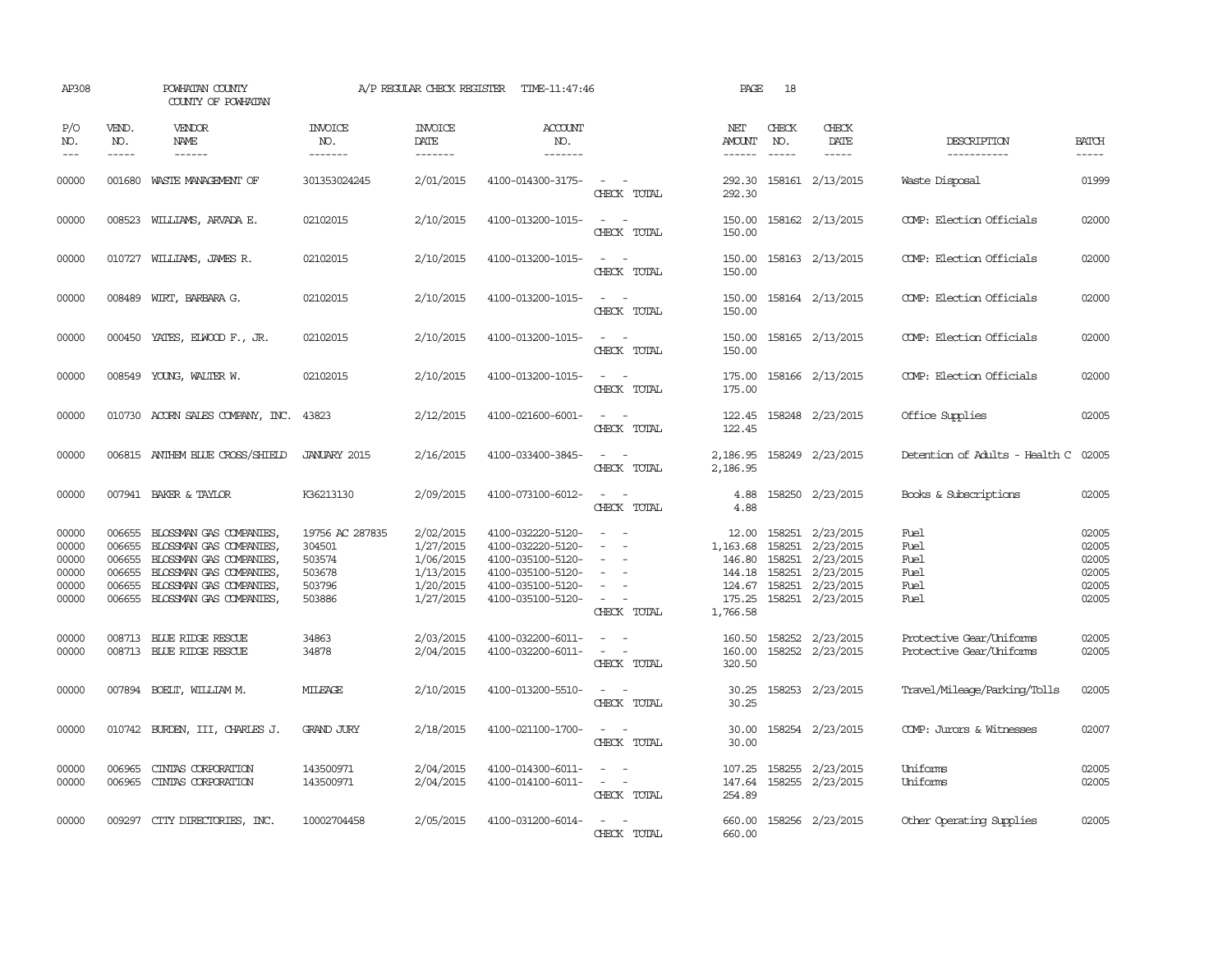| AP308                                              |                                                          | POWHATAN COUNTY<br>COUNTY OF POWHATAN                                                                                                                          |                                                                   | A/P REGULAR CHECK REGISTER                                                 | TIME-11:47:46                                                                                                              |                                                                                                 | PAGE                                                                  | 18                                   |                                                                                          |                                                      |                                                    |
|----------------------------------------------------|----------------------------------------------------------|----------------------------------------------------------------------------------------------------------------------------------------------------------------|-------------------------------------------------------------------|----------------------------------------------------------------------------|----------------------------------------------------------------------------------------------------------------------------|-------------------------------------------------------------------------------------------------|-----------------------------------------------------------------------|--------------------------------------|------------------------------------------------------------------------------------------|------------------------------------------------------|----------------------------------------------------|
| P/O<br>NO.<br>$---$                                | VEND.<br>NO.<br>$\frac{1}{2}$                            | VENDOR<br>NAME                                                                                                                                                 | <b>INVOICE</b><br>NO.<br>-------                                  | <b>INVOICE</b><br>DATE<br>-------                                          | <b>ACCOUNT</b><br>NO.<br>-------                                                                                           |                                                                                                 | NET<br>AMOUNT<br>-------                                              | CHECK<br>NO.<br>$\frac{1}{2}$        | CHECK<br>DATE                                                                            | DESCRIPTION<br>-----------                           | <b>BATCH</b><br>-----                              |
| 00000                                              |                                                          | 001680 WASTE MANAGEMENT OF                                                                                                                                     | 301353024245                                                      | 2/01/2015                                                                  | 4100-014300-3175-                                                                                                          | $\equiv$<br>CHECK TOTAL                                                                         | 292.30<br>292.30                                                      |                                      | 158161 2/13/2015                                                                         | Waste Disposal                                       | 01999                                              |
| 00000                                              |                                                          | 008523 WILLIAMS, ARVADA E.                                                                                                                                     | 02102015                                                          | 2/10/2015                                                                  | 4100-013200-1015-                                                                                                          | $\overline{\phantom{a}}$<br>$\sim$<br>CHECK TOTAL                                               | 150.00<br>150.00                                                      |                                      | 158162 2/13/2015                                                                         | COMP: Election Officials                             | 02000                                              |
| 00000                                              |                                                          | 010727 WILLIAMS, JAMES R.                                                                                                                                      | 02102015                                                          | 2/10/2015                                                                  | 4100-013200-1015-                                                                                                          | $\sim$<br>$\sim$<br>CHECK TOTAL                                                                 | 150.00<br>150.00                                                      |                                      | 158163 2/13/2015                                                                         | COMP: Election Officials                             | 02000                                              |
| 00000                                              |                                                          | 008489 WIRT, BARBARA G.                                                                                                                                        | 02102015                                                          | 2/10/2015                                                                  | 4100-013200-1015-                                                                                                          | CHECK TOTAL                                                                                     | 150.00<br>150.00                                                      |                                      | 158164 2/13/2015                                                                         | COMP: Election Officials                             | 02000                                              |
| 00000                                              | 000450                                                   | YATES, ELWOOD F., JR.                                                                                                                                          | 02102015                                                          | 2/10/2015                                                                  | 4100-013200-1015-                                                                                                          | $\sim$<br>$\sim$<br>CHECK TOTAL                                                                 | 150.00<br>150.00                                                      |                                      | 158165 2/13/2015                                                                         | COMP: Election Officials                             | 02000                                              |
| 00000                                              |                                                          | 008549 YOUNG, WALTER W.                                                                                                                                        | 02102015                                                          | 2/10/2015                                                                  | 4100-013200-1015-                                                                                                          | CHECK TOTAL                                                                                     | 175.00<br>175.00                                                      |                                      | 158166 2/13/2015                                                                         | COMP: Election Officials                             | 02000                                              |
| 00000                                              |                                                          | 010730 ACORN SALES COMPANY, INC.                                                                                                                               | 43823                                                             | 2/12/2015                                                                  | 4100-021600-6001-                                                                                                          | $\equiv$<br>CHECK TOTAL                                                                         | 122.45<br>122.45                                                      |                                      | 158248 2/23/2015                                                                         | Office Supplies                                      | 02005                                              |
| 00000                                              |                                                          | 006815 ANTHEM BLUE CROSS/SHIELD                                                                                                                                | <b>JANUARY 2015</b>                                               | 2/16/2015                                                                  | 4100-033400-3845-                                                                                                          | $ -$<br>CHECK TOTAL                                                                             | 2,186.95<br>2,186.95                                                  |                                      | 158249 2/23/2015                                                                         | Detention of Adults - Health C                       | 02005                                              |
| 00000                                              |                                                          | 007941 BAKER & TAYLOR                                                                                                                                          | K36213130                                                         | 2/09/2015                                                                  | 4100-073100-6012-                                                                                                          | CHECK TOTAL                                                                                     | 4.88<br>4.88                                                          |                                      | 158250 2/23/2015                                                                         | Books & Subscriptions                                | 02005                                              |
| 00000<br>00000<br>00000<br>00000<br>00000<br>00000 | 006655<br>006655<br>006655<br>006655<br>006655<br>006655 | BLOSSMAN GAS COMPANIES,<br>BLOSSMAN GAS COMPANIES,<br>BLOSSMAN GAS COMPANIES,<br>BLOSSMAN GAS COMPANIES.<br>BLOSSMAN GAS COMPANIES,<br>BLOSSMAN GAS COMPANIES, | 19756 AC 287835<br>304501<br>503574<br>503678<br>503796<br>503886 | 2/02/2015<br>1/27/2015<br>1/06/2015<br>1/13/2015<br>1/20/2015<br>1/27/2015 | 4100-032220-5120-<br>4100-032220-5120-<br>4100-035100-5120-<br>4100-035100-5120-<br>4100-035100-5120-<br>4100-035100-5120- | $\sim$<br>$\sim$<br>$\sim$<br>CHECK TOTAL                                                       | 12.00<br>1,163.68<br>146.80<br>144.18<br>124.67<br>175.25<br>1,766.58 | 158251<br>158251<br>158251<br>158251 | 2/23/2015<br>2/23/2015<br>2/23/2015<br>2/23/2015<br>158251 2/23/2015<br>158251 2/23/2015 | Fuel<br><b>Fuel</b><br>Fuel<br>Fuel<br>Fuel<br>Fuel  | 02005<br>02005<br>02005<br>02005<br>02005<br>02005 |
| 00000<br>00000                                     | 008713                                                   | 008713 BLUE RIDGE RESCUE<br>BLUE RIDGE RESCUE                                                                                                                  | 34863<br>34878                                                    | 2/03/2015<br>2/04/2015                                                     | 4100-032200-6011-<br>4100-032200-6011-                                                                                     | $\sim$<br>$\overline{\phantom{a}}$<br>CHECK TOTAL                                               | 160.50<br>160.00<br>320.50                                            |                                      | 158252 2/23/2015<br>158252 2/23/2015                                                     | Protective Gear/Uniforms<br>Protective Gear/Uniforms | 02005<br>02005                                     |
| 00000                                              |                                                          | 007894 BOELT, WILLIAM M.                                                                                                                                       | MILEAGE                                                           | 2/10/2015                                                                  | 4100-013200-5510-                                                                                                          | $\equiv$<br>CHECK TOTAL                                                                         | 30.25<br>30.25                                                        |                                      | 158253 2/23/2015                                                                         | Travel/Mileage/Parking/Tolls                         | 02005                                              |
| 00000                                              |                                                          | 010742 BURDEN, III, CHARLES J.                                                                                                                                 | <b>GRAND JURY</b>                                                 | 2/18/2015                                                                  | 4100-021100-1700-                                                                                                          | $\sim$ $\sim$<br>CHECK TOTAL                                                                    | 30.00<br>30.00                                                        |                                      | 158254 2/23/2015                                                                         | COMP: Jurors & Witnesses                             | 02007                                              |
| 00000<br>00000                                     | 006965<br>006965                                         | CINIAS CORPORATION<br>CINIAS CORPORATION                                                                                                                       | 143500971<br>143500971                                            | 2/04/2015<br>2/04/2015                                                     | 4100-014300-6011-<br>4100-014100-6011-                                                                                     | $\overline{\phantom{0}}$<br>$\overline{\phantom{a}}$<br>$\overline{\phantom{a}}$<br>CHECK TOTAL | 107.25<br>147.64<br>254.89                                            |                                      | 158255 2/23/2015<br>158255 2/23/2015                                                     | Uniforms<br>Uniforms                                 | 02005<br>02005                                     |
| 00000                                              |                                                          | 009297 CITY DIRECTORIES, INC.                                                                                                                                  | 10002704458                                                       | 2/05/2015                                                                  | 4100-031200-6014-                                                                                                          | CHECK TOTAL                                                                                     | 660.00<br>660.00                                                      |                                      | 158256 2/23/2015                                                                         | Other Operating Supplies                             | 02005                                              |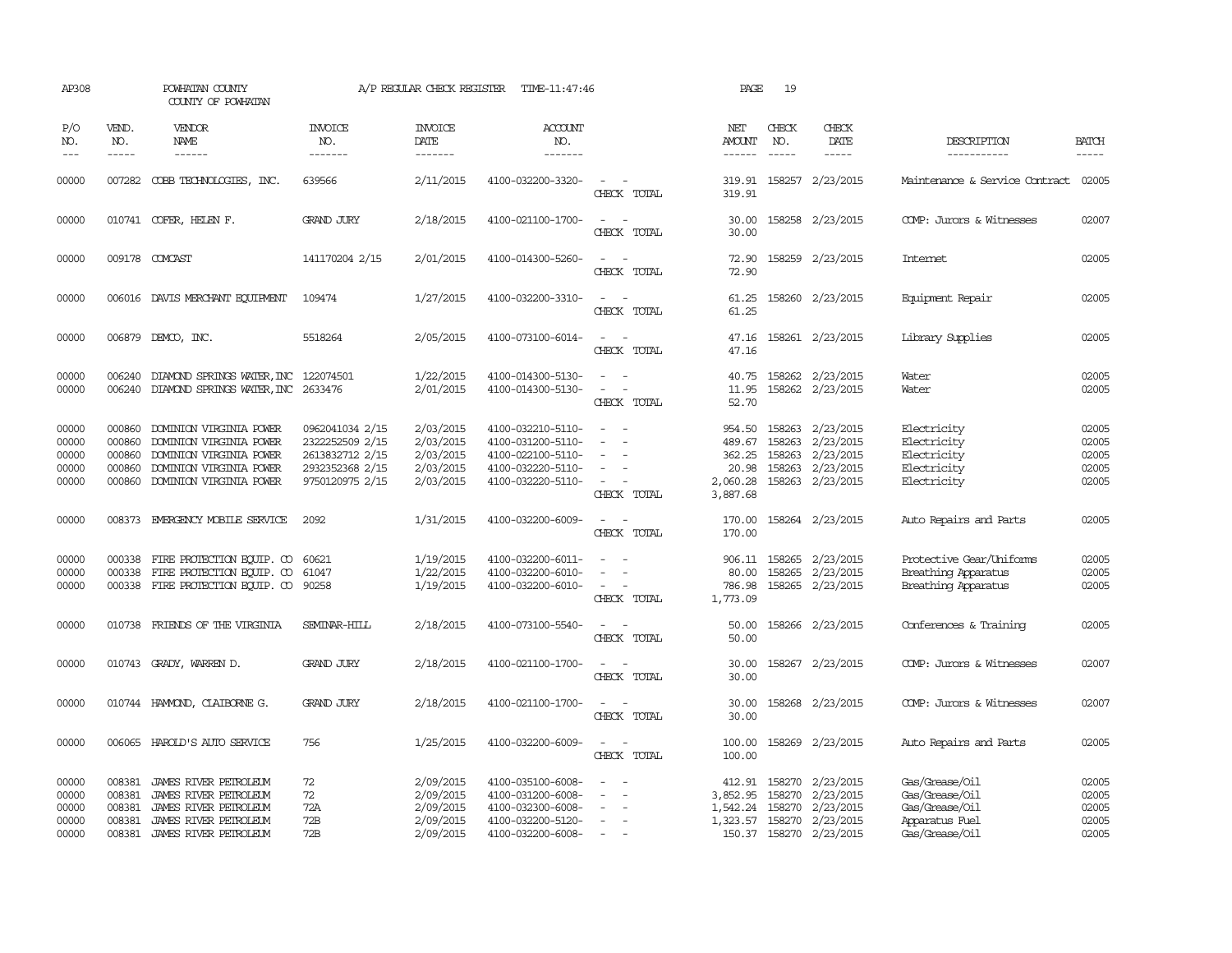| AP308                                     |                                                | POWHATAN COUNTY<br>COUNTY OF POWHATAN                                                                                               |                                                                                             | A/P REGULAR CHECK REGISTER                                    | TIME-11:47:46                                                                                         |                                                                       | PAGE                                                        | 19                                   |                                                                                                         |                                                                                        |                                           |
|-------------------------------------------|------------------------------------------------|-------------------------------------------------------------------------------------------------------------------------------------|---------------------------------------------------------------------------------------------|---------------------------------------------------------------|-------------------------------------------------------------------------------------------------------|-----------------------------------------------------------------------|-------------------------------------------------------------|--------------------------------------|---------------------------------------------------------------------------------------------------------|----------------------------------------------------------------------------------------|-------------------------------------------|
| P/O<br>NO.<br>$\qquad \qquad - -$         | VEND.<br>NO.<br>$- - - - -$                    | <b>VENDOR</b><br><b>NAME</b><br>------                                                                                              | <b>INVOICE</b><br>NO.<br>-------                                                            | <b>INVOICE</b><br><b>DATE</b><br>-------                      | <b>ACCOUNT</b><br>NO.<br>-------                                                                      |                                                                       | NET<br>AMOUNT<br>$- - - - - -$                              | CHECK<br>NO.<br>$\frac{1}{2}$        | CHECK<br>DATE                                                                                           | DESCRIPTION<br>-----------                                                             | <b>BATCH</b><br>-----                     |
| 00000                                     |                                                | 007282 COBB TECHNOLOGIES, INC.                                                                                                      | 639566                                                                                      | 2/11/2015                                                     | 4100-032200-3320-                                                                                     | $\equiv$<br>CHECK TOTAL                                               | 319.91<br>319.91                                            |                                      | 158257 2/23/2015                                                                                        | Maintenance & Service Contract                                                         | 02005                                     |
| 00000                                     |                                                | 010741 COFER, HELEN F.                                                                                                              | <b>GRAND JURY</b>                                                                           | 2/18/2015                                                     | 4100-021100-1700-                                                                                     | $\sim$<br>CHECK TOTAL                                                 | 30.00<br>30.00                                              |                                      | 158258 2/23/2015                                                                                        | COMP: Jurors & Witnesses                                                               | 02007                                     |
| 00000                                     |                                                | 009178 COMCAST                                                                                                                      | 141170204 2/15                                                                              | 2/01/2015                                                     | 4100-014300-5260-                                                                                     | $\equiv$<br>CHECK TOTAL                                               | 72.90<br>72.90                                              |                                      | 158259 2/23/2015                                                                                        | <b>Internet</b>                                                                        | 02005                                     |
| 00000                                     |                                                | 006016 DAVIS MERCHANT EQUIPMENT                                                                                                     | 109474                                                                                      | 1/27/2015                                                     | 4100-032200-3310-                                                                                     | $ -$<br>CHECK TOTAL                                                   | 61.25<br>61.25                                              |                                      | 158260 2/23/2015                                                                                        | Equipment Repair                                                                       | 02005                                     |
| 00000                                     |                                                | 006879 DEMCO, INC.                                                                                                                  | 5518264                                                                                     | 2/05/2015                                                     | 4100-073100-6014-                                                                                     | $\equiv$<br>CHECK TOTAL                                               | 47.16<br>47.16                                              |                                      | 158261 2/23/2015                                                                                        | Library Supplies                                                                       | 02005                                     |
| 00000<br>00000                            | 006240<br>006240                               | DIAMOND SPRINGS WATER, INC 122074501<br>DIAMOND SPRINGS WATER, INC                                                                  | 2633476                                                                                     | 1/22/2015<br>2/01/2015                                        | 4100-014300-5130-<br>4100-014300-5130-                                                                | $\sim$<br>$\sim$<br>CHECK TOTAL                                       | 40.75<br>11.95<br>52.70                                     |                                      | 158262 2/23/2015<br>158262 2/23/2015                                                                    | Water<br>Water                                                                         | 02005<br>02005                            |
| 00000<br>00000<br>00000<br>00000<br>00000 | 000860<br>000860<br>000860<br>000860<br>000860 | DOMINION VIRGINIA POWER<br>DOMINION VIRGINIA POWER<br>DOMINION VIRGINIA POWER<br>DOMINION VIRGINIA POWER<br>DOMINION VIRGINIA POWER | 0962041034 2/15<br>2322252509 2/15<br>2613832712 2/15<br>2932352368 2/15<br>9750120975 2/15 | 2/03/2015<br>2/03/2015<br>2/03/2015<br>2/03/2015<br>2/03/2015 | 4100-032210-5110-<br>4100-031200-5110-<br>4100-022100-5110-<br>4100-032220-5110-<br>4100-032220-5110- | $\sim$<br>$\sim$<br>$\sim$<br>$\overline{\phantom{a}}$<br>CHECK TOTAL | 954.50<br>489.67<br>362.25<br>20.98<br>2,060.28<br>3,887.68 | 158263<br>158263<br>158263<br>158263 | 2/23/2015<br>2/23/2015<br>2/23/2015<br>2/23/2015<br>158263 2/23/2015                                    | Electricity<br>Electricity<br>Electricity<br>Electricity<br>Electricity                | 02005<br>02005<br>02005<br>02005<br>02005 |
| 00000                                     |                                                | 008373 EMERGENCY MOBILE SERVICE                                                                                                     | 2092                                                                                        | 1/31/2015                                                     | 4100-032200-6009-                                                                                     | $\omega_{\rm{max}}$ , $\omega_{\rm{max}}$<br>CHECK TOTAL              | 170.00<br>170.00                                            |                                      | 158264 2/23/2015                                                                                        | Auto Repairs and Parts                                                                 | 02005                                     |
| 00000<br>00000<br>00000                   | 000338<br>000338                               | FIRE PROTECTION EQUIP. CO<br>FIRE PROTECTION EQUIP. CO<br>000338 FIRE PROTECTION EQUIP. CO                                          | 60621<br>61047<br>90258                                                                     | 1/19/2015<br>1/22/2015<br>1/19/2015                           | 4100-032200-6011-<br>4100-032200-6010-<br>4100-032200-6010-                                           | $\equiv$<br>$\equiv$<br>$\equiv$<br>CHECK TOTAL                       | 80.00<br>786.98<br>1,773.09                                 | 158265                               | 906.11 158265 2/23/2015<br>2/23/2015<br>158265 2/23/2015                                                | Protective Gear/Uniforms<br>Breathing Apparatus<br>Breathing Apparatus                 | 02005<br>02005<br>02005                   |
| 00000                                     |                                                | 010738 FRIENDS OF THE VIRGINIA                                                                                                      | SEMINAR-HILL                                                                                | 2/18/2015                                                     | 4100-073100-5540-                                                                                     | $\sim$<br>CHECK TOTAL                                                 | 50.00<br>50.00                                              |                                      | 158266 2/23/2015                                                                                        | Conferences & Training                                                                 | 02005                                     |
| 00000                                     |                                                | 010743 GRADY, WARREN D.                                                                                                             | <b>GRAND JURY</b>                                                                           | 2/18/2015                                                     | 4100-021100-1700-                                                                                     | CHECK TOTAL                                                           | 30.00<br>30.00                                              |                                      | 158267 2/23/2015                                                                                        | COMP: Jurors & Witnesses                                                               | 02007                                     |
| 00000                                     |                                                | 010744 HAMOND, CLAIBORNEG.                                                                                                          | <b>GRAND JURY</b>                                                                           | 2/18/2015                                                     | 4100-021100-1700-                                                                                     | $\sim$ $\sim$<br>CHECK TOTAL                                          | 30.00<br>30.00                                              |                                      | 158268 2/23/2015                                                                                        | COMP: Jurors & Witnesses                                                               | 02007                                     |
| 00000                                     |                                                | 006065 HAROLD'S AUTO SERVICE                                                                                                        | 756                                                                                         | 1/25/2015                                                     | 4100-032200-6009-                                                                                     | $\overline{\phantom{a}}$<br>$\sim$<br>CHECK TOTAL                     | 100.00<br>100.00                                            |                                      | 158269 2/23/2015                                                                                        | Auto Repairs and Parts                                                                 | 02005                                     |
| 00000<br>00000<br>00000<br>00000<br>00000 | 008381<br>008381<br>008381<br>008381           | 008381 JAMES RIVER PETROLEUM<br>JAMES RIVER PETROLEUM<br>JAMES RIVER PEIROLEUM<br>JAMES RIVER PETROLEUM<br>JAMES RIVER PETROLEUM    | 72<br>72<br>72A<br>72B<br>72B                                                               | 2/09/2015<br>2/09/2015<br>2/09/2015<br>2/09/2015<br>2/09/2015 | 4100-035100-6008-<br>4100-031200-6008-<br>4100-032300-6008-<br>4100-032200-5120-<br>4100-032200-6008- | $\equiv$<br>$\sim$                                                    | 3,852.95<br>1,542.24<br>1,323.57                            | 158270                               | 412.91 158270 2/23/2015<br>2/23/2015<br>158270 2/23/2015<br>158270 2/23/2015<br>150.37 158270 2/23/2015 | Gas/Grease/Oil<br>Gas/Grease/Oil<br>Gas/Grease/Oil<br>Apparatus Fuel<br>Gas/Grease/Oil | 02005<br>02005<br>02005<br>02005<br>02005 |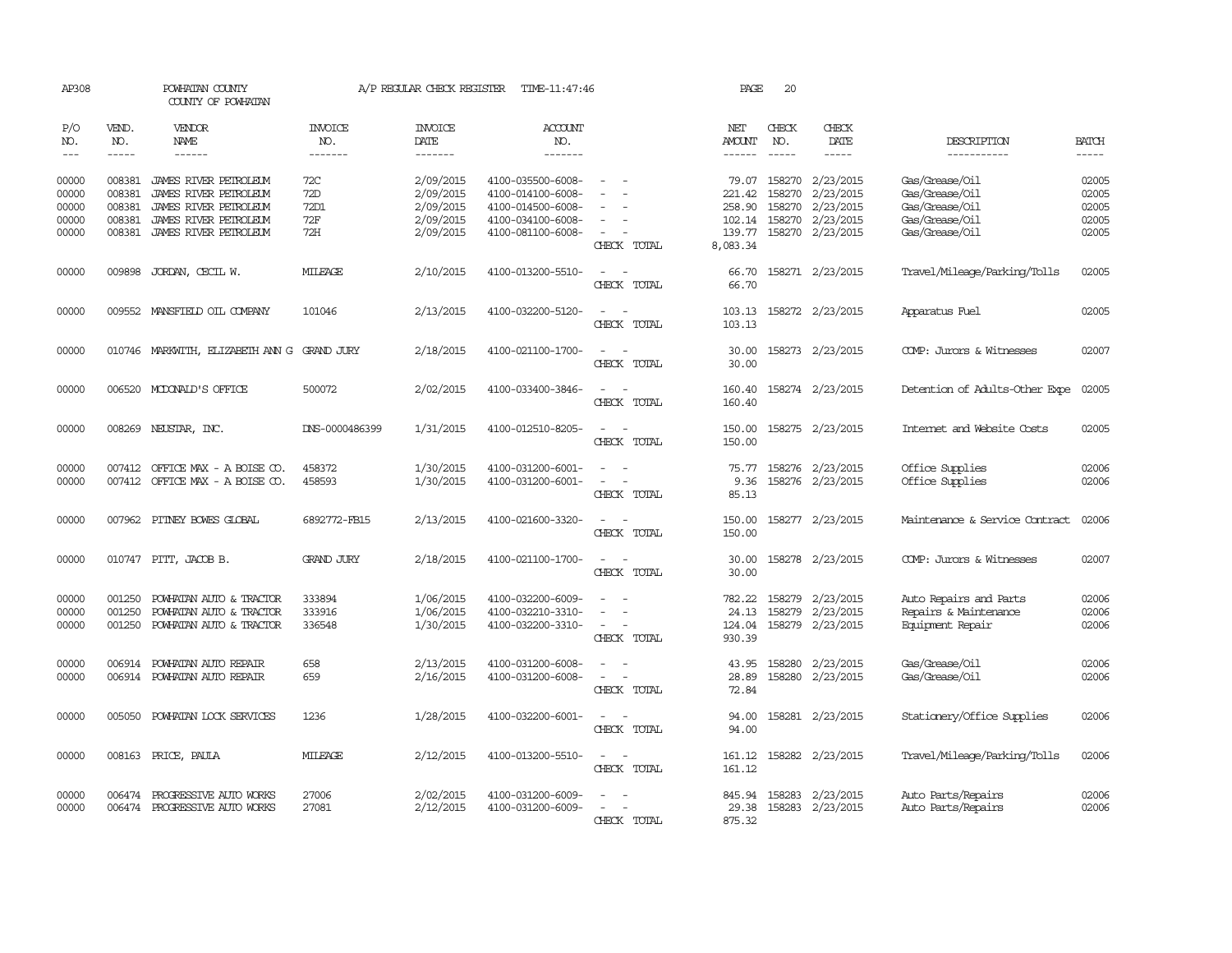| AP308                                     |                                                | POWHATAN COUNTY<br>COUNTY OF POWHATAN                                                                                     |                                         | A/P REGULAR CHECK REGISTER                                    | TIME-11:47:46                                                                                         |                                                                     | PAGE                                                      | 20                                   |                                                                      |                                                                                        |                                           |
|-------------------------------------------|------------------------------------------------|---------------------------------------------------------------------------------------------------------------------------|-----------------------------------------|---------------------------------------------------------------|-------------------------------------------------------------------------------------------------------|---------------------------------------------------------------------|-----------------------------------------------------------|--------------------------------------|----------------------------------------------------------------------|----------------------------------------------------------------------------------------|-------------------------------------------|
| P/O<br>NO.<br>$---$                       | VEND.<br>NO.<br>$\cdots$                       | VENDOR<br><b>NAME</b><br>$\frac{1}{2}$                                                                                    | INVOICE<br>NO.<br>-------               | <b>INVOICE</b><br>DATE<br>-------                             | <b>ACCOUNT</b><br>NO.<br>-------                                                                      |                                                                     | NET<br><b>AMOUNT</b><br>$- - - - - -$                     | CHECK<br>NO.<br>$\frac{1}{2}$        | CHECK<br>DATE<br>-----                                               | DESCRIPTION<br>-----------                                                             | <b>BATCH</b><br>-----                     |
| 00000<br>00000<br>00000<br>00000<br>00000 | 008381<br>008381<br>008381<br>008381<br>008381 | JAMES RIVER PETROLEUM<br>JAMES RIVER PETROLEUM<br>JAMES RIVER PETROLEUM<br>JAMES RIVER PETROLEUM<br>JAMES RIVER PEIROLEUM | 72C<br>72D<br>72D1<br><b>72F</b><br>72H | 2/09/2015<br>2/09/2015<br>2/09/2015<br>2/09/2015<br>2/09/2015 | 4100-035500-6008-<br>4100-014100-6008-<br>4100-014500-6008-<br>4100-034100-6008-<br>4100-081100-6008- | $\sim$<br>CHECK TOTAL                                               | 79.07<br>221.42<br>258.90<br>102.14<br>139.77<br>8,083.34 | 158270<br>158270<br>158270<br>158270 | 2/23/2015<br>2/23/2015<br>2/23/2015<br>2/23/2015<br>158270 2/23/2015 | Gas/Grease/Oil<br>Gas/Grease/Oil<br>Gas/Grease/Oil<br>Gas/Grease/Oil<br>Gas/Grease/Oil | 02005<br>02005<br>02005<br>02005<br>02005 |
| 00000                                     | 009898                                         | JORDAN, CECIL W.                                                                                                          | MILEAGE                                 | 2/10/2015                                                     | 4100-013200-5510-                                                                                     | $\sim$<br>CHECK TOTAL                                               | 66.70<br>66.70                                            |                                      | 158271 2/23/2015                                                     | Travel/Mileage/Parking/Tolls                                                           | 02005                                     |
| 00000                                     |                                                | 009552 MANSFIELD OIL COMPANY                                                                                              | 101046                                  | 2/13/2015                                                     | 4100-032200-5120-                                                                                     | $\overline{\phantom{a}}$<br>CHECK TOTAL                             | 103.13<br>103.13                                          |                                      | 158272 2/23/2015                                                     | Apparatus Fuel                                                                         | 02005                                     |
| 00000                                     |                                                | 010746 MARKWITH, ELIZABETH ANN G                                                                                          | GRAND JURY                              | 2/18/2015                                                     | 4100-021100-1700-                                                                                     | CHECK TOTAL                                                         | 30.00<br>30.00                                            |                                      | 158273 2/23/2015                                                     | COMP: Jurors & Witnesses                                                               | 02007                                     |
| 00000                                     |                                                | 006520 MCDONALD'S OFFICE                                                                                                  | 500072                                  | 2/02/2015                                                     | 4100-033400-3846-                                                                                     | CHECK TOTAL                                                         | 160.40<br>160.40                                          |                                      | 158274 2/23/2015                                                     | Detention of Adults-Other Expe                                                         | 02005                                     |
| 00000                                     |                                                | 008269 NEUSTAR, INC.                                                                                                      | DNS-0000486399                          | 1/31/2015                                                     | 4100-012510-8205-                                                                                     | $\overline{\phantom{a}}$<br>$\overline{\phantom{a}}$<br>CHECK TOTAL | 150.00<br>150.00                                          |                                      | 158275 2/23/2015                                                     | Internet and Website Costs                                                             | 02005                                     |
| 00000<br>00000                            | 007412<br>007412                               | OFFICE MAX - A BOISE CO.<br>OFFICE MAX - A BOISE CO.                                                                      | 458372<br>458593                        | 1/30/2015<br>1/30/2015                                        | 4100-031200-6001-<br>4100-031200-6001-                                                                | CHECK TOTAL                                                         | 75.77<br>9.36<br>85.13                                    | 158276                               | 158276 2/23/2015<br>2/23/2015                                        | Office Supplies<br>Office Supplies                                                     | 02006<br>02006                            |
| 00000                                     |                                                | 007962 PITNEY BOWES GLOBAL                                                                                                | 6892772-FB15                            | 2/13/2015                                                     | 4100-021600-3320-                                                                                     | CHECK TOTAL                                                         | 150.00<br>150.00                                          |                                      | 158277 2/23/2015                                                     | Maintenance & Service Contract                                                         | 02006                                     |
| 00000                                     |                                                | 010747 PITT, JACOB B.                                                                                                     | <b>GRAND JURY</b>                       | 2/18/2015                                                     | 4100-021100-1700-                                                                                     | $\overline{\phantom{a}}$<br>$\sim$<br>CHECK TOTAL                   | 30.00<br>30.00                                            |                                      | 158278 2/23/2015                                                     | COMP: Jurors & Witnesses                                                               | 02007                                     |
| 00000<br>00000<br>00000                   | 001250<br>001250<br>001250                     | POWHATAN AUTO & TRACTOR<br>POWHATAN AUTO & TRACTOR<br>POWHATAN AUTO & TRACTOR                                             | 333894<br>333916<br>336548              | 1/06/2015<br>1/06/2015<br>1/30/2015                           | 4100-032200-6009-<br>4100-032210-3310-<br>4100-032200-3310-                                           | CHECK TOTAL                                                         | 782.22<br>24.13<br>124.04<br>930.39                       | 158279<br>158279                     | 2/23/2015<br>2/23/2015<br>158279 2/23/2015                           | Auto Repairs and Parts<br>Repairs & Maintenance<br>Equipment Repair                    | 02006<br>02006<br>02006                   |
| 00000<br>00000                            | 006914                                         | POWHATAN AUTO REPAIR<br>006914 POWHATAN AUTO REPAIR                                                                       | 658<br>659                              | 2/13/2015<br>2/16/2015                                        | 4100-031200-6008-<br>4100-031200-6008-                                                                | $\sim$<br>$\overline{\phantom{0}}$<br>CHECK TOTAL                   | 43.95<br>28.89<br>72.84                                   | 158280                               | 2/23/2015<br>158280 2/23/2015                                        | Gas/Grease/Oil<br>Gas/Grease/Oil                                                       | 02006<br>02006                            |
| 00000                                     |                                                | 005050 POWHATAN LOCK SERVICES                                                                                             | 1236                                    | 1/28/2015                                                     | 4100-032200-6001-                                                                                     | $\sim$ $\sim$<br>CHECK TOTAL                                        | 94.00<br>94.00                                            |                                      | 158281 2/23/2015                                                     | Stationery/Office Supplies                                                             | 02006                                     |
| 00000                                     |                                                | 008163 PRICE, PAULA                                                                                                       | MILEAGE                                 | 2/12/2015                                                     | 4100-013200-5510-                                                                                     | $\overline{\phantom{a}}$<br>$\sim$<br>CHECK TOTAL                   | 161.12<br>161.12                                          |                                      | 158282 2/23/2015                                                     | Travel/Mileage/Parking/Tolls                                                           | 02006                                     |
| 00000<br>00000                            | 006474                                         | PROGRESSIVE AUTO WORKS<br>006474 PROGRESSIVE AUTO WORKS                                                                   | 27006<br>27081                          | 2/02/2015<br>2/12/2015                                        | 4100-031200-6009-<br>4100-031200-6009-                                                                | CHECK TOTAL                                                         | 845.94<br>29.38<br>875.32                                 |                                      | 158283 2/23/2015<br>158283 2/23/2015                                 | Auto Parts/Repairs<br>Auto Parts/Repairs                                               | 02006<br>02006                            |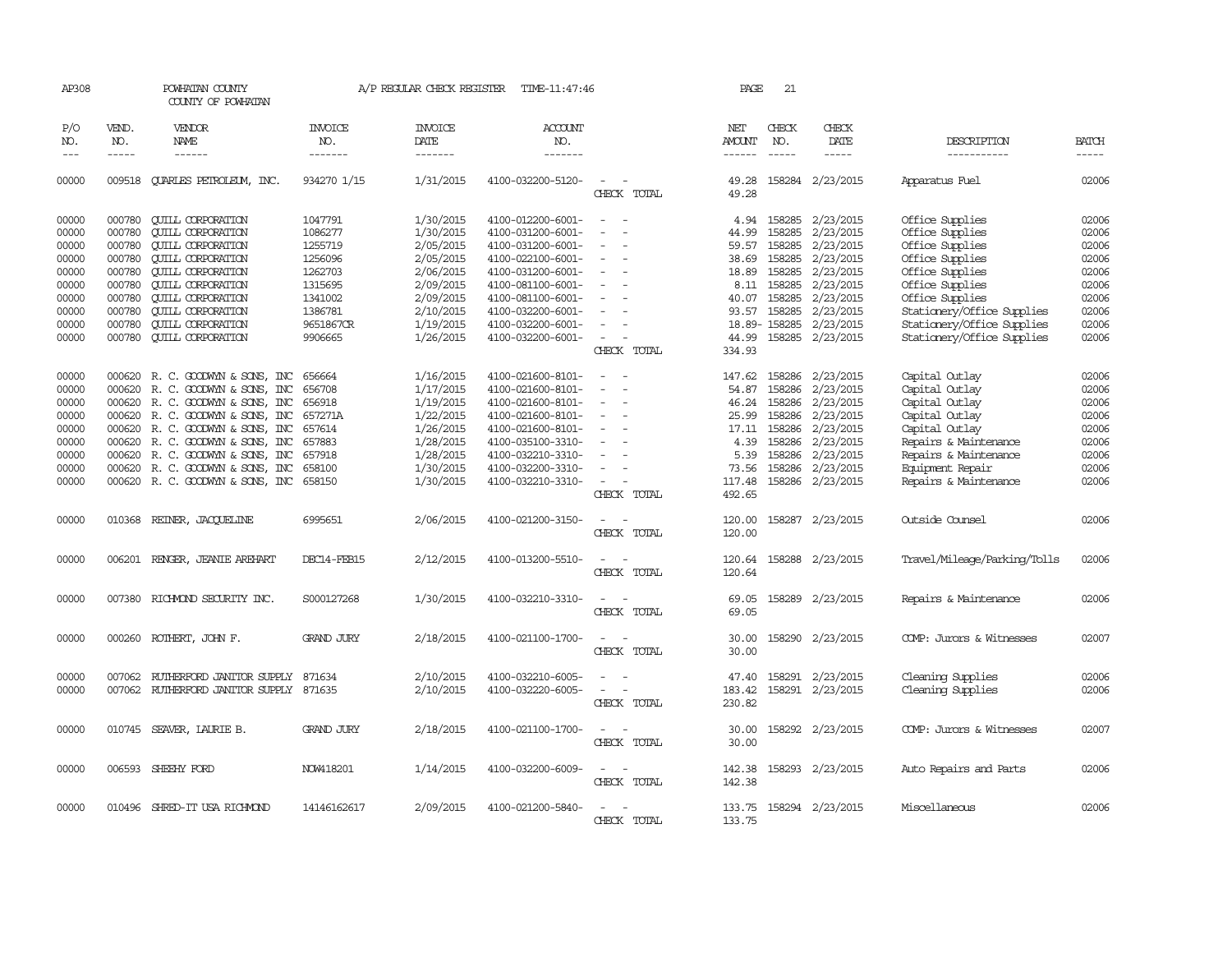| AP308                   |                                                                                                                                                                                                                                                                                                                                                                                                                                                                         | POWHATAN COUNTY<br>COUNTY OF POWHATAN                                                                    |                               | A/P REGULAR CHECK REGISTER          | TIME-11:47:46                                               |                                                                                  | PAGE                      | 21                                     |                                     |                                                                  |                         |
|-------------------------|-------------------------------------------------------------------------------------------------------------------------------------------------------------------------------------------------------------------------------------------------------------------------------------------------------------------------------------------------------------------------------------------------------------------------------------------------------------------------|----------------------------------------------------------------------------------------------------------|-------------------------------|-------------------------------------|-------------------------------------------------------------|----------------------------------------------------------------------------------|---------------------------|----------------------------------------|-------------------------------------|------------------------------------------------------------------|-------------------------|
| P/O<br>NO.<br>$---$     | VEND.<br>NO.<br>$\begin{tabular}{ccccc} \multicolumn{2}{c }{\multicolumn{2}{c }{\multicolumn{2}{c }{\multicolumn{2}{c}}{\hspace{-2.2cm}}}} \multicolumn{2}{c }{\multicolumn{2}{c }{\hspace{-2.2cm}}\hline} \multicolumn{2}{c }{\hspace{-2.2cm}}\hline \multicolumn{2}{c }{\hspace{-2.2cm}}\hline \multicolumn{2}{c }{\hspace{-2.2cm}}\hline \multicolumn{2}{c }{\hspace{-2.2cm}}\hline \multicolumn{2}{c }{\hspace{-2.2cm}}\hline \multicolumn{2}{c }{\hspace{-2.2cm}}$ | VENDOR<br>NAME<br>$- - - - - -$                                                                          | INVOICE<br>NO.<br>-------     | <b>INVOICE</b><br>DATE<br>-------   | ACCOUNT<br>NO.<br>-------                                   |                                                                                  | NET<br>AMOUNT             | CHECK<br>NO.<br>$\cdots$               | CHECK<br>DATE<br>-----              | DESCRIPTION<br>-----------                                       | <b>BATCH</b>            |
| 00000                   | 009518                                                                                                                                                                                                                                                                                                                                                                                                                                                                  | <b>OUARLES PETROLEUM, INC.</b>                                                                           | 934270 1/15                   | 1/31/2015                           | 4100-032200-5120-                                           | CHECK TOTAL                                                                      | 49.28<br>49.28            |                                        | 158284 2/23/2015                    | Apparatus Fuel                                                   | 02006                   |
| 00000<br>00000<br>00000 | 000780<br>000780<br>000780                                                                                                                                                                                                                                                                                                                                                                                                                                              | <b>CUILL CORPORATION</b><br><b>QUILL CORPORATION</b><br><b>CUILL CORPORATION</b>                         | 1047791<br>1086277<br>1255719 | 1/30/2015<br>1/30/2015<br>2/05/2015 | 4100-012200-6001-<br>4100-031200-6001-<br>4100-031200-6001- | $\overline{\phantom{a}}$<br>$\sim$<br>$\equiv$                                   | 44.99<br>59.57            | 4.94 158285<br>158285<br>158285        | 2/23/2015<br>2/23/2015<br>2/23/2015 | Office Supplies<br>Office Supplies<br>Office Supplies            | 02006<br>02006<br>02006 |
| 00000<br>00000          | 000780<br>000780                                                                                                                                                                                                                                                                                                                                                                                                                                                        | <b>QUILL CORPORATION</b><br><b>CUILL CORPORATION</b>                                                     | 1256096<br>1262703            | 2/05/2015<br>2/06/2015              | 4100-022100-6001-<br>4100-031200-6001-                      | $\sim$                                                                           | 38.69                     | 158285<br>18.89 158285                 | 2/23/2015<br>2/23/2015              | Office Supplies<br>Office Supplies                               | 02006<br>02006          |
| 00000<br>00000<br>00000 | 000780<br>000780<br>000780                                                                                                                                                                                                                                                                                                                                                                                                                                              | <b>QUILL CORPORATION</b><br><b>QUILL CORPORATION</b><br><b>CUILL CORPORATION</b>                         | 1315695<br>1341002<br>1386781 | 2/09/2015<br>2/09/2015<br>2/10/2015 | 4100-081100-6001-<br>4100-081100-6001-<br>4100-032200-6001- | $\overline{\phantom{a}}$<br>$\equiv$                                             | 8.11                      | 158285<br>40.07 158285<br>93.57 158285 | 2/23/2015<br>2/23/2015<br>2/23/2015 | Office Supplies<br>Office Supplies<br>Stationery/Office Supplies | 02006<br>02006<br>02006 |
| 00000<br>00000          | 000780<br>000780                                                                                                                                                                                                                                                                                                                                                                                                                                                        | <b>CUILL CORPORATION</b><br><b>CUILL CORPORATION</b>                                                     | 9651867CR<br>9906665          | 1/19/2015<br>1/26/2015              | 4100-032200-6001-<br>4100-032200-6001-                      | $\overline{\phantom{a}}$<br>$\overline{\phantom{a}}$                             |                           | 18.89-158285<br>44.99 158285           | 2/23/2015<br>2/23/2015              | Stationery/Office Supplies<br>Stationery/Office Supplies         | 02006<br>02006          |
|                         |                                                                                                                                                                                                                                                                                                                                                                                                                                                                         |                                                                                                          |                               |                                     |                                                             | CHECK TOTAL                                                                      | 334.93                    |                                        |                                     |                                                                  |                         |
| 00000<br>00000          |                                                                                                                                                                                                                                                                                                                                                                                                                                                                         | 000620 R. C. GOODWYN & SONS, INC<br>000620 R.C. GOODWYN & SONS, INC                                      | 656664<br>656708              | 1/16/2015<br>1/17/2015              | 4100-021600-8101-<br>4100-021600-8101-                      | $\overline{\phantom{a}}$<br>$\sim$ $-$                                           | 54.87                     | 147.62 158286<br>158286                | 2/23/2015<br>2/23/2015              | Capital Outlay<br>Capital Outlay                                 | 02006<br>02006          |
| 00000<br>00000<br>00000 |                                                                                                                                                                                                                                                                                                                                                                                                                                                                         | 000620 R. C. GOODWYN & SONS, INC<br>000620 R. C. GOODWYN & SONS, INC<br>000620 R. C. GOODWYN & SONS, INC | 656918<br>657271A<br>657614   | 1/19/2015<br>1/22/2015<br>1/26/2015 | 4100-021600-8101-<br>4100-021600-8101-<br>4100-021600-8101- | $\overline{\phantom{a}}$<br>$\overline{\phantom{a}}$<br>$\overline{\phantom{0}}$ | 25.99<br>17.11            | 46.24 158286<br>158286<br>158286       | 2/23/2015<br>2/23/2015<br>2/23/2015 | Capital Outlay<br>Capital Outlay<br>Capital Outlay               | 02006<br>02006<br>02006 |
| 00000<br>00000          | 000620                                                                                                                                                                                                                                                                                                                                                                                                                                                                  | R. C. GOODWYN & SONS, INC<br>000620 R. C. GOODWYN & SONS, INC                                            | 657883<br>657918              | 1/28/2015<br>1/28/2015              | 4100-035100-3310-<br>4100-032210-3310-                      | $\sim$                                                                           | 4.39                      | 158286<br>5.39 158286                  | 2/23/2015<br>2/23/2015              | Repairs & Maintenance<br>Repairs & Maintenance                   | 02006<br>02006          |
| 00000<br>00000          |                                                                                                                                                                                                                                                                                                                                                                                                                                                                         | 000620 R. C. GOODWYN & SONS, INC<br>000620 R. C. GOODWYN & SONS, INC                                     | 658100<br>658150              | 1/30/2015<br>1/30/2015              | 4100-032200-3310-<br>4100-032210-3310-                      | CHECK TOTAL                                                                      | 73.56<br>117.48<br>492.65 | 158286                                 | 2/23/2015<br>158286 2/23/2015       | Equipment Repair<br>Repairs & Maintenance                        | 02006<br>02006          |
| 00000                   |                                                                                                                                                                                                                                                                                                                                                                                                                                                                         | 010368 REINER, JACOUELINE                                                                                | 6995651                       | 2/06/2015                           | 4100-021200-3150-                                           | - -<br>CHECK TOTAL                                                               | 120.00<br>120.00          |                                        | 158287 2/23/2015                    | Outside Counsel                                                  | 02006                   |
| 00000                   |                                                                                                                                                                                                                                                                                                                                                                                                                                                                         | 006201 RENGER, JEANIE AREHART                                                                            | DEC14-FEB15                   | 2/12/2015                           | 4100-013200-5510-                                           | $\overline{\phantom{a}}$<br>CHECK TOTAL                                          | 120.64                    |                                        | 120.64 158288 2/23/2015             | Travel/Mileage/Parking/Tolls                                     | 02006                   |
| 00000                   | 007380                                                                                                                                                                                                                                                                                                                                                                                                                                                                  | RICHMOND SECURITY INC.                                                                                   | S000127268                    | 1/30/2015                           | 4100-032210-3310-                                           | CHECK TOTAL                                                                      | 69.05<br>69.05            |                                        | 158289 2/23/2015                    | Repairs & Maintenance                                            | 02006                   |
| 00000                   | 000260                                                                                                                                                                                                                                                                                                                                                                                                                                                                  | ROTHERT, JOHN F.                                                                                         | <b>GRAND JURY</b>             | 2/18/2015                           | 4100-021100-1700-                                           | CHECK TOTAL                                                                      | 30.00<br>30.00            |                                        | 158290 2/23/2015                    | COMP: Jurors & Witnesses                                         | 02007                   |
| 00000<br>00000          | 007062                                                                                                                                                                                                                                                                                                                                                                                                                                                                  | RUTHERFORD JANITOR SUPPLY<br>007062 RUIHERFORD JANITOR SUPPLY 871635                                     | 871634                        | 2/10/2015<br>2/10/2015              | 4100-032210-6005-<br>4100-032220-6005-                      | $\sim$<br>$\sim$<br>CHECK TOTAL                                                  | 47.40<br>183.42<br>230.82 | 158291                                 | 2/23/2015<br>158291 2/23/2015       | Cleaning Supplies<br>Cleaning Supplies                           | 02006<br>02006          |
| 00000                   |                                                                                                                                                                                                                                                                                                                                                                                                                                                                         | 010745 SEAVER, LAURIE B.                                                                                 | <b>GRAND JURY</b>             | 2/18/2015                           | 4100-021100-1700-                                           | $\sim$<br>$\sim$<br>CHECK TOTAL                                                  | 30.00<br>30.00            |                                        | 158292 2/23/2015                    | COMP: Jurors & Witnesses                                         | 02007                   |
| 00000                   |                                                                                                                                                                                                                                                                                                                                                                                                                                                                         | 006593 SHEEHY FORD                                                                                       | NOW418201                     | 1/14/2015                           | 4100-032200-6009-                                           | $\sim$ $ -$<br>CHECK TOTAL                                                       | 142.38<br>142.38          |                                        | 158293 2/23/2015                    | Auto Repairs and Parts                                           | 02006                   |
| 00000                   |                                                                                                                                                                                                                                                                                                                                                                                                                                                                         | 010496 SHRED-IT USA RICHMOND                                                                             | 14146162617                   | 2/09/2015                           | 4100-021200-5840-                                           | CHECK TOTAL                                                                      | 133.75                    |                                        | 133.75 158294 2/23/2015             | Miscellaneous                                                    | 02006                   |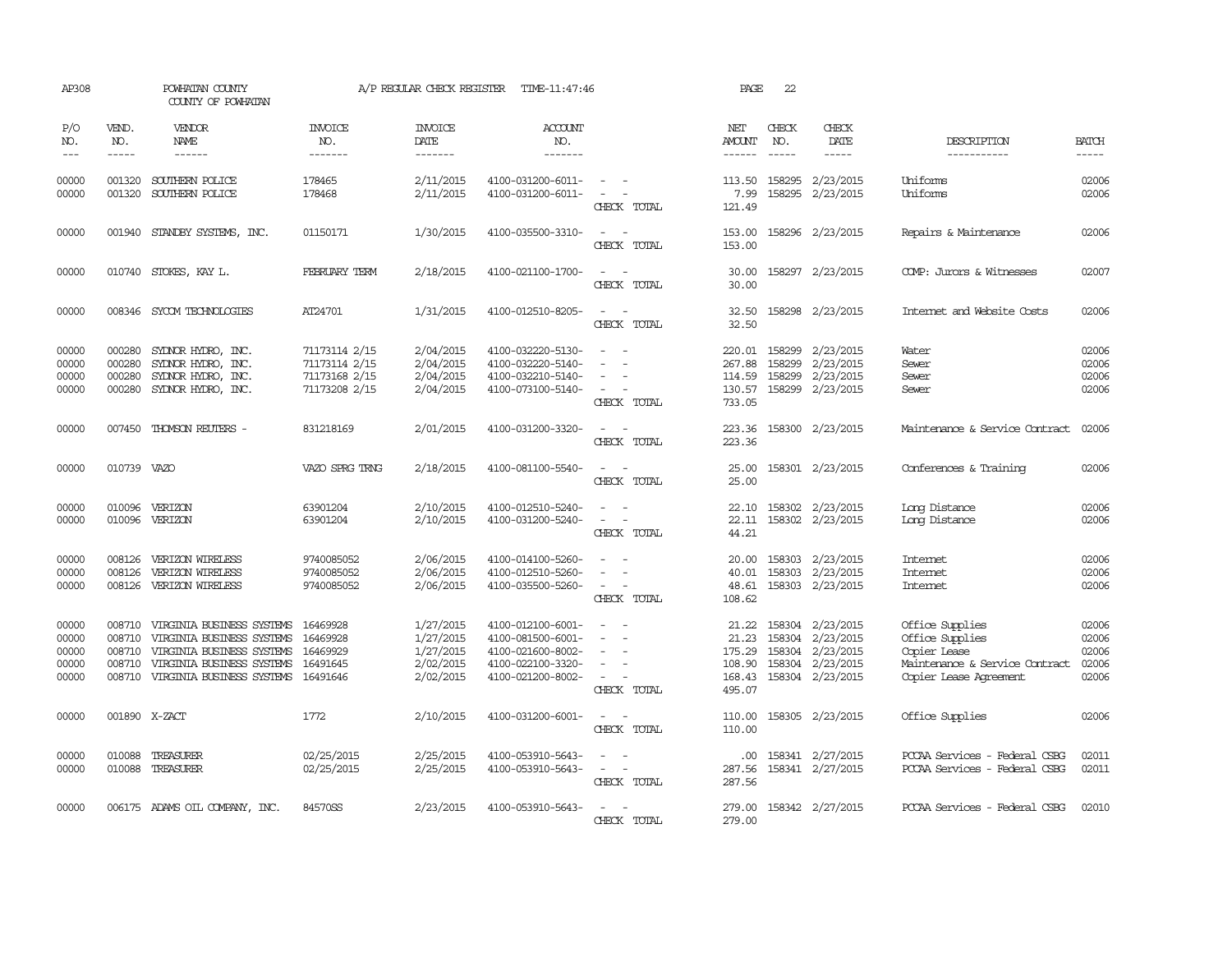| AP308                                     |                                      | POWHATAN COUNTY<br>COUNTY OF POWHATAN                                                                                                                                                                                                                                                                                                                                                                                                                                                        |                                                                  | A/P REGULAR CHECK REGISTER                                    | TIME-11:47:46                                                                                         |                                                                                                                             | PAGE                                                   | 22                          |                                                                                                  |                                                                                                                |                                           |
|-------------------------------------------|--------------------------------------|----------------------------------------------------------------------------------------------------------------------------------------------------------------------------------------------------------------------------------------------------------------------------------------------------------------------------------------------------------------------------------------------------------------------------------------------------------------------------------------------|------------------------------------------------------------------|---------------------------------------------------------------|-------------------------------------------------------------------------------------------------------|-----------------------------------------------------------------------------------------------------------------------------|--------------------------------------------------------|-----------------------------|--------------------------------------------------------------------------------------------------|----------------------------------------------------------------------------------------------------------------|-------------------------------------------|
| P/O<br>NO.<br>$---$                       | VEND.<br>NO.<br>$- - - - -$          | VENDOR<br>NAME<br>$\frac{1}{2} \left( \frac{1}{2} \right) \left( \frac{1}{2} \right) \left( \frac{1}{2} \right) \left( \frac{1}{2} \right) \left( \frac{1}{2} \right) \left( \frac{1}{2} \right) \left( \frac{1}{2} \right) \left( \frac{1}{2} \right) \left( \frac{1}{2} \right) \left( \frac{1}{2} \right) \left( \frac{1}{2} \right) \left( \frac{1}{2} \right) \left( \frac{1}{2} \right) \left( \frac{1}{2} \right) \left( \frac{1}{2} \right) \left( \frac{1}{2} \right) \left( \frac$ | INVOICE<br>NO.<br>$- - - - - - -$                                | <b>INVOICE</b><br>DATE<br>$- - - - - - -$                     | ACCOUNT<br>NO.<br>--------                                                                            |                                                                                                                             | NET<br><b>AMOUNT</b><br>$- - - - - -$                  | CHECK<br>NO.<br>$- - - - -$ | CHECK<br>DATE                                                                                    | DESCRIPTION<br>-----------                                                                                     | <b>BATCH</b><br>-----                     |
| 00000<br>00000                            | 001320<br>001320                     | SOUTHERN POLICE<br>SOUTHERN POLICE                                                                                                                                                                                                                                                                                                                                                                                                                                                           | 178465<br>178468                                                 | 2/11/2015<br>2/11/2015                                        | 4100-031200-6011-<br>4100-031200-6011-                                                                | $\sim$<br>CHECK TOTAL                                                                                                       | 113.50<br>7.99<br>121.49                               |                             | 158295 2/23/2015<br>158295 2/23/2015                                                             | Uniforms<br>Uniforms                                                                                           | 02006<br>02006                            |
| 00000                                     |                                      | 001940 STANDBY SYSTEMS, INC.                                                                                                                                                                                                                                                                                                                                                                                                                                                                 | 01150171                                                         | 1/30/2015                                                     | 4100-035500-3310-                                                                                     | $\frac{1}{2} \left( \frac{1}{2} \right) \left( \frac{1}{2} \right) = \frac{1}{2} \left( \frac{1}{2} \right)$<br>CHECK TOTAL | 153.00<br>153.00                                       |                             | 158296 2/23/2015                                                                                 | Repairs & Maintenance                                                                                          | 02006                                     |
| 00000                                     |                                      | 010740 STOKES, KAY L.                                                                                                                                                                                                                                                                                                                                                                                                                                                                        | <b>FEBRUARY TERM</b>                                             | 2/18/2015                                                     | 4100-021100-1700-                                                                                     | CHECK TOTAL                                                                                                                 | 30.00<br>30.00                                         |                             | 158297 2/23/2015                                                                                 | COMP: Jurors & Witnesses                                                                                       | 02007                                     |
| 00000                                     |                                      | 008346 SYCOM TECHNOLOGIES                                                                                                                                                                                                                                                                                                                                                                                                                                                                    | AT24701                                                          | 1/31/2015                                                     | 4100-012510-8205-                                                                                     | $\overline{\phantom{a}}$<br>$\sim$<br>CHECK TOTAL                                                                           | 32.50<br>32.50                                         |                             | 158298 2/23/2015                                                                                 | Internet and Website Costs                                                                                     | 02006                                     |
| 00000<br>00000<br>00000<br>00000          | 000280<br>000280<br>000280           | SYLNOR HYDRO, INC.<br>SYDNOR HYDRO, INC.<br>SYLNOR HYDRO, INC.<br>000280 SYDNOR HYDRO, INC.                                                                                                                                                                                                                                                                                                                                                                                                  | 71173114 2/15<br>71173114 2/15<br>71173168 2/15<br>71173208 2/15 | 2/04/2015<br>2/04/2015<br>2/04/2015<br>2/04/2015              | 4100-032220-5130-<br>4100-032220-5140-<br>4100-032210-5140-<br>4100-073100-5140-                      | $\sim$<br>CHECK TOTAL                                                                                                       | 220.01<br>267.88<br>114.59<br>733.05                   | 158299<br>158299<br>158299  | 2/23/2015<br>2/23/2015<br>2/23/2015<br>130.57 158299 2/23/2015                                   | Water<br>Sewer<br>Sewer<br>Sewer                                                                               | 02006<br>02006<br>02006<br>02006          |
| 00000                                     |                                      | 007450 THOMSON REUTERS -                                                                                                                                                                                                                                                                                                                                                                                                                                                                     | 831218169                                                        | 2/01/2015                                                     | 4100-031200-3320-                                                                                     | CHECK TOTAL                                                                                                                 | 223.36<br>223.36                                       |                             | 158300 2/23/2015                                                                                 | Maintenance & Service Contract                                                                                 | 02006                                     |
| 00000                                     | 010739 VAZO                          |                                                                                                                                                                                                                                                                                                                                                                                                                                                                                              | VAZO SPRG TRNG                                                   | 2/18/2015                                                     | 4100-081100-5540-                                                                                     | CHECK TOTAL                                                                                                                 | 25.00<br>25.00                                         |                             | 158301 2/23/2015                                                                                 | Conferences & Training                                                                                         | 02006                                     |
| 00000<br>00000                            | 010096                               | VERIZON<br>010096 VERIZON                                                                                                                                                                                                                                                                                                                                                                                                                                                                    | 63901204<br>63901204                                             | 2/10/2015<br>2/10/2015                                        | 4100-012510-5240-<br>4100-031200-5240-                                                                | CHECK TOTAL                                                                                                                 | 22.10<br>22.11<br>44.21                                |                             | 158302 2/23/2015<br>158302 2/23/2015                                                             | Long Distance<br>Long Distance                                                                                 | 02006<br>02006                            |
| 00000<br>00000<br>00000                   | 008126<br>008126                     | VERIZON WIRELESS<br>VERIZON WIRELESS<br>008126 VERIZON WIRELESS                                                                                                                                                                                                                                                                                                                                                                                                                              | 9740085052<br>9740085052<br>9740085052                           | 2/06/2015<br>2/06/2015<br>2/06/2015                           | 4100-014100-5260-<br>4100-012510-5260-<br>4100-035500-5260-                                           | $\sim$<br>CHECK TOTAL                                                                                                       | 20.00<br>40.01<br>48.61<br>108.62                      | 158303                      | 158303 2/23/2015<br>2/23/2015<br>158303 2/23/2015                                                | Intemet<br>Internet<br><b>Intemet</b>                                                                          | 02006<br>02006<br>02006                   |
| 00000<br>00000<br>00000<br>00000<br>00000 | 008710<br>008710<br>008710<br>008710 | VIRGINIA BUSINESS SYSTEMS<br>VIRGINIA BUSINESS SYSTEMS<br>VIRGINIA BUSINESS SYSTEMS<br>VIRGINIA BUSINESS SYSTEMS<br>008710 VIRGINIA BUSINESS SYSTEMS                                                                                                                                                                                                                                                                                                                                         | 16469928<br>16469928<br>16469929<br>16491645<br>16491646         | 1/27/2015<br>1/27/2015<br>1/27/2015<br>2/02/2015<br>2/02/2015 | 4100-012100-6001-<br>4100-081500-6001-<br>4100-021600-8002-<br>4100-022100-3320-<br>4100-021200-8002- | $\overline{\phantom{a}}$<br>CHECK TOTAL                                                                                     | 21.22<br>21.23<br>175.29<br>108.90<br>168.43<br>495.07 |                             | 158304 2/23/2015<br>158304 2/23/2015<br>158304 2/23/2015<br>158304 2/23/2015<br>158304 2/23/2015 | Office Supplies<br>Office Supplies<br>Copier Lease<br>Maintenance & Service Contract<br>Copier Lease Agreement | 02006<br>02006<br>02006<br>02006<br>02006 |
| 00000                                     |                                      | 001890 X-ZACT                                                                                                                                                                                                                                                                                                                                                                                                                                                                                | 1772                                                             | 2/10/2015                                                     | 4100-031200-6001-                                                                                     | CHECK TOTAL                                                                                                                 | 110.00<br>110.00                                       |                             | 158305 2/23/2015                                                                                 | Office Supplies                                                                                                | 02006                                     |
| 00000<br>00000                            | 010088                               | TREASURER<br>010088 TREASURER                                                                                                                                                                                                                                                                                                                                                                                                                                                                | 02/25/2015<br>02/25/2015                                         | 2/25/2015<br>2/25/2015                                        | 4100-053910-5643-<br>4100-053910-5643-                                                                | $\sim$ $-$<br>CHECK TOTAL                                                                                                   | .00<br>287.56<br>287.56                                |                             | 158341 2/27/2015<br>158341 2/27/2015                                                             | PCCAA Services - Federal CSBG<br>PCCAA Services - Federal CSBG                                                 | 02011<br>02011                            |
| 00000                                     |                                      | 006175 ADAMS OIL COMPANY, INC.                                                                                                                                                                                                                                                                                                                                                                                                                                                               | 84570SS                                                          | 2/23/2015                                                     | 4100-053910-5643-                                                                                     | CHECK TOTAL                                                                                                                 | 279.00<br>279.00                                       |                             | 158342 2/27/2015                                                                                 | PCCAA Services - Federal CSBG                                                                                  | 02010                                     |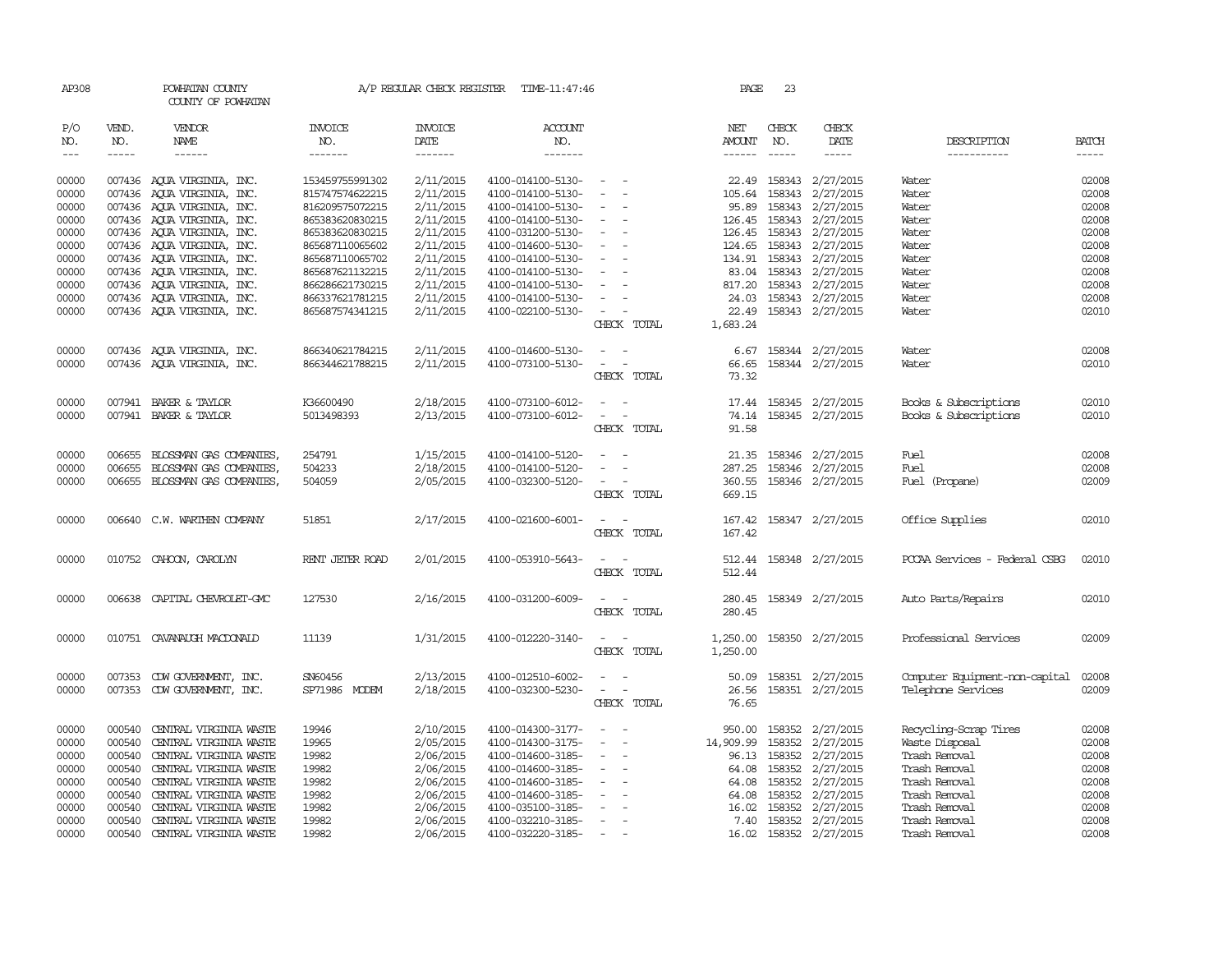| AP308                            |                                      | POWHATAN COUNTY<br>COUNTY OF POWHATAN                                                                |                                                       | A/P REGULAR CHECK REGISTER                       | TIME-11:47:46                                                                    |                                                                                                                             | PAGE                                  | 23                         |                                                                        |                                                                           |                                  |
|----------------------------------|--------------------------------------|------------------------------------------------------------------------------------------------------|-------------------------------------------------------|--------------------------------------------------|----------------------------------------------------------------------------------|-----------------------------------------------------------------------------------------------------------------------------|---------------------------------------|----------------------------|------------------------------------------------------------------------|---------------------------------------------------------------------------|----------------------------------|
| P/O<br>NO.                       | VEND.<br>NO.                         | VENDOR<br>NAME                                                                                       | <b>INVOICE</b><br>NO.                                 | <b>INVOICE</b><br>DATE                           | <b>ACCOUNT</b><br>NO.                                                            |                                                                                                                             | NET<br>AMOUNT                         | CHECK<br>NO.               | CHECK<br>DATE                                                          | DESCRIPTION                                                               | <b>BATCH</b>                     |
| $\frac{1}{2}$                    | -----                                | $- - - - - -$                                                                                        | -------                                               | -------                                          | $- - - - - - -$                                                                  |                                                                                                                             | $- - - - - -$                         | $\frac{1}{2}$              | -----                                                                  | -----------                                                               |                                  |
| 00000<br>00000                   |                                      | 007436 AQUA VIRGINIA, INC.<br>007436 AQUA VIRGINIA, INC.                                             | 153459755991302<br>815747574622215                    | 2/11/2015<br>2/11/2015                           | 4100-014100-5130-<br>4100-014100-5130-                                           | $\sim$ $-$<br>$\overline{\phantom{a}}$                                                                                      | 105.64                                | 158343                     | 22.49 158343 2/27/2015<br>2/27/2015                                    | Water<br>Water                                                            | 02008<br>02008                   |
| 00000<br>00000                   |                                      | 007436 AQUA VIRGINIA, INC.<br>007436 AQUA VIRGINIA, INC.                                             | 816209575072215<br>865383620830215                    | 2/11/2015<br>2/11/2015                           | 4100-014100-5130-<br>4100-014100-5130-                                           | $\sim$<br>$\overline{\phantom{a}}$                                                                                          | 95.89                                 | 158343                     | 2/27/2015<br>126.45 158343 2/27/2015                                   | Water<br>Water                                                            | 02008<br>02008                   |
| 00000<br>00000<br>00000          |                                      | 007436 AQUA VIRGINIA, INC.<br>007436 AQUA VIRGINIA, INC.<br>007436 AQUA VIRGINIA, INC.               | 865383620830215<br>865687110065602<br>865687110065702 | 2/11/2015<br>2/11/2015<br>2/11/2015              | 4100-031200-5130-<br>4100-014600-5130-<br>4100-014100-5130-                      | $\sim$<br>$\sim$<br>$\sim$                                                                                                  | 134.91                                |                            | 126.45 158343 2/27/2015<br>124.65 158343 2/27/2015<br>158343 2/27/2015 | Water<br>Water<br>Water                                                   | 02008<br>02008<br>02008          |
| 00000<br>00000<br>00000          |                                      | 007436 AQUA VIRGINIA, INC.<br>007436 AQUA VIRGINIA, INC.<br>007436 AQUA VIRGINIA, INC.               | 865687621132215<br>866286621730215<br>866337621781215 | 2/11/2015<br>2/11/2015<br>2/11/2015              | 4100-014100-5130-<br>4100-014100-5130-<br>4100-014100-5130-                      | $\overline{a}$<br>$\overline{\phantom{a}}$                                                                                  | 817.20<br>24.03                       |                            | 83.04 158343 2/27/2015<br>158343 2/27/2015<br>158343 2/27/2015         | Water<br>Water<br>Water                                                   | 02008<br>02008<br>02008          |
| 00000                            |                                      | 007436 AQUA VIRGINIA, INC.                                                                           | 865687574341215                                       | 2/11/2015                                        | 4100-022100-5130-                                                                | $\sim$ $-$<br>CHECK TOTAL                                                                                                   | 1,683.24                              |                            | 22.49 158343 2/27/2015                                                 | Water                                                                     | 02010                            |
| 00000<br>00000                   |                                      | 007436 AQUA VIRGINIA, INC.<br>007436 AQUA VIRGINIA, INC.                                             | 866340621784215<br>866344621788215                    | 2/11/2015<br>2/11/2015                           | 4100-014600-5130-<br>4100-073100-5130-                                           | $\equiv$<br>$\overline{\phantom{a}}$<br>CHECK TOTAL                                                                         | 6.67<br>66.65<br>73.32                |                            | 158344 2/27/2015<br>158344 2/27/2015                                   | Water<br>Water                                                            | 02008<br>02010                   |
| 00000<br>00000                   |                                      | 007941 BAKER & TAYLOR<br>007941 BAKER & TAYLOR                                                       | K36600490<br>5013498393                               | 2/18/2015<br>2/13/2015                           | 4100-073100-6012-<br>4100-073100-6012-                                           | $\sim$ 100 $\sim$<br>$\equiv$<br>$\overline{\phantom{a}}$<br>CHECK TOTAL                                                    | 74.14<br>91.58                        |                            | 17.44 158345 2/27/2015<br>158345 2/27/2015                             | Books & Subscriptions<br>Books & Subscriptions                            | 02010<br>02010                   |
| 00000<br>00000<br>00000          | 006655<br>006655                     | BLOSSMAN GAS COMPANIES,<br>BLOSSMAN GAS COMPANIES,<br>006655 BLOSSMAN GAS COMPANIES,                 | 254791<br>504233<br>504059                            | 1/15/2015<br>2/18/2015<br>2/05/2015              | 4100-014100-5120-<br>4100-014100-5120-<br>4100-032300-5120-                      | $\overline{\phantom{a}}$<br>$\sim$<br>CHECK TOTAL                                                                           | 21.35<br>287.25<br>360.55<br>669.15   | 158346                     | 2/27/2015<br>158346 2/27/2015<br>158346 2/27/2015                      | Fuel<br>Fuel<br>Fuel (Propane)                                            | 02008<br>02008<br>02009          |
| 00000                            |                                      | 006640 C.W. WARTHEN COMPANY                                                                          | 51851                                                 | 2/17/2015                                        | 4100-021600-6001-                                                                | $\sim$ $ \sim$<br>CHECK TOTAL                                                                                               | 167.42<br>167.42                      |                            | 158347 2/27/2015                                                       | Office Supplies                                                           | 02010                            |
| 00000                            |                                      | 010752 CAHOON, CAROLYN                                                                               | RENT JETER ROAD                                       | 2/01/2015                                        | 4100-053910-5643-                                                                | $\frac{1}{2} \left( \frac{1}{2} \right) \left( \frac{1}{2} \right) = \frac{1}{2} \left( \frac{1}{2} \right)$<br>CHECK TOTAL | 512.44                                |                            | 512.44 158348 2/27/2015                                                | PCCAA Services - Federal CSBG                                             | 02010                            |
| 00000                            |                                      | 006638 CAPITAL CHEVROLET-GMC                                                                         | 127530                                                | 2/16/2015                                        | 4100-031200-6009-                                                                | CHECK TOTAL                                                                                                                 | 280.45                                |                            | 280.45 158349 2/27/2015                                                | Auto Parts/Repairs                                                        | 02010                            |
| 00000                            |                                      | 010751 CAVANAUGH MACDONALD                                                                           | 11139                                                 | 1/31/2015                                        | 4100-012220-3140-                                                                | $\sim$<br>$\overline{\phantom{a}}$<br>CHECK TOTAL                                                                           | 1,250.00<br>1,250.00                  |                            | 158350 2/27/2015                                                       | Professional Services                                                     | 02009                            |
| 00000<br>00000                   | 007353                               | CDW GOVERNMENT, INC.<br>007353 CDW GOVERNMENT, INC.                                                  | SN60456<br>SP71986 MODEM                              | 2/13/2015<br>2/18/2015                           | 4100-012510-6002-<br>4100-032300-5230-                                           | CHECK TOTAL                                                                                                                 | 50.09<br>26.56<br>76.65               |                            | 158351 2/27/2015<br>158351 2/27/2015                                   | Computer Equipment-non-capital<br>Telephone Services                      | 02008<br>02009                   |
| 00000<br>00000<br>00000<br>00000 | 000540<br>000540<br>000540<br>000540 | CENTRAL VIRGINIA WASTE<br>CENTRAL VIRGINIA WASTE<br>CENTRAL VIRGINIA WASTE<br>CENTRAL VIRGINIA WASTE | 19946<br>19965<br>19982<br>19982                      | 2/10/2015<br>2/05/2015<br>2/06/2015<br>2/06/2015 | 4100-014300-3177-<br>4100-014300-3175-<br>4100-014600-3185-<br>4100-014600-3185- | $\sim$<br>$\overline{\phantom{a}}$                                                                                          | 950.00<br>14,909.99<br>96.13<br>64.08 | 158352<br>158352<br>158352 | 158352 2/27/2015<br>2/27/2015<br>2/27/2015<br>2/27/2015                | Recycling-Scrap Tires<br>Waste Disposal<br>Trash Removal<br>Trash Removal | 02008<br>02008<br>02008<br>02008 |
| 00000<br>00000<br>00000          | 000540<br>000540<br>000540           | CENTRAL VIRGINIA WASTE<br>CENTRAL VIRGINIA WASTE<br>CENTRAL VIRGINIA WASTE                           | 19982<br>19982<br>19982                               | 2/06/2015<br>2/06/2015<br>2/06/2015              | 4100-014600-3185-<br>4100-014600-3185-<br>4100-035100-3185-                      | $\sim$<br>$\equiv$                                                                                                          | 64.08<br>64.08<br>16.02               | 158352<br>158352<br>158352 | 2/27/2015<br>2/27/2015<br>2/27/2015                                    | Trash Removal<br>Trash Removal<br>Trash Removal                           | 02008<br>02008<br>02008          |
| 00000<br>00000                   | 000540<br>000540                     | CENTRAL VIRGINIA WASTE<br>CENTRAL VIRGINIA WASTE                                                     | 19982<br>19982                                        | 2/06/2015<br>2/06/2015                           | 4100-032210-3185-<br>4100-032220-3185-                                           | $\overline{\phantom{a}}$<br>$\sim$                                                                                          | 7.40                                  |                            | 158352 2/27/2015<br>16.02 158352 2/27/2015                             | Trash Removal<br>Trash Removal                                            | 02008<br>02008                   |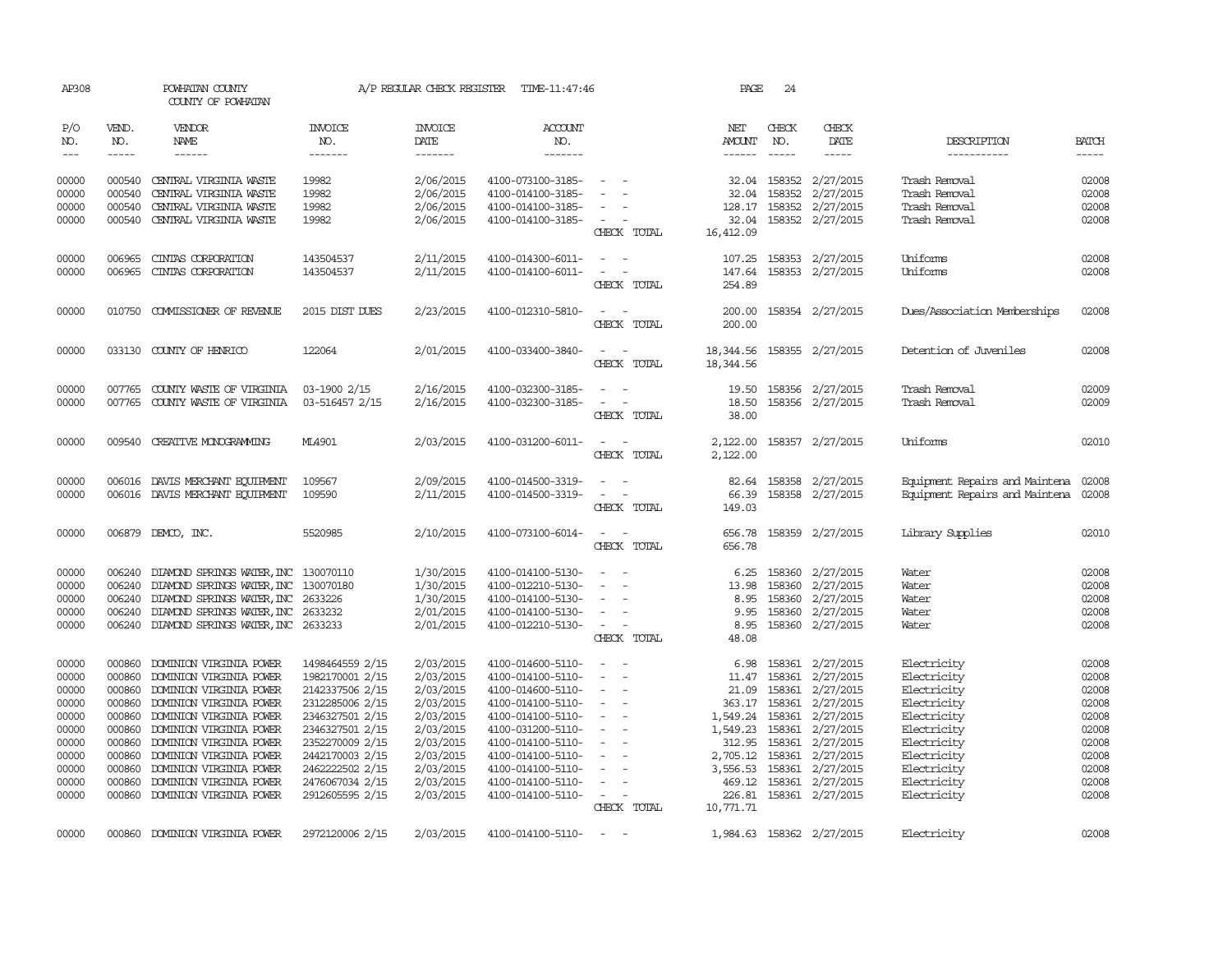| AP308          |                               | POWHATAN COUNTY<br>COUNTY OF POWHATAN                   |                                    | A/P REGULAR CHECK REGISTER        | TIME-11:47:46                          |                                              | PAGE               | 24                            |                                      |                                      |                             |
|----------------|-------------------------------|---------------------------------------------------------|------------------------------------|-----------------------------------|----------------------------------------|----------------------------------------------|--------------------|-------------------------------|--------------------------------------|--------------------------------------|-----------------------------|
| P/O<br>NO.     | VEND.<br>NO.<br>$\frac{1}{2}$ | <b>VENDOR</b><br>NAME                                   | <b>INVOICE</b><br>NO.<br>-------   | <b>INVOICE</b><br>DATE<br>------- | <b>ACCOUNT</b><br>NO.<br>-------       |                                              | NET<br>AMOUNT      | CHECK<br>NO.<br>$\frac{1}{2}$ | CHECK<br>DATE<br>$- - - - -$         | DESCRIPTION<br>------------          | <b>BATCH</b><br>$- - - - -$ |
| $---$          |                               |                                                         |                                    |                                   |                                        |                                              | $- - - - - -$      |                               |                                      |                                      |                             |
| 00000          |                               | 000540 CENTRAL VIRGINIA WASTE                           | 19982                              | 2/06/2015                         | 4100-073100-3185-                      | $\overline{\phantom{a}}$                     |                    |                               | 32.04 158352 2/27/2015               | Trash Removal                        | 02008                       |
| 00000          | 000540                        | CENTRAL VIRGINIA WASTE                                  | 19982                              | 2/06/2015                         | 4100-014100-3185-                      | $\equiv$<br>$\overline{\phantom{a}}$         | 32.04              | 158352                        | 2/27/2015                            | Trash Removal                        | 02008                       |
| 00000<br>00000 | 000540                        | CENTRAL VIRGINIA WASTE<br>000540 CENTRAL VIRGINIA WASTE | 19982<br>19982                     | 2/06/2015<br>2/06/2015            | 4100-014100-3185-<br>4100-014100-3185- | $\sim$                                       | 128.17<br>32.04    |                               | 158352 2/27/2015<br>158352 2/27/2015 | Trash Removal<br>Trash Removal       | 02008<br>02008              |
|                |                               |                                                         |                                    |                                   |                                        | CHECK TOTAL                                  | 16,412.09          |                               |                                      |                                      |                             |
| 00000          | 006965                        | CINIAS CORPORATION                                      | 143504537                          | 2/11/2015                         | 4100-014300-6011-                      |                                              | 107.25             |                               | 158353 2/27/2015                     | Uniforms                             | 02008                       |
| 00000          | 006965                        | CINTAS CORPORATION                                      | 143504537                          | 2/11/2015                         | 4100-014100-6011-                      | $\sim$<br>$\sim$                             | 147.64             |                               | 158353 2/27/2015                     | Uniforms                             | 02008                       |
|                |                               |                                                         |                                    |                                   |                                        | CHECK TOTAL                                  | 254.89             |                               |                                      |                                      |                             |
| 00000          | 010750                        | COMMISSIONER OF REVENUE                                 | 2015 DIST DUES                     | 2/23/2015                         | 4100-012310-5810-                      | $\sim$ $ -$<br>CHECK TOTAL                   | 200.00<br>200.00   |                               | 158354 2/27/2015                     | Dues/Association Memberships         | 02008                       |
|                |                               |                                                         |                                    |                                   |                                        |                                              |                    |                               |                                      |                                      |                             |
| 00000          |                               | 033130 COUNTY OF HENRICO                                | 122064                             | 2/01/2015                         | 4100-033400-3840-                      | $\sim$ 100 $\sim$ 100 $\sim$                 | 18,344.56          |                               | 158355 2/27/2015                     | Detention of Juveniles               | 02008                       |
|                |                               |                                                         |                                    |                                   |                                        | CHECK TOTAL                                  | 18,344.56          |                               |                                      |                                      |                             |
| 00000          | 007765                        | COUNTY WASTE OF VIRGINIA                                | 03-1900 2/15                       | 2/16/2015                         | 4100-032300-3185-                      |                                              | 19.50              |                               | 158356 2/27/2015                     | Trash Removal                        | 02009                       |
| 00000          |                               | 007765 COUNTY WASTE OF VIRGINIA                         | 03-516457 2/15                     | 2/16/2015                         | 4100-032300-3185-                      | $\sim$ 10 $\sim$ 10 $\sim$                   | 18.50              |                               | 158356 2/27/2015                     | Trash Removal                        | 02009                       |
|                |                               |                                                         |                                    |                                   |                                        | CHECK TOTAL                                  | 38.00              |                               |                                      |                                      |                             |
| 00000          |                               | 009540 CREATTVE MONOGRAMMING                            | ML4901                             | 2/03/2015                         | 4100-031200-6011-                      | $\overline{a}$<br>$\sim$                     | 2,122.00           |                               | 158357 2/27/2015                     | Uniforms                             | 02010                       |
|                |                               |                                                         |                                    |                                   |                                        | CHECK TOTAL                                  | 2,122.00           |                               |                                      |                                      |                             |
| 00000          |                               | 006016 DAVIS MERCHANT EQUIPMENT                         | 109567                             | 2/09/2015                         | 4100-014500-3319-                      |                                              | 82.64              |                               | 158358 2/27/2015                     | Equipment Repairs and Maintena 02008 |                             |
| 00000          |                               | 006016 DAVIS MERCHANT EQUIPMENT                         | 109590                             | 2/11/2015                         | 4100-014500-3319-                      |                                              | 66.39              |                               | 158358 2/27/2015                     | Equipment Repairs and Maintena       | 02008                       |
|                |                               |                                                         |                                    |                                   |                                        | CHECK TOTAL                                  | 149.03             |                               |                                      |                                      |                             |
| 00000          |                               | 006879 DEMCO, INC.                                      | 5520985                            | 2/10/2015                         | 4100-073100-6014-                      | $\overline{\phantom{a}}$                     | 656.78             |                               | 158359 2/27/2015                     | Library Supplies                     | 02010                       |
|                |                               |                                                         |                                    |                                   |                                        | CHECK TOTAL                                  | 656.78             |                               |                                      |                                      |                             |
| 00000          | 006240                        | DIAMOND SPRINGS WATER, INC 130070110                    |                                    | 1/30/2015                         | 4100-014100-5130-                      | $\sim$<br>$\overline{a}$                     | 6.25               | 158360                        | 2/27/2015                            | Water                                | 02008                       |
| 00000          | 006240                        | DIAMOND SPRINGS WATER, INC 130070180                    |                                    | 1/30/2015                         | 4100-012210-5130-                      |                                              | 13.98              | 158360                        | 2/27/2015                            | Water                                | 02008                       |
| 00000          | 006240                        | DIAMOND SPRINGS WATER, INC                              | 2633226                            | 1/30/2015                         | 4100-014100-5130-                      | $\overline{\phantom{a}}$                     | 8.95               | 158360                        | 2/27/2015                            | Water                                | 02008                       |
| 00000          | 006240                        | DIAMOND SPRINGS WATER, INC 2633232                      |                                    | 2/01/2015                         | 4100-014100-5130-                      | $\sim$<br>$\overline{\phantom{a}}$<br>$\sim$ | 9.95               | 158360                        | 2/27/2015                            | Water                                | 02008                       |
| 00000          |                               | 006240 DIAMOND SPRINGS WATER, INC 2633233               |                                    | 2/01/2015                         | 4100-012210-5130-                      | $\sim$<br>CHECK TOTAL                        | 8.95<br>48.08      | 158360                        | 2/27/2015                            | Water                                | 02008                       |
| 00000          | 000860                        | DOMINION VIRGINIA POWER                                 | 1498464559 2/15                    | 2/03/2015                         | 4100-014600-5110-                      | $\overline{\phantom{a}}$<br>$\sim$           | 6.98               |                               | 158361 2/27/2015                     | Electricity                          | 02008                       |
| 00000          | 000860                        | DOMINION VIRGINIA POWER                                 | 1982170001 2/15                    | 2/03/2015                         | 4100-014100-5110-                      | $\overline{\phantom{a}}$                     | 11.47              | 158361                        | 2/27/2015                            | Electricity                          | 02008                       |
| 00000          | 000860                        | DOMINION VIRGINIA POWER                                 | 2142337506 2/15                    | 2/03/2015                         | 4100-014600-5110-                      | $\overline{\phantom{a}}$                     |                    |                               | 21.09 158361 2/27/2015               | Electricity                          | 02008                       |
| 00000          | 000860                        | DOMINION VIRGINIA POWER                                 | 2312285006 2/15                    | 2/03/2015                         | 4100-014100-5110-                      | $\overline{\phantom{a}}$                     |                    | 363.17 158361                 | 2/27/2015                            | Electricity                          | 02008                       |
| 00000          | 000860                        | DOMINION VIRGINIA POWER                                 | 2346327501 2/15                    | 2/03/2015                         | 4100-014100-5110-                      | $\overline{\phantom{a}}$                     | 1,549.24 158361    |                               | 2/27/2015                            | Electricity                          | 02008                       |
| 00000          | 000860                        | DOMINION VIRGINIA POWER                                 | 2346327501 2/15                    | 2/03/2015                         | 4100-031200-5110-                      | $\sim$                                       | 1,549.23           | 158361                        | 2/27/2015                            | Electricity                          | 02008                       |
| 00000          | 000860                        | DOMINION VIRGINIA POWER                                 | 2352270009 2/15                    | 2/03/2015                         | 4100-014100-5110-                      |                                              | 312.95             | 158361                        | 2/27/2015                            | Electricity                          | 02008                       |
| 00000          | 000860                        | DOMINION VIRGINIA POWER                                 | 2442170003 2/15                    | 2/03/2015                         | 4100-014100-5110-                      | $\sim$<br>$\sim$                             | 2,705.12           | 158361                        | 2/27/2015                            | Electricity                          | 02008                       |
| 00000<br>00000 | 000860<br>000860              | DOMINION VIRGINIA POWER<br>DOMINION VIRGINIA POWER      | 2462222502 2/15<br>2476067034 2/15 | 2/03/2015<br>2/03/2015            | 4100-014100-5110-<br>4100-014100-5110- | $\sim$<br>$\hspace{0.1mm}-\hspace{0.1mm}$    | 3,556.53<br>469.12 | 158361<br>158361              | 2/27/2015<br>2/27/2015               | Electricity<br>Electricity           | 02008<br>02008              |
| 00000          |                               | 000860 DOMINION VIRGINIA POWER                          | 2912605595 2/15                    | 2/03/2015                         | 4100-014100-5110-                      | $\sim$ $ -$                                  | 226.81             |                               | 158361 2/27/2015                     | Electricity                          | 02008                       |
|                |                               |                                                         |                                    |                                   |                                        | CHECK TOTAL                                  | 10,771.71          |                               |                                      |                                      |                             |
| 00000          |                               | 000860 DOMINION VIRGINIA POWER                          | 2972120006 2/15                    | 2/03/2015                         | 4100-014100-5110-                      | $\sim$<br>$\sim$                             |                    |                               | 1,984.63 158362 2/27/2015            | Electricity                          | 02008                       |
|                |                               |                                                         |                                    |                                   |                                        |                                              |                    |                               |                                      |                                      |                             |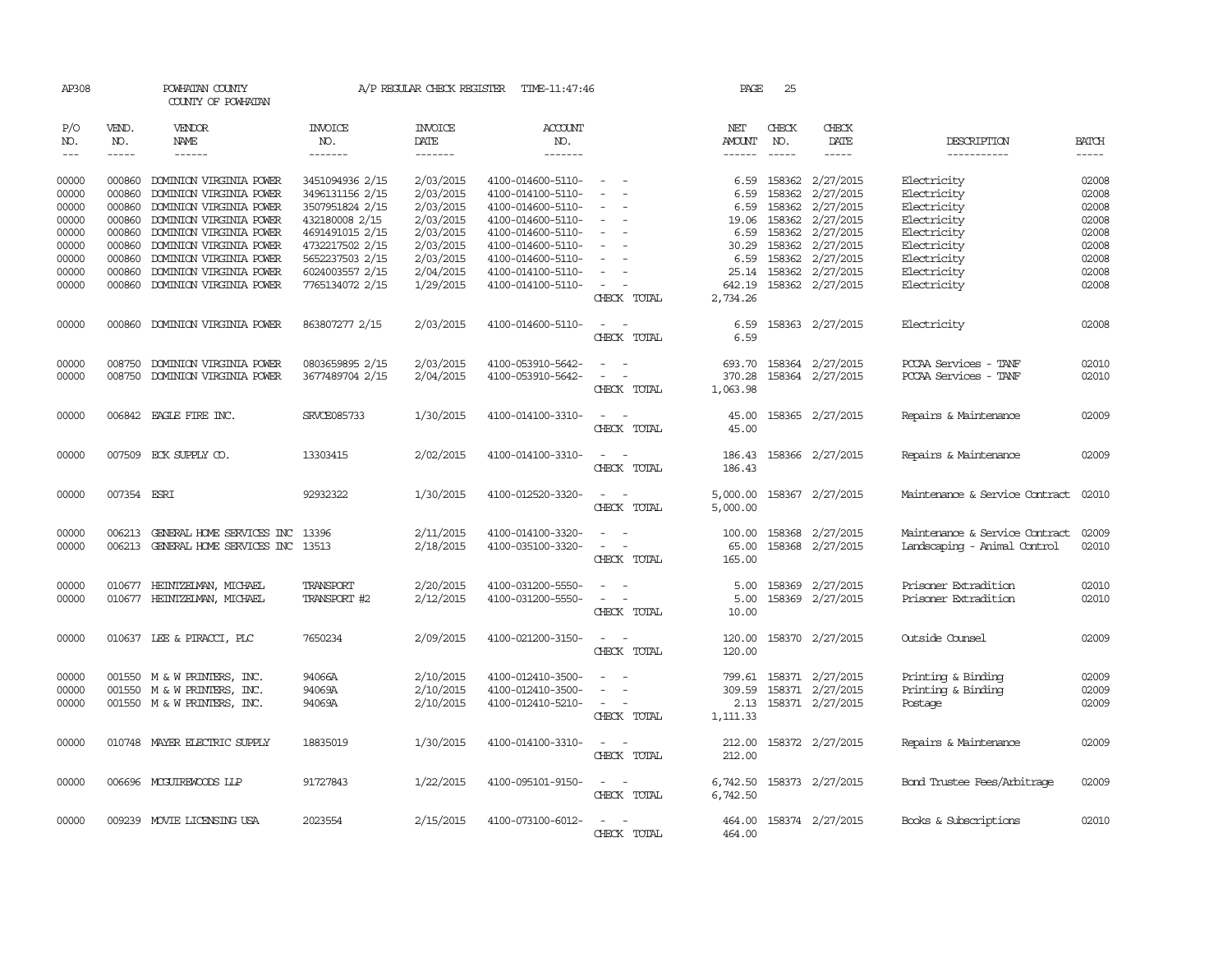| AP308                       |                             | POWHATAN COUNTY<br>COUNTY OF POWHATAN                                                     |                                                      | A/P REGULAR CHECK REGISTER          | TIME-11:47:46                                               |                                                                                                                             | PAGE                           | 25                         |                                                                 |                                                                |                             |
|-----------------------------|-----------------------------|-------------------------------------------------------------------------------------------|------------------------------------------------------|-------------------------------------|-------------------------------------------------------------|-----------------------------------------------------------------------------------------------------------------------------|--------------------------------|----------------------------|-----------------------------------------------------------------|----------------------------------------------------------------|-----------------------------|
| P/O<br>NO.<br>$\frac{1}{2}$ | VEND.<br>NO.<br>$- - - - -$ | VENDOR<br><b>NAME</b><br>------                                                           | <b>INVOICE</b><br>NO.<br>-------                     | <b>INVOICE</b><br>DATE<br>-------   | <b>ACCOUNT</b><br>NO.<br>-------                            |                                                                                                                             | NET<br>AMOUNT<br>$- - - - - -$ | CHECK<br>NO.<br>-----      | CHECK<br>DATE<br>-----                                          | DESCRIPTION<br>-----------                                     | <b>BATCH</b><br>$- - - - -$ |
|                             |                             |                                                                                           |                                                      |                                     |                                                             |                                                                                                                             |                                |                            |                                                                 |                                                                |                             |
| 00000<br>00000              | 000860<br>000860            | DOMINION VIRGINIA POWER<br>DOMINION VIRGINIA POWER                                        | 3451094936 2/15<br>3496131156 2/15                   | 2/03/2015<br>2/03/2015              | 4100-014600-5110-<br>4100-014100-5110-                      | $\sim$<br>$\equiv$                                                                                                          | 6.59<br>6.59                   | 158362                     | 158362 2/27/2015<br>2/27/2015                                   | Electricity<br>Electricity                                     | 02008<br>02008              |
| 00000<br>00000<br>00000     | 000860<br>000860<br>000860  | DOMINION VIRGINIA POWER<br>DOMINION VIRGINIA POWER<br>DOMINION VIRGINIA POWER             | 3507951824 2/15<br>432180008 2/15<br>4691491015 2/15 | 2/03/2015<br>2/03/2015<br>2/03/2015 | 4100-014600-5110-<br>4100-014600-5110-<br>4100-014600-5110- | $\overline{\phantom{a}}$<br>$\overline{\phantom{a}}$                                                                        | 6.59<br>19.06<br>6.59          | 158362<br>158362<br>158362 | 2/27/2015<br>2/27/2015<br>2/27/2015                             | Electricity<br>Electricity<br>Electricity                      | 02008<br>02008<br>02008     |
| 00000<br>00000              | 000860<br>000860            | DOMINION VIRGINIA POWER<br>DOMINION VIRGINIA POWER                                        | 4732217502 2/15<br>5652237503 2/15                   | 2/03/2015<br>2/03/2015              | 4100-014600-5110-<br>4100-014600-5110-                      |                                                                                                                             | 30.29<br>6.59                  | 158362                     | 2/27/2015<br>158362 2/27/2015                                   | Electricity<br>Electricity                                     | 02008<br>02008              |
| 00000<br>00000              | 000860<br>000860            | DOMINION VIRGINIA POWER<br>DOMINION VIRGINIA POWER                                        | 6024003557 2/15<br>7765134072 2/15                   | 2/04/2015<br>1/29/2015              | 4100-014100-5110-<br>4100-014100-5110-                      | $\equiv$<br>$\sim$<br>CHECK TOTAL                                                                                           | 25.14<br>642.19<br>2,734.26    |                            | 158362 2/27/2015<br>158362 2/27/2015                            | Electricity<br>Electricity                                     | 02008<br>02008              |
| 00000                       | 000860                      | DOMINION VIRGINIA POWER                                                                   | 863807277 2/15                                       | 2/03/2015                           | 4100-014600-5110-                                           | $\sim$<br>$\sim$<br>CHECK TOTAL                                                                                             | 6.59<br>6.59                   |                            | 158363 2/27/2015                                                | Electricity                                                    | 02008                       |
| 00000<br>00000              | 008750<br>008750            | DOMINION VIRGINIA POWER<br>DOMINION VIRGINIA POWER                                        | 0803659895 2/15<br>3677489704 2/15                   | 2/03/2015<br>2/04/2015              | 4100-053910-5642-<br>4100-053910-5642-                      | $\sim$<br>CHECK TOTAL                                                                                                       | 693.70<br>370.28<br>1,063.98   |                            | 158364 2/27/2015<br>158364 2/27/2015                            | PCCAA Services - TANF<br>PCCAA Services - TANF                 | 02010<br>02010              |
| 00000                       |                             | 006842 EAGLE FIRE INC.                                                                    | SRVCE085733                                          | 1/30/2015                           | 4100-014100-3310-                                           | $\overline{\phantom{a}}$<br>$\sim$<br>CHECK TOTAL                                                                           | 45.00<br>45.00                 |                            | 158365 2/27/2015                                                | Repairs & Maintenance                                          | 02009                       |
| 00000                       |                             | 007509 ECK SUPPLY CO.                                                                     | 13303415                                             | 2/02/2015                           | 4100-014100-3310-                                           | $\sim$<br>CHECK TOTAL                                                                                                       | 186.43<br>186.43               |                            | 158366 2/27/2015                                                | Repairs & Maintenance                                          | 02009                       |
| 00000                       | 007354 ESRI                 |                                                                                           | 92932322                                             | 1/30/2015                           | 4100-012520-3320-                                           | $\frac{1}{2} \left( \frac{1}{2} \right) \left( \frac{1}{2} \right) = \frac{1}{2} \left( \frac{1}{2} \right)$<br>CHECK TOTAL | 5,000.00<br>5,000.00           |                            | 158367 2/27/2015                                                | Maintenance & Service Contract                                 | 02010                       |
| 00000<br>00000              | 006213<br>006213            | GENERAL HOME SERVICES INC<br>GENERAL HOME SERVICES INC 13513                              | 13396                                                | 2/11/2015<br>2/18/2015              | 4100-014100-3320-<br>4100-035100-3320-                      | $\sim$<br>$\sim$<br>CHECK TOTAL                                                                                             | 100.00<br>65.00<br>165.00      |                            | 158368 2/27/2015<br>158368 2/27/2015                            | Maintenance & Service Contract<br>Landscaping - Animal Control | 02009<br>02010              |
| 00000<br>00000              |                             | 010677 HEINTZEIMAN, MICHAEL<br>010677 HEINTZEIMAN, MICHAEL                                | TRANSPORT<br>TRANSPORT #2                            | 2/20/2015<br>2/12/2015              | 4100-031200-5550-<br>4100-031200-5550-                      | $\overline{\phantom{a}}$<br>$\overline{\phantom{a}}$<br>CHECK TOTAL                                                         | 5.00<br>5.00<br>10.00          |                            | 158369 2/27/2015<br>158369 2/27/2015                            | Prisoner Extradition<br>Prisoner Extradition                   | 02010<br>02010              |
| 00000                       |                             | 010637 LEE & PIRACCI, PLC                                                                 | 7650234                                              | 2/09/2015                           | 4100-021200-3150-                                           | $\overline{\phantom{a}}$<br>CHECK TOTAL                                                                                     | 120.00<br>120.00               |                            | 158370 2/27/2015                                                | Outside Counsel                                                | 02009                       |
| 00000<br>00000<br>00000     |                             | 001550 M & W PRINTERS, INC.<br>001550 M & W PRINTERS, INC.<br>001550 M & W PRINTERS, INC. | 94066A<br>94069A<br>94069A                           | 2/10/2015<br>2/10/2015<br>2/10/2015 | 4100-012410-3500-<br>4100-012410-3500-<br>4100-012410-5210- | $\sim$<br>$\sim$<br>$\sim$ $-$<br>CHECK TOTAL                                                                               | 799.61<br>2.13<br>1,111.33     |                            | 158371 2/27/2015<br>309.59 158371 2/27/2015<br>158371 2/27/2015 | Printing & Binding<br>Printing & Binding<br>Postage            | 02009<br>02009<br>02009     |
| 00000                       |                             | 010748 MAYER ELECTRIC SUPPLY                                                              | 18835019                                             | 1/30/2015                           | 4100-014100-3310-                                           | $\overline{\phantom{a}}$<br>$\sim$<br>CHECK TOTAL                                                                           | 212.00<br>212.00               |                            | 158372 2/27/2015                                                | Repairs & Maintenance                                          | 02009                       |
| 00000                       |                             | 006696 MCGUIREWOODS LLP                                                                   | 91727843                                             | 1/22/2015                           | 4100-095101-9150-                                           | $\sim$ $ \sim$<br>CHECK TOTAL                                                                                               | 6,742.50                       |                            | 6,742.50 158373 2/27/2015                                       | Bond Trustee Fees/Arbitrage                                    | 02009                       |
| 00000                       |                             | 009239 MOVIE LICENSING USA                                                                | 2023554                                              | 2/15/2015                           | 4100-073100-6012-                                           | $\sim$<br>CHECK TOTAL                                                                                                       | 464.00<br>464.00               |                            | 158374 2/27/2015                                                | Books & Subscriptions                                          | 02010                       |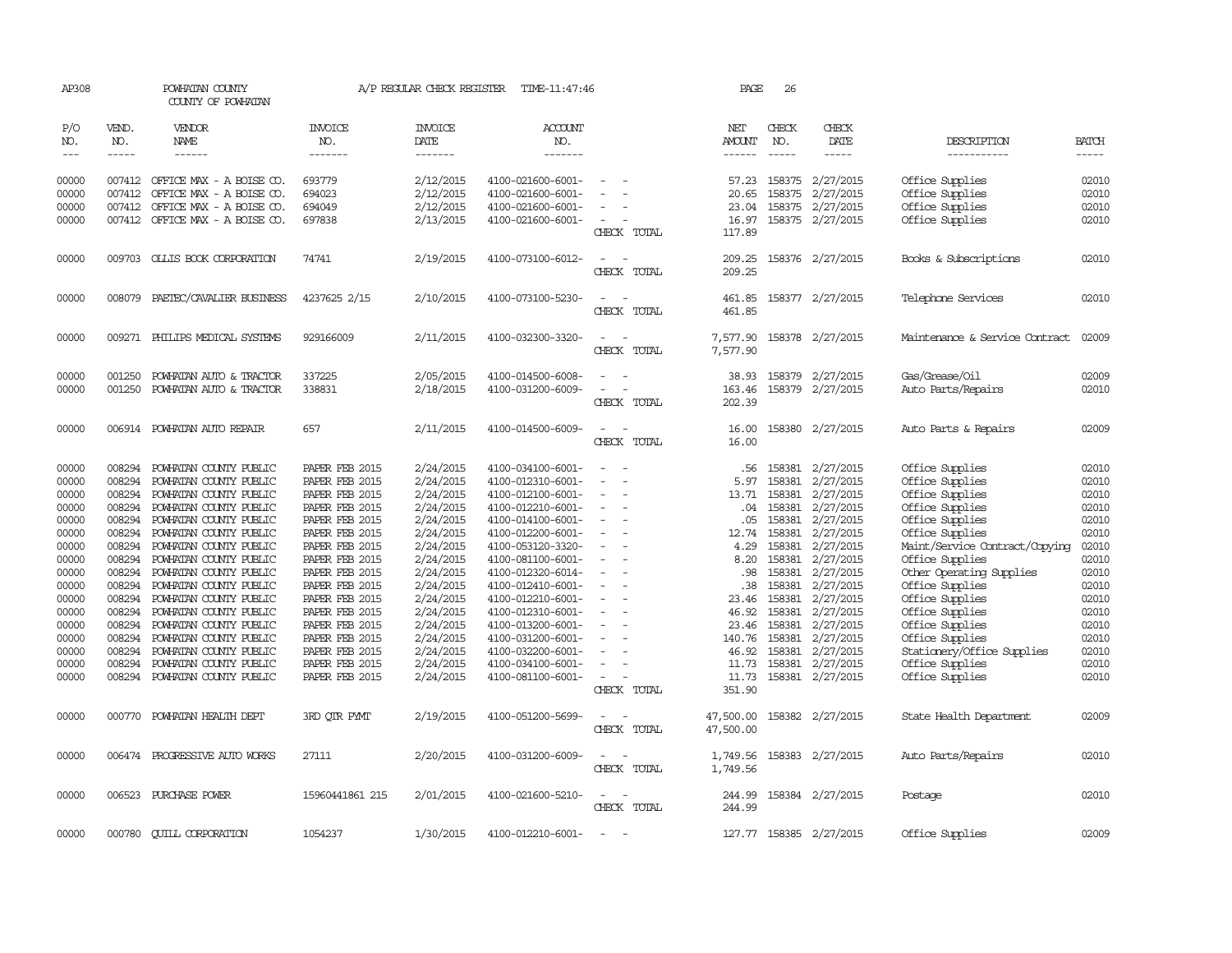| AP308                           |                                                                                                                                                                                                                                                                                                                                                                                                                                                                         | POWHATAN COUNTY<br>COUNTY OF POWHATAN |                                  | A/P REGULAR CHECK REGISTER        | TIME-11:47:46             |                                                      | PAGE                           | 26           |                         |                                |                                                                                                                                                                                                                                                                                                                                                                                                                                                                         |
|---------------------------------|-------------------------------------------------------------------------------------------------------------------------------------------------------------------------------------------------------------------------------------------------------------------------------------------------------------------------------------------------------------------------------------------------------------------------------------------------------------------------|---------------------------------------|----------------------------------|-----------------------------------|---------------------------|------------------------------------------------------|--------------------------------|--------------|-------------------------|--------------------------------|-------------------------------------------------------------------------------------------------------------------------------------------------------------------------------------------------------------------------------------------------------------------------------------------------------------------------------------------------------------------------------------------------------------------------------------------------------------------------|
| P/O<br>NO.<br>$\qquad \qquad -$ | VEND.<br>NO.<br>$\begin{tabular}{ccccc} \multicolumn{2}{c }{\multicolumn{2}{c }{\multicolumn{2}{c }{\multicolumn{2}{c}}{\hspace{-2.2cm}}}} \multicolumn{2}{c }{\multicolumn{2}{c }{\hspace{-2.2cm}}\hline} \multicolumn{2}{c }{\hspace{-2.2cm}}\hline \multicolumn{2}{c }{\hspace{-2.2cm}}\hline \multicolumn{2}{c }{\hspace{-2.2cm}}\hline \multicolumn{2}{c }{\hspace{-2.2cm}}\hline \multicolumn{2}{c }{\hspace{-2.2cm}}\hline \multicolumn{2}{c }{\hspace{-2.2cm}}$ | VENDOR<br>NAME<br>$- - - - - -$       | <b>INVOICE</b><br>NO.<br>------- | <b>INVOICE</b><br>DATE<br>------- | ACCOUNT<br>NO.<br>------- |                                                      | NET<br>AMOUNT<br>$- - - - - -$ | CHECK<br>NO. | CHECK<br>DATE<br>-----  | DESCRIPTION<br>-----------     | <b>BATCH</b><br>$\begin{tabular}{ccccc} \multicolumn{2}{c }{\multicolumn{2}{c }{\multicolumn{2}{c }{\multicolumn{2}{c}}{\hspace{-2.2cm}}}} \multicolumn{2}{c }{\multicolumn{2}{c }{\hspace{-2.2cm}}\hline} \multicolumn{2}{c }{\hspace{-2.2cm}}\hline \multicolumn{2}{c }{\hspace{-2.2cm}}\hline \multicolumn{2}{c }{\hspace{-2.2cm}}\hline \multicolumn{2}{c }{\hspace{-2.2cm}}\hline \multicolumn{2}{c }{\hspace{-2.2cm}}\hline \multicolumn{2}{c }{\hspace{-2.2cm}}$ |
|                                 |                                                                                                                                                                                                                                                                                                                                                                                                                                                                         |                                       |                                  |                                   |                           |                                                      |                                |              |                         |                                |                                                                                                                                                                                                                                                                                                                                                                                                                                                                         |
| 00000                           |                                                                                                                                                                                                                                                                                                                                                                                                                                                                         | 007412 OFFICE MAX - A BOISE CO.       | 693779                           | 2/12/2015                         | 4100-021600-6001-         |                                                      | 57.23                          |              | 158375 2/27/2015        | Office Supplies                | 02010                                                                                                                                                                                                                                                                                                                                                                                                                                                                   |
| 00000                           |                                                                                                                                                                                                                                                                                                                                                                                                                                                                         | 007412 OFFICE MAX - A BOISE CO.       | 694023                           | 2/12/2015                         | 4100-021600-6001-         |                                                      | 20.65                          | 158375       | 2/27/2015               | Office Supplies                | 02010                                                                                                                                                                                                                                                                                                                                                                                                                                                                   |
| 00000                           | 007412                                                                                                                                                                                                                                                                                                                                                                                                                                                                  | OFFICE MAX - A BOISE CO.              | 694049                           | 2/12/2015                         | 4100-021600-6001-         |                                                      | 23.04                          |              | 158375 2/27/2015        | Office Supplies                | 02010                                                                                                                                                                                                                                                                                                                                                                                                                                                                   |
| 00000                           |                                                                                                                                                                                                                                                                                                                                                                                                                                                                         | 007412 OFFICE MAX - A BOISE CO.       | 697838                           | 2/13/2015                         | 4100-021600-6001-         | $\overline{\phantom{a}}$                             | 16.97                          |              | 158375 2/27/2015        | Office Supplies                | 02010                                                                                                                                                                                                                                                                                                                                                                                                                                                                   |
|                                 |                                                                                                                                                                                                                                                                                                                                                                                                                                                                         |                                       |                                  |                                   |                           | CHECK TOTAL                                          | 117.89                         |              |                         |                                |                                                                                                                                                                                                                                                                                                                                                                                                                                                                         |
| 00000                           |                                                                                                                                                                                                                                                                                                                                                                                                                                                                         | 009703 OLLIS BOOK CORPORATION         | 74741                            | 2/19/2015                         | 4100-073100-6012-         |                                                      | 209.25                         |              | 158376 2/27/2015        | Books & Subscriptions          | 02010                                                                                                                                                                                                                                                                                                                                                                                                                                                                   |
|                                 |                                                                                                                                                                                                                                                                                                                                                                                                                                                                         |                                       |                                  |                                   |                           | CHECK TOTAL                                          | 209.25                         |              |                         |                                |                                                                                                                                                                                                                                                                                                                                                                                                                                                                         |
| 00000                           |                                                                                                                                                                                                                                                                                                                                                                                                                                                                         | 008079 PAETEC/CAVALIER BUSINESS       | 4237625 2/15                     | 2/10/2015                         | 4100-073100-5230-         |                                                      | 461.85                         |              | 158377 2/27/2015        | Telephone Services             | 02010                                                                                                                                                                                                                                                                                                                                                                                                                                                                   |
|                                 |                                                                                                                                                                                                                                                                                                                                                                                                                                                                         |                                       |                                  |                                   |                           | CHECK TOTAL                                          | 461.85                         |              |                         |                                |                                                                                                                                                                                                                                                                                                                                                                                                                                                                         |
| 00000                           |                                                                                                                                                                                                                                                                                                                                                                                                                                                                         | 009271 PHILIPS MEDICAL SYSTEMS        | 929166009                        | 2/11/2015                         | 4100-032300-3320-         |                                                      | 7,577.90                       |              | 158378 2/27/2015        | Maintenance & Service Contract | 02009                                                                                                                                                                                                                                                                                                                                                                                                                                                                   |
|                                 |                                                                                                                                                                                                                                                                                                                                                                                                                                                                         |                                       |                                  |                                   |                           | CHECK TOTAL                                          | 7,577.90                       |              |                         |                                |                                                                                                                                                                                                                                                                                                                                                                                                                                                                         |
| 00000                           | 001250                                                                                                                                                                                                                                                                                                                                                                                                                                                                  | POWHATAN AUTO & TRACTOR               | 337225                           | 2/05/2015                         | 4100-014500-6008-         |                                                      | 38.93                          |              | 158379 2/27/2015        | Gas/Grease/Oil                 | 02009                                                                                                                                                                                                                                                                                                                                                                                                                                                                   |
| 00000                           | 001250                                                                                                                                                                                                                                                                                                                                                                                                                                                                  | POWHATAN AUTO & TRACTOR               | 338831                           | 2/18/2015                         | 4100-031200-6009-         |                                                      | 163.46                         |              | 158379 2/27/2015        | Auto Parts/Repairs             | 02010                                                                                                                                                                                                                                                                                                                                                                                                                                                                   |
|                                 |                                                                                                                                                                                                                                                                                                                                                                                                                                                                         |                                       |                                  |                                   |                           | CHECK TOTAL                                          | 202.39                         |              |                         |                                |                                                                                                                                                                                                                                                                                                                                                                                                                                                                         |
| 00000                           |                                                                                                                                                                                                                                                                                                                                                                                                                                                                         | 006914 POWHATAN AUTO REPAIR           | 657                              | 2/11/2015                         | 4100-014500-6009-         |                                                      | 16.00                          |              | 158380 2/27/2015        | Auto Parts & Repairs           | 02009                                                                                                                                                                                                                                                                                                                                                                                                                                                                   |
|                                 |                                                                                                                                                                                                                                                                                                                                                                                                                                                                         |                                       |                                  |                                   |                           | CHECK TOTAL                                          | 16.00                          |              |                         |                                |                                                                                                                                                                                                                                                                                                                                                                                                                                                                         |
| 00000                           | 008294                                                                                                                                                                                                                                                                                                                                                                                                                                                                  | POWHATAN COUNTY PUBLIC                | PAPER FEB 2015                   | 2/24/2015                         | 4100-034100-6001-         |                                                      | .56                            | 158381       | 2/27/2015               | Office Supplies                | 02010                                                                                                                                                                                                                                                                                                                                                                                                                                                                   |
| 00000                           | 008294                                                                                                                                                                                                                                                                                                                                                                                                                                                                  | POWHATAN COUNTY PUBLIC                | PAPER FEB 2015                   | 2/24/2015                         | 4100-012310-6001-         |                                                      | 5.97                           | 158381       | 2/27/2015               | Office Supplies                | 02010                                                                                                                                                                                                                                                                                                                                                                                                                                                                   |
| 00000                           | 008294                                                                                                                                                                                                                                                                                                                                                                                                                                                                  | POWHATAN COUNTY PUBLIC                | PAPER FEB 2015                   | 2/24/2015                         | 4100-012100-6001-         | $\equiv$                                             | 13.71                          | 158381       | 2/27/2015               | Office Supplies                | 02010                                                                                                                                                                                                                                                                                                                                                                                                                                                                   |
| 00000                           | 008294                                                                                                                                                                                                                                                                                                                                                                                                                                                                  | POWHATAN COUNTY PUBLIC                | PAPER FEB 2015                   | 2/24/2015                         | 4100-012210-6001-         |                                                      | .04                            | 158381       | 2/27/2015               | Office Supplies                | 02010                                                                                                                                                                                                                                                                                                                                                                                                                                                                   |
| 00000                           | 008294                                                                                                                                                                                                                                                                                                                                                                                                                                                                  | POWHATAN COUNTY PUBLIC                | PAPER FEB 2015                   | 2/24/2015                         | 4100-014100-6001-         |                                                      | .05                            | 158381       | 2/27/2015               | Office Supplies                | 02010                                                                                                                                                                                                                                                                                                                                                                                                                                                                   |
| 00000                           | 008294                                                                                                                                                                                                                                                                                                                                                                                                                                                                  | POWHATAN COUNTY PUBLIC                | PAPER FEB 2015                   | 2/24/2015                         | 4100-012200-6001-         | $\overline{\phantom{a}}$                             | 12.74                          | 158381       | 2/27/2015               | Office Supplies                | 02010                                                                                                                                                                                                                                                                                                                                                                                                                                                                   |
| 00000                           | 008294                                                                                                                                                                                                                                                                                                                                                                                                                                                                  | POWHATAN COUNTY PUBLIC                | PAPER FEB 2015                   | 2/24/2015                         | 4100-053120-3320-         |                                                      | 4.29                           | 158381       | 2/27/2015               | Maint/Service Contract/Copying | 02010                                                                                                                                                                                                                                                                                                                                                                                                                                                                   |
| 00000                           | 008294                                                                                                                                                                                                                                                                                                                                                                                                                                                                  | POWHATAN COUNTY PUBLIC                | PAPER FEB 2015                   | 2/24/2015                         | 4100-081100-6001-         |                                                      | 8.20                           | 158381       | 2/27/2015               | Office Supplies                | 02010                                                                                                                                                                                                                                                                                                                                                                                                                                                                   |
| 00000                           | 008294                                                                                                                                                                                                                                                                                                                                                                                                                                                                  | POWHATAN COUNTY PUBLIC                | PAPER FEB 2015                   | 2/24/2015                         | 4100-012320-6014-         |                                                      | .98                            | 158381       | 2/27/2015               | Other Operating Supplies       | 02010                                                                                                                                                                                                                                                                                                                                                                                                                                                                   |
| 00000                           |                                                                                                                                                                                                                                                                                                                                                                                                                                                                         | 008294 POWHATAN COUNTY PUBLIC         | PAPER FEB 2015                   | 2/24/2015                         | 4100-012410-6001-         |                                                      | .38                            | 158381       | 2/27/2015               | Office Supplies                | 02010                                                                                                                                                                                                                                                                                                                                                                                                                                                                   |
| 00000                           | 008294                                                                                                                                                                                                                                                                                                                                                                                                                                                                  | POWHATAN COUNTY PUBLIC                | PAPER FEB 2015                   | 2/24/2015                         | 4100-012210-6001-         |                                                      | 23.46                          | 158381       | 2/27/2015               | Office Supplies                | 02010                                                                                                                                                                                                                                                                                                                                                                                                                                                                   |
| 00000                           | 008294                                                                                                                                                                                                                                                                                                                                                                                                                                                                  | POWHATAN COUNTY PUBLIC                | PAPER FEB 2015                   | 2/24/2015                         | 4100-012310-6001-         |                                                      | 46.92                          | 158381       | 2/27/2015               | Office Supplies                | 02010                                                                                                                                                                                                                                                                                                                                                                                                                                                                   |
| 00000                           | 008294                                                                                                                                                                                                                                                                                                                                                                                                                                                                  | POWHATAN COUNTY PUBLIC                | PAPER FEB 2015                   | 2/24/2015                         | 4100-013200-6001-         | $\equiv$                                             | 23.46                          | 158381       | 2/27/2015               | Office Supplies                | 02010                                                                                                                                                                                                                                                                                                                                                                                                                                                                   |
| 00000                           | 008294                                                                                                                                                                                                                                                                                                                                                                                                                                                                  | POWHATAN COUNTY PUBLIC                | PAPER FEB 2015                   | 2/24/2015                         | 4100-031200-6001-         |                                                      | 140.76                         | 158381       | 2/27/2015               | Office Supplies                | 02010                                                                                                                                                                                                                                                                                                                                                                                                                                                                   |
| 00000                           | 008294                                                                                                                                                                                                                                                                                                                                                                                                                                                                  | POWHATAN COUNTY PUBLIC                | PAPER FEB 2015                   | 2/24/2015                         | 4100-032200-6001-         |                                                      | 46.92                          | 158381       | 2/27/2015               | Stationery/Office Supplies     | 02010                                                                                                                                                                                                                                                                                                                                                                                                                                                                   |
| 00000                           | 008294                                                                                                                                                                                                                                                                                                                                                                                                                                                                  | POWHATAN COUNTY PUBLIC                | PAPER FEB 2015                   | 2/24/2015                         | 4100-034100-6001-         | $\overline{\phantom{a}}$<br>$\sim$                   | 11.73                          | 158381       | 2/27/2015               | Office Supplies                | 02010                                                                                                                                                                                                                                                                                                                                                                                                                                                                   |
| 00000                           |                                                                                                                                                                                                                                                                                                                                                                                                                                                                         | 008294 POWHATAN COUNTY PUBLIC         | PAPER FEB 2015                   | 2/24/2015                         | 4100-081100-6001-         | CHECK TOTAL                                          | 11.73<br>351.90                |              | 158381 2/27/2015        | Office Supplies                | 02010                                                                                                                                                                                                                                                                                                                                                                                                                                                                   |
| 00000                           |                                                                                                                                                                                                                                                                                                                                                                                                                                                                         | 000770 POWHATAN HEALTH DEPT           | 3RD OTR PYMT                     | 2/19/2015                         | 4100-051200-5699-         |                                                      | 47,500.00                      |              | 158382 2/27/2015        | State Health Department        | 02009                                                                                                                                                                                                                                                                                                                                                                                                                                                                   |
|                                 |                                                                                                                                                                                                                                                                                                                                                                                                                                                                         |                                       |                                  |                                   |                           | CHECK TOTAL                                          | 47,500.00                      |              |                         |                                |                                                                                                                                                                                                                                                                                                                                                                                                                                                                         |
|                                 |                                                                                                                                                                                                                                                                                                                                                                                                                                                                         |                                       |                                  |                                   |                           |                                                      |                                |              |                         |                                |                                                                                                                                                                                                                                                                                                                                                                                                                                                                         |
| 00000                           |                                                                                                                                                                                                                                                                                                                                                                                                                                                                         | 006474 PROGRESSIVE AUTO WORKS         | 27111                            | 2/20/2015                         | 4100-031200-6009-         | CHECK TOTAL                                          | 1,749.56<br>1,749.56           |              | 158383 2/27/2015        | Auto Parts/Repairs             | 02010                                                                                                                                                                                                                                                                                                                                                                                                                                                                   |
|                                 |                                                                                                                                                                                                                                                                                                                                                                                                                                                                         |                                       |                                  |                                   |                           |                                                      |                                |              |                         |                                |                                                                                                                                                                                                                                                                                                                                                                                                                                                                         |
| 00000                           |                                                                                                                                                                                                                                                                                                                                                                                                                                                                         | 006523 PURCHASE POWER                 | 15960441861 215                  | 2/01/2015                         | 4100-021600-5210-         | $\overline{\phantom{a}}$<br>$\overline{\phantom{a}}$ | 244.99                         |              | 158384 2/27/2015        | Postage                        | 02010                                                                                                                                                                                                                                                                                                                                                                                                                                                                   |
|                                 |                                                                                                                                                                                                                                                                                                                                                                                                                                                                         |                                       |                                  |                                   |                           | CHECK TOTAL                                          | 244.99                         |              |                         |                                |                                                                                                                                                                                                                                                                                                                                                                                                                                                                         |
| 00000                           | 000780                                                                                                                                                                                                                                                                                                                                                                                                                                                                  | <b>CUILL CORPORATION</b>              | 1054237                          | 1/30/2015                         | 4100-012210-6001-         |                                                      |                                |              | 127.77 158385 2/27/2015 | Office Supplies                | 02009                                                                                                                                                                                                                                                                                                                                                                                                                                                                   |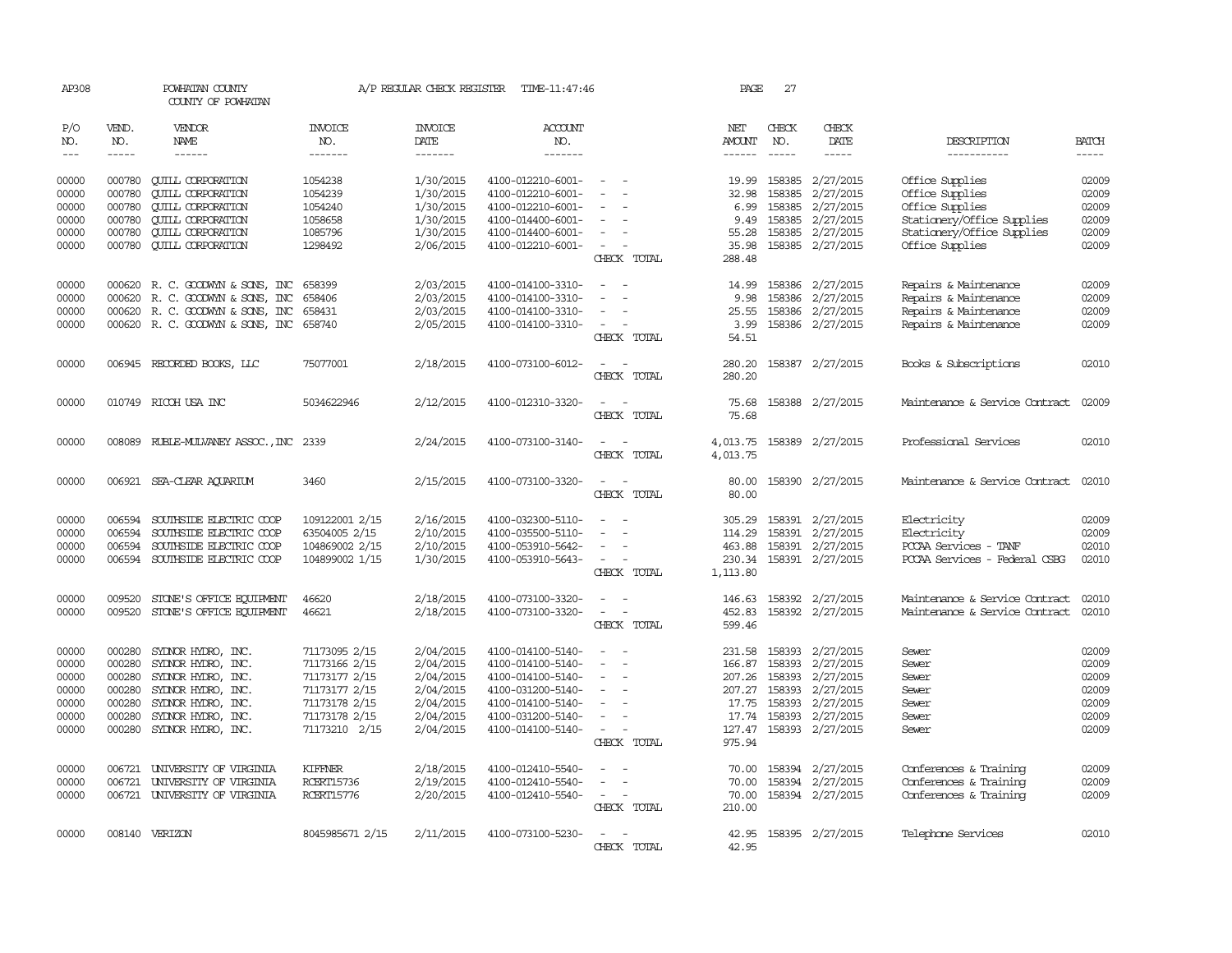| AP308          |                  | POWHATAN COUNTY<br>COUNTY OF POWHATAN                |                                | A/P REGULAR CHECK REGISTER | TIME-11:47:46                          |                                         | PAGE             | 27                     |                               |                                    |                |
|----------------|------------------|------------------------------------------------------|--------------------------------|----------------------------|----------------------------------------|-----------------------------------------|------------------|------------------------|-------------------------------|------------------------------------|----------------|
| P/O<br>NO.     | VEND.<br>NO.     | VENDOR<br>NAME                                       | <b>INVOICE</b><br>NO.          | <b>INVOICE</b><br>DATE     | ACCOUNT<br>NO.                         |                                         | NET<br>AMOUNT    | CHECK<br>NO.           | CHECK<br>DATE                 | DESCRIPTION                        | <b>BATCH</b>   |
| $---$          | -----            | ------                                               | -------                        | -------                    | -------                                |                                         | ------           | $- - - - -$            | $- - - - -$                   | -----------                        | -----          |
| 00000<br>00000 | 000780<br>000780 | <b>CUILL CORPORATION</b><br><b>QUILL CORPORATION</b> | 1054238<br>1054239             | 1/30/2015<br>1/30/2015     | 4100-012210-6001-<br>4100-012210-6001- | $\overline{\phantom{a}}$                | 19.99<br>32.98   | 158385                 | 158385 2/27/2015<br>2/27/2015 | Office Supplies<br>Office Supplies | 02009<br>02009 |
| 00000          | 000780           | <b>CUILL CORPORATION</b>                             | 1054240                        | 1/30/2015                  | 4100-012210-6001-                      |                                         | 6.99             | 158385                 | 2/27/2015                     | Office Supplies                    | 02009          |
| 00000          | 000780           | <b>QUILL CORPORATION</b>                             | 1058658                        | 1/30/2015                  | 4100-014400-6001-                      |                                         | 9.49             | 158385                 | 2/27/2015                     | Stationery/Office Supplies         | 02009          |
| 00000          | 000780           | <b>QUILL CORPORATION</b>                             | 1085796                        | 1/30/2015                  | 4100-014400-6001-                      |                                         | 55.28            |                        | 158385 2/27/2015              | Stationery/Office Supplies         | 02009          |
| 00000          | 000780           | <b>QUILL CORPORATION</b>                             | 1298492                        | 2/06/2015                  | 4100-012210-6001-                      | $\overline{\phantom{a}}$<br>CHECK TOTAL | 35.98<br>288.48  |                        | 158385 2/27/2015              | Office Supplies                    | 02009          |
|                |                  |                                                      |                                |                            |                                        |                                         |                  |                        |                               |                                    |                |
| 00000          |                  | 000620 R. C. GOODWYN & SONS, INC                     | 658399                         | 2/03/2015                  | 4100-014100-3310-                      |                                         | 14.99            |                        | 158386 2/27/2015              | Repairs & Maintenance              | 02009          |
| 00000          | 000620           | R. C. GOODWYN & SONS, INC                            | 658406                         | 2/03/2015                  | 4100-014100-3310-                      |                                         | 9.98             |                        | 158386 2/27/2015              | Repairs & Maintenance              | 02009          |
| 00000          | 000620           | R. C. GOODWYN & SONS, INC                            | 658431                         | 2/03/2015                  | 4100-014100-3310-                      |                                         | 25.55            |                        | 158386 2/27/2015              | Repairs & Maintenance              | 02009          |
| 00000          |                  | 000620 R. C. GOODWYN & SONS, INC 658740              |                                | 2/05/2015                  | 4100-014100-3310-                      | $\sim$                                  | 3.99             |                        | 158386 2/27/2015              | Repairs & Maintenance              | 02009          |
|                |                  |                                                      |                                |                            |                                        | CHECK TOTAL                             | 54.51            |                        |                               |                                    |                |
| 00000          |                  | 006945 RECORDED BOOKS, LLC                           | 75077001                       | 2/18/2015                  | 4100-073100-6012-                      | $\sim$                                  | 280.20           |                        | 158387 2/27/2015              | Books & Subscriptions              | 02010          |
|                |                  |                                                      |                                |                            |                                        | CHECK TOTAL                             | 280.20           |                        |                               |                                    |                |
|                |                  |                                                      |                                |                            |                                        |                                         |                  |                        |                               |                                    |                |
| 00000          |                  | 010749 RICOH USA INC                                 | 5034622946                     | 2/12/2015                  | 4100-012310-3320-                      |                                         | 75.68            |                        | 158388 2/27/2015              | Maintenance & Service Contract     | 02009          |
|                |                  |                                                      |                                |                            |                                        | CHECK TOTAL                             | 75.68            |                        |                               |                                    |                |
| 00000          |                  | 008089 RUBLE-MULVANEY ASSOC., INC 2339               |                                | 2/24/2015                  | 4100-073100-3140-                      |                                         | 4,013.75         |                        | 158389 2/27/2015              | Professional Services              | 02010          |
|                |                  |                                                      |                                |                            |                                        | CHECK TOTAL                             | 4,013.75         |                        |                               |                                    |                |
|                |                  |                                                      |                                |                            |                                        |                                         |                  |                        |                               |                                    |                |
| 00000          | 006921           | SEA-CLEAR AOUARIUM                                   | 3460                           | 2/15/2015                  | 4100-073100-3320-                      | $\sim$<br>CHECK TOTAL                   | 80.00<br>80.00   |                        | 158390 2/27/2015              | Maintenance & Service Contract     | 02010          |
|                |                  |                                                      |                                |                            |                                        |                                         |                  |                        |                               |                                    |                |
| 00000          | 006594           | SOUTHSIDE ELECTRIC COOP                              | 109122001 2/15                 | 2/16/2015                  | 4100-032300-5110-                      |                                         | 305.29           |                        | 158391 2/27/2015              | Electricity                        | 02009          |
| 00000          | 006594           | SOUTHSIDE ELECTRIC COOP                              | 63504005 2/15                  | 2/10/2015                  | 4100-035500-5110-                      |                                         | 114.29           |                        | 158391 2/27/2015              | Electricity                        | 02009          |
| 00000          | 006594           | SOUTHSIDE ELECTRIC COOP                              | 104869002 2/15                 | 2/10/2015                  | 4100-053910-5642-                      |                                         | 463.88           |                        | 158391 2/27/2015              | PCCAA Services - TANF              | 02010          |
| 00000          |                  | 006594 SOUTHSIDE ELECTRIC COOP                       | 104899002 1/15                 | 1/30/2015                  | 4100-053910-5643-                      | $\overline{\phantom{a}}$                |                  |                        | 230.34 158391 2/27/2015       | PCCAA Services - Federal CSBG      | 02010          |
|                |                  |                                                      |                                |                            |                                        | CHECK TOTAL                             | 1,113.80         |                        |                               |                                    |                |
| 00000          | 009520           | STONE'S OFFICE EQUIPMENT                             | 46620                          | 2/18/2015                  | 4100-073100-3320-                      |                                         | 146.63           |                        | 158392 2/27/2015              | Maintenance & Service Contract     | 02010          |
| 00000          | 009520           | STONE'S OFFICE EQUIPMENT                             | 46621                          | 2/18/2015                  | 4100-073100-3320-                      | $\equiv$                                | 452.83           |                        | 158392 2/27/2015              | Maintenance & Service Contract     | 02010          |
|                |                  |                                                      |                                |                            |                                        | CHECK TOTAL                             | 599.46           |                        |                               |                                    |                |
|                |                  |                                                      |                                |                            |                                        |                                         |                  |                        |                               |                                    |                |
| 00000          | 000280           | SYLNOR HYDRO, INC.                                   | 71173095 2/15                  | 2/04/2015                  | 4100-014100-5140-                      |                                         | 231.58           |                        | 158393 2/27/2015              | Sewer                              | 02009          |
| 00000          | 000280           | SYDNOR HYDRO, INC.                                   | 71173166 2/15                  | 2/04/2015                  | 4100-014100-5140-                      |                                         | 166.87           | 158393                 | 2/27/2015                     | Sewer                              | 02009          |
| 00000          | 000280           | SYLNOR HYDRO, INC.                                   | 71173177 2/15                  | 2/04/2015                  | 4100-014100-5140-                      |                                         |                  |                        | 207.26 158393 2/27/2015       | Sewer                              | 02009          |
| 00000          | 000280           | SYDNOR HYDRO, INC.                                   | 71173177 2/15                  | 2/04/2015                  | 4100-031200-5140-                      | $\overline{\phantom{a}}$                | 207.27           | 158393                 | 2/27/2015                     | Sewer                              | 02009          |
| 00000<br>00000 | 000280<br>000280 | SYDNOR HYDRO, INC.                                   | 71173178 2/15<br>71173178 2/15 | 2/04/2015<br>2/04/2015     | 4100-014100-5140-                      |                                         | 17.74            | 17.75 158393<br>158393 | 2/27/2015<br>2/27/2015        | Sewer<br>Sewer                     | 02009<br>02009 |
|                |                  | SYLNOR HYDRO, INC.                                   |                                | 2/04/2015                  | 4100-031200-5140-                      | $\overline{\phantom{a}}$                |                  |                        | 158393 2/27/2015              |                                    | 02009          |
| 00000          | 000280           | SYDNOR HYDRO, INC.                                   | 71173210 2/15                  |                            | 4100-014100-5140-                      | CHECK TOTAL                             | 127.47<br>975.94 |                        |                               | Sewer                              |                |
|                |                  |                                                      |                                |                            |                                        |                                         |                  |                        |                               |                                    |                |
| 00000          | 006721           | UNIVERSITY OF VIRGINIA                               | KIFFNER                        | 2/18/2015                  | 4100-012410-5540-                      |                                         | 70.00            |                        | 158394 2/27/2015              | Conferences & Training             | 02009          |
| 00000          | 006721           | UNIVERSITY OF VIRGINIA                               | <b>RCERT15736</b>              | 2/19/2015                  | 4100-012410-5540-                      |                                         | 70.00            |                        | 158394 2/27/2015              | Conferences & Training             | 02009          |
| 00000          |                  | 006721 UNIVERSITY OF VIRGINIA                        | <b>RCERT15776</b>              | 2/20/2015                  | 4100-012410-5540-                      | $\sim$                                  | 70.00            |                        | 158394 2/27/2015              | Conferences & Training             | 02009          |
|                |                  |                                                      |                                |                            |                                        | CHECK TOTAL                             | 210.00           |                        |                               |                                    |                |
| 00000          |                  | 008140 VERIZON                                       | 8045985671 2/15                | 2/11/2015                  | 4100-073100-5230-                      | $\sim$                                  | 42.95            |                        | 158395 2/27/2015              | Telephone Services                 | 02010          |
|                |                  |                                                      |                                |                            |                                        | CHRCK TOTAL                             | 42.95            |                        |                               |                                    |                |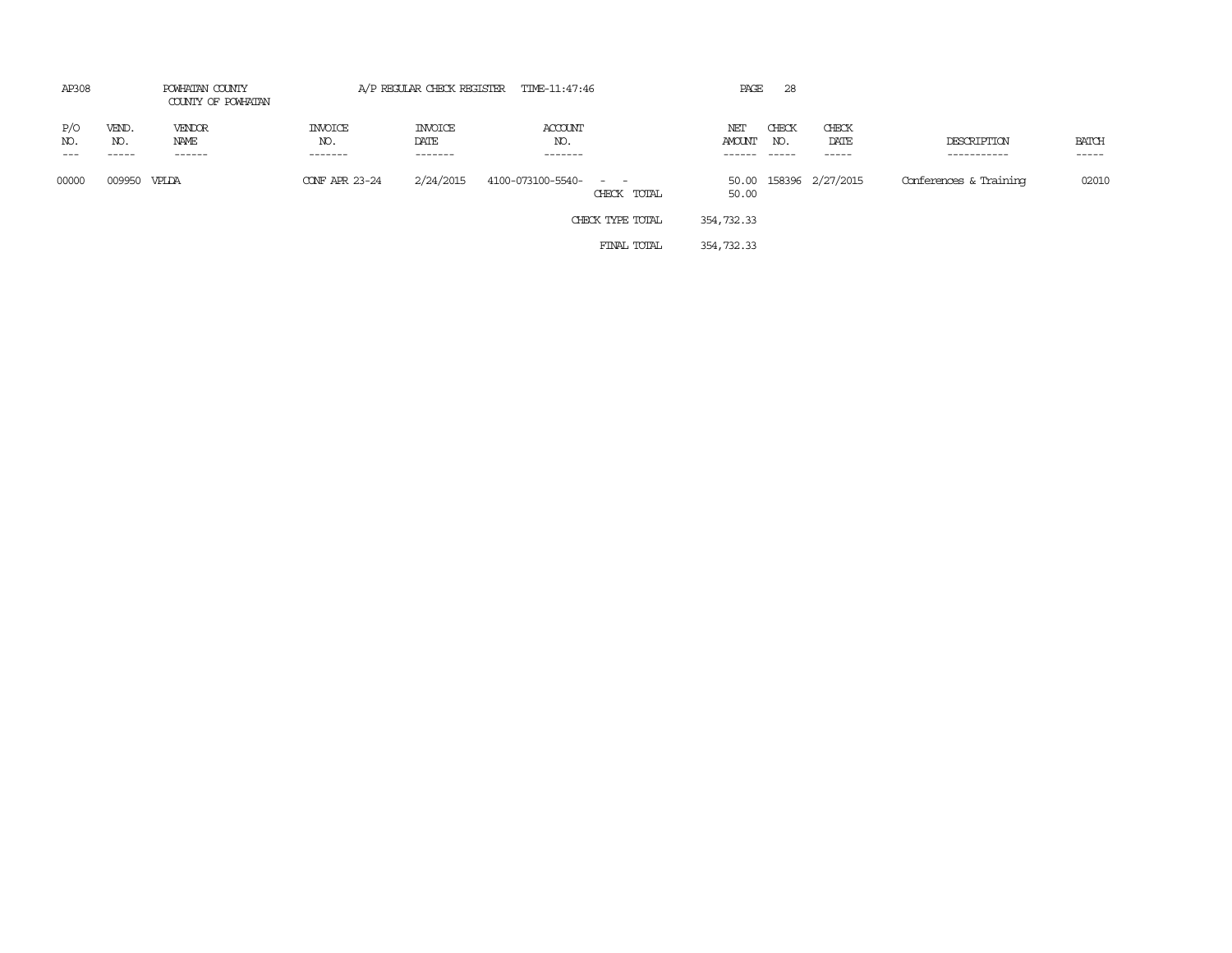| AP308               | POWHATAN COUNTY<br>COUNTY OF POWHATAN |                          | A/P REGULAR CHECK REGISTER TIME-11:47:46 | PAGE                       | 28                                                              |                         |              |                         |                            |                             |
|---------------------|---------------------------------------|--------------------------|------------------------------------------|----------------------------|-----------------------------------------------------------------|-------------------------|--------------|-------------------------|----------------------------|-----------------------------|
| P/O<br>NO.<br>$---$ | VEND.<br>NO.<br>-----                 | VENDOR<br>NAME<br>------ | INVOICE<br>NO.<br>-------                | INVOICE<br>DATE<br>------- | ACCOUNT<br>NO.<br>-------                                       | NET<br>AMOUNT<br>------ | CHECK<br>NO. | CHECK<br>DATE<br>------ | DESCRIPTION<br>----------- | <b>BATCH</b><br>$- - - - -$ |
| 00000               | 009950                                | VPLDA                    | CONF APR 23-24                           | 2/24/2015                  | 4100-073100-5540-<br>$\alpha = 1$ , $\alpha = 1$<br>CHECK TOTAL | 50.00                   |              | 50.00 158396 2/27/2015  | Conferences & Training     | 02010                       |
|                     |                                       |                          |                                          |                            | CHECK TYPE TOTAL                                                | 354,732.33              |              |                         |                            |                             |
|                     |                                       |                          |                                          |                            | FINAL TOTAL                                                     | 354,732.33              |              |                         |                            |                             |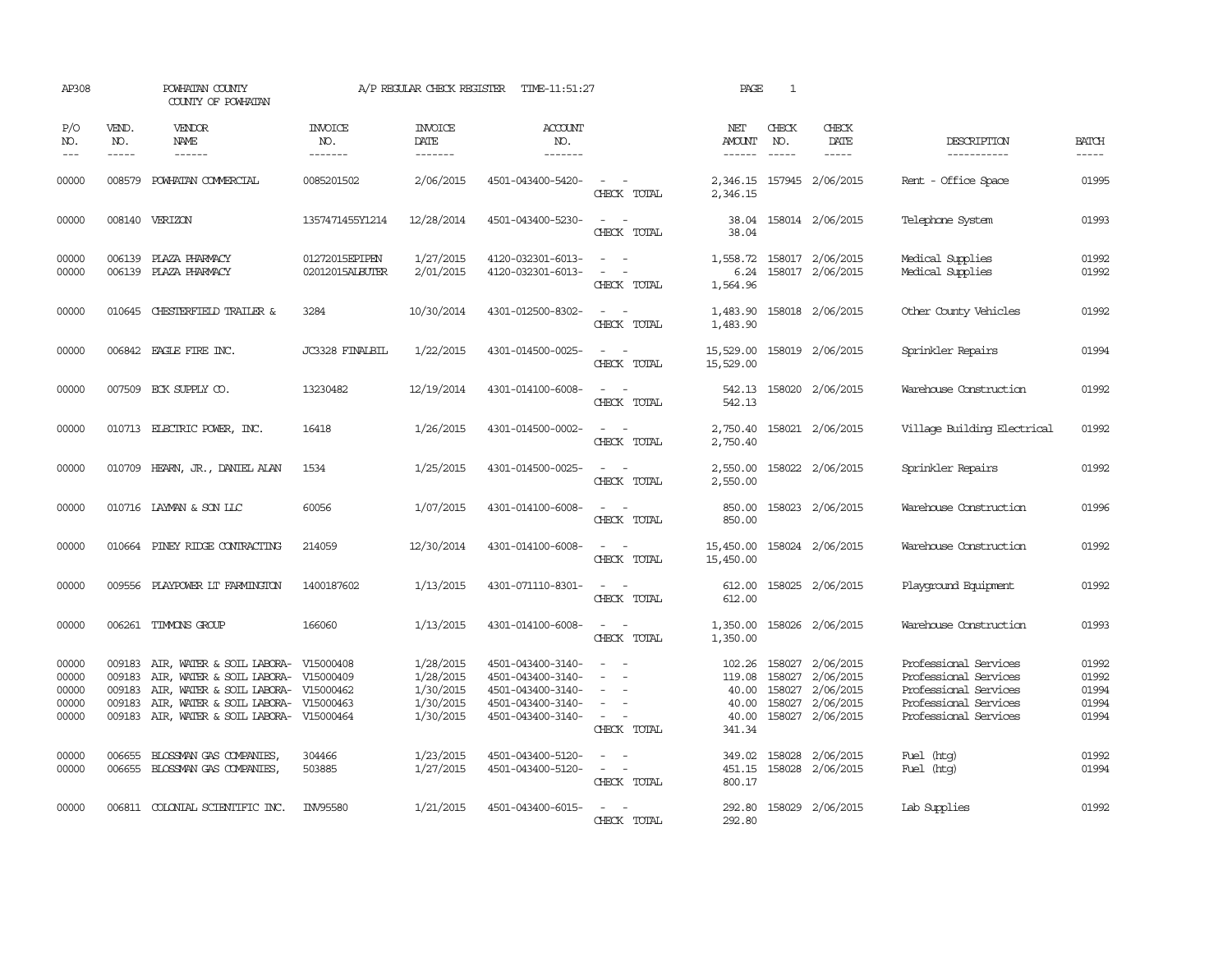| AP308                                     |                                      | POWHATAN COUNTY<br>COUNTY OF POWHATAN                                                                                                                                                        |                                   | A/P REGULAR CHECK REGISTER                                    | TIME-11:51:27                                                                                         |                                                                                                                             | PAGE                                                  | 1                             |                                                                             |                                                                                                                           |                                           |
|-------------------------------------------|--------------------------------------|----------------------------------------------------------------------------------------------------------------------------------------------------------------------------------------------|-----------------------------------|---------------------------------------------------------------|-------------------------------------------------------------------------------------------------------|-----------------------------------------------------------------------------------------------------------------------------|-------------------------------------------------------|-------------------------------|-----------------------------------------------------------------------------|---------------------------------------------------------------------------------------------------------------------------|-------------------------------------------|
| P/O<br>NO.<br>$---$                       | VEND.<br>NO.                         | VENDOR<br>NAME<br>$- - - - - -$                                                                                                                                                              | INVOICE<br>NO.<br>-------         | <b>INVOICE</b><br>DATE<br>-------                             | <b>ACCOUNT</b><br>NO.<br>-------                                                                      |                                                                                                                             | NET<br>AMOUNT<br>$- - - - - -$                        | CHECK<br>NO.<br>$\frac{1}{2}$ | CHECK<br>DATE                                                               | DESCRIPTION<br>-----------                                                                                                | <b>BATCH</b><br>-----                     |
| 00000                                     | 008579                               | POWHATAN COMMERCIAL                                                                                                                                                                          | 0085201502                        | 2/06/2015                                                     | 4501-043400-5420-                                                                                     | $\overline{\phantom{a}}$<br>CHECK TOTAL                                                                                     | 2,346.15                                              |                               | 2,346.15 157945 2/06/2015                                                   | Rent - Office Space                                                                                                       | 01995                                     |
| 00000                                     |                                      | 008140 VERIZON                                                                                                                                                                               | 1357471455Y1214                   | 12/28/2014                                                    | 4501-043400-5230-                                                                                     | $\omega_{\rm{max}}$ and $\omega_{\rm{max}}$<br>CHECK TOTAL                                                                  | 38.04<br>38.04                                        |                               | 158014 2/06/2015                                                            | Telephone System                                                                                                          | 01993                                     |
| 00000<br>00000                            |                                      | 006139 PLAZA PHARMACY<br>006139 PLAZA PHARMACY                                                                                                                                               | 01272015EPIPEN<br>02012015ALBUTER | 1/27/2015<br>2/01/2015                                        | 4120-032301-6013-<br>4120-032301-6013-                                                                | $\sim$ $ -$<br>$\mathcal{L}_{\text{max}}$ , $\mathcal{L}_{\text{max}}$<br>CHECK TOTAL                                       | 1,564.96                                              |                               | 1,558.72 158017 2/06/2015<br>6.24 158017 2/06/2015                          | Medical Supplies<br>Medical Supplies                                                                                      | 01992<br>01992                            |
| 00000                                     |                                      | 010645 CHESTERFIELD TRAILER &                                                                                                                                                                | 3284                              | 10/30/2014                                                    | 4301-012500-8302-                                                                                     | $\sim$<br>CHECK TOTAL                                                                                                       | 1,483.90<br>1,483.90                                  |                               | 158018 2/06/2015                                                            | Other County Vehicles                                                                                                     | 01992                                     |
| 00000                                     |                                      | 006842 EAGLE FIRE INC.                                                                                                                                                                       | JC3328 FINALBIL                   | 1/22/2015                                                     | 4301-014500-0025-                                                                                     | $\sim$<br>$\sim$<br>CHECK TOTAL                                                                                             | 15,529.00<br>15,529.00                                |                               | 158019 2/06/2015                                                            | Sprinkler Repairs                                                                                                         | 01994                                     |
| 00000                                     |                                      | 007509 ECK SUPPLY CO.                                                                                                                                                                        | 13230482                          | 12/19/2014                                                    | 4301-014100-6008-                                                                                     | $\sim$ $ \sim$<br>CHECK TOTAL                                                                                               | 542.13<br>542.13                                      |                               | 158020 2/06/2015                                                            | Warehouse Construction                                                                                                    | 01992                                     |
| 00000                                     |                                      | 010713 ELECTRIC POWER, INC.                                                                                                                                                                  | 16418                             | 1/26/2015                                                     | 4301-014500-0002-                                                                                     | $\sim$ $ \sim$<br>CHECK TOTAL                                                                                               | 2,750.40<br>2,750.40                                  |                               | 158021 2/06/2015                                                            | Village Building Electrical                                                                                               | 01992                                     |
| 00000                                     |                                      | 010709 HEARN, JR., DANIEL ALAN                                                                                                                                                               | 1534                              | 1/25/2015                                                     | 4301-014500-0025-                                                                                     | $\frac{1}{2} \left( \frac{1}{2} \right) \left( \frac{1}{2} \right) = \frac{1}{2} \left( \frac{1}{2} \right)$<br>CHECK TOTAL | 2,550.00<br>2,550.00                                  |                               | 158022 2/06/2015                                                            | Sprinkler Repairs                                                                                                         | 01992                                     |
| 00000                                     |                                      | 010716 LAYMAN & SON LLC                                                                                                                                                                      | 60056                             | 1/07/2015                                                     | 4301-014100-6008-                                                                                     | $\frac{1}{2} \left( \frac{1}{2} \right) \left( \frac{1}{2} \right) = \frac{1}{2} \left( \frac{1}{2} \right)$<br>CHECK TOTAL | 850.00<br>850.00                                      |                               | 158023 2/06/2015                                                            | Warehouse Construction                                                                                                    | 01996                                     |
| 00000                                     |                                      | 010664 PINEY RIDGE CONTRACTING                                                                                                                                                               | 214059                            | 12/30/2014                                                    | 4301-014100-6008-                                                                                     | $\sim$ $ \sim$<br>CHECK TOTAL                                                                                               | 15,450.00<br>15,450.00                                |                               | 158024 2/06/2015                                                            | Warehouse Construction                                                                                                    | 01992                                     |
| 00000                                     |                                      | 009556 PLAYPOWER LT FARMINGTON                                                                                                                                                               | 1400187602                        | 1/13/2015                                                     | 4301-071110-8301-                                                                                     | $\frac{1}{2} \left( \frac{1}{2} \right) \left( \frac{1}{2} \right) = \frac{1}{2} \left( \frac{1}{2} \right)$<br>CHECK TOTAL | 612.00<br>612.00                                      |                               | 158025 2/06/2015                                                            | Playground Equipment                                                                                                      | 01992                                     |
| 00000                                     |                                      | 006261 TIMMONS GROUP                                                                                                                                                                         | 166060                            | 1/13/2015                                                     | 4301-014100-6008-                                                                                     | $\omega_{\rm{max}}$ and $\omega_{\rm{max}}$<br>CHECK TOTAL                                                                  | 1,350.00                                              |                               | 1,350.00 158026 2/06/2015                                                   | Warehouse Construction                                                                                                    | 01993                                     |
| 00000<br>00000<br>00000<br>00000<br>00000 | 009183<br>009183<br>009183<br>009183 | AIR, WATER & SOIL LABORA-<br>AIR, WATER & SOIL LABORA- V15000409<br>AIR, WATER & SOIL LABORA- V15000462<br>AIR, WATER & SOIL LABORA- V15000463<br>009183 AIR, WATER & SOIL LABORA- V15000464 | V15000408                         | 1/28/2015<br>1/28/2015<br>1/30/2015<br>1/30/2015<br>1/30/2015 | 4501-043400-3140-<br>4501-043400-3140-<br>4501-043400-3140-<br>4501-043400-3140-<br>4501-043400-3140- | $\sim$<br>$\sim$<br>$\equiv$<br>$\overline{\phantom{a}}$<br>CHECK TOTAL                                                     | 102.26<br>119.08<br>40.00<br>40.00<br>40.00<br>341.34 | 158027<br>158027<br>158027    | 158027 2/06/2015<br>2/06/2015<br>2/06/2015<br>2/06/2015<br>158027 2/06/2015 | Professional Services<br>Professional Services<br>Professional Services<br>Professional Services<br>Professional Services | 01992<br>01992<br>01994<br>01994<br>01994 |
| 00000<br>00000                            | 006655                               | BLOSSMAN GAS COMPANIES,<br>006655 BLOSSMAN GAS COMPANIES,                                                                                                                                    | 304466<br>503885                  | 1/23/2015<br>1/27/2015                                        | 4501-043400-5120-<br>4501-043400-5120-                                                                | $\sim$ $\sim$<br>$\sim$ $ -$<br>CHECK TOTAL                                                                                 | 349.02<br>451.15<br>800.17                            |                               | 158028 2/06/2015<br>158028 2/06/2015                                        | Fuel (htg)<br>Fuel (htg)                                                                                                  | 01992<br>01994                            |
| 00000                                     |                                      | 006811 COLONIAL SCIENTIFIC INC.                                                                                                                                                              | INV95580                          | 1/21/2015                                                     | 4501-043400-6015-                                                                                     | $\sim$ $ \sim$<br>CHECK TOTAL                                                                                               | 292.80                                                |                               | 292.80 158029 2/06/2015                                                     | Lab Supplies                                                                                                              | 01992                                     |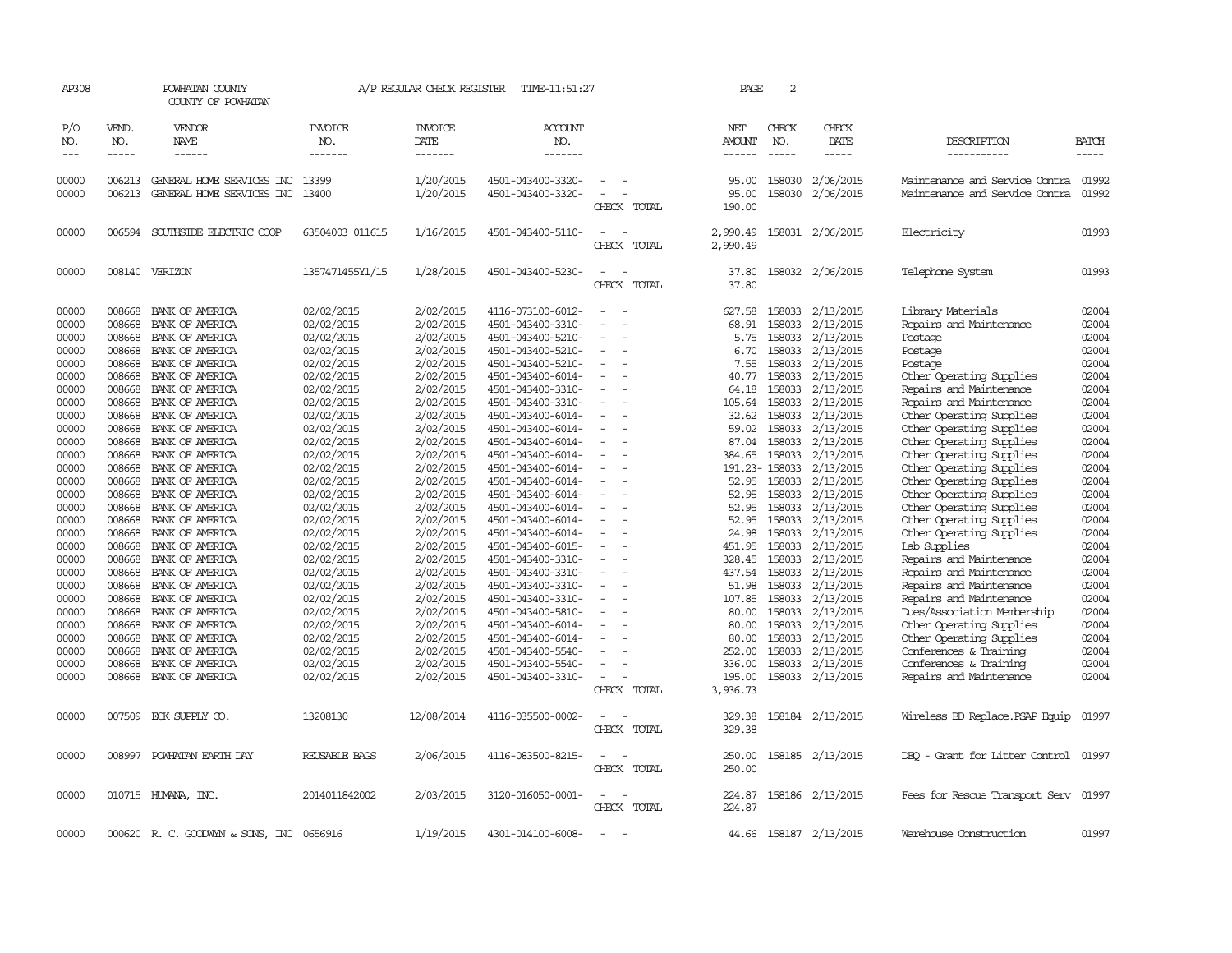| AP308                                                                                                                                                                                                                                           |                                                                                                                                                                                                                                                                            | POWHATAN COUNTY<br>COUNTY OF POWHATAN                                                                                                                                                                                                                                                                                                                                                                                                                                                                                         |                                                                                                                                                                                                                                                                                                                                                                                        | A/P REGULAR CHECK REGISTER                                                                                                                                                                                                                                                                                                                                  | TIME-11:51:27                                                                                                                                                                                                                                                                                                                                                                                                                                                                                                                                                                       |                                                                          | PAGE                                                                                                                                                                                                                                        | 2                                                                                                                                                                                                 |                                                                                                                                                                                                                                                                                                                                                                                                                     |                                                                                                                                                                                                                                                                                                                                                                                                                                                                                                                                                                                                                                                                                                      |                                                                                                                                                                                                                                                 |
|-------------------------------------------------------------------------------------------------------------------------------------------------------------------------------------------------------------------------------------------------|----------------------------------------------------------------------------------------------------------------------------------------------------------------------------------------------------------------------------------------------------------------------------|-------------------------------------------------------------------------------------------------------------------------------------------------------------------------------------------------------------------------------------------------------------------------------------------------------------------------------------------------------------------------------------------------------------------------------------------------------------------------------------------------------------------------------|----------------------------------------------------------------------------------------------------------------------------------------------------------------------------------------------------------------------------------------------------------------------------------------------------------------------------------------------------------------------------------------|-------------------------------------------------------------------------------------------------------------------------------------------------------------------------------------------------------------------------------------------------------------------------------------------------------------------------------------------------------------|-------------------------------------------------------------------------------------------------------------------------------------------------------------------------------------------------------------------------------------------------------------------------------------------------------------------------------------------------------------------------------------------------------------------------------------------------------------------------------------------------------------------------------------------------------------------------------------|--------------------------------------------------------------------------|---------------------------------------------------------------------------------------------------------------------------------------------------------------------------------------------------------------------------------------------|---------------------------------------------------------------------------------------------------------------------------------------------------------------------------------------------------|---------------------------------------------------------------------------------------------------------------------------------------------------------------------------------------------------------------------------------------------------------------------------------------------------------------------------------------------------------------------------------------------------------------------|------------------------------------------------------------------------------------------------------------------------------------------------------------------------------------------------------------------------------------------------------------------------------------------------------------------------------------------------------------------------------------------------------------------------------------------------------------------------------------------------------------------------------------------------------------------------------------------------------------------------------------------------------------------------------------------------------|-------------------------------------------------------------------------------------------------------------------------------------------------------------------------------------------------------------------------------------------------|
| P/O<br>NO.<br>$---$                                                                                                                                                                                                                             | VEND.<br>NO.<br>$- - - - -$                                                                                                                                                                                                                                                | VENDOR<br>NAME<br>------                                                                                                                                                                                                                                                                                                                                                                                                                                                                                                      | <b>INVOICE</b><br>NO.<br>-------                                                                                                                                                                                                                                                                                                                                                       | <b>INVOICE</b><br>DATE<br>-------                                                                                                                                                                                                                                                                                                                           | ACCOUNT<br>NO.<br>-------                                                                                                                                                                                                                                                                                                                                                                                                                                                                                                                                                           |                                                                          | NET<br>AMOUNT<br>------                                                                                                                                                                                                                     | CHECK<br>NO.<br>$- - - - -$                                                                                                                                                                       | CHECK<br>DATE<br>$- - - - -$                                                                                                                                                                                                                                                                                                                                                                                        | DESCRIPTION<br>-----------                                                                                                                                                                                                                                                                                                                                                                                                                                                                                                                                                                                                                                                                           | <b>BATCH</b><br>-----                                                                                                                                                                                                                           |
| 00000<br>00000                                                                                                                                                                                                                                  | 006213<br>006213                                                                                                                                                                                                                                                           | GENERAL HOME SERVICES INC 13399<br>GENERAL HOME SERVICES INC 13400                                                                                                                                                                                                                                                                                                                                                                                                                                                            |                                                                                                                                                                                                                                                                                                                                                                                        | 1/20/2015<br>1/20/2015                                                                                                                                                                                                                                                                                                                                      | 4501-043400-3320-<br>4501-043400-3320-                                                                                                                                                                                                                                                                                                                                                                                                                                                                                                                                              | $\sim$<br>CHECK TOTAL                                                    | 95.00<br>95.00<br>190.00                                                                                                                                                                                                                    | 158030<br>158030                                                                                                                                                                                  | 2/06/2015<br>2/06/2015                                                                                                                                                                                                                                                                                                                                                                                              | Maintenance and Service Contra<br>Maintenance and Service Contra                                                                                                                                                                                                                                                                                                                                                                                                                                                                                                                                                                                                                                     | 01992<br>01992                                                                                                                                                                                                                                  |
| 00000                                                                                                                                                                                                                                           | 006594                                                                                                                                                                                                                                                                     | SOUTHSIDE ELECTRIC COOP                                                                                                                                                                                                                                                                                                                                                                                                                                                                                                       | 63504003 011615                                                                                                                                                                                                                                                                                                                                                                        | 1/16/2015                                                                                                                                                                                                                                                                                                                                                   | 4501-043400-5110-                                                                                                                                                                                                                                                                                                                                                                                                                                                                                                                                                                   | CHECK TOTAL                                                              | 2,990.49<br>2,990.49                                                                                                                                                                                                                        |                                                                                                                                                                                                   | 158031 2/06/2015                                                                                                                                                                                                                                                                                                                                                                                                    | Electricity                                                                                                                                                                                                                                                                                                                                                                                                                                                                                                                                                                                                                                                                                          | 01993                                                                                                                                                                                                                                           |
| 00000                                                                                                                                                                                                                                           | 008140                                                                                                                                                                                                                                                                     | VERIZON                                                                                                                                                                                                                                                                                                                                                                                                                                                                                                                       | 1357471455Y1/15                                                                                                                                                                                                                                                                                                                                                                        | 1/28/2015                                                                                                                                                                                                                                                                                                                                                   | 4501-043400-5230-                                                                                                                                                                                                                                                                                                                                                                                                                                                                                                                                                                   | CHECK TOTAL                                                              | 37.80<br>37.80                                                                                                                                                                                                                              |                                                                                                                                                                                                   | 158032 2/06/2015                                                                                                                                                                                                                                                                                                                                                                                                    | Telephone System                                                                                                                                                                                                                                                                                                                                                                                                                                                                                                                                                                                                                                                                                     | 01993                                                                                                                                                                                                                                           |
| 00000<br>00000<br>00000<br>00000<br>00000<br>00000<br>00000<br>00000<br>00000<br>00000<br>00000<br>00000<br>00000<br>00000<br>00000<br>00000<br>00000<br>00000<br>00000<br>00000<br>00000<br>00000<br>00000<br>00000<br>00000<br>00000<br>00000 | 008668<br>008668<br>008668<br>008668<br>008668<br>008668<br>008668<br>008668<br>008668<br>008668<br>008668<br>008668<br>008668<br>008668<br>008668<br>008668<br>008668<br>008668<br>008668<br>008668<br>008668<br>008668<br>008668<br>008668<br>008668<br>008668<br>008668 | BANK OF AMERICA<br>BANK OF AMERICA<br>BANK OF AMERICA<br>BANK OF AMERICA<br>BANK OF AMERICA<br>BANK OF AMERICA<br>BANK OF AMERICA<br>BANK OF AMERICA<br>BANK OF AMERICA<br>BANK OF AMERICA<br>BANK OF AMERICA<br>BANK OF AMERICA<br>BANK OF AMERICA<br>BANK OF AMERICA<br>BANK OF AMERICA<br>BANK OF AMERICA<br>BANK OF AMERICA<br>BANK OF AMERICA<br>BANK OF AMERICA<br>BANK OF AMERICA<br>BANK OF AMERICA<br>BANK OF AMERICA<br>BANK OF AMERICA<br>BANK OF AMERICA<br>BANK OF AMERICA<br>BANK OF AMERICA<br>BANK OF AMERICA | 02/02/2015<br>02/02/2015<br>02/02/2015<br>02/02/2015<br>02/02/2015<br>02/02/2015<br>02/02/2015<br>02/02/2015<br>02/02/2015<br>02/02/2015<br>02/02/2015<br>02/02/2015<br>02/02/2015<br>02/02/2015<br>02/02/2015<br>02/02/2015<br>02/02/2015<br>02/02/2015<br>02/02/2015<br>02/02/2015<br>02/02/2015<br>02/02/2015<br>02/02/2015<br>02/02/2015<br>02/02/2015<br>02/02/2015<br>02/02/2015 | 2/02/2015<br>2/02/2015<br>2/02/2015<br>2/02/2015<br>2/02/2015<br>2/02/2015<br>2/02/2015<br>2/02/2015<br>2/02/2015<br>2/02/2015<br>2/02/2015<br>2/02/2015<br>2/02/2015<br>2/02/2015<br>2/02/2015<br>2/02/2015<br>2/02/2015<br>2/02/2015<br>2/02/2015<br>2/02/2015<br>2/02/2015<br>2/02/2015<br>2/02/2015<br>2/02/2015<br>2/02/2015<br>2/02/2015<br>2/02/2015 | 4116-073100-6012-<br>4501-043400-3310-<br>4501-043400-5210-<br>4501-043400-5210-<br>4501-043400-5210-<br>4501-043400-6014-<br>4501-043400-3310-<br>4501-043400-3310-<br>4501-043400-6014-<br>4501-043400-6014-<br>4501-043400-6014-<br>4501-043400-6014-<br>4501-043400-6014-<br>4501-043400-6014-<br>4501-043400-6014-<br>4501-043400-6014-<br>4501-043400-6014-<br>4501-043400-6014-<br>4501-043400-6015-<br>4501-043400-3310-<br>4501-043400-3310-<br>4501-043400-3310-<br>4501-043400-3310-<br>4501-043400-5810-<br>4501-043400-6014-<br>4501-043400-6014-<br>4501-043400-5540- | $\equiv$<br>$\equiv$<br>$\equiv$<br>$\overline{\phantom{a}}$<br>$\equiv$ | 627.58<br>68.91<br>5.75<br>6.70<br>7.55<br>40.77<br>64.18<br>105.64<br>32.62<br>59.02<br>87.04<br>384.65<br>52.95<br>52.95<br>52.95<br>52.95<br>24.98<br>451.95<br>328.45<br>437.54<br>51.98<br>107.85<br>80.00<br>80.00<br>80.00<br>252.00 | 158033<br>158033<br>158033<br>158033<br>158033<br>158033<br>158033<br>158033<br>158033<br>158033<br>191.23-158033<br>158033<br>158033<br>158033<br>158033<br>158033<br>158033<br>158033<br>158033 | 2/13/2015<br>2/13/2015<br>2/13/2015<br>158033 2/13/2015<br>2/13/2015<br>2/13/2015<br>158033 2/13/2015<br>2/13/2015<br>2/13/2015<br>2/13/2015<br>2/13/2015<br>2/13/2015<br>2/13/2015<br>2/13/2015<br>2/13/2015<br>158033 2/13/2015<br>2/13/2015<br>158033 2/13/2015<br>2/13/2015<br>158033 2/13/2015<br>158033 2/13/2015<br>2/13/2015<br>2/13/2015<br>158033 2/13/2015<br>158033 2/13/2015<br>2/13/2015<br>2/13/2015 | Library Materials<br>Repairs and Maintenance<br>Postage<br>Postage<br>Postage<br>Other Operating Supplies<br>Repairs and Maintenance<br>Repairs and Maintenance<br>Other Operating Supplies<br>Other Operating Supplies<br>Other Operating Supplies<br>Other Operating Supplies<br>Other Operating Supplies<br>Other Operating Supplies<br>Other Operating Supplies<br>Other Operating Supplies<br>Other Operating Supplies<br>Other Operating Supplies<br>Lab Supplies<br>Repairs and Maintenance<br>Repairs and Maintenance<br>Repairs and Maintenance<br>Repairs and Maintenance<br>Dues/Association Membership<br>Other Operating Supplies<br>Other Operating Supplies<br>Conferences & Training | 02004<br>02004<br>02004<br>02004<br>02004<br>02004<br>02004<br>02004<br>02004<br>02004<br>02004<br>02004<br>02004<br>02004<br>02004<br>02004<br>02004<br>02004<br>02004<br>02004<br>02004<br>02004<br>02004<br>02004<br>02004<br>02004<br>02004 |
| 00000<br>00000                                                                                                                                                                                                                                  | 008668<br>008668                                                                                                                                                                                                                                                           | BANK OF AMERICA<br>BANK OF AMERICA                                                                                                                                                                                                                                                                                                                                                                                                                                                                                            | 02/02/2015<br>02/02/2015                                                                                                                                                                                                                                                                                                                                                               | 2/02/2015<br>2/02/2015                                                                                                                                                                                                                                                                                                                                      | 4501-043400-5540-<br>4501-043400-3310-                                                                                                                                                                                                                                                                                                                                                                                                                                                                                                                                              | $\equiv$<br>CHECK TOTAL                                                  | 336.00<br>195.00<br>3,936.73                                                                                                                                                                                                                | 158033<br>158033                                                                                                                                                                                  | 2/13/2015<br>2/13/2015                                                                                                                                                                                                                                                                                                                                                                                              | Conferences & Training<br>Repairs and Maintenance                                                                                                                                                                                                                                                                                                                                                                                                                                                                                                                                                                                                                                                    | 02004<br>02004                                                                                                                                                                                                                                  |
| 00000                                                                                                                                                                                                                                           |                                                                                                                                                                                                                                                                            | 007509 ECK SUPPLY CO.                                                                                                                                                                                                                                                                                                                                                                                                                                                                                                         | 13208130                                                                                                                                                                                                                                                                                                                                                                               | 12/08/2014                                                                                                                                                                                                                                                                                                                                                  | 4116-035500-0002-                                                                                                                                                                                                                                                                                                                                                                                                                                                                                                                                                                   | CHECK TOTAL                                                              | 329.38<br>329.38                                                                                                                                                                                                                            |                                                                                                                                                                                                   | 158184 2/13/2015                                                                                                                                                                                                                                                                                                                                                                                                    | Wireless BD Replace. PSAP Equip                                                                                                                                                                                                                                                                                                                                                                                                                                                                                                                                                                                                                                                                      | 01997                                                                                                                                                                                                                                           |
| 00000                                                                                                                                                                                                                                           | 008997                                                                                                                                                                                                                                                                     | POWHATAN EARTH DAY                                                                                                                                                                                                                                                                                                                                                                                                                                                                                                            | REUSABLE BAGS                                                                                                                                                                                                                                                                                                                                                                          | 2/06/2015                                                                                                                                                                                                                                                                                                                                                   | 4116-083500-8215-                                                                                                                                                                                                                                                                                                                                                                                                                                                                                                                                                                   | CHECK TOTAL                                                              | 250.00<br>250.00                                                                                                                                                                                                                            |                                                                                                                                                                                                   | 158185 2/13/2015                                                                                                                                                                                                                                                                                                                                                                                                    | DEO - Grant for Litter Control 01997                                                                                                                                                                                                                                                                                                                                                                                                                                                                                                                                                                                                                                                                 |                                                                                                                                                                                                                                                 |
| 00000                                                                                                                                                                                                                                           |                                                                                                                                                                                                                                                                            | 010715 HUMANA, INC.                                                                                                                                                                                                                                                                                                                                                                                                                                                                                                           | 2014011842002                                                                                                                                                                                                                                                                                                                                                                          | 2/03/2015                                                                                                                                                                                                                                                                                                                                                   | 3120-016050-0001-                                                                                                                                                                                                                                                                                                                                                                                                                                                                                                                                                                   | $\overline{\phantom{a}}$<br>CHECK TOTAL                                  | 224.87<br>224.87                                                                                                                                                                                                                            |                                                                                                                                                                                                   | 158186 2/13/2015                                                                                                                                                                                                                                                                                                                                                                                                    | Fees for Rescue Transport Serv 01997                                                                                                                                                                                                                                                                                                                                                                                                                                                                                                                                                                                                                                                                 |                                                                                                                                                                                                                                                 |
| 00000                                                                                                                                                                                                                                           |                                                                                                                                                                                                                                                                            | 000620 R. C. GOODWYN & SONS, INC 0656916                                                                                                                                                                                                                                                                                                                                                                                                                                                                                      |                                                                                                                                                                                                                                                                                                                                                                                        | 1/19/2015                                                                                                                                                                                                                                                                                                                                                   | 4301-014100-6008-                                                                                                                                                                                                                                                                                                                                                                                                                                                                                                                                                                   | $\sim$                                                                   |                                                                                                                                                                                                                                             |                                                                                                                                                                                                   | 44.66 158187 2/13/2015                                                                                                                                                                                                                                                                                                                                                                                              | Warehouse Construction                                                                                                                                                                                                                                                                                                                                                                                                                                                                                                                                                                                                                                                                               | 01997                                                                                                                                                                                                                                           |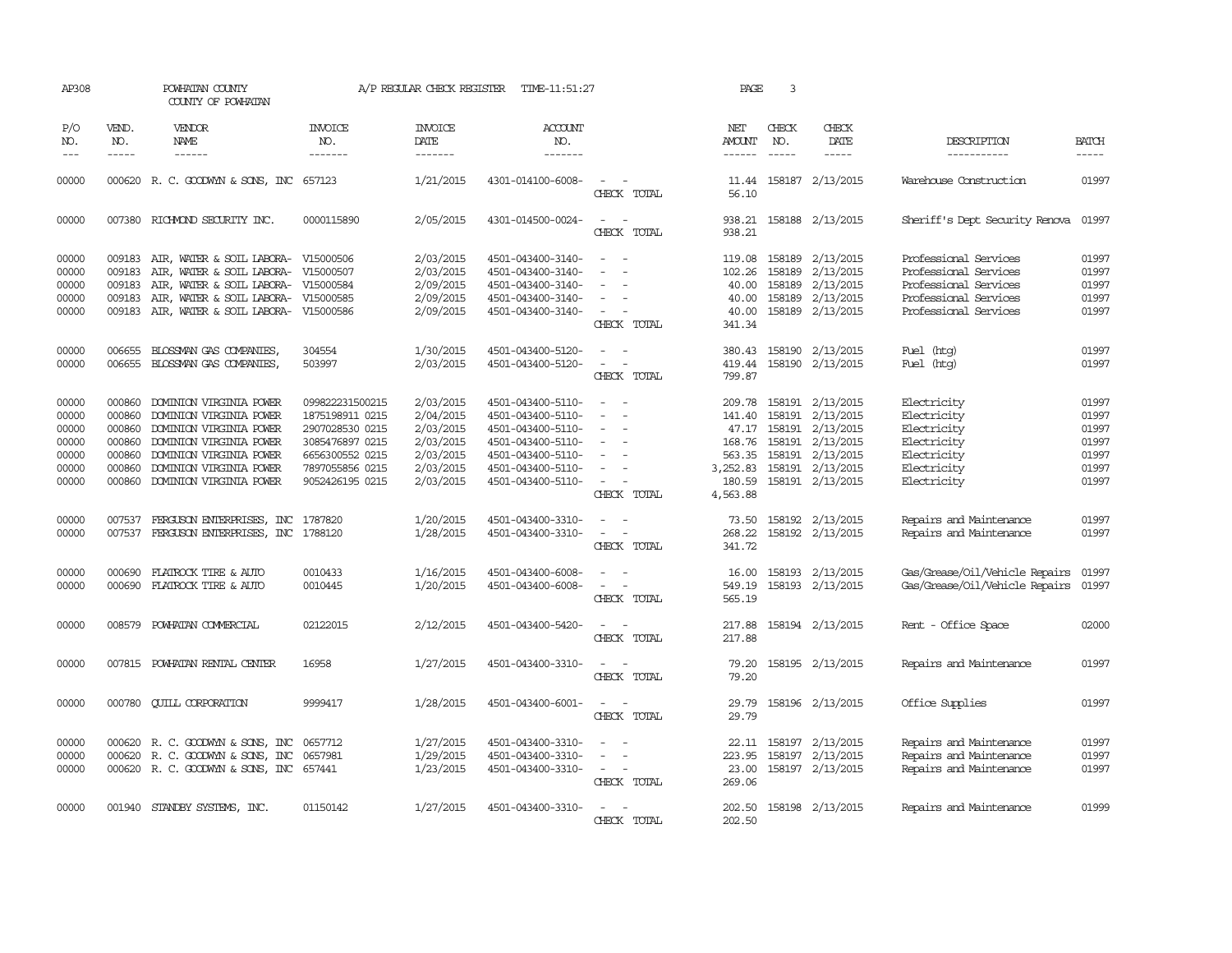| AP308                                                       |                                                                    | POWHATAN COUNTY<br>COUNTY OF POWHATAN                                                                                                                                                     |                                                                                                                                   | A/P REGULAR CHECK REGISTER                                                              | TIME-11:51:27                                                                                                                                   |                                                                                                                         | PAGE                                                                   | 3                           |                                                                                                                                  |                                                                                                                           |                                                             |
|-------------------------------------------------------------|--------------------------------------------------------------------|-------------------------------------------------------------------------------------------------------------------------------------------------------------------------------------------|-----------------------------------------------------------------------------------------------------------------------------------|-----------------------------------------------------------------------------------------|-------------------------------------------------------------------------------------------------------------------------------------------------|-------------------------------------------------------------------------------------------------------------------------|------------------------------------------------------------------------|-----------------------------|----------------------------------------------------------------------------------------------------------------------------------|---------------------------------------------------------------------------------------------------------------------------|-------------------------------------------------------------|
| P/O<br>NO.<br>$---$                                         | VEND.<br>NO.<br>$- - - - -$                                        | <b>VENDOR</b><br>NAME<br>------                                                                                                                                                           | <b>INVOICE</b><br>NO.<br>-------                                                                                                  | <b>INVOICE</b><br>DATE<br>-------                                                       | <b>ACCOUNT</b><br>NO.<br>-------                                                                                                                |                                                                                                                         | NET<br>AMOUNT<br>------                                                | CHECK<br>NO.<br>$- - - - -$ | CHECK<br>DATE<br>-----                                                                                                           | DESCRIPTION<br>-----------                                                                                                | <b>BATCH</b><br>$- - - - -$                                 |
| 00000                                                       |                                                                    | 000620 R. C. GOODWYN & SONS, INC 657123                                                                                                                                                   |                                                                                                                                   | 1/21/2015                                                                               | 4301-014100-6008-                                                                                                                               | CHECK TOTAL                                                                                                             | 11.44<br>56.10                                                         |                             | 158187 2/13/2015                                                                                                                 | Warehouse Construction                                                                                                    | 01997                                                       |
| 00000                                                       |                                                                    | 007380 RICHMOND SECURITY INC.                                                                                                                                                             | 0000115890                                                                                                                        | 2/05/2015                                                                               | 4301-014500-0024-                                                                                                                               | $\overline{\phantom{a}}$<br>$\overline{\phantom{a}}$<br>CHECK TOTAL                                                     | 938.21<br>938.21                                                       |                             | 158188 2/13/2015                                                                                                                 | Sheriff's Dept Security Renova                                                                                            | 01997                                                       |
| 00000<br>00000<br>00000<br>00000<br>00000                   | 009183<br>009183<br>009183<br>009183<br>009183                     | AIR, WATER & SOIL LABORA-<br>AIR, WATER & SOIL LABORA-<br>AIR, WATER & SOIL LABORA-<br>AIR, WATER & SOIL LABORA- V15000585<br>AIR, WATER & SOIL LABORA-                                   | V15000506<br>V15000507<br>V15000584<br>V15000586                                                                                  | 2/03/2015<br>2/03/2015<br>2/09/2015<br>2/09/2015<br>2/09/2015                           | 4501-043400-3140-<br>4501-043400-3140-<br>4501-043400-3140-<br>4501-043400-3140-<br>4501-043400-3140-                                           | $\overline{\phantom{a}}$<br>$\sim$<br>$\equiv$<br>$\overline{\phantom{a}}$<br>CHECK TOTAL                               | 119.08<br>102.26<br>40.00<br>40.00<br>40.00<br>341.34                  | 158189<br>158189<br>158189  | 2/13/2015<br>2/13/2015<br>2/13/2015<br>158189 2/13/2015<br>158189 2/13/2015                                                      | Professional Services<br>Professional Services<br>Professional Services<br>Professional Services<br>Professional Services | 01997<br>01997<br>01997<br>01997<br>01997                   |
| 00000<br>00000                                              | 006655                                                             | BLOSSMAN GAS COMPANIES,<br>006655 BLOSSMAN GAS COMPANIES,                                                                                                                                 | 304554<br>503997                                                                                                                  | 1/30/2015<br>2/03/2015                                                                  | 4501-043400-5120-<br>4501-043400-5120-                                                                                                          | $\sim$<br>$\sim$<br>$\overline{\phantom{a}}$<br>CHECK TOTAL                                                             | 380.43<br>419.44<br>799.87                                             |                             | 158190 2/13/2015<br>158190 2/13/2015                                                                                             | Fuel (htg)<br>Fuel (htg)                                                                                                  | 01997<br>01997                                              |
| 00000<br>00000<br>00000<br>00000<br>00000<br>00000<br>00000 | 000860<br>000860<br>000860<br>000860<br>000860<br>000860<br>000860 | DOMINION VIRGINIA POWER<br>DOMINION VIRGINIA POWER<br>DOMINION VIRGINIA POWER<br>DOMINION VIRGINIA POWER<br>DOMINION VIRGINIA POWER<br>DOMINION VIRGINIA POWER<br>DOMINION VIRGINIA POWER | 099822231500215<br>1875198911 0215<br>2907028530 0215<br>3085476897 0215<br>6656300552 0215<br>7897055856 0215<br>9052426195 0215 | 2/03/2015<br>2/04/2015<br>2/03/2015<br>2/03/2015<br>2/03/2015<br>2/03/2015<br>2/03/2015 | 4501-043400-5110-<br>4501-043400-5110-<br>4501-043400-5110-<br>4501-043400-5110-<br>4501-043400-5110-<br>4501-043400-5110-<br>4501-043400-5110- | $\equiv$<br>$\overline{\phantom{a}}$<br>$\overline{\phantom{a}}$<br>$\equiv$<br>$\overline{\phantom{a}}$<br>CHECK TOTAL | 209.78<br>141.40<br>168.76<br>563.35<br>3,252.83<br>180.59<br>4,563.88 | 158191<br>158191            | 158191 2/13/2015<br>2/13/2015<br>47.17 158191 2/13/2015<br>2/13/2015<br>158191 2/13/2015<br>158191 2/13/2015<br>158191 2/13/2015 | Electricity<br>Electricity<br>Electricity<br>Electricity<br>Electricity<br>Electricity<br>Electricity                     | 01997<br>01997<br>01997<br>01997<br>01997<br>01997<br>01997 |
| 00000<br>00000                                              | 007537                                                             | FERGUSON ENTERPRISES, INC 1787820<br>007537 FERGUSON ENTERPRISES, INC 1788120                                                                                                             |                                                                                                                                   | 1/20/2015<br>1/28/2015                                                                  | 4501-043400-3310-<br>4501-043400-3310-                                                                                                          | $\equiv$<br>$\sim$<br>$\sim$<br>$\sim$<br>CHECK TOTAL                                                                   | 73.50<br>341.72                                                        |                             | 158192 2/13/2015<br>268.22 158192 2/13/2015                                                                                      | Repairs and Maintenance<br>Repairs and Maintenance                                                                        | 01997<br>01997                                              |
| 00000<br>00000                                              | 000690<br>000690                                                   | FLATROCK TIRE & AUTO<br>FLATROCK TIRE & AUTO                                                                                                                                              | 0010433<br>0010445                                                                                                                | 1/16/2015<br>1/20/2015                                                                  | 4501-043400-6008-<br>4501-043400-6008-                                                                                                          | CHECK TOTAL                                                                                                             | 16.00<br>549.19<br>565.19                                              |                             | 158193 2/13/2015<br>158193 2/13/2015                                                                                             | Gas/Grease/Oil/Vehicle Repairs<br>Gas/Grease/Oil/Vehicle Repairs                                                          | 01997<br>01997                                              |
| 00000                                                       | 008579                                                             | POWHATAN COMMERCIAL                                                                                                                                                                       | 02122015                                                                                                                          | 2/12/2015                                                                               | 4501-043400-5420-                                                                                                                               | CHECK TOTAL                                                                                                             | 217.88<br>217.88                                                       |                             | 158194 2/13/2015                                                                                                                 | Rent - Office Space                                                                                                       | 02000                                                       |
| 00000                                                       |                                                                    | 007815 POWHATAN RENTAL CENTER                                                                                                                                                             | 16958                                                                                                                             | 1/27/2015                                                                               | 4501-043400-3310-                                                                                                                               | $\overline{\phantom{a}}$<br>CHECK TOTAL                                                                                 | 79.20<br>79.20                                                         |                             | 158195 2/13/2015                                                                                                                 | Repairs and Maintenance                                                                                                   | 01997                                                       |
| 00000                                                       | 000780                                                             | <b>QUILL CORPORATION</b>                                                                                                                                                                  | 9999417                                                                                                                           | 1/28/2015                                                                               | 4501-043400-6001-                                                                                                                               | CHECK TOTAL                                                                                                             | 29.79<br>29.79                                                         |                             | 158196 2/13/2015                                                                                                                 | Office Supplies                                                                                                           | 01997                                                       |
| 00000<br>00000<br>00000                                     |                                                                    | 000620 R. C. GOODWYN & SONS, INC<br>000620 R. C. GOODWYN & SONS, INC<br>000620 R. C. GOODWYN & SONS, INC 657441                                                                           | 0657712<br>0657981                                                                                                                | 1/27/2015<br>1/29/2015<br>1/23/2015                                                     | 4501-043400-3310-<br>4501-043400-3310-<br>4501-043400-3310-                                                                                     | $\sim$<br>$\overline{\phantom{a}}$<br>CHECK TOTAL                                                                       | 22.11<br>223.95<br>23.00<br>269.06                                     | 158197                      | 2/13/2015<br>158197 2/13/2015<br>158197 2/13/2015                                                                                | Repairs and Maintenance<br>Repairs and Maintenance<br>Repairs and Maintenance                                             | 01997<br>01997<br>01997                                     |
| 00000                                                       |                                                                    | 001940 STANDBY SYSTEMS, INC.                                                                                                                                                              | 01150142                                                                                                                          | 1/27/2015                                                                               | 4501-043400-3310-                                                                                                                               | $\overline{\phantom{a}}$<br>CHECK TOTAL                                                                                 | 202.50<br>202.50                                                       |                             | 158198 2/13/2015                                                                                                                 | Repairs and Maintenance                                                                                                   | 01999                                                       |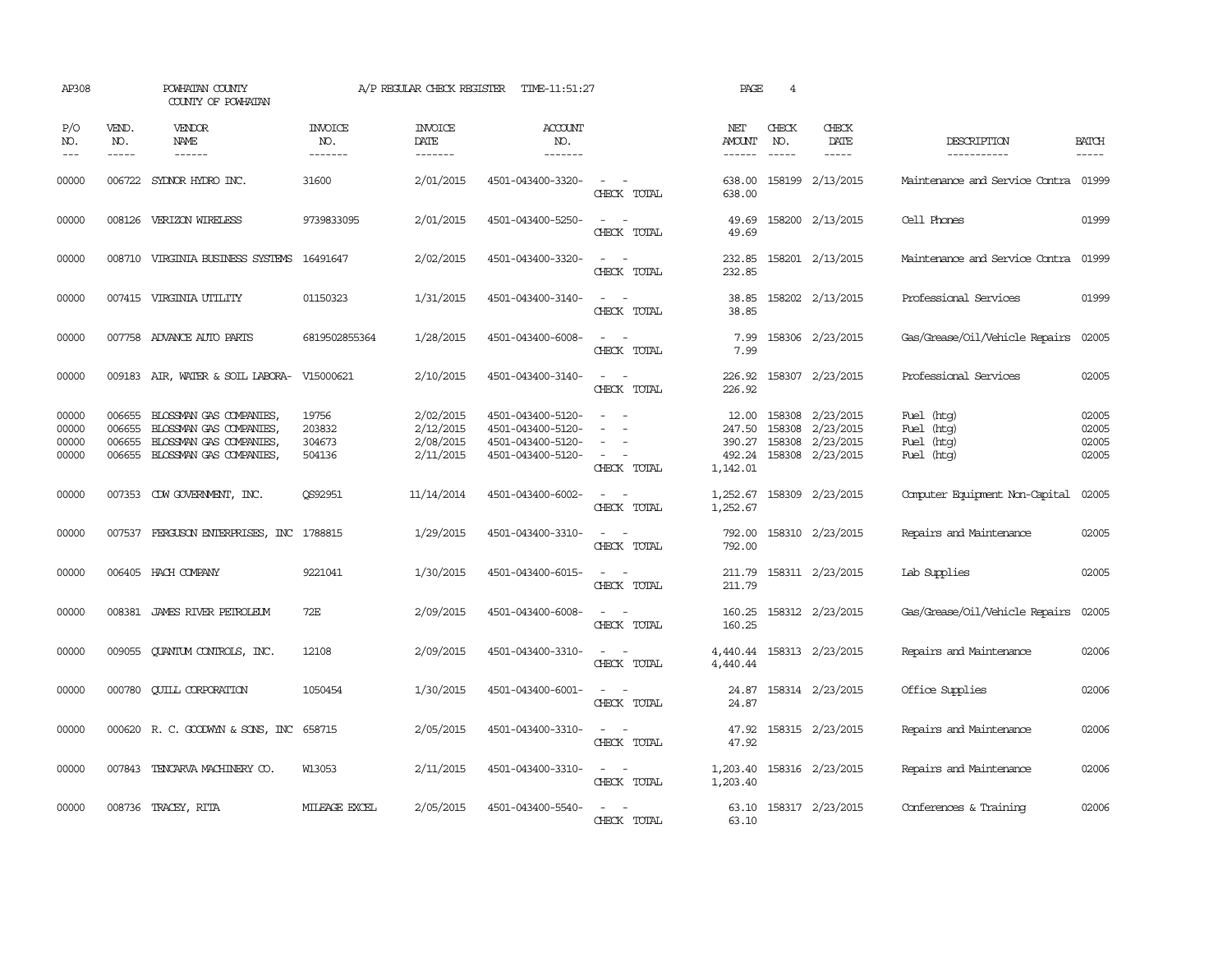| AP308                            |                             | POWHATAN COUNTY<br>COUNTY OF POWHATAN                                                                           |                                     | A/P REGULAR CHECK REGISTER                       | TIME-11:51:27                                                                    |                                                                                                                             | PAGE                                            | 4                             |                                                                |                                                      |                                  |
|----------------------------------|-----------------------------|-----------------------------------------------------------------------------------------------------------------|-------------------------------------|--------------------------------------------------|----------------------------------------------------------------------------------|-----------------------------------------------------------------------------------------------------------------------------|-------------------------------------------------|-------------------------------|----------------------------------------------------------------|------------------------------------------------------|----------------------------------|
| P/O<br>NO.<br>$---$              | VEND.<br>NO.<br>$- - - - -$ | VENDOR<br><b>NAME</b><br>------                                                                                 | <b>INVOICE</b><br>NO.<br>-------    | <b>INVOICE</b><br>DATE<br>-------                | <b>ACCOUNT</b><br>NO.<br>-------                                                 |                                                                                                                             | NET<br>AMOUNT                                   | CHECK<br>NO.<br>$\frac{1}{2}$ | CHECK<br>DATE<br>$- - - - -$                                   | DESCRIPTION<br>-----------                           | <b>BATCH</b><br>-----            |
| 00000                            | 006722                      | SYDNOR HYDRO INC.                                                                                               | 31600                               | 2/01/2015                                        | 4501-043400-3320-                                                                | CHECK TOTAL                                                                                                                 | 638.00<br>638.00                                |                               | 158199 2/13/2015                                               | Maintenance and Service Contra 01999                 |                                  |
| 00000                            |                             | 008126 VERIZON WIRELESS                                                                                         | 9739833095                          | 2/01/2015                                        | 4501-043400-5250-                                                                | CHECK TOTAL                                                                                                                 | 49.69<br>49.69                                  |                               | 158200 2/13/2015                                               | Cell Phones                                          | 01999                            |
| 00000                            | 008710                      | VIRGINIA BUSINESS SYSTEMS                                                                                       | 16491647                            | 2/02/2015                                        | 4501-043400-3320-                                                                | CHECK TOTAL                                                                                                                 | 232.85<br>232.85                                |                               | 158201 2/13/2015                                               | Maintenance and Service Contra                       | 01999                            |
| 00000                            |                             | 007415 VIRGINIA UTILITY                                                                                         | 01150323                            | 1/31/2015                                        | 4501-043400-3140-                                                                | $\overline{\phantom{a}}$<br>CHECK TOTAL                                                                                     | 38.85<br>38.85                                  |                               | 158202 2/13/2015                                               | Professional Services                                | 01999                            |
| 00000                            |                             | 007758 ADVANCE AUTO PARTS                                                                                       | 6819502855364                       | 1/28/2015                                        | 4501-043400-6008-                                                                | $\overline{\phantom{a}}$<br>CHECK TOTAL                                                                                     | 7.99<br>7.99                                    |                               | 158306 2/23/2015                                               | Gas/Grease/Oil/Vehicle Repairs                       | 02005                            |
| 00000                            |                             | 009183 AIR, WATER & SOIL LABORA- V15000621                                                                      |                                     | 2/10/2015                                        | 4501-043400-3140-                                                                | $\sim$ $  -$<br>CHECK TOTAL                                                                                                 | 226.92<br>226.92                                |                               | 158307 2/23/2015                                               | Professional Services                                | 02005                            |
| 00000<br>00000<br>00000<br>00000 | 006655<br>006655<br>006655  | BLOSSMAN GAS COMPANIES,<br>BLOSSMAN GAS COMPANIES,<br>BLOSSMAN GAS COMPANIES,<br>006655 BLOSSMAN GAS COMPANIES, | 19756<br>203832<br>304673<br>504136 | 2/02/2015<br>2/12/2015<br>2/08/2015<br>2/11/2015 | 4501-043400-5120-<br>4501-043400-5120-<br>4501-043400-5120-<br>4501-043400-5120- | CHECK TOTAL                                                                                                                 | 12.00<br>247.50<br>390.27<br>492.24<br>1,142.01 | 158308<br>158308              | 158308 2/23/2015<br>2/23/2015<br>2/23/2015<br>158308 2/23/2015 | Fuel (htg)<br>Fuel (htg)<br>Fuel (htg)<br>Fuel (htg) | 02005<br>02005<br>02005<br>02005 |
| 00000                            |                             | 007353 CDW GOVERNMENT, INC.                                                                                     | QS92951                             | 11/14/2014                                       | 4501-043400-6002-                                                                | $\equiv$<br>$\overline{\phantom{a}}$<br>CHECK TOTAL                                                                         | 1,252.67<br>1,252.67                            |                               | 158309 2/23/2015                                               | Computer Equipment Non-Capital                       | 02005                            |
| 00000                            |                             | 007537 FERGUSON ENTERPRISES, INC 1788815                                                                        |                                     | 1/29/2015                                        | 4501-043400-3310-                                                                | $ -$<br>CHECK TOTAL                                                                                                         | 792.00<br>792.00                                |                               | 158310 2/23/2015                                               | Repairs and Maintenance                              | 02005                            |
| 00000                            |                             | 006405 HACH COMPANY                                                                                             | 9221041                             | 1/30/2015                                        | 4501-043400-6015-                                                                | $\sim$ $\sim$<br>CHECK TOTAL                                                                                                | 211.79<br>211.79                                |                               | 158311 2/23/2015                                               | Lab Supplies                                         | 02005                            |
| 00000                            |                             | 008381 JAMES RIVER PETROLEUM                                                                                    | 72E                                 | 2/09/2015                                        | 4501-043400-6008-                                                                | $\sim$<br>CHECK TOTAL                                                                                                       | 160.25<br>160.25                                |                               | 158312 2/23/2015                                               | Gas/Grease/Oil/Vehicle Repairs                       | 02005                            |
| 00000                            | 009055                      | QUANTUM CONTROLS, INC.                                                                                          | 12108                               | 2/09/2015                                        | 4501-043400-3310-                                                                | $\frac{1}{2} \left( \frac{1}{2} \right) \left( \frac{1}{2} \right) = \frac{1}{2} \left( \frac{1}{2} \right)$<br>CHECK TOTAL | 4,440.44                                        |                               | 4,440.44 158313 2/23/2015                                      | Repairs and Maintenance                              | 02006                            |
| 00000                            |                             | 000780 CUILL CORPORATION                                                                                        | 1050454                             | 1/30/2015                                        | 4501-043400-6001-                                                                | $\frac{1}{2} \left( \frac{1}{2} \right) \left( \frac{1}{2} \right) = \frac{1}{2} \left( \frac{1}{2} \right)$<br>CHECK TOTAL | 24.87                                           |                               | 24.87 158314 2/23/2015                                         | Office Supplies                                      | 02006                            |
| 00000                            |                             | 000620 R.C. GOODWYN & SONS, INC 658715                                                                          |                                     | 2/05/2015                                        | 4501-043400-3310-                                                                | $ -$<br>CHECK TOTAL                                                                                                         | 47.92                                           |                               | 47.92 158315 2/23/2015                                         | Repairs and Maintenance                              | 02006                            |
| 00000                            |                             | 007843 TENCARVA MACHINERY CO.                                                                                   | W13053                              | 2/11/2015                                        | 4501-043400-3310-                                                                | CHECK TOTAL                                                                                                                 | 1,203.40<br>1,203.40                            |                               | 158316 2/23/2015                                               | Repairs and Maintenance                              | 02006                            |
| 00000                            |                             | 008736 TRACEY, RITA                                                                                             | MILEAGE EXCEL                       | 2/05/2015                                        | 4501-043400-5540-                                                                | CHECK TOTAL                                                                                                                 | 63.10<br>63.10                                  |                               | 158317 2/23/2015                                               | Conferences & Training                               | 02006                            |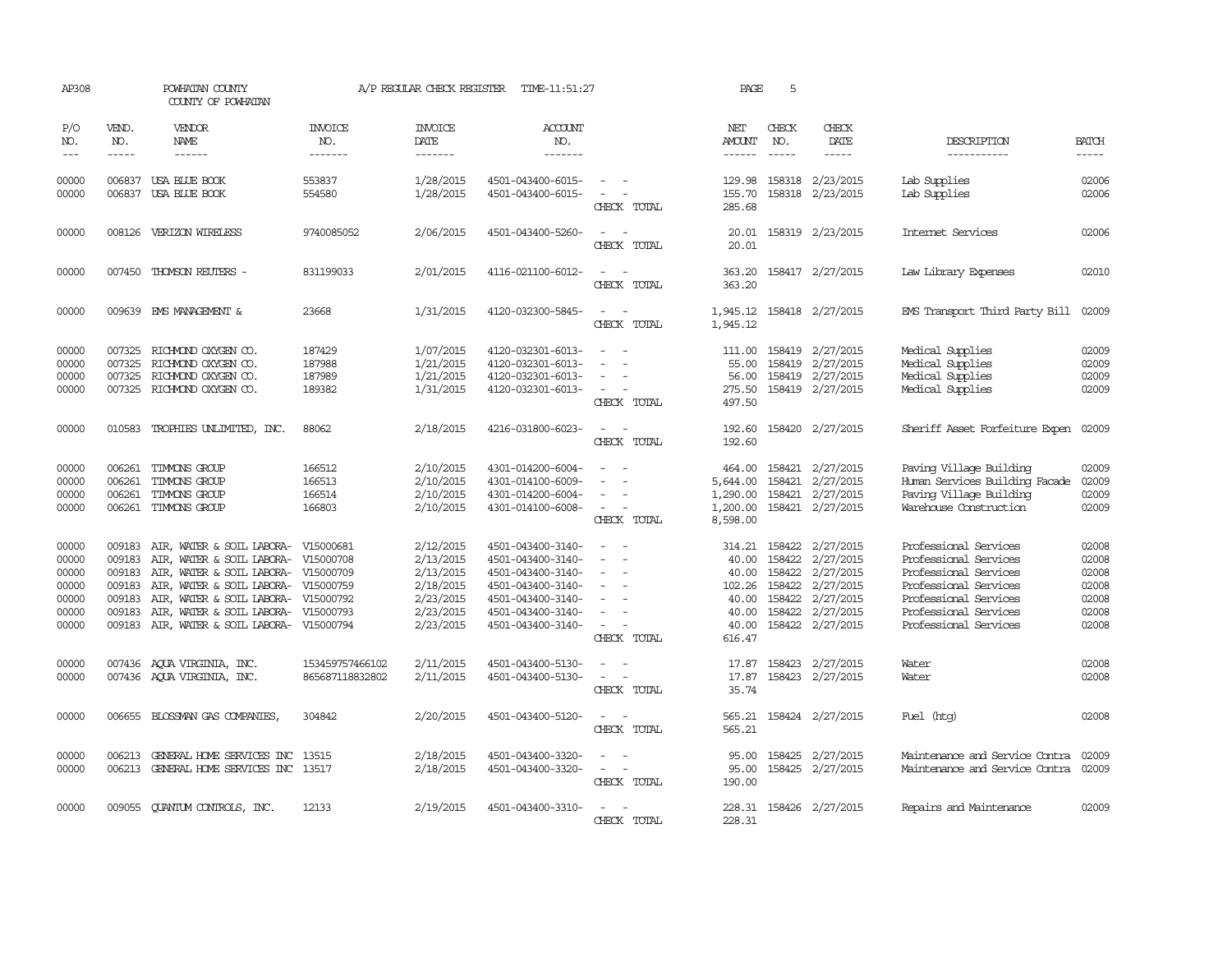| AP308                                                       |                                                                    | POWHATAN COUNTY<br>COUNTY OF POWHATAN                                                                                                                                                                                                           |                                      | A/P REGULAR CHECK REGISTER                                                              | TIME-11:51:27                                                                                                                                   |                                                                                                                             | PAGE                                                                    | 5                                    |                                                                                                              |                                                                                                                                                                             |                                                             |
|-------------------------------------------------------------|--------------------------------------------------------------------|-------------------------------------------------------------------------------------------------------------------------------------------------------------------------------------------------------------------------------------------------|--------------------------------------|-----------------------------------------------------------------------------------------|-------------------------------------------------------------------------------------------------------------------------------------------------|-----------------------------------------------------------------------------------------------------------------------------|-------------------------------------------------------------------------|--------------------------------------|--------------------------------------------------------------------------------------------------------------|-----------------------------------------------------------------------------------------------------------------------------------------------------------------------------|-------------------------------------------------------------|
| P/O<br>NO.<br>$\frac{1}{2}$                                 | VEND.<br>NO.<br>$- - - - -$                                        | VENDOR<br><b>NAME</b><br>------                                                                                                                                                                                                                 | INVOICE<br>NO.<br>-------            | <b>INVOICE</b><br>DATE<br>-------                                                       | <b>ACCOUNT</b><br>NO.<br>-------                                                                                                                |                                                                                                                             | NET<br><b>AMOUNT</b><br>------                                          | CHECK<br>NO.                         | CHECK<br><b>DATE</b><br>-----                                                                                | DESCRIPTION<br>-----------                                                                                                                                                  | <b>BATCH</b><br>-----                                       |
| 00000<br>00000                                              |                                                                    | 006837 USA BLUE BOOK<br>006837 USA BLUE BOOK                                                                                                                                                                                                    | 553837<br>554580                     | 1/28/2015<br>1/28/2015                                                                  | 4501-043400-6015-<br>4501-043400-6015-                                                                                                          | $\overline{\phantom{a}}$<br>$\sim$<br>CHECK TOTAL                                                                           | 129.98<br>155.70<br>285.68                                              |                                      | 158318 2/23/2015<br>158318 2/23/2015                                                                         | Lab Supplies<br>Lab Supplies                                                                                                                                                | 02006<br>02006                                              |
| 00000                                                       |                                                                    | 008126 VERIZON WIRELESS                                                                                                                                                                                                                         | 9740085052                           | 2/06/2015                                                                               | 4501-043400-5260-                                                                                                                               | $\frac{1}{2} \left( \frac{1}{2} \right) \left( \frac{1}{2} \right) = \frac{1}{2} \left( \frac{1}{2} \right)$<br>CHECK TOTAL | 20.01<br>20.01                                                          |                                      | 158319 2/23/2015                                                                                             | Internet Services                                                                                                                                                           | 02006                                                       |
| 00000                                                       |                                                                    | 007450 THOMSON REUTERS -                                                                                                                                                                                                                        | 831199033                            | 2/01/2015                                                                               | 4116-021100-6012-                                                                                                                               | $\equiv$<br>CHECK TOTAL                                                                                                     | 363.20<br>363.20                                                        |                                      | 158417 2/27/2015                                                                                             | Law Library Expenses                                                                                                                                                        | 02010                                                       |
| 00000                                                       |                                                                    | 009639 EMS MANAGEMENT &                                                                                                                                                                                                                         | 23668                                | 1/31/2015                                                                               | 4120-032300-5845-                                                                                                                               | $\overline{\phantom{a}}$<br>CHECK TOTAL                                                                                     | 1,945.12<br>1,945.12                                                    |                                      | 158418 2/27/2015                                                                                             | EMS Transport Third Party Bill                                                                                                                                              | 02009                                                       |
| 00000<br>00000<br>00000<br>00000                            | 007325<br>007325<br>007325                                         | RICHMOND OXYGEN CO.<br>RICHMOND OXYGEN CO.<br>RICHMOND OXYGEN CO.<br>007325 RICHMOND OXYGEN CO.                                                                                                                                                 | 187429<br>187988<br>187989<br>189382 | 1/07/2015<br>1/21/2015<br>1/21/2015<br>1/31/2015                                        | 4120-032301-6013-<br>4120-032301-6013-<br>4120-032301-6013-<br>4120-032301-6013-                                                                | $\equiv$<br>$\equiv$<br>$\overline{\phantom{a}}$<br>CHECK TOTAL                                                             | 111.00<br>55.00<br>56.00<br>275.50<br>497.50                            | 158419                               | 2/27/2015<br>158419 2/27/2015<br>158419 2/27/2015<br>158419 2/27/2015                                        | Medical Supplies<br>Medical Supplies<br>Medical Supplies<br>Medical Supplies                                                                                                | 02009<br>02009<br>02009<br>02009                            |
| 00000                                                       |                                                                    | 010583 TROPHIES UNLIMITED, INC.                                                                                                                                                                                                                 | 88062                                | 2/18/2015                                                                               | 4216-031800-6023-                                                                                                                               | $ -$<br>CHECK TOTAL                                                                                                         | 192.60<br>192.60                                                        |                                      | 158420 2/27/2015                                                                                             | Sheriff Asset Forfeiture Expen 02009                                                                                                                                        |                                                             |
| 00000<br>00000<br>00000<br>00000                            | 006261<br>006261<br>006261                                         | TIMMONS GROUP<br>TIMMONS GROUP<br>TIMMONS GROUP<br>006261 TIMMONS GROUP                                                                                                                                                                         | 166512<br>166513<br>166514<br>166803 | 2/10/2015<br>2/10/2015<br>2/10/2015<br>2/10/2015                                        | 4301-014200-6004-<br>4301-014100-6009-<br>4301-014200-6004-<br>4301-014100-6008-                                                                | $\equiv$<br>CHECK TOTAL                                                                                                     | 464.00<br>5,644.00<br>1,290.00<br>1,200.00<br>8,598.00                  | 158421                               | 158421 2/27/2015<br>2/27/2015<br>158421 2/27/2015<br>158421 2/27/2015                                        | Paving Village Building<br>Human Services Building Facade<br>Paving Village Building<br>Warehouse Construction                                                              | 02009<br>02009<br>02009<br>02009                            |
| 00000<br>00000<br>00000<br>00000<br>00000<br>00000<br>00000 | 009183<br>009183<br>009183<br>009183<br>009183<br>009183<br>009183 | AIR, WATER & SOIL LABORA-<br>AIR, WATER & SOIL LABORA- V15000708<br>AIR, WATER & SOIL LABORA-<br>AIR, WATER & SOIL LABORA- V15000759<br>AIR, WATER & SOIL LABORA- V15000792<br>AIR, WATER & SOIL LABORA-<br>AIR, WATER & SOIL LABORA- V15000794 | V15000681<br>V15000709<br>V15000793  | 2/12/2015<br>2/13/2015<br>2/13/2015<br>2/18/2015<br>2/23/2015<br>2/23/2015<br>2/23/2015 | 4501-043400-3140-<br>4501-043400-3140-<br>4501-043400-3140-<br>4501-043400-3140-<br>4501-043400-3140-<br>4501-043400-3140-<br>4501-043400-3140- | $\overline{\phantom{a}}$<br>$\equiv$<br>$\equiv$<br>$\sim$<br>CHECK TOTAL                                                   | 314.21<br>40.00<br>40.00<br>102.26<br>40.00<br>40.00<br>40.00<br>616.47 | 158422<br>158422<br>158422<br>158422 | 2/27/2015<br>2/27/2015<br>2/27/2015<br>2/27/2015<br>158422 2/27/2015<br>158422 2/27/2015<br>158422 2/27/2015 | Professional Services<br>Professional Services<br>Professional Services<br>Professional Services<br>Professional Services<br>Professional Services<br>Professional Services | 02008<br>02008<br>02008<br>02008<br>02008<br>02008<br>02008 |
| 00000<br>00000                                              |                                                                    | 007436 AQUA VIRGINIA, INC.<br>007436 AQUA VIRGINIA, INC.                                                                                                                                                                                        | 153459757466102<br>865687118832802   | 2/11/2015<br>2/11/2015                                                                  | 4501-043400-5130-<br>4501-043400-5130-                                                                                                          | $\frac{1}{2} \left( \frac{1}{2} \right) \left( \frac{1}{2} \right) = \frac{1}{2} \left( \frac{1}{2} \right)$<br>CHECK TOTAL | 17.87<br>17.87<br>35.74                                                 |                                      | 158423 2/27/2015<br>158423 2/27/2015                                                                         | Water<br>Water                                                                                                                                                              | 02008<br>02008                                              |
| 00000                                                       |                                                                    | 006655 BLOSSMAN GAS COMPANIES,                                                                                                                                                                                                                  | 304842                               | 2/20/2015                                                                               | 4501-043400-5120-                                                                                                                               | $\frac{1}{2} \left( \frac{1}{2} \right) \left( \frac{1}{2} \right) = \frac{1}{2} \left( \frac{1}{2} \right)$<br>CHECK TOTAL | 565.21<br>565.21                                                        |                                      | 158424 2/27/2015                                                                                             | Fuel (htg)                                                                                                                                                                  | 02008                                                       |
| 00000<br>00000                                              |                                                                    | 006213 GENERAL HOME SERVICES INC 13515<br>006213 GENERAL HOME SERVICES INC 13517                                                                                                                                                                |                                      | 2/18/2015<br>2/18/2015                                                                  | 4501-043400-3320-<br>4501-043400-3320-                                                                                                          | $\equiv$<br>CHECK TOTAL                                                                                                     | 95.00<br>95.00<br>190.00                                                |                                      | 158425 2/27/2015<br>158425 2/27/2015                                                                         | Maintenance and Service Contra<br>Maintenance and Service Contra                                                                                                            | 02009<br>02009                                              |
| 00000                                                       | 009055                                                             | QUANTUM CONTROLS, INC.                                                                                                                                                                                                                          | 12133                                | 2/19/2015                                                                               | 4501-043400-3310-                                                                                                                               | $\sim$ $-$<br>CHECK TOTAL                                                                                                   | 228.31<br>228.31                                                        |                                      | 158426 2/27/2015                                                                                             | Repairs and Maintenance                                                                                                                                                     | 02009                                                       |